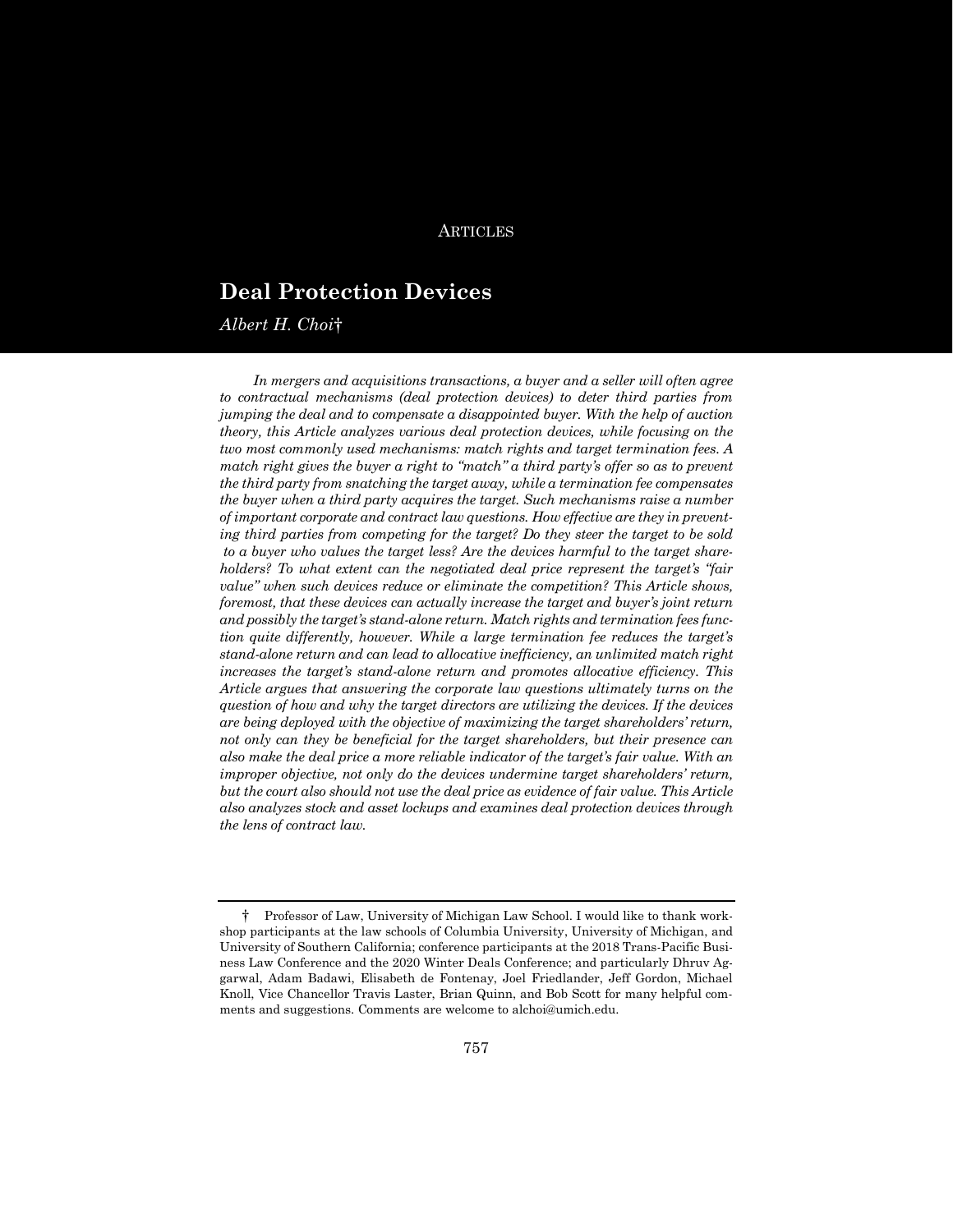# ARTICLES

# **Deal Protection Devices**

*Albert H. Choi*†

*In mergers and acquisitions transactions, a buyer and a seller will often agree to contractual mechanisms (deal protection devices) to deter third parties from jumping the deal and to compensate a disappointed buyer. With the help of auction theory, this Article analyzes various deal protection devices, while focusing on the two most commonly used mechanisms: match rights and target termination fees. A match right gives the buyer a right to "match" a third party's offer so as to prevent the third party from snatching the target away, while a termination fee compensates the buyer when a third party acquires the target. Such mechanisms raise a number of important corporate and contract law questions. How effective are they in preventing third parties from competing for the target? Do they steer the target to be sold to a buyer who values the target less? Are the devices harmful to the target shareholders? To what extent can the negotiated deal price represent the target's "fair value" when such devices reduce or eliminate the competition? This Article shows, foremost, that these devices can actually increase the target and buyer's joint return and possibly the target's stand-alone return. Match rights and termination fees function quite differently, however. While a large termination fee reduces the target's stand-alone return and can lead to allocative inefficiency, an unlimited match right increases the target's stand-alone return and promotes allocative efficiency. This Article argues that answering the corporate law questions ultimately turns on the question of how and why the target directors are utilizing the devices. If the devices are being deployed with the objective of maximizing the target shareholders' return, not only can they be beneficial for the target shareholders, but their presence can also make the deal price a more reliable indicator of the target's fair value. With an improper objective, not only do the devices undermine target shareholders' return, but the court also should not use the deal price as evidence of fair value. This Article also analyzes stock and asset lockups and examines deal protection devices through the lens of contract law.*

<sup>†</sup> Professor of Law, University of Michigan Law School. I would like to thank workshop participants at the law schools of Columbia University, University of Michigan, and University of Southern California; conference participants at the 2018 Trans-Pacific Business Law Conference and the 2020 Winter Deals Conference; and particularly Dhruv Aggarwal, Adam Badawi, Elisabeth de Fontenay, Joel Friedlander, Jeff Gordon, Michael Knoll, Vice Chancellor Travis Laster, Brian Quinn, and Bob Scott for many helpful comments and suggestions. Comments are welcome to alchoi@umich.edu.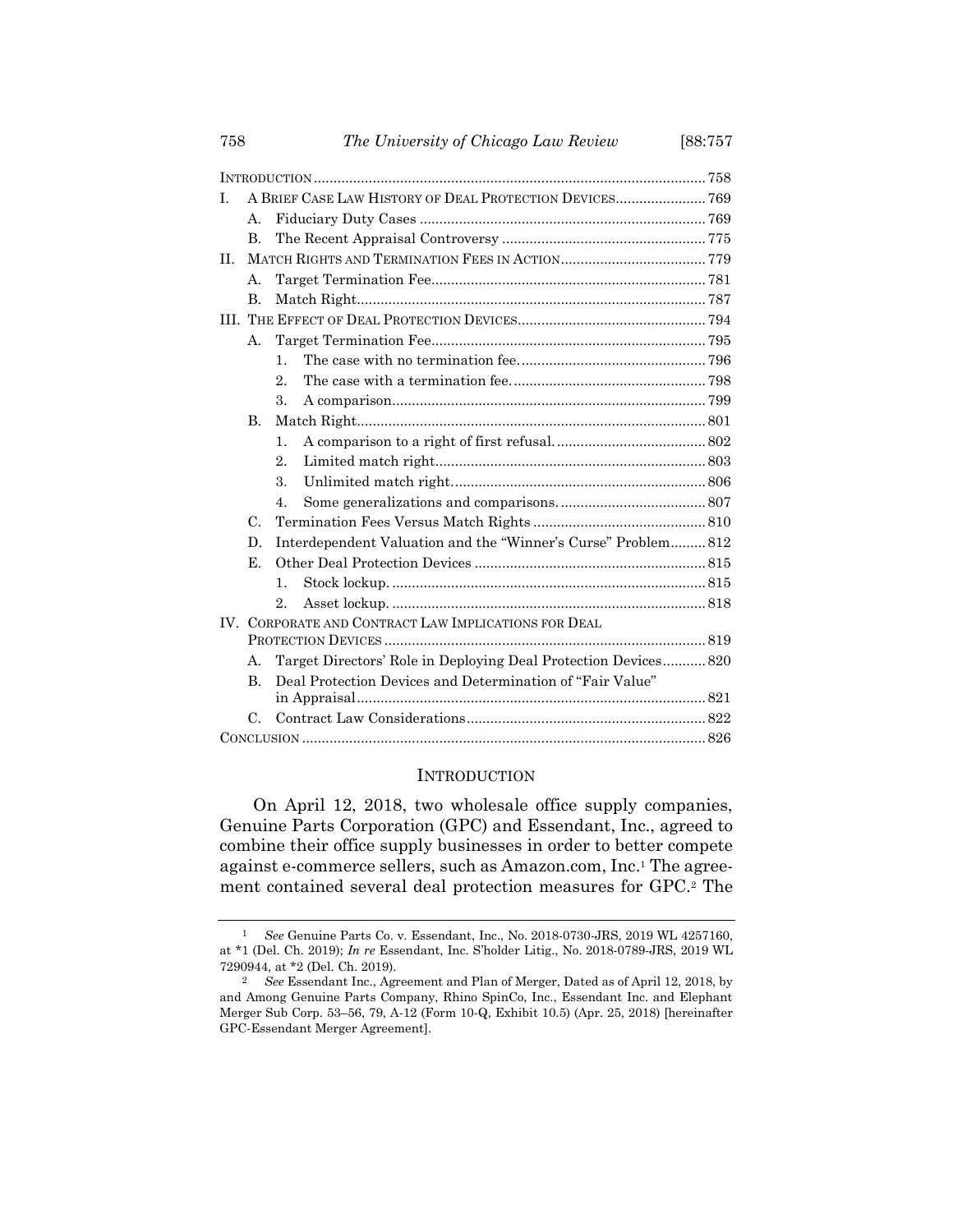| T.                | A BRIEF CASE LAW HISTORY OF DEAL PROTECTION DEVICES 769             |                  |                                                                 |  |
|-------------------|---------------------------------------------------------------------|------------------|-----------------------------------------------------------------|--|
|                   | $\mathsf{A}$ .                                                      |                  |                                                                 |  |
|                   | $\mathbf{B}$                                                        |                  |                                                                 |  |
| II.               |                                                                     |                  |                                                                 |  |
|                   | $\mathsf{A}$ .                                                      |                  |                                                                 |  |
|                   | <b>B.</b>                                                           |                  |                                                                 |  |
|                   |                                                                     |                  |                                                                 |  |
|                   | A.                                                                  |                  |                                                                 |  |
|                   |                                                                     | $\mathbf{1}$     |                                                                 |  |
|                   |                                                                     | $2$ .            |                                                                 |  |
|                   |                                                                     | 3.               |                                                                 |  |
|                   | $\mathbf{B}$                                                        |                  |                                                                 |  |
|                   |                                                                     | $\mathbf{1}$ .   |                                                                 |  |
|                   |                                                                     | $\overline{2}$ . |                                                                 |  |
|                   |                                                                     | 3.               |                                                                 |  |
|                   |                                                                     | $\overline{4}$ . |                                                                 |  |
|                   | $C_{\cdot}$                                                         |                  |                                                                 |  |
|                   | Interdependent Valuation and the "Winner's Curse" Problem 812<br>D. |                  |                                                                 |  |
|                   | Е.                                                                  |                  |                                                                 |  |
|                   |                                                                     | $\mathbf{1}$ .   |                                                                 |  |
|                   |                                                                     | $2_{-}$          |                                                                 |  |
| $\mathbf{IV}_{-}$ | CORPORATE AND CONTRACT LAW IMPLICATIONS FOR DEAL                    |                  |                                                                 |  |
|                   |                                                                     |                  |                                                                 |  |
|                   | А.                                                                  |                  | Target Directors' Role in Deploying Deal Protection Devices 820 |  |
|                   | $\bf{B}$                                                            |                  | Deal Protection Devices and Determination of "Fair Value"       |  |
|                   | $\rm C$                                                             |                  |                                                                 |  |
|                   |                                                                     |                  |                                                                 |  |
|                   |                                                                     |                  |                                                                 |  |

#### <span id="page-1-0"></span>INTRODUCTION

On April 12, 2018, two wholesale office supply companies, Genuine Parts Corporation (GPC) and Essendant, Inc., agreed to combine their office supply businesses in order to better compete against e-commerce sellers, such as Amazon.com, Inc. <sup>1</sup> The agreement contained several deal protection measures for GPC.<sup>2</sup> The

<sup>1</sup> *See* Genuine Parts Co. v. Essendant, Inc., No. 2018-0730-JRS, 2019 WL 4257160, at \*1 (Del. Ch. 2019); *In re* Essendant, Inc. S'holder Litig., No. 2018-0789-JRS, 2019 WL 7290944, at \*2 (Del. Ch. 2019).

<sup>2</sup> *See* Essendant Inc., Agreement and Plan of Merger, Dated as of April 12, 2018, by and Among Genuine Parts Company, Rhino SpinCo, Inc., Essendant Inc. and Elephant Merger Sub Corp. 53–56, 79, A-12 (Form 10-Q, Exhibit 10.5) (Apr. 25, 2018) [hereinafter GPC-Essendant Merger Agreement].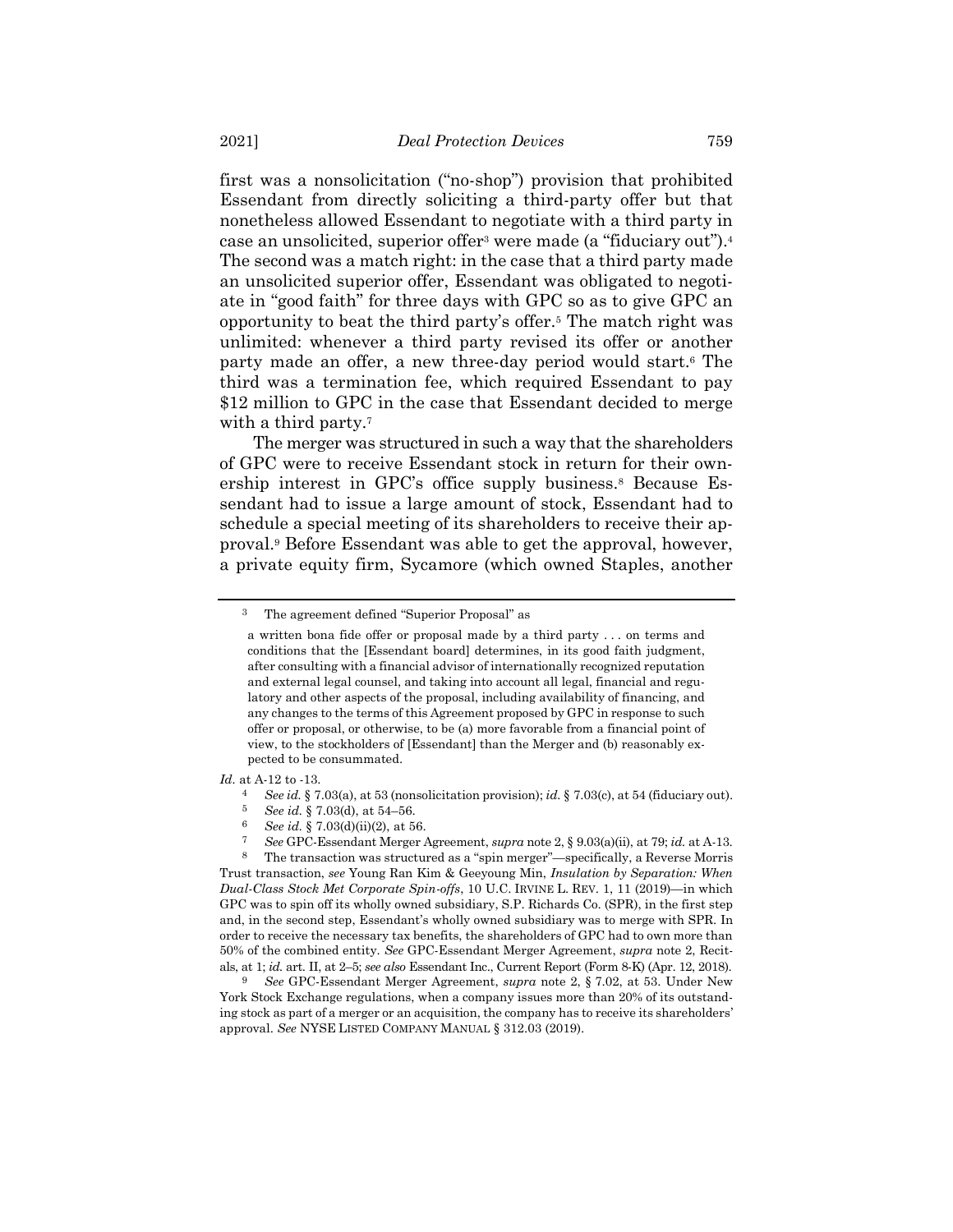first was a nonsolicitation ("no-shop") provision that prohibited Essendant from directly soliciting a third-party offer but that nonetheless allowed Essendant to negotiate with a third party in case an unsolicited, superior offer<sup>3</sup> were made (a "fiduciary out").<sup>4</sup> The second was a match right: in the case that a third party made an unsolicited superior offer, Essendant was obligated to negotiate in "good faith" for three days with GPC so as to give GPC an opportunity to beat the third party's offer.<sup>5</sup> The match right was unlimited: whenever a third party revised its offer or another party made an offer, a new three-day period would start.<sup>6</sup> The third was a termination fee, which required Essendant to pay \$12 million to GPC in the case that Essendant decided to merge with a third party.<sup>7</sup>

The merger was structured in such a way that the shareholders of GPC were to receive Essendant stock in return for their ownership interest in GPC's office supply business.<sup>8</sup> Because Essendant had to issue a large amount of stock, Essendant had to schedule a special meeting of its shareholders to receive their approval.<sup>9</sup> Before Essendant was able to get the approval, however, a private equity firm, Sycamore (which owned Staples, another

<sup>3</sup> The agreement defined "Superior Proposal" as

a written bona fide offer or proposal made by a third party . . . on terms and conditions that the [Essendant board] determines, in its good faith judgment, after consulting with a financial advisor of internationally recognized reputation and external legal counsel, and taking into account all legal, financial and regulatory and other aspects of the proposal, including availability of financing, and any changes to the terms of this Agreement proposed by GPC in response to such offer or proposal, or otherwise, to be (a) more favorable from a financial point of view, to the stockholders of [Essendant] than the Merger and (b) reasonably expected to be consummated.

*Id.* at A-12 to -13.

<sup>4</sup> *See id.* § 7.03(a), at 53 (nonsolicitation provision); *id.* § 7.03(c), at 54 (fiduciary out).

<sup>5</sup> *See id.* § 7.03(d), at 54–56.

<sup>6</sup> *See id.* § 7.03(d)(ii)(2), at 56.

<sup>7</sup> *See* GPC-Essendant Merger Agreement, *supra* note 2, § 9.03(a)(ii), at 79; *id.* at A-13.

<sup>8</sup> The transaction was structured as a "spin merger"—specifically, a Reverse Morris Trust transaction, *see* Young Ran Kim & Geeyoung Min, *Insulation by Separation: When Dual-Class Stock Met Corporate Spin-offs*, 10 U.C. IRVINE L. REV. 1, 11 (2019)—in which GPC was to spin off its wholly owned subsidiary, S.P. Richards Co. (SPR), in the first step and, in the second step, Essendant's wholly owned subsidiary was to merge with SPR. In order to receive the necessary tax benefits, the shareholders of GPC had to own more than 50% of the combined entity. *See* GPC-Essendant Merger Agreement, *supra* note [2,](#page-1-0) Recitals, at 1; *id.* art. II, at 2–5; *see also* Essendant Inc., Current Report (Form 8-K) (Apr. 12, 2018).

<sup>9</sup> *See* GPC-Essendant Merger Agreement, *supra* note [2,](#page-1-0) § 7.02, at 53. Under New York Stock Exchange regulations, when a company issues more than 20% of its outstanding stock as part of a merger or an acquisition, the company has to receive its shareholders' approval. *See* NYSE LISTED COMPANY MANUAL § 312.03 (2019).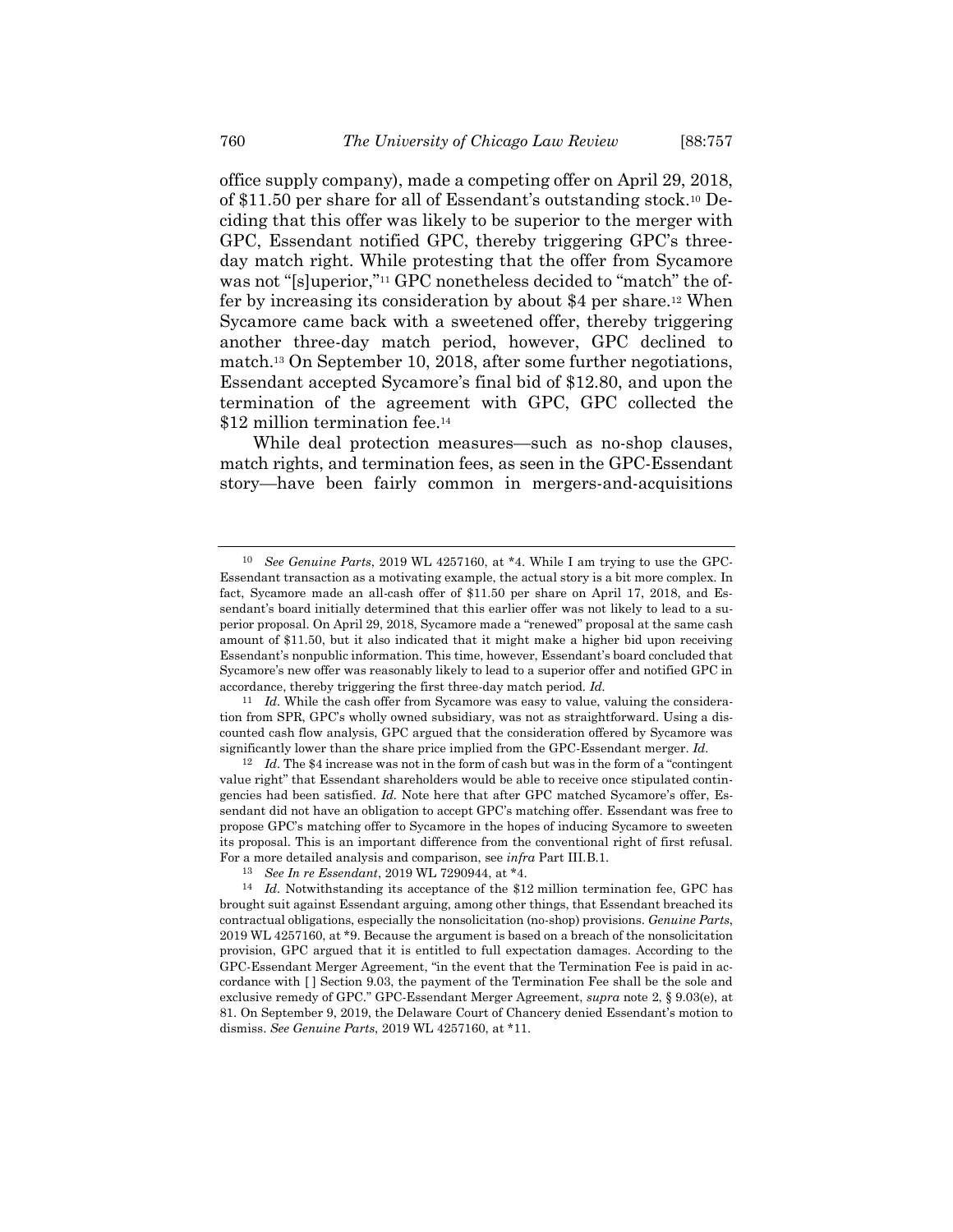office supply company), made a competing offer on April 29, 2018, of \$11.50 per share for all of Essendant's outstanding stock.<sup>10</sup> Deciding that this offer was likely to be superior to the merger with GPC, Essendant notified GPC, thereby triggering GPC's threeday match right. While protesting that the offer from Sycamore was not "[s]uperior,"<sup>11</sup> GPC nonetheless decided to "match" the offer by increasing its consideration by about \$4 per share.<sup>12</sup> When Sycamore came back with a sweetened offer, thereby triggering another three-day match period, however, GPC declined to match.<sup>13</sup> On September 10, 2018, after some further negotiations, Essendant accepted Sycamore's final bid of \$12.80, and upon the termination of the agreement with GPC, GPC collected the \$12 million termination fee.<sup>14</sup>

While deal protection measures—such as no-shop clauses, match rights, and termination fees, as seen in the GPC-Essendant story—have been fairly common in mergers-and-acquisitions

<sup>10</sup> *See Genuine Parts*, 2019 WL 4257160, at \*4. While I am trying to use the GPC-Essendant transaction as a motivating example, the actual story is a bit more complex. In fact, Sycamore made an all-cash offer of \$11.50 per share on April 17, 2018, and Essendant's board initially determined that this earlier offer was not likely to lead to a superior proposal. On April 29, 2018, Sycamore made a "renewed" proposal at the same cash amount of \$11.50, but it also indicated that it might make a higher bid upon receiving Essendant's nonpublic information. This time, however, Essendant's board concluded that Sycamore's new offer was reasonably likely to lead to a superior offer and notified GPC in accordance, thereby triggering the first three-day match period. *Id.*

<sup>&</sup>lt;sup>11</sup> *Id.* While the cash offer from Sycamore was easy to value, valuing the consideration from SPR, GPC's wholly owned subsidiary, was not as straightforward. Using a discounted cash flow analysis, GPC argued that the consideration offered by Sycamore was significantly lower than the share price implied from the GPC-Essendant merger. *Id.*

<sup>12</sup> *Id.* The \$4 increase was not in the form of cash but was in the form of a "contingent value right" that Essendant shareholders would be able to receive once stipulated contingencies had been satisfied. *Id.* Note here that after GPC matched Sycamore's offer, Essendant did not have an obligation to accept GPC's matching offer. Essendant was free to propose GPC's matching offer to Sycamore in the hopes of inducing Sycamore to sweeten its proposal. This is an important difference from the conventional right of first refusal. For a more detailed analysis and comparison, see *infra* Part III.B.1.

<sup>13</sup> *See In re Essendant*, 2019 WL 7290944, at \*4.

<sup>14</sup> *Id.* Notwithstanding its acceptance of the \$12 million termination fee, GPC has brought suit against Essendant arguing, among other things, that Essendant breached its contractual obligations, especially the nonsolicitation (no-shop) provisions. *Genuine Parts*, 2019 WL 4257160, at \*9. Because the argument is based on a breach of the nonsolicitation provision, GPC argued that it is entitled to full expectation damages. According to the GPC-Essendant Merger Agreement, "in the event that the Termination Fee is paid in accordance with [ ] Section 9.03, the payment of the Termination Fee shall be the sole and exclusive remedy of GPC." GPC-Essendant Merger Agreement, *supra* not[e 2,](#page-1-0) § 9.03(e), at 81. On September 9, 2019, the Delaware Court of Chancery denied Essendant's motion to dismiss. *See Genuine Parts*, 2019 WL 4257160, at \*11.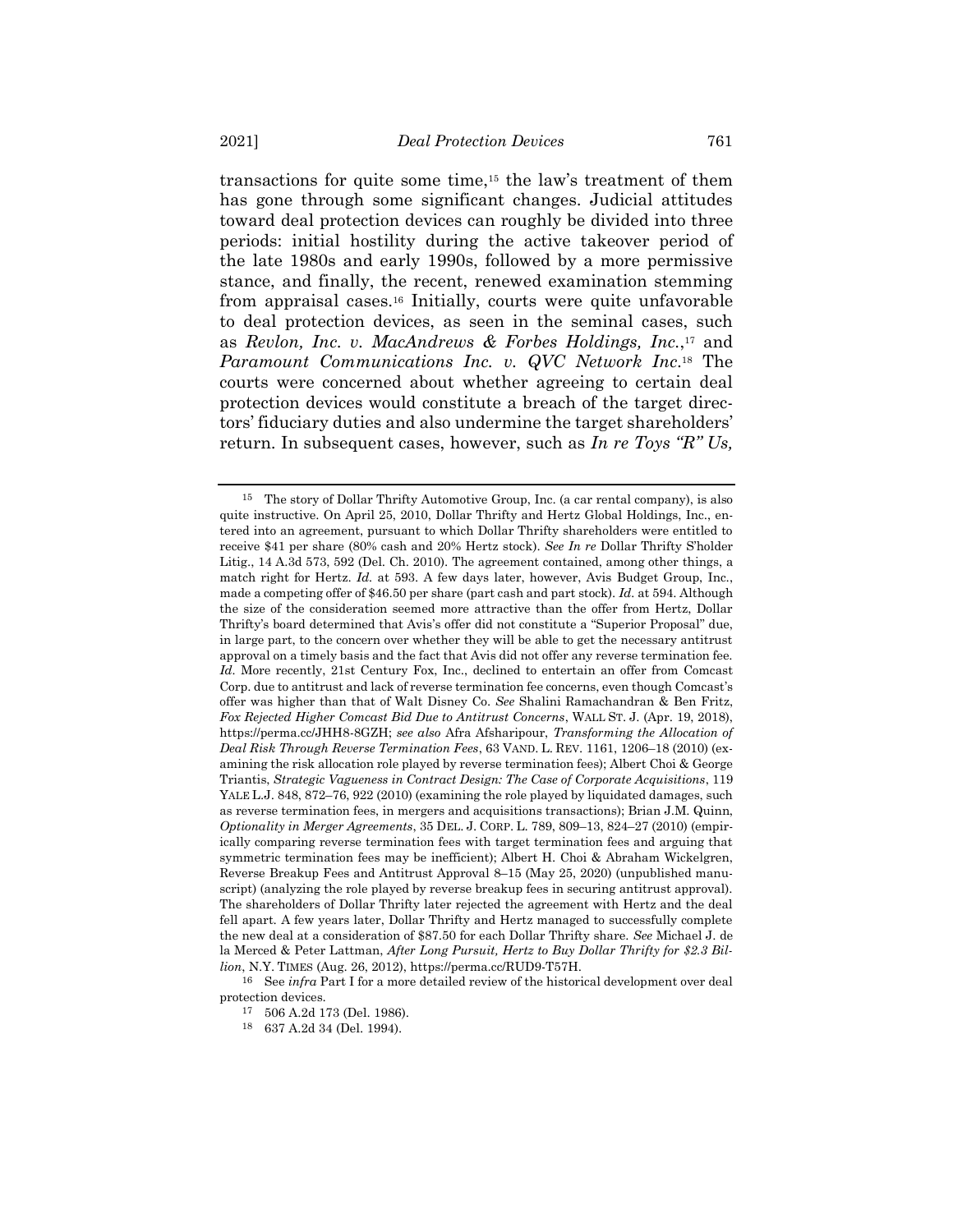<span id="page-4-0"></span>transactions for quite some time,<sup>15</sup> the law's treatment of them has gone through some significant changes. Judicial attitudes toward deal protection devices can roughly be divided into three periods: initial hostility during the active takeover period of the late 1980s and early 1990s, followed by a more permissive stance, and finally, the recent, renewed examination stemming from appraisal cases.<sup>16</sup> Initially, courts were quite unfavorable to deal protection devices, as seen in the seminal cases, such as *Revlon, Inc. v. MacAndrews & Forbes Holdings, Inc.*, <sup>17</sup> and *Paramount Communications Inc. v. QVC Network Inc*. <sup>18</sup> The courts were concerned about whether agreeing to certain deal protection devices would constitute a breach of the target directors' fiduciary duties and also undermine the target shareholders' return. In subsequent cases, however, such as *In re Toys "R" Us,* 

<sup>15</sup> The story of Dollar Thrifty Automotive Group, Inc. (a car rental company), is also quite instructive. On April 25, 2010, Dollar Thrifty and Hertz Global Holdings, Inc., entered into an agreement, pursuant to which Dollar Thrifty shareholders were entitled to receive \$41 per share (80% cash and 20% Hertz stock). *See In re* Dollar Thrifty S'holder Litig., 14 A.3d 573, 592 (Del. Ch. 2010). The agreement contained, among other things, a match right for Hertz. *Id.* at 593. A few days later, however, Avis Budget Group, Inc., made a competing offer of \$46.50 per share (part cash and part stock). *Id.* at 594. Although the size of the consideration seemed more attractive than the offer from Hertz, Dollar Thrifty's board determined that Avis's offer did not constitute a "Superior Proposal" due, in large part, to the concern over whether they will be able to get the necessary antitrust approval on a timely basis and the fact that Avis did not offer any reverse termination fee. *Id.* More recently, 21st Century Fox, Inc., declined to entertain an offer from Comcast Corp. due to antitrust and lack of reverse termination fee concerns, even though Comcast's offer was higher than that of Walt Disney Co. *See* Shalini Ramachandran & Ben Fritz, *Fox Rejected Higher Comcast Bid Due to Antitrust Concerns*, WALL ST. J. (Apr. 19, 2018), https://perma.cc/JHH8-8GZH; *see also* Afra Afsharipour, *Transforming the Allocation of Deal Risk Through Reverse Termination Fees*, 63 VAND. L. REV. 1161, 1206–18 (2010) (examining the risk allocation role played by reverse termination fees); Albert Choi & George Triantis, *Strategic Vagueness in Contract Design: The Case of Corporate Acquisitions*, 119 YALE L.J. 848, 872–76, 922 (2010) (examining the role played by liquidated damages, such as reverse termination fees, in mergers and acquisitions transactions); Brian J.M. Quinn, *Optionality in Merger Agreements*, 35 DEL. J. CORP. L. 789, 809–13, 824–27 (2010) (empirically comparing reverse termination fees with target termination fees and arguing that symmetric termination fees may be inefficient); Albert H. Choi & Abraham Wickelgren, Reverse Breakup Fees and Antitrust Approval 8–15 (May 25, 2020) (unpublished manuscript) (analyzing the role played by reverse breakup fees in securing antitrust approval). The shareholders of Dollar Thrifty later rejected the agreement with Hertz and the deal fell apart. A few years later, Dollar Thrifty and Hertz managed to successfully complete the new deal at a consideration of \$87.50 for each Dollar Thrifty share. *See* Michael J. de la Merced & Peter Lattman, *After Long Pursuit, Hertz to Buy Dollar Thrifty for \$2.3 Billion*, N.Y. TIMES (Aug. 26, 2012), https://perma.cc/RUD9-T57H.

<sup>16</sup> See *infra* Part I for a more detailed review of the historical development over deal protection devices.

<sup>17</sup> 506 A.2d 173 (Del. 1986).

<sup>18</sup> 637 A.2d 34 (Del. 1994).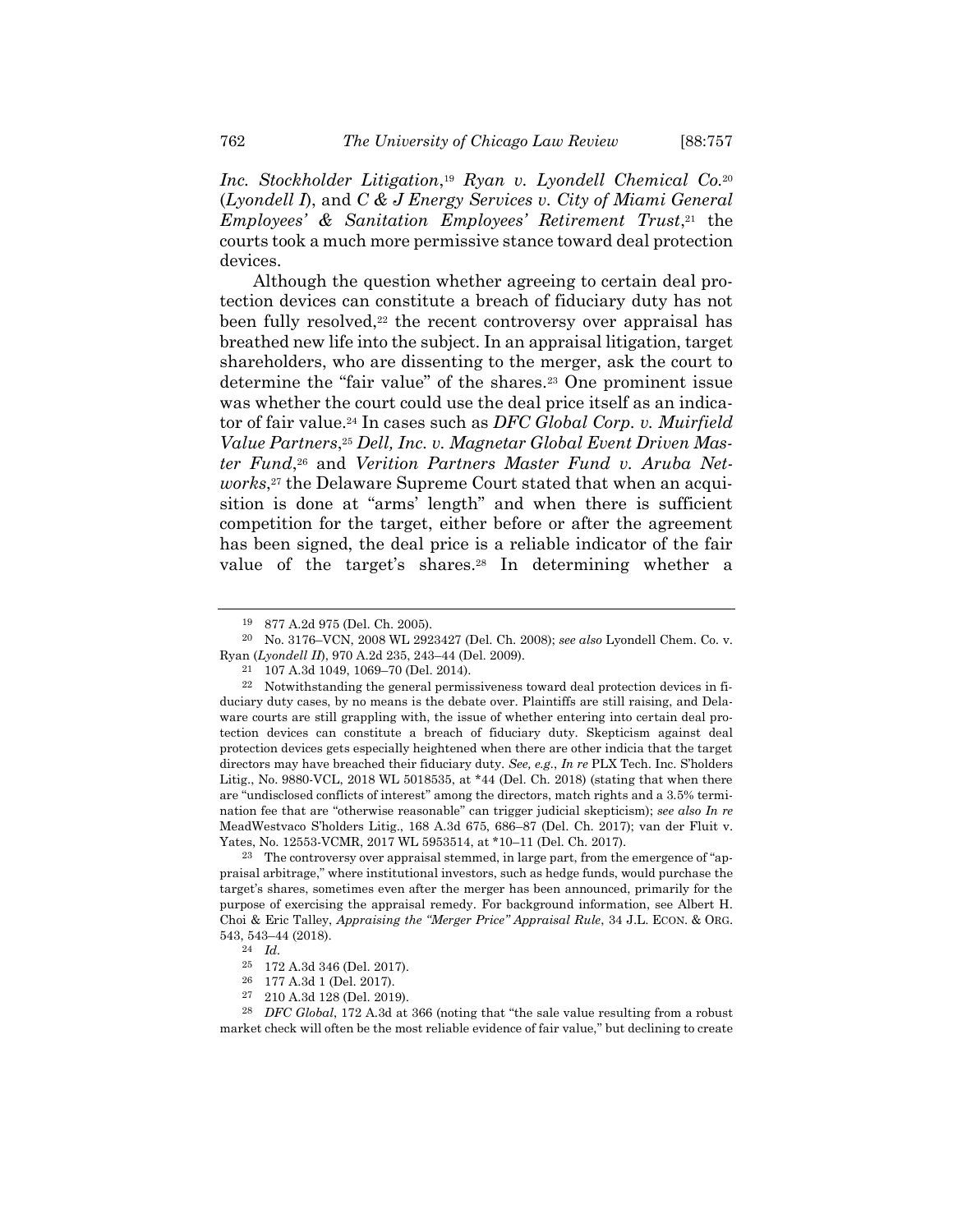*Inc. Stockholder Litigation*, <sup>19</sup> *Ryan v. Lyondell Chemical Co.*<sup>20</sup> (*Lyondell I*), and *C & J Energy Services v. City of Miami General Employees' & Sanitation Employees' Retirement Trust*, <sup>21</sup> the courts took a much more permissive stance toward deal protection devices.

<span id="page-5-0"></span>Although the question whether agreeing to certain deal protection devices can constitute a breach of fiduciary duty has not been fully resolved,<sup>22</sup> the recent controversy over appraisal has breathed new life into the subject. In an appraisal litigation, target shareholders, who are dissenting to the merger, ask the court to determine the "fair value" of the shares.<sup>23</sup> One prominent issue was whether the court could use the deal price itself as an indicator of fair value.<sup>24</sup> In cases such as *DFC Global Corp. v. Muirfield Value Partners*, <sup>25</sup> *Dell, Inc. v. Magnetar Global Event Driven Master Fund*, <sup>26</sup> and *Verition Partners Master Fund v. Aruba Networks*, <sup>27</sup> the Delaware Supreme Court stated that when an acquisition is done at "arms' length" and when there is sufficient competition for the target, either before or after the agreement has been signed, the deal price is a reliable indicator of the fair value of the target's shares.<sup>28</sup> In determining whether a

23 The controversy over appraisal stemmed, in large part, from the emergence of "appraisal arbitrage," where institutional investors, such as hedge funds, would purchase the target's shares, sometimes even after the merger has been announced, primarily for the purpose of exercising the appraisal remedy. For background information, see Albert H. Choi & Eric Talley, *Appraising the "Merger Price" Appraisal Rule*, 34 J.L. ECON. & ORG. 543, 543–44 (2018).

<sup>877</sup> A.2d 975 (Del. Ch. 2005).

<sup>20</sup> No. 3176–VCN, 2008 WL 2923427 (Del. Ch. 2008); *see also* Lyondell Chem. Co. v. Ryan (*Lyondell II*), 970 A.2d 235, 243–44 (Del. 2009).

<sup>21</sup> 107 A.3d 1049, 1069–70 (Del. 2014).

<sup>22</sup> Notwithstanding the general permissiveness toward deal protection devices in fiduciary duty cases, by no means is the debate over. Plaintiffs are still raising, and Delaware courts are still grappling with, the issue of whether entering into certain deal protection devices can constitute a breach of fiduciary duty. Skepticism against deal protection devices gets especially heightened when there are other indicia that the target directors may have breached their fiduciary duty. *See, e.g.*, *In re* PLX Tech. Inc. S'holders Litig., No. 9880-VCL, 2018 WL 5018535, at \*44 (Del. Ch. 2018) (stating that when there are "undisclosed conflicts of interest" among the directors, match rights and a 3.5% termination fee that are "otherwise reasonable" can trigger judicial skepticism); *see also In re* MeadWestvaco S'holders Litig., 168 A.3d 675, 686–87 (Del. Ch. 2017); van der Fluit v. Yates, No. 12553-VCMR, 2017 WL 5953514, at \*10–11 (Del. Ch. 2017).

<sup>24</sup> *Id.*

<sup>25</sup> 172 A.3d 346 (Del. 2017).

<sup>26</sup> 177 A.3d 1 (Del. 2017).

<sup>27</sup> 210 A.3d 128 (Del. 2019).

<sup>28</sup> *DFC Global*, 172 A.3d at 366 (noting that "the sale value resulting from a robust market check will often be the most reliable evidence of fair value," but declining to create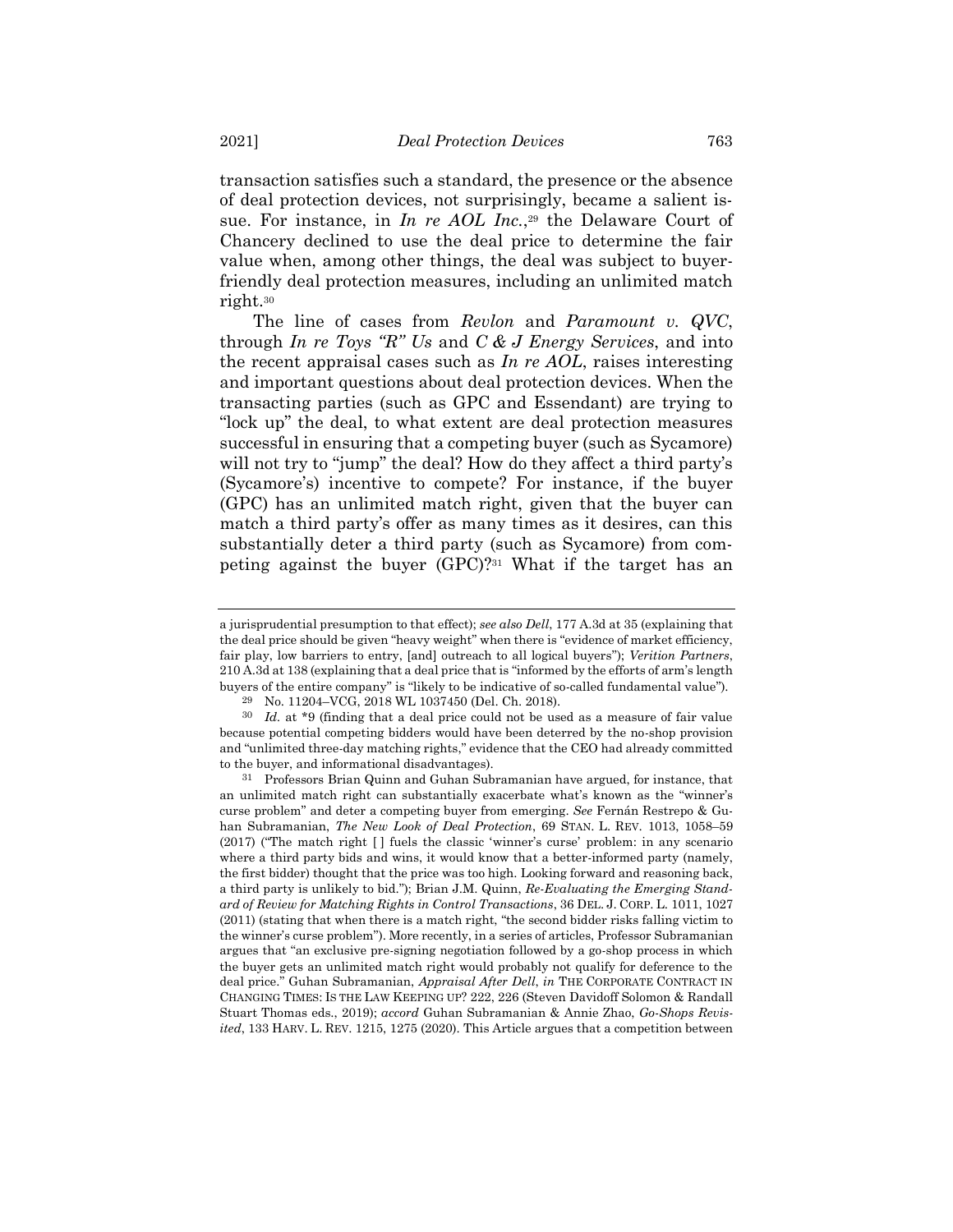transaction satisfies such a standard, the presence or the absence of deal protection devices, not surprisingly, became a salient issue. For instance, in *In re AOL Inc.*, <sup>29</sup> the Delaware Court of Chancery declined to use the deal price to determine the fair value when, among other things, the deal was subject to buyerfriendly deal protection measures, including an unlimited match right.<sup>30</sup>

The line of cases from *Revlon* and *Paramount v. QVC*, through *In re Toys "R" Us* and *C & J Energy Services*, and into the recent appraisal cases such as *In re AOL*, raises interesting and important questions about deal protection devices. When the transacting parties (such as GPC and Essendant) are trying to "lock up" the deal, to what extent are deal protection measures successful in ensuring that a competing buyer (such as Sycamore) will not try to "jump" the deal? How do they affect a third party's (Sycamore's) incentive to compete? For instance, if the buyer (GPC) has an unlimited match right, given that the buyer can match a third party's offer as many times as it desires, can this substantially deter a third party (such as Sycamore) from competing against the buyer (GPC)?<sup>31</sup> What if the target has an

<span id="page-6-0"></span>a jurisprudential presumption to that effect); *see also Dell*, 177 A.3d at 35 (explaining that the deal price should be given "heavy weight" when there is "evidence of market efficiency, fair play, low barriers to entry, [and] outreach to all logical buyers"); *Verition Partners*, 210 A.3d at 138 (explaining that a deal price that is "informed by the efforts of arm's length buyers of the entire company" is "likely to be indicative of so-called fundamental value").

<sup>29</sup> No. 11204–VCG, 2018 WL 1037450 (Del. Ch. 2018).

<sup>30</sup> *Id.* at \*9 (finding that a deal price could not be used as a measure of fair value because potential competing bidders would have been deterred by the no-shop provision and "unlimited three-day matching rights," evidence that the CEO had already committed to the buyer, and informational disadvantages).

<sup>31</sup> Professors Brian Quinn and Guhan Subramanian have argued, for instance, that an unlimited match right can substantially exacerbate what's known as the "winner's curse problem" and deter a competing buyer from emerging. *See* Fernán Restrepo & Guhan Subramanian, *The New Look of Deal Protection*, 69 STAN. L. REV. 1013, 1058–59 (2017) ("The match right [ ] fuels the classic 'winner's curse' problem: in any scenario where a third party bids and wins, it would know that a better-informed party (namely, the first bidder) thought that the price was too high. Looking forward and reasoning back, a third party is unlikely to bid."); Brian J.M. Quinn, *Re-Evaluating the Emerging Standard of Review for Matching Rights in Control Transactions*, 36 DEL. J. CORP. L. 1011, 1027 (2011) (stating that when there is a match right, "the second bidder risks falling victim to the winner's curse problem"). More recently, in a series of articles, Professor Subramanian argues that "an exclusive pre-signing negotiation followed by a go-shop process in which the buyer gets an unlimited match right would probably not qualify for deference to the deal price." Guhan Subramanian, *Appraisal After Dell*, *in* THE CORPORATE CONTRACT IN CHANGING TIMES: IS THE LAW KEEPING UP? 222, 226 (Steven Davidoff Solomon & Randall Stuart Thomas eds., 2019); *accord* Guhan Subramanian & Annie Zhao, *Go-Shops Revisited*, 133 HARV. L. REV. 1215, 1275 (2020). This Article argues that a competition between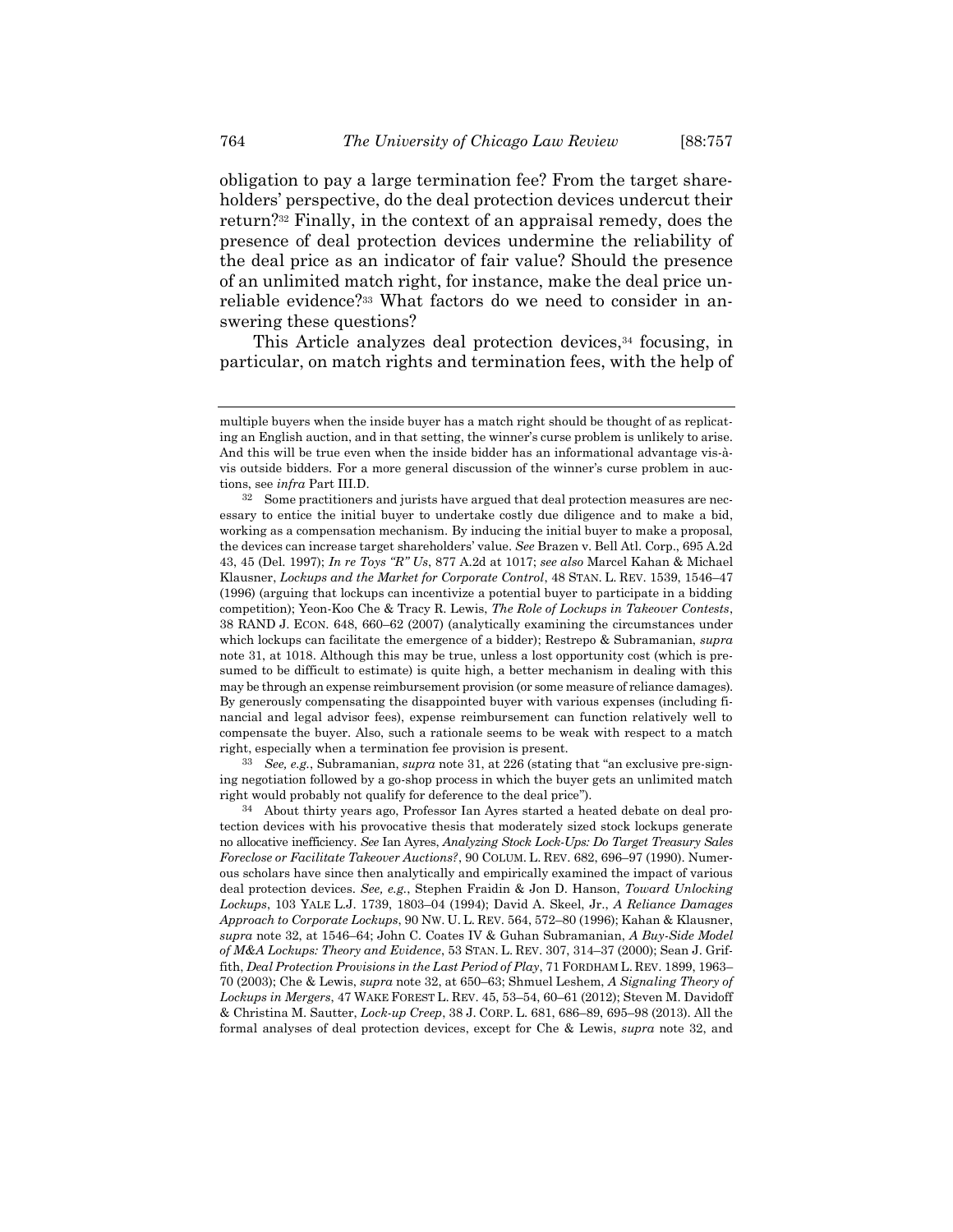<span id="page-7-0"></span>obligation to pay a large termination fee? From the target shareholders' perspective, do the deal protection devices undercut their return?<sup>32</sup> Finally, in the context of an appraisal remedy, does the presence of deal protection devices undermine the reliability of the deal price as an indicator of fair value? Should the presence of an unlimited match right, for instance, make the deal price unreliable evidence?<sup>33</sup> What factors do we need to consider in answering these questions?

<span id="page-7-1"></span>This Article analyzes deal protection devices,<sup>34</sup> focusing, in particular, on match rights and termination fees, with the help of

33 *See, e.g.*, Subramanian, *supra* not[e 31,](#page-6-0) at 226 (stating that "an exclusive pre-signing negotiation followed by a go-shop process in which the buyer gets an unlimited match right would probably not qualify for deference to the deal price").

34 About thirty years ago, Professor Ian Ayres started a heated debate on deal protection devices with his provocative thesis that moderately sized stock lockups generate no allocative inefficiency. *See* Ian Ayres, *Analyzing Stock Lock-Ups: Do Target Treasury Sales Foreclose or Facilitate Takeover Auctions?*, 90 COLUM. L. REV. 682, 696–97 (1990). Numerous scholars have since then analytically and empirically examined the impact of various deal protection devices. *See, e.g.*, Stephen Fraidin & Jon D. Hanson, *Toward Unlocking Lockups*, 103 YALE L.J. 1739, 1803–04 (1994); David A. Skeel, Jr., *A Reliance Damages Approach to Corporate Lockups*, 90 NW. U. L. REV. 564, 572–80 (1996); Kahan & Klausner, *supra* note [32,](#page-7-0) at 1546–64; John C. Coates IV & Guhan Subramanian, *A Buy-Side Model of M&A Lockups: Theory and Evidence*, 53 STAN. L. REV. 307, 314–37 (2000); Sean J. Griffith, *Deal Protection Provisions in the Last Period of Play*, 71 FORDHAM L. REV. 1899, 1963– 70 (2003); Che & Lewis, *supra* not[e 32,](#page-7-0) at 650–63; Shmuel Leshem, *A Signaling Theory of Lockups in Mergers*, 47 WAKE FOREST L. REV. 45, 53–54, 60–61 (2012); Steven M. Davidoff & Christina M. Sautter, *Lock-up Creep*, 38 J. CORP. L. 681, 686–89, 695–98 (2013). All the formal analyses of deal protection devices, except for Che & Lewis, *supra* note [32,](#page-7-0) and

multiple buyers when the inside buyer has a match right should be thought of as replicating an English auction, and in that setting, the winner's curse problem is unlikely to arise. And this will be true even when the inside bidder has an informational advantage vis-àvis outside bidders. For a more general discussion of the winner's curse problem in auctions, see *infra* Part III.D.

<sup>32</sup> Some practitioners and jurists have argued that deal protection measures are necessary to entice the initial buyer to undertake costly due diligence and to make a bid, working as a compensation mechanism. By inducing the initial buyer to make a proposal, the devices can increase target shareholders' value. *See* Brazen v. Bell Atl. Corp., 695 A.2d 43, 45 (Del. 1997); *In re Toys "R" Us*, 877 A.2d at 1017; *see also* Marcel Kahan & Michael Klausner, *Lockups and the Market for Corporate Control*, 48 STAN. L. REV. 1539, 1546–47 (1996) (arguing that lockups can incentivize a potential buyer to participate in a bidding competition); Yeon-Koo Che & Tracy R. Lewis, *The Role of Lockups in Takeover Contests*, 38 RAND J. ECON. 648, 660–62 (2007) (analytically examining the circumstances under which lockups can facilitate the emergence of a bidder); Restrepo & Subramanian, *supra* note [31,](#page-6-0) at 1018. Although this may be true, unless a lost opportunity cost (which is presumed to be difficult to estimate) is quite high, a better mechanism in dealing with this may be through an expense reimbursement provision (or some measure of reliance damages). By generously compensating the disappointed buyer with various expenses (including financial and legal advisor fees), expense reimbursement can function relatively well to compensate the buyer. Also, such a rationale seems to be weak with respect to a match right, especially when a termination fee provision is present.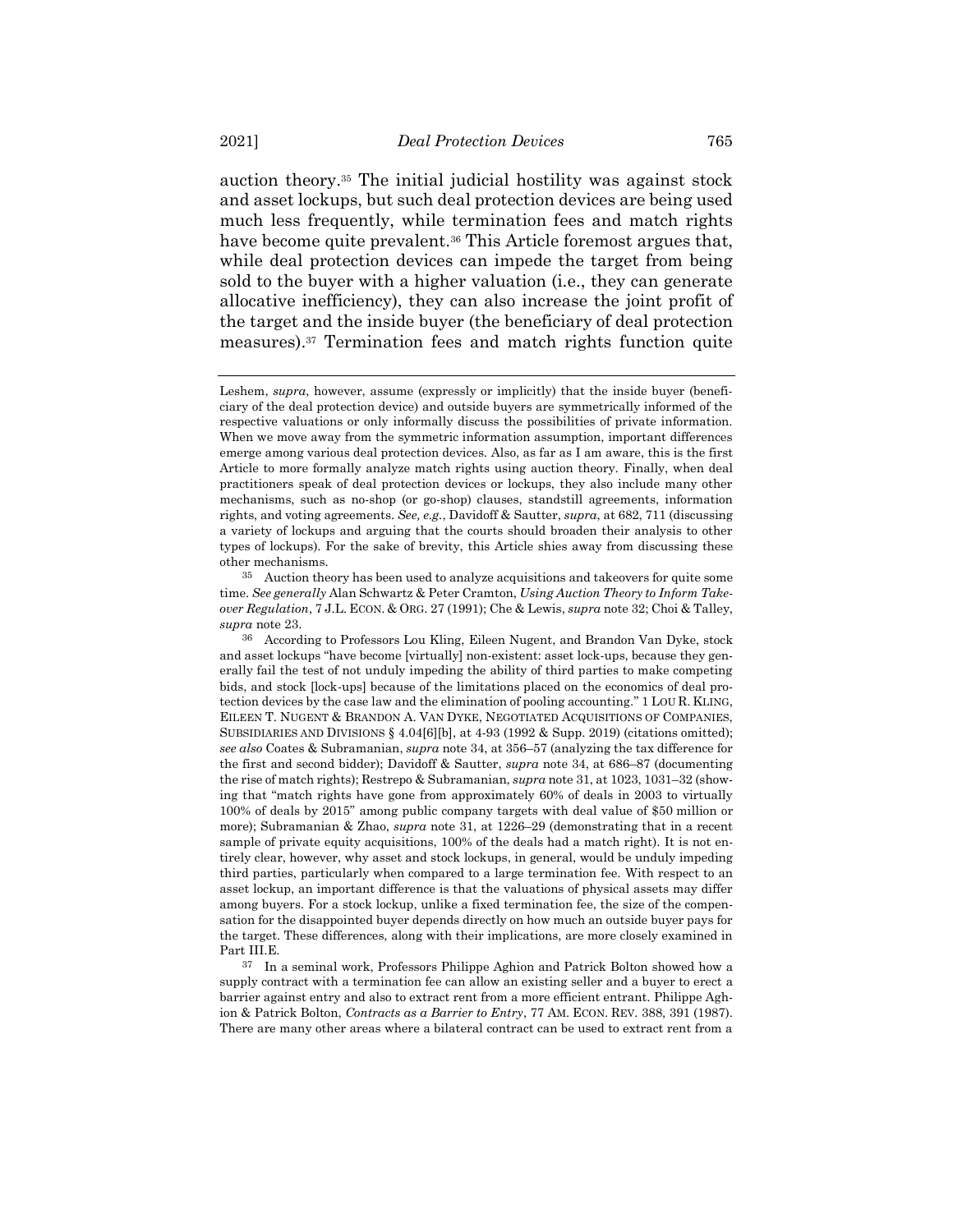<span id="page-8-0"></span>auction theory.<sup>35</sup> The initial judicial hostility was against stock and asset lockups, but such deal protection devices are being used much less frequently, while termination fees and match rights have become quite prevalent.<sup>36</sup> This Article foremost argues that, while deal protection devices can impede the target from being sold to the buyer with a higher valuation (i.e., they can generate allocative inefficiency), they can also increase the joint profit of the target and the inside buyer (the beneficiary of deal protection measures).<sup>37</sup> Termination fees and match rights function quite

<span id="page-8-1"></span>Leshem, *supra*, however, assume (expressly or implicitly) that the inside buyer (beneficiary of the deal protection device) and outside buyers are symmetrically informed of the respective valuations or only informally discuss the possibilities of private information. When we move away from the symmetric information assumption, important differences emerge among various deal protection devices. Also, as far as I am aware, this is the first Article to more formally analyze match rights using auction theory. Finally, when deal practitioners speak of deal protection devices or lockups, they also include many other mechanisms, such as no-shop (or go-shop) clauses, standstill agreements, information rights, and voting agreements. *See, e.g.*, Davidoff & Sautter, *supra*, at 682, 711 (discussing a variety of lockups and arguing that the courts should broaden their analysis to other types of lockups). For the sake of brevity, this Article shies away from discussing these other mechanisms.

<sup>35</sup> Auction theory has been used to analyze acquisitions and takeovers for quite some time. *See generally* Alan Schwartz & Peter Cramton, *Using Auction Theory to Inform Takeover Regulation*, 7 J.L. ECON. & ORG. 27 (1991); Che & Lewis, *supra* not[e 32;](#page-7-0) Choi & Talley, *supra* not[e 23.](#page-5-0)

<sup>36</sup> According to Professors Lou Kling, Eileen Nugent, and Brandon Van Dyke, stock and asset lockups "have become [virtually] non-existent: asset lock-ups, because they generally fail the test of not unduly impeding the ability of third parties to make competing bids, and stock [lock-ups] because of the limitations placed on the economics of deal protection devices by the case law and the elimination of pooling accounting." 1 LOU R. KLING, EILEEN T. NUGENT & BRANDON A. VAN DYKE, NEGOTIATED ACQUISITIONS OF COMPANIES, SUBSIDIARIES AND DIVISIONS § 4.04[6][b], at 4-93 (1992 & Supp. 2019) (citations omitted); *see also* Coates & Subramanian, *supra* not[e 34,](#page-7-1) at 356–57 (analyzing the tax difference for the first and second bidder); Davidoff & Sautter, *supra* note [34,](#page-7-1) at 686–87 (documenting the rise of match rights); Restrepo & Subramanian, *supra* not[e 31,](#page-6-0) at 1023, 1031–32 (showing that "match rights have gone from approximately 60% of deals in 2003 to virtually 100% of deals by 2015" among public company targets with deal value of \$50 million or more); Subramanian & Zhao, *supra* note [31,](#page-6-0) at 1226–29 (demonstrating that in a recent sample of private equity acquisitions, 100% of the deals had a match right). It is not entirely clear, however, why asset and stock lockups, in general, would be unduly impeding third parties, particularly when compared to a large termination fee. With respect to an asset lockup, an important difference is that the valuations of physical assets may differ among buyers. For a stock lockup, unlike a fixed termination fee, the size of the compensation for the disappointed buyer depends directly on how much an outside buyer pays for the target. These differences, along with their implications, are more closely examined in Part III.E.

<sup>37</sup> In a seminal work, Professors Philippe Aghion and Patrick Bolton showed how a supply contract with a termination fee can allow an existing seller and a buyer to erect a barrier against entry and also to extract rent from a more efficient entrant. Philippe Aghion & Patrick Bolton, *Contracts as a Barrier to Entry*, 77 AM. ECON. REV. 388, 391 (1987). There are many other areas where a bilateral contract can be used to extract rent from a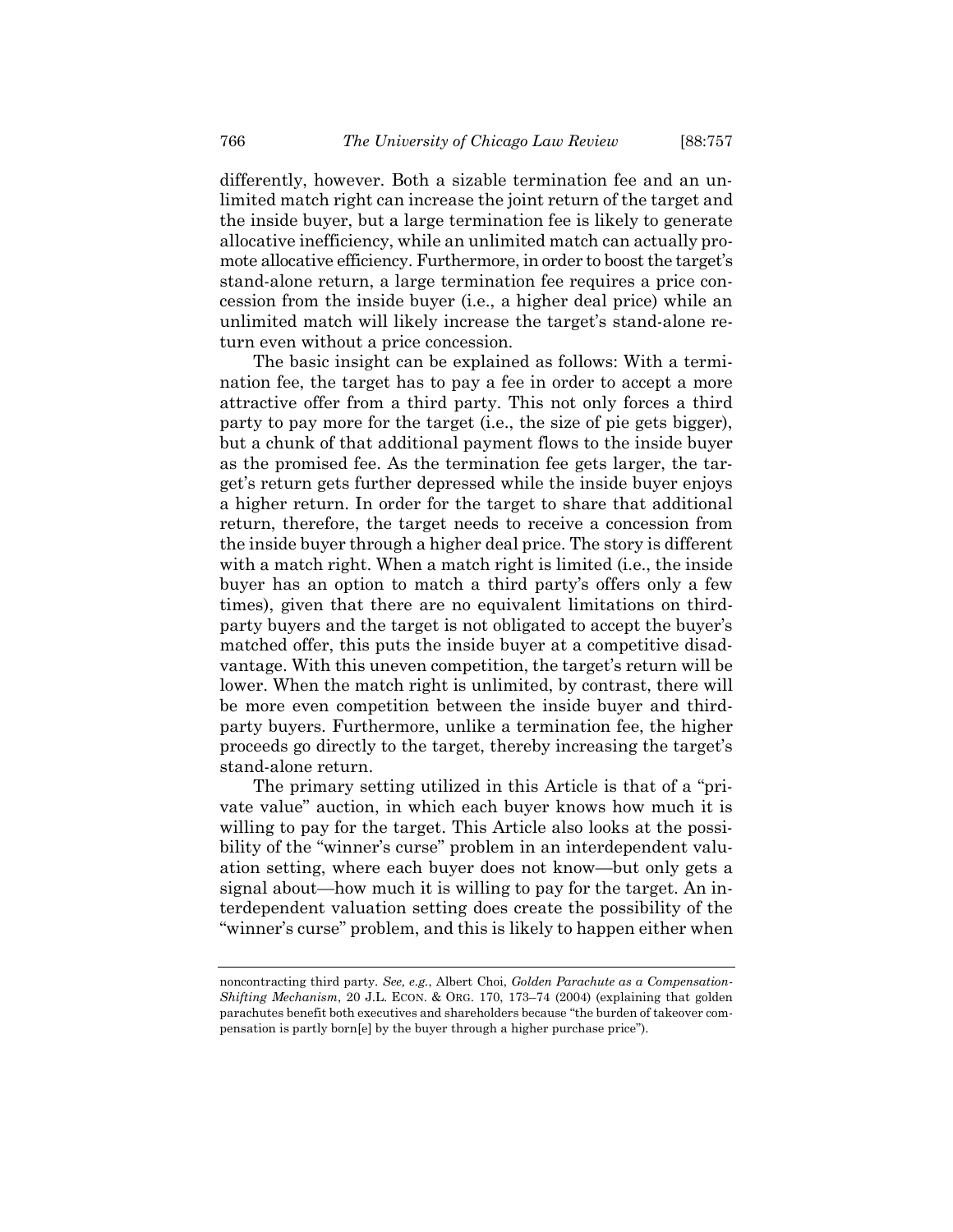differently, however. Both a sizable termination fee and an unlimited match right can increase the joint return of the target and the inside buyer, but a large termination fee is likely to generate allocative inefficiency, while an unlimited match can actually promote allocative efficiency. Furthermore, in order to boost the target's stand-alone return, a large termination fee requires a price concession from the inside buyer (i.e., a higher deal price) while an unlimited match will likely increase the target's stand-alone return even without a price concession.

The basic insight can be explained as follows: With a termination fee, the target has to pay a fee in order to accept a more attractive offer from a third party. This not only forces a third party to pay more for the target (i.e., the size of pie gets bigger), but a chunk of that additional payment flows to the inside buyer as the promised fee. As the termination fee gets larger, the target's return gets further depressed while the inside buyer enjoys a higher return. In order for the target to share that additional return, therefore, the target needs to receive a concession from the inside buyer through a higher deal price. The story is different with a match right. When a match right is limited (i.e., the inside buyer has an option to match a third party's offers only a few times), given that there are no equivalent limitations on thirdparty buyers and the target is not obligated to accept the buyer's matched offer, this puts the inside buyer at a competitive disadvantage. With this uneven competition, the target's return will be lower. When the match right is unlimited, by contrast, there will be more even competition between the inside buyer and thirdparty buyers. Furthermore, unlike a termination fee, the higher proceeds go directly to the target, thereby increasing the target's stand-alone return.

The primary setting utilized in this Article is that of a "private value" auction, in which each buyer knows how much it is willing to pay for the target. This Article also looks at the possibility of the "winner's curse" problem in an interdependent valuation setting, where each buyer does not know—but only gets a signal about—how much it is willing to pay for the target. An interdependent valuation setting does create the possibility of the "winner's curse" problem, and this is likely to happen either when

noncontracting third party. *See, e.g.*, Albert Choi, *Golden Parachute as a Compensation-Shifting Mechanism*, 20 J.L. ECON. & ORG. 170, 173–74 (2004) (explaining that golden parachutes benefit both executives and shareholders because "the burden of takeover compensation is partly born[e] by the buyer through a higher purchase price").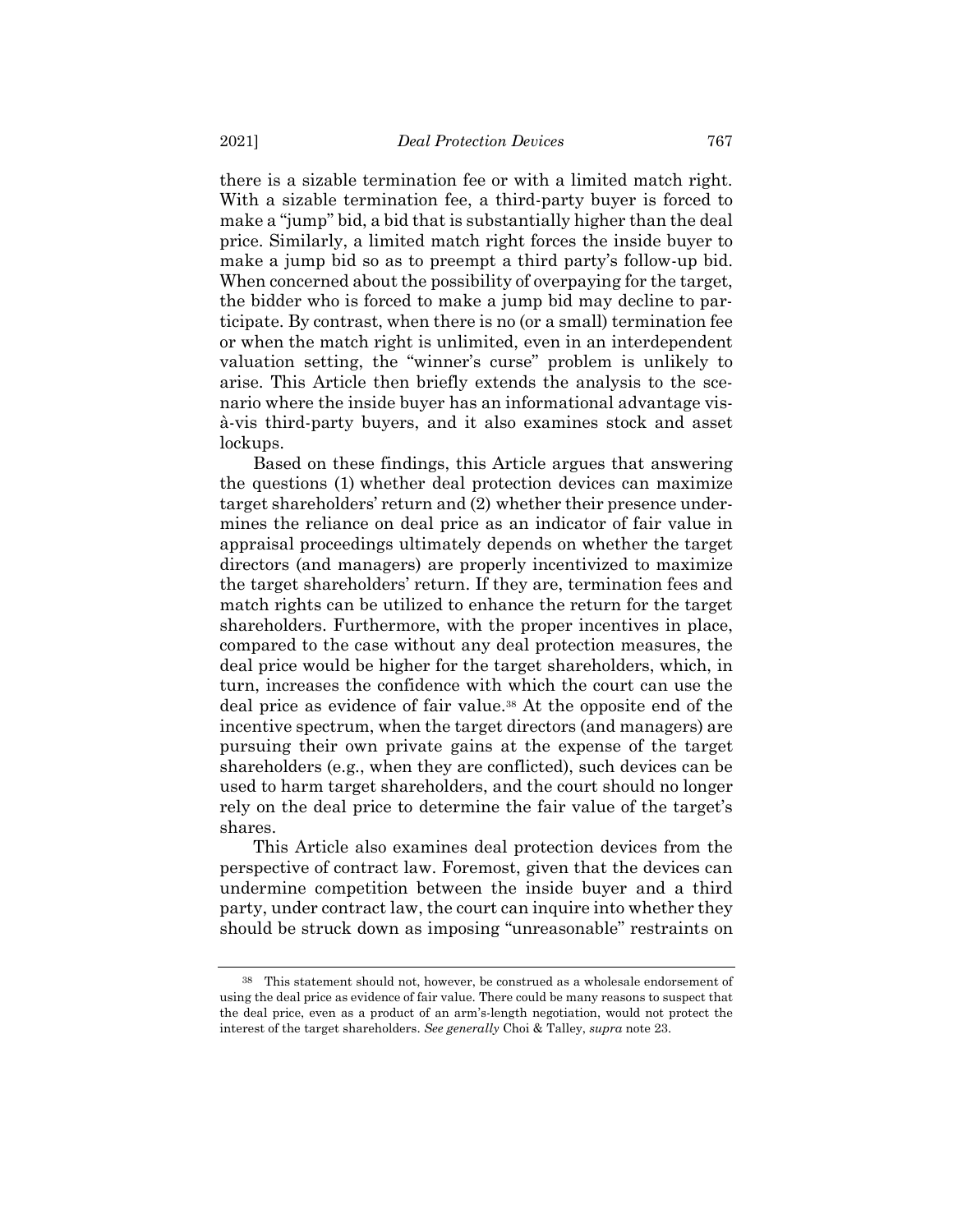there is a sizable termination fee or with a limited match right. With a sizable termination fee, a third-party buyer is forced to make a "jump" bid, a bid that is substantially higher than the deal price. Similarly, a limited match right forces the inside buyer to make a jump bid so as to preempt a third party's follow-up bid. When concerned about the possibility of overpaying for the target, the bidder who is forced to make a jump bid may decline to participate. By contrast, when there is no (or a small) termination fee or when the match right is unlimited, even in an interdependent valuation setting, the "winner's curse" problem is unlikely to arise. This Article then briefly extends the analysis to the scenario where the inside buyer has an informational advantage visà-vis third-party buyers, and it also examines stock and asset lockups.

Based on these findings, this Article argues that answering the questions (1) whether deal protection devices can maximize target shareholders' return and (2) whether their presence undermines the reliance on deal price as an indicator of fair value in appraisal proceedings ultimately depends on whether the target directors (and managers) are properly incentivized to maximize the target shareholders' return. If they are, termination fees and match rights can be utilized to enhance the return for the target shareholders. Furthermore, with the proper incentives in place, compared to the case without any deal protection measures, the deal price would be higher for the target shareholders, which, in turn, increases the confidence with which the court can use the deal price as evidence of fair value.<sup>38</sup> At the opposite end of the incentive spectrum, when the target directors (and managers) are pursuing their own private gains at the expense of the target shareholders (e.g., when they are conflicted), such devices can be used to harm target shareholders, and the court should no longer rely on the deal price to determine the fair value of the target's shares.

This Article also examines deal protection devices from the perspective of contract law. Foremost, given that the devices can undermine competition between the inside buyer and a third party, under contract law, the court can inquire into whether they should be struck down as imposing "unreasonable" restraints on

<sup>38</sup> This statement should not, however, be construed as a wholesale endorsement of using the deal price as evidence of fair value. There could be many reasons to suspect that the deal price, even as a product of an arm's-length negotiation, would not protect the interest of the target shareholders. *See generally* Choi & Talley, *supra* not[e 23.](#page-5-0)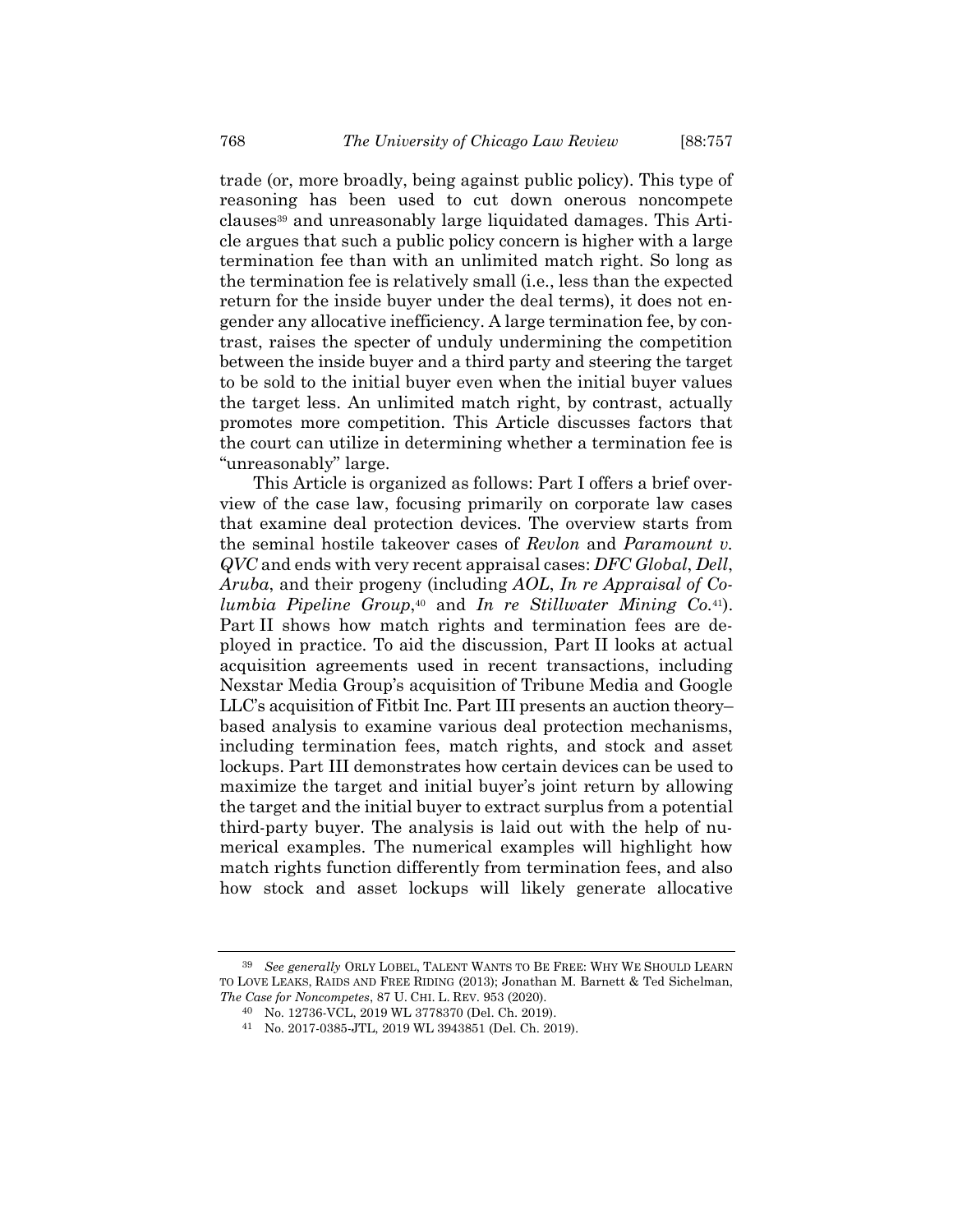<span id="page-11-0"></span>trade (or, more broadly, being against public policy). This type of reasoning has been used to cut down onerous noncompete clauses<sup>39</sup> and unreasonably large liquidated damages. This Article argues that such a public policy concern is higher with a large termination fee than with an unlimited match right. So long as the termination fee is relatively small (i.e., less than the expected return for the inside buyer under the deal terms), it does not engender any allocative inefficiency. A large termination fee, by contrast, raises the specter of unduly undermining the competition between the inside buyer and a third party and steering the target to be sold to the initial buyer even when the initial buyer values the target less. An unlimited match right, by contrast, actually promotes more competition. This Article discusses factors that the court can utilize in determining whether a termination fee is "unreasonably" large.

This Article is organized as follows: Part I offers a brief overview of the case law, focusing primarily on corporate law cases that examine deal protection devices. The overview starts from the seminal hostile takeover cases of *Revlon* and *Paramount v. QVC* and ends with very recent appraisal cases: *DFC Global*, *Dell*, *Aruba*, and their progeny (including *AOL*, *In re Appraisal of Columbia Pipeline Group*, <sup>40</sup> and *In re Stillwater Mining Co.*41). Part II shows how match rights and termination fees are deployed in practice. To aid the discussion, Part II looks at actual acquisition agreements used in recent transactions, including Nexstar Media Group's acquisition of Tribune Media and Google LLC's acquisition of Fitbit Inc. Part III presents an auction theory– based analysis to examine various deal protection mechanisms, including termination fees, match rights, and stock and asset lockups. Part III demonstrates how certain devices can be used to maximize the target and initial buyer's joint return by allowing the target and the initial buyer to extract surplus from a potential third-party buyer. The analysis is laid out with the help of numerical examples. The numerical examples will highlight how match rights function differently from termination fees, and also how stock and asset lockups will likely generate allocative

<sup>39</sup> *See generally* ORLY LOBEL, TALENT WANTS TO BE FREE: WHY WE SHOULD LEARN TO LOVE LEAKS, RAIDS AND FREE RIDING (2013); Jonathan M. Barnett & Ted Sichelman, *The Case for Noncompetes*, 87 U. CHI. L. REV. 953 (2020).

<sup>40</sup> No. 12736-VCL, 2019 WL 3778370 (Del. Ch. 2019).

<sup>41</sup> No. 2017-0385-JTL, 2019 WL 3943851 (Del. Ch. 2019).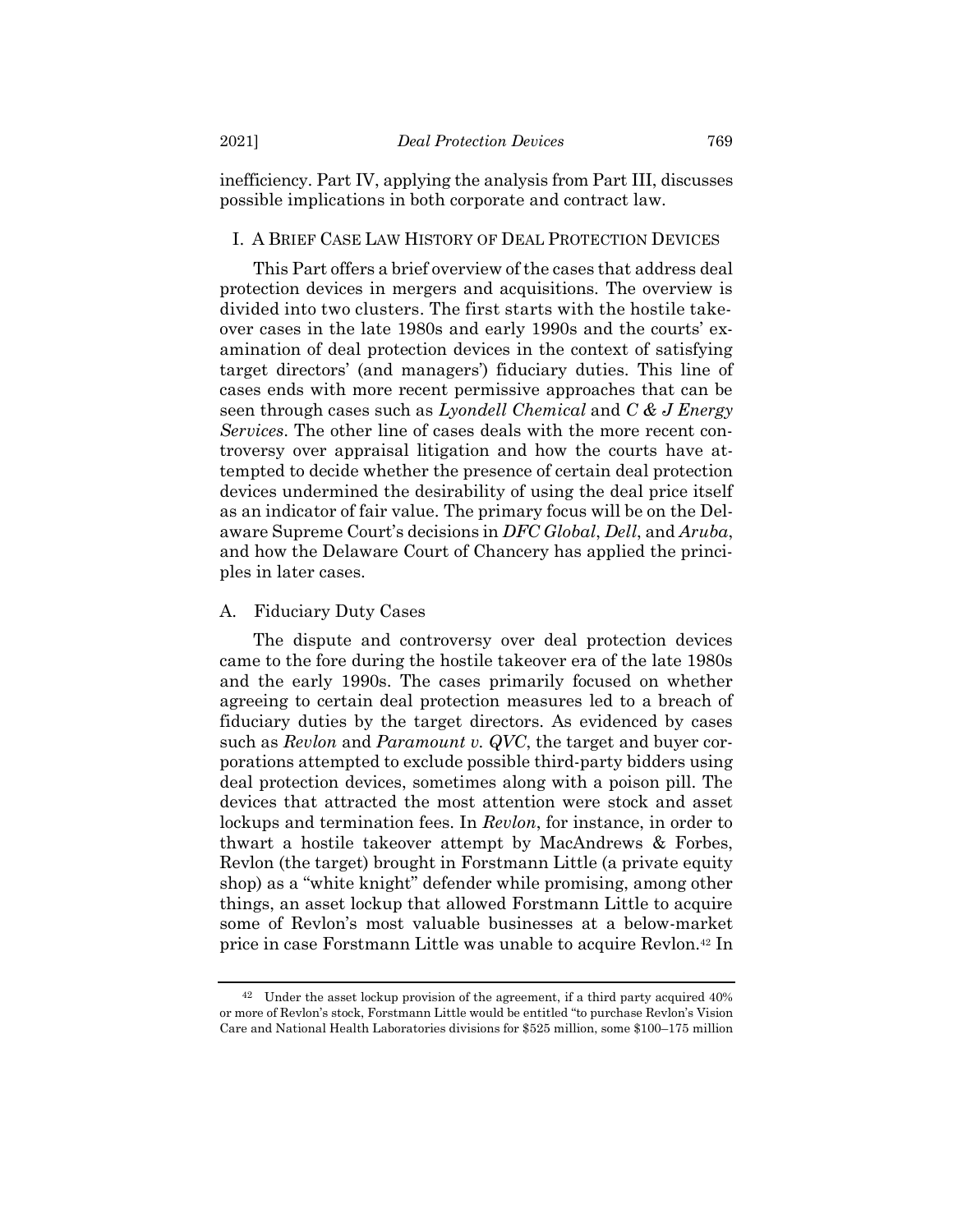inefficiency. Part IV, applying the analysis from Part III, discusses possible implications in both corporate and contract law.

# I. A BRIEF CASE LAW HISTORY OF DEAL PROTECTION DEVICES

This Part offers a brief overview of the cases that address deal protection devices in mergers and acquisitions. The overview is divided into two clusters. The first starts with the hostile takeover cases in the late 1980s and early 1990s and the courts' examination of deal protection devices in the context of satisfying target directors' (and managers') fiduciary duties. This line of cases ends with more recent permissive approaches that can be seen through cases such as *Lyondell Chemical* and *C & J Energy Services*. The other line of cases deals with the more recent controversy over appraisal litigation and how the courts have attempted to decide whether the presence of certain deal protection devices undermined the desirability of using the deal price itself as an indicator of fair value. The primary focus will be on the Delaware Supreme Court's decisions in *DFC Global*, *Dell*, and *Aruba*, and how the Delaware Court of Chancery has applied the principles in later cases.

#### A. Fiduciary Duty Cases

The dispute and controversy over deal protection devices came to the fore during the hostile takeover era of the late 1980s and the early 1990s. The cases primarily focused on whether agreeing to certain deal protection measures led to a breach of fiduciary duties by the target directors. As evidenced by cases such as *Revlon* and *Paramount v. QVC*, the target and buyer corporations attempted to exclude possible third-party bidders using deal protection devices, sometimes along with a poison pill. The devices that attracted the most attention were stock and asset lockups and termination fees. In *Revlon*, for instance, in order to thwart a hostile takeover attempt by MacAndrews & Forbes, Revlon (the target) brought in Forstmann Little (a private equity shop) as a "white knight" defender while promising, among other things, an asset lockup that allowed Forstmann Little to acquire some of Revlon's most valuable businesses at a below-market price in case Forstmann Little was unable to acquire Revlon.<sup>42</sup> In

<sup>42</sup> Under the asset lockup provision of the agreement, if a third party acquired 40% or more of Revlon's stock, Forstmann Little would be entitled "to purchase Revlon's Vision Care and National Health Laboratories divisions for \$525 million, some \$100–175 million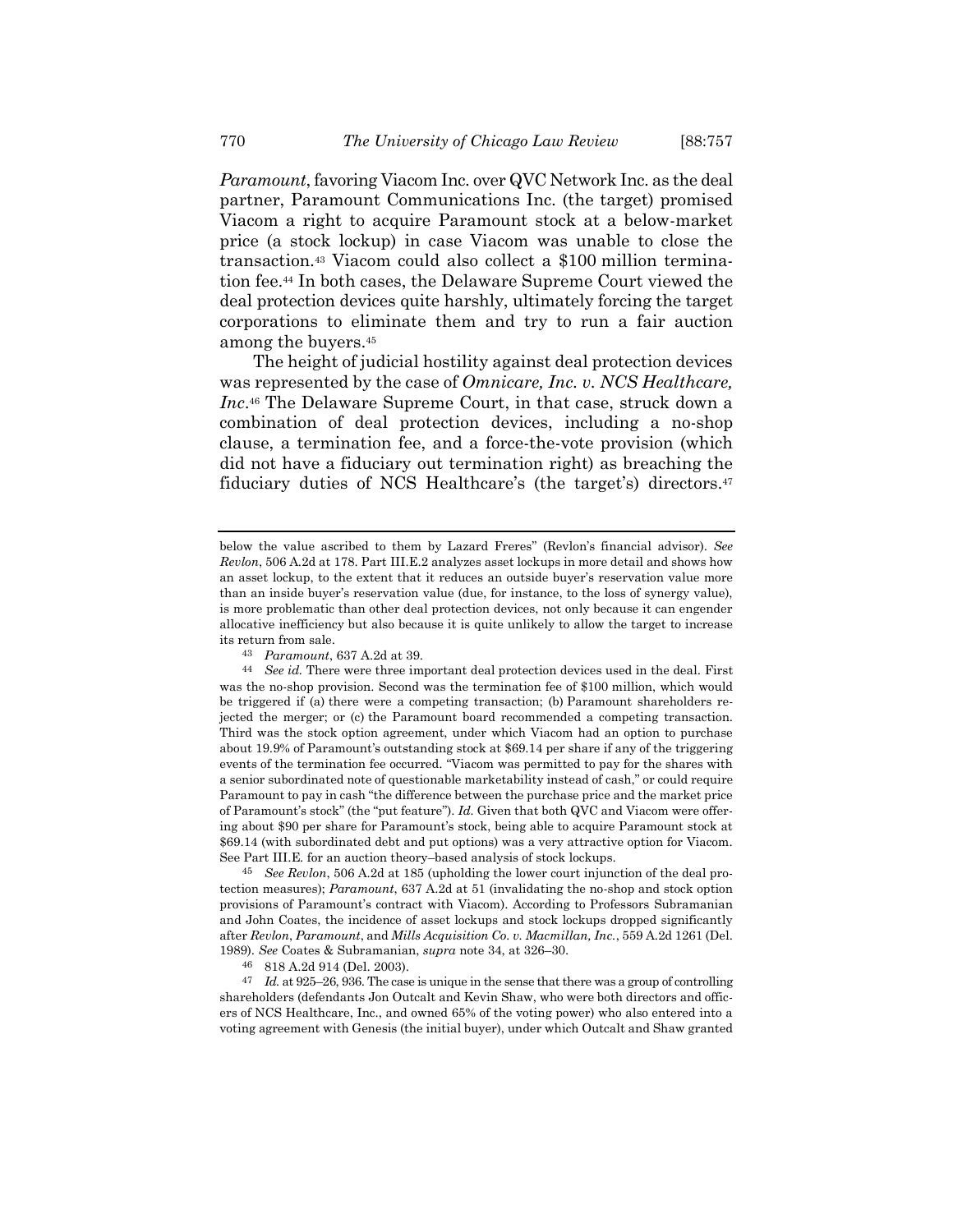*Paramount*, favoring Viacom Inc. over QVC Network Inc. as the deal partner, Paramount Communications Inc. (the target) promised Viacom a right to acquire Paramount stock at a below-market price (a stock lockup) in case Viacom was unable to close the transaction.<sup>43</sup> Viacom could also collect a \$100 million termination fee.<sup>44</sup> In both cases, the Delaware Supreme Court viewed the deal protection devices quite harshly, ultimately forcing the target corporations to eliminate them and try to run a fair auction among the buyers.<sup>45</sup>

The height of judicial hostility against deal protection devices was represented by the case of *Omnicare, Inc. v. NCS Healthcare, Inc*. <sup>46</sup> The Delaware Supreme Court, in that case, struck down a combination of deal protection devices, including a no-shop clause, a termination fee, and a force-the-vote provision (which did not have a fiduciary out termination right) as breaching the fiduciary duties of NCS Healthcare's (the target's) directors.<sup>47</sup>

45 *See Revlon*, 506 A.2d at 185 (upholding the lower court injunction of the deal protection measures); *Paramount*, 637 A.2d at 51 (invalidating the no-shop and stock option provisions of Paramount's contract with Viacom). According to Professors Subramanian and John Coates, the incidence of asset lockups and stock lockups dropped significantly after *Revlon*, *Paramount*, and *Mills Acquisition Co. v. Macmillan, Inc.*, 559 A.2d 1261 (Del. 1989). *See* Coates & Subramanian, *supra* not[e 34,](#page-7-1) at 326–30.

47 *Id.* at 925–26, 936. The case is unique in the sense that there was a group of controlling shareholders (defendants Jon Outcalt and Kevin Shaw, who were both directors and officers of NCS Healthcare, Inc., and owned 65% of the voting power) who also entered into a voting agreement with Genesis (the initial buyer), under which Outcalt and Shaw granted

below the value ascribed to them by Lazard Freres" (Revlon's financial advisor). *See Revlon*, 506 A.2d at 178. Part III.E.2 analyzes asset lockups in more detail and shows how an asset lockup, to the extent that it reduces an outside buyer's reservation value more than an inside buyer's reservation value (due, for instance, to the loss of synergy value), is more problematic than other deal protection devices, not only because it can engender allocative inefficiency but also because it is quite unlikely to allow the target to increase its return from sale.

<sup>43</sup> *Paramount*, 637 A.2d at 39.

<sup>44</sup> *See id.* There were three important deal protection devices used in the deal. First was the no-shop provision. Second was the termination fee of \$100 million, which would be triggered if (a) there were a competing transaction; (b) Paramount shareholders rejected the merger; or (c) the Paramount board recommended a competing transaction. Third was the stock option agreement, under which Viacom had an option to purchase about 19.9% of Paramount's outstanding stock at \$69.14 per share if any of the triggering events of the termination fee occurred. "Viacom was permitted to pay for the shares with a senior subordinated note of questionable marketability instead of cash," or could require Paramount to pay in cash "the difference between the purchase price and the market price of Paramount's stock" (the "put feature"). *Id.* Given that both QVC and Viacom were offering about \$90 per share for Paramount's stock, being able to acquire Paramount stock at \$69.14 (with subordinated debt and put options) was a very attractive option for Viacom. See Part III.E. for an auction theory–based analysis of stock lockups.

<sup>46</sup> 818 A.2d 914 (Del. 2003).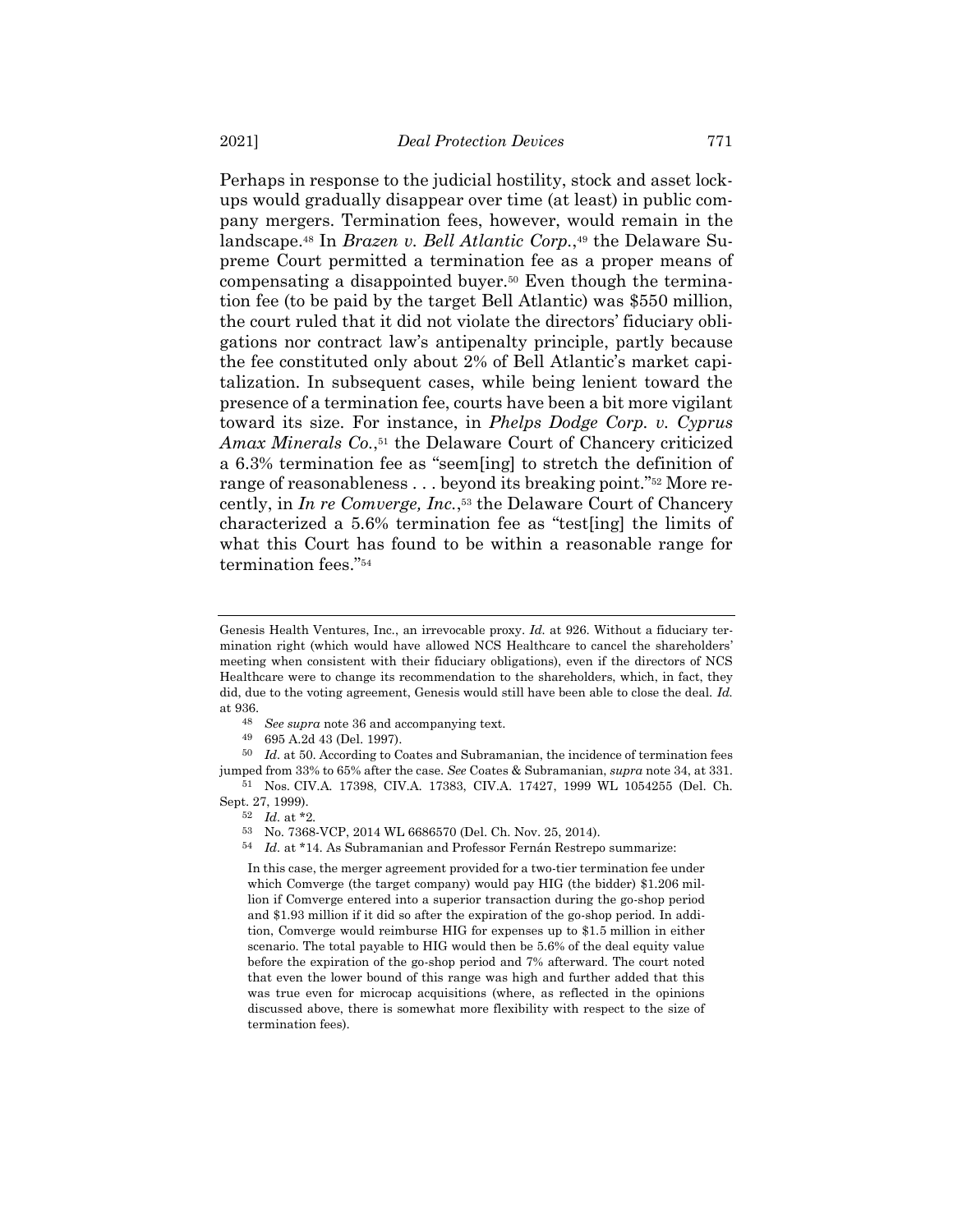Perhaps in response to the judicial hostility, stock and asset lockups would gradually disappear over time (at least) in public company mergers. Termination fees, however, would remain in the landscape.<sup>48</sup> In *Brazen v. Bell Atlantic Corp.*, <sup>49</sup> the Delaware Supreme Court permitted a termination fee as a proper means of compensating a disappointed buyer.<sup>50</sup> Even though the termination fee (to be paid by the target Bell Atlantic) was \$550 million, the court ruled that it did not violate the directors' fiduciary obligations nor contract law's antipenalty principle, partly because the fee constituted only about 2% of Bell Atlantic's market capitalization. In subsequent cases, while being lenient toward the presence of a termination fee, courts have been a bit more vigilant toward its size. For instance, in *Phelps Dodge Corp. v. Cyprus Amax Minerals Co.*, <sup>51</sup> the Delaware Court of Chancery criticized a 6.3% termination fee as "seem[ing] to stretch the definition of range of reasonableness . . . beyond its breaking point."<sup>52</sup> More recently, in *In re Comverge, Inc.*, <sup>53</sup> the Delaware Court of Chancery characterized a 5.6% termination fee as "test[ing] the limits of what this Court has found to be within a reasonable range for termination fees."<sup>54</sup>

- 48 *See supra* not[e 36](#page-8-0) and accompanying text.
- 49 695 A.2d 43 (Del. 1997).

50 *Id.* at 50. According to Coates and Subramanian, the incidence of termination fees jumped from 33% to 65% after the case. *See* Coates & Subramanian, *supra* not[e 34,](#page-7-1) at 331. 51 Nos. CIV.A. 17398, CIV.A. 17383, CIV.A. 17427, 1999 WL 1054255 (Del. Ch.

- Sept. 27, 1999).
	- 52 *Id.* at \*2.
	- 53 No. 7368-VCP, 2014 WL 6686570 (Del. Ch. Nov. 25, 2014).
	- 54 *Id.* at \*14. As Subramanian and Professor Fernán Restrepo summarize:

In this case, the merger agreement provided for a two-tier termination fee under which Comverge (the target company) would pay HIG (the bidder) \$1.206 million if Comverge entered into a superior transaction during the go-shop period and \$1.93 million if it did so after the expiration of the go-shop period. In addition, Comverge would reimburse HIG for expenses up to \$1.5 million in either scenario. The total payable to HIG would then be 5.6% of the deal equity value before the expiration of the go-shop period and 7% afterward. The court noted that even the lower bound of this range was high and further added that this was true even for microcap acquisitions (where, as reflected in the opinions discussed above, there is somewhat more flexibility with respect to the size of termination fees).

<span id="page-14-0"></span>Genesis Health Ventures, Inc., an irrevocable proxy. *Id.* at 926. Without a fiduciary termination right (which would have allowed NCS Healthcare to cancel the shareholders' meeting when consistent with their fiduciary obligations), even if the directors of NCS Healthcare were to change its recommendation to the shareholders, which, in fact, they did, due to the voting agreement, Genesis would still have been able to close the deal. *Id.* at 936.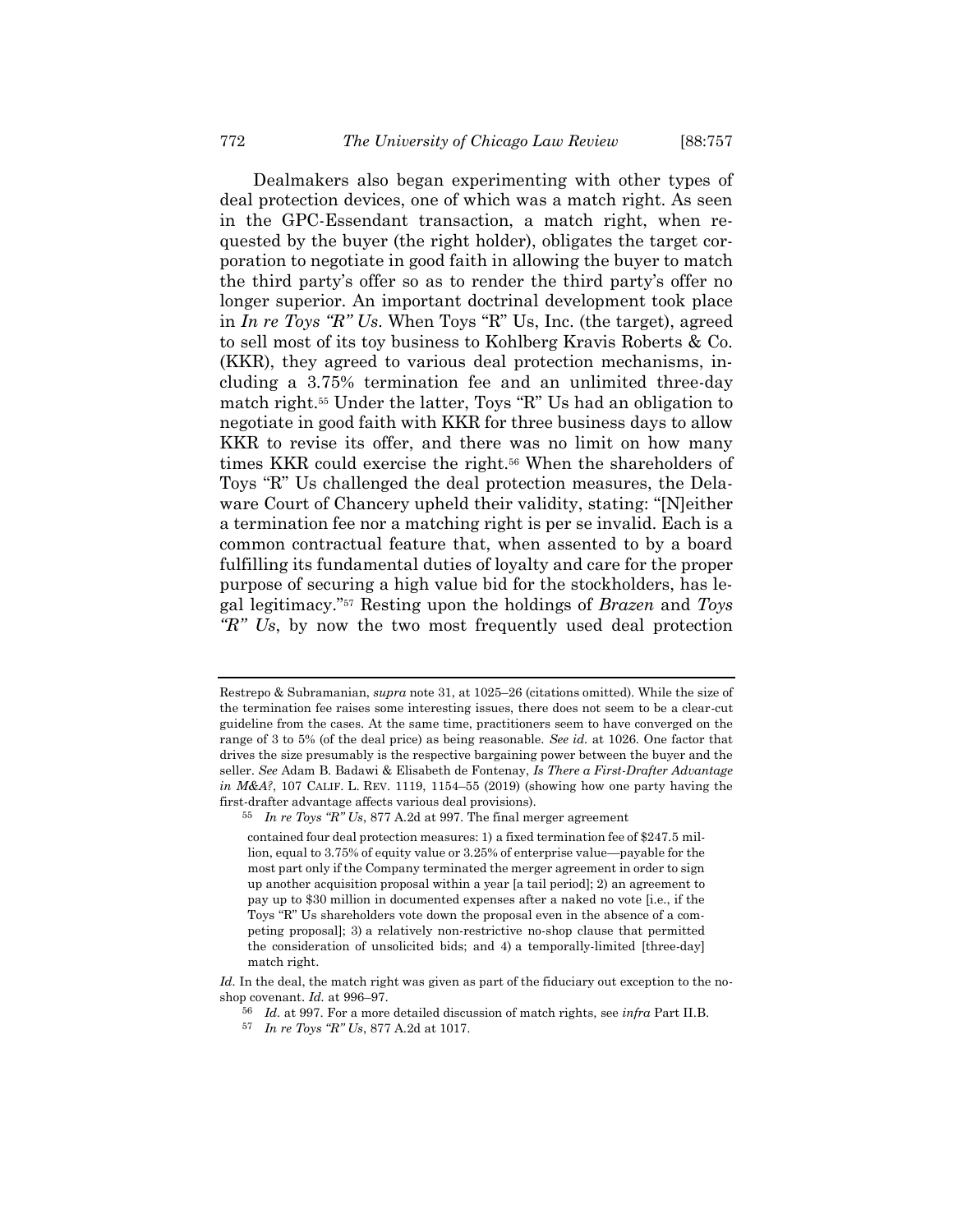Dealmakers also began experimenting with other types of deal protection devices, one of which was a match right. As seen in the GPC-Essendant transaction, a match right, when requested by the buyer (the right holder), obligates the target corporation to negotiate in good faith in allowing the buyer to match the third party's offer so as to render the third party's offer no longer superior. An important doctrinal development took place in *In re Toys "R" Us*. When Toys "R" Us, Inc. (the target), agreed to sell most of its toy business to Kohlberg Kravis Roberts & Co. (KKR), they agreed to various deal protection mechanisms, including a 3.75% termination fee and an unlimited three-day match right.<sup>55</sup> Under the latter, Toys "R" Us had an obligation to negotiate in good faith with KKR for three business days to allow KKR to revise its offer, and there was no limit on how many times KKR could exercise the right.<sup>56</sup> When the shareholders of Toys "R" Us challenged the deal protection measures, the Delaware Court of Chancery upheld their validity, stating: "[N]either a termination fee nor a matching right is per se invalid. Each is a common contractual feature that, when assented to by a board fulfilling its fundamental duties of loyalty and care for the proper purpose of securing a high value bid for the stockholders, has legal legitimacy."<sup>57</sup> Resting upon the holdings of *Brazen* and *Toys "R" Us*, by now the two most frequently used deal protection

contained four deal protection measures: 1) a fixed termination fee of \$247.5 million, equal to 3.75% of equity value or 3.25% of enterprise value—payable for the most part only if the Company terminated the merger agreement in order to sign up another acquisition proposal within a year [a tail period]; 2) an agreement to pay up to \$30 million in documented expenses after a naked no vote [i.e., if the Toys "R" Us shareholders vote down the proposal even in the absence of a competing proposal]; 3) a relatively non-restrictive no-shop clause that permitted the consideration of unsolicited bids; and 4) a temporally-limited [three-day] match right.

*Id.* In the deal, the match right was given as part of the fiduciary out exception to the noshop covenant. *Id.* at 996–97.

Restrepo & Subramanian, *supra* not[e 31,](#page-6-0) at 1025–26 (citations omitted). While the size of the termination fee raises some interesting issues, there does not seem to be a clear-cut guideline from the cases. At the same time, practitioners seem to have converged on the range of 3 to 5% (of the deal price) as being reasonable. *See id.* at 1026. One factor that drives the size presumably is the respective bargaining power between the buyer and the seller. *See* Adam B. Badawi & Elisabeth de Fontenay, *Is There a First-Drafter Advantage in M&A?*, 107 CALIF. L. REV. 1119, 1154–55 (2019) (showing how one party having the first-drafter advantage affects various deal provisions).

<sup>55</sup> *In re Toys "R" Us*, 877 A.2d at 997. The final merger agreement

<sup>56</sup> *Id.* at 997. For a more detailed discussion of match rights, see *infra* Part II.B.

<sup>57</sup> *In re Toys "R" Us*, 877 A.2d at 1017.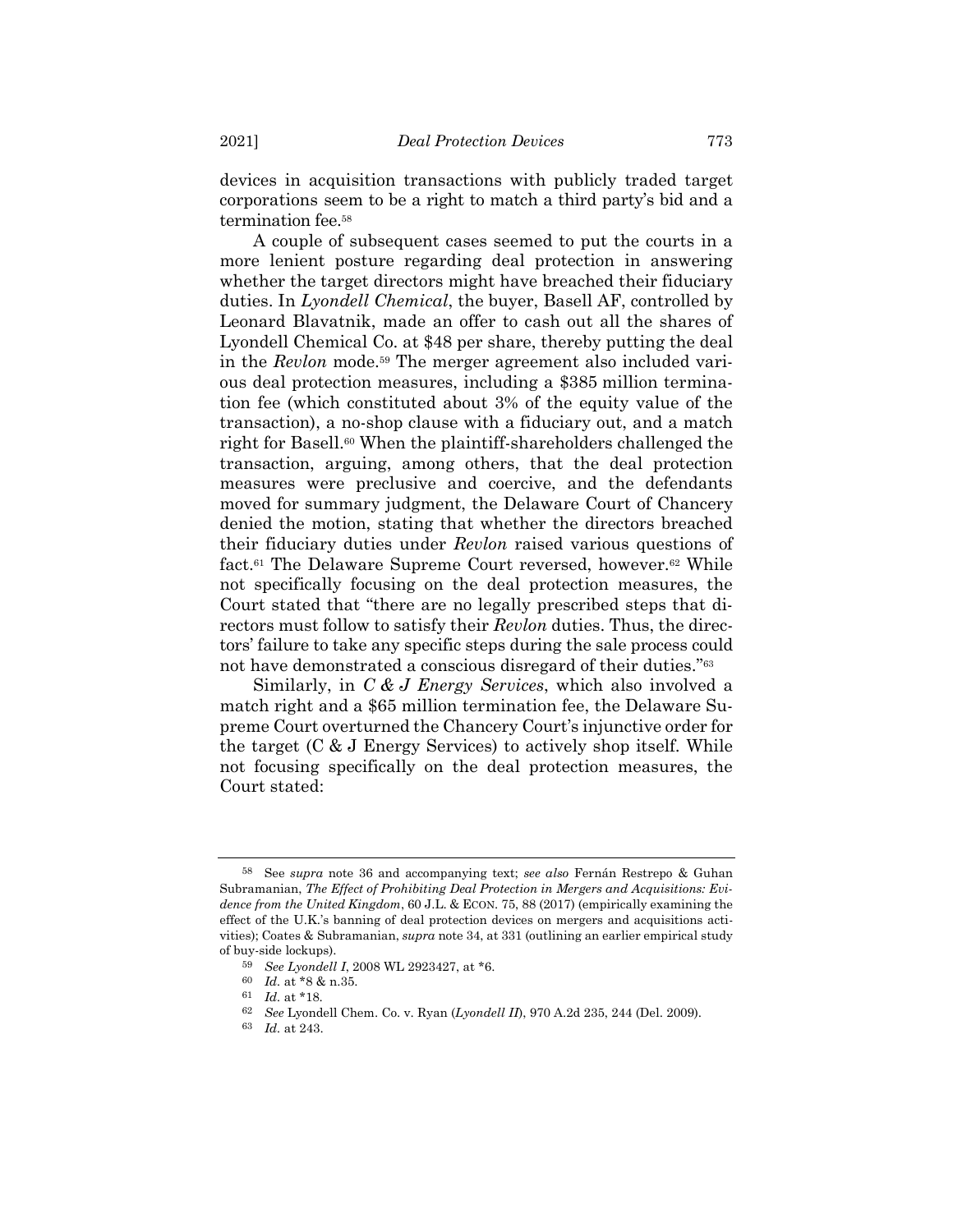devices in acquisition transactions with publicly traded target corporations seem to be a right to match a third party's bid and a termination fee.<sup>58</sup>

A couple of subsequent cases seemed to put the courts in a more lenient posture regarding deal protection in answering whether the target directors might have breached their fiduciary duties. In *Lyondell Chemical*, the buyer, Basell AF, controlled by Leonard Blavatnik, made an offer to cash out all the shares of Lyondell Chemical Co. at \$48 per share, thereby putting the deal in the *Revlon* mode.<sup>59</sup> The merger agreement also included various deal protection measures, including a \$385 million termination fee (which constituted about 3% of the equity value of the transaction), a no-shop clause with a fiduciary out, and a match right for Basell.<sup>60</sup> When the plaintiff-shareholders challenged the transaction, arguing, among others, that the deal protection measures were preclusive and coercive, and the defendants moved for summary judgment, the Delaware Court of Chancery denied the motion, stating that whether the directors breached their fiduciary duties under *Revlon* raised various questions of fact.<sup>61</sup> The Delaware Supreme Court reversed, however.<sup>62</sup> While not specifically focusing on the deal protection measures, the Court stated that "there are no legally prescribed steps that directors must follow to satisfy their *Revlon* duties. Thus, the directors' failure to take any specific steps during the sale process could not have demonstrated a conscious disregard of their duties."<sup>63</sup>

Similarly, in *C & J Energy Services*, which also involved a match right and a \$65 million termination fee, the Delaware Supreme Court overturned the Chancery Court's injunctive order for the target (C & J Energy Services) to actively shop itself. While not focusing specifically on the deal protection measures, the Court stated:

<sup>58</sup> See *supra* note [36](#page-8-0) and accompanying text; *see also* Fernán Restrepo & Guhan Subramanian, *The Effect of Prohibiting Deal Protection in Mergers and Acquisitions: Evidence from the United Kingdom*, 60 J.L. & ECON. 75, 88 (2017) (empirically examining the effect of the U.K.'s banning of deal protection devices on mergers and acquisitions activities); Coates & Subramanian, *supra* not[e 34,](#page-7-1) at 331 (outlining an earlier empirical study of buy-side lockups).

<sup>59</sup> *See Lyondell I*, 2008 WL 2923427, at \*6.

<sup>60</sup> *Id.* at \*8 & n.35.

<sup>61</sup> *Id.* at \*18.

<sup>62</sup> *See* Lyondell Chem. Co. v. Ryan (*Lyondell II*), 970 A.2d 235, 244 (Del. 2009).

<sup>63</sup> *Id.* at 243.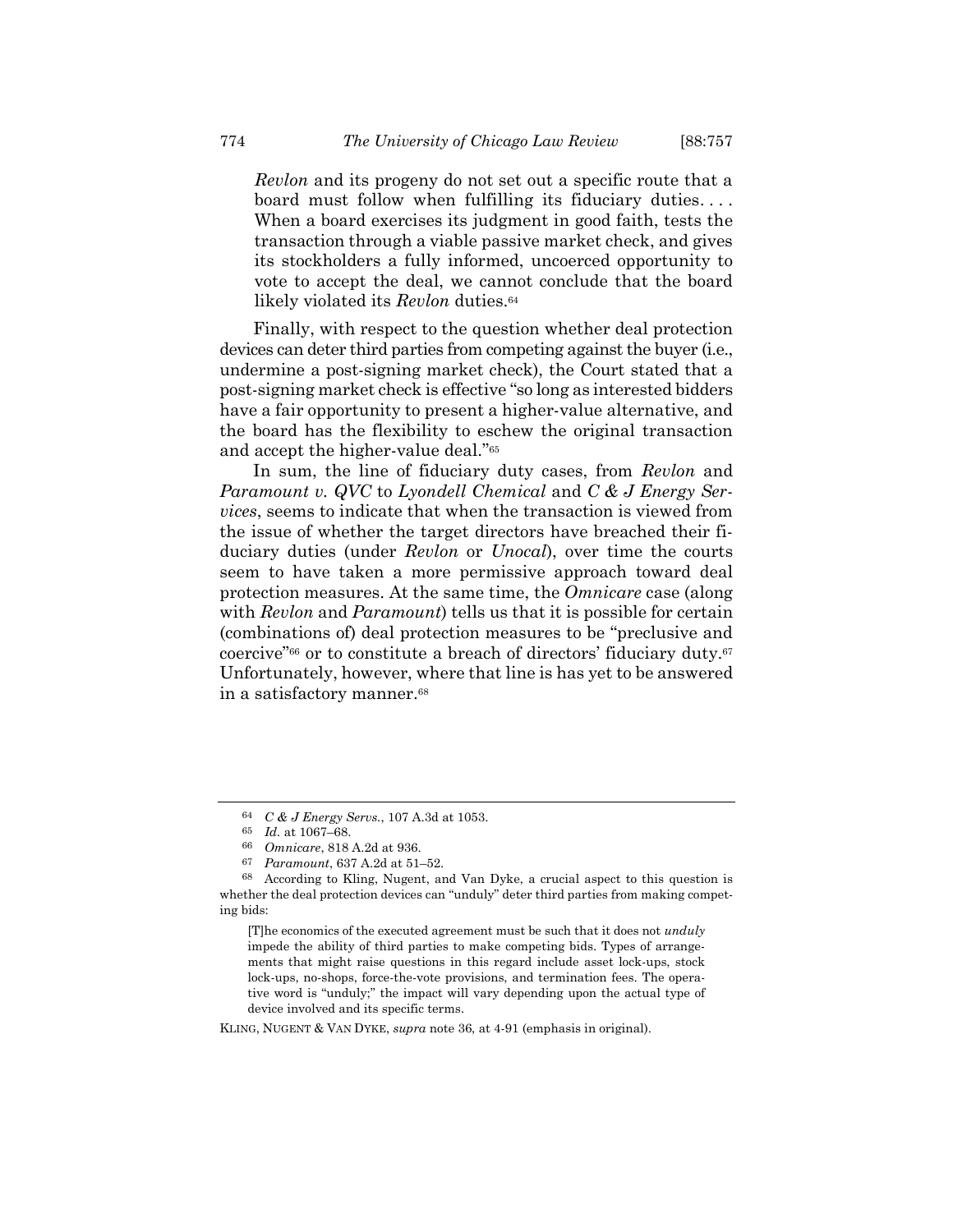*Revlon* and its progeny do not set out a specific route that a board must follow when fulfilling its fiduciary duties. . . . When a board exercises its judgment in good faith, tests the transaction through a viable passive market check, and gives its stockholders a fully informed, uncoerced opportunity to vote to accept the deal, we cannot conclude that the board likely violated its *Revlon* duties.<sup>64</sup>

Finally, with respect to the question whether deal protection devices can deter third parties from competing against the buyer (i.e., undermine a post-signing market check), the Court stated that a post-signing market check is effective "so long as interested bidders have a fair opportunity to present a higher-value alternative, and the board has the flexibility to eschew the original transaction and accept the higher-value deal."<sup>65</sup>

In sum, the line of fiduciary duty cases, from *Revlon* and *Paramount v. QVC* to *Lyondell Chemical* and *C & J Energy Services*, seems to indicate that when the transaction is viewed from the issue of whether the target directors have breached their fiduciary duties (under *Revlon* or *Unocal*), over time the courts seem to have taken a more permissive approach toward deal protection measures. At the same time, the *Omnicare* case (along with *Revlon* and *Paramount*) tells us that it is possible for certain (combinations of) deal protection measures to be "preclusive and coercive"<sup>66</sup> or to constitute a breach of directors' fiduciary duty.<sup>67</sup> Unfortunately, however, where that line is has yet to be answered in a satisfactory manner.<sup>68</sup>

<sup>64</sup> *C & J Energy Servs.*, 107 A.3d at 1053.

<sup>65</sup> *Id.* at 1067–68.

<sup>66</sup> *Omnicare*, 818 A.2d at 936.

<sup>67</sup> *Paramount*, 637 A.2d at 51–52.

<sup>68</sup> According to Kling, Nugent, and Van Dyke, a crucial aspect to this question is whether the deal protection devices can "unduly" deter third parties from making competing bids:

<sup>[</sup>T]he economics of the executed agreement must be such that it does not *unduly* impede the ability of third parties to make competing bids. Types of arrangements that might raise questions in this regard include asset lock-ups, stock lock-ups, no-shops, force-the-vote provisions, and termination fees. The operative word is "unduly;" the impact will vary depending upon the actual type of device involved and its specific terms.

KLING, NUGENT & VAN DYKE, *supra* not[e 36,](#page-8-0) at 4-91 (emphasis in original).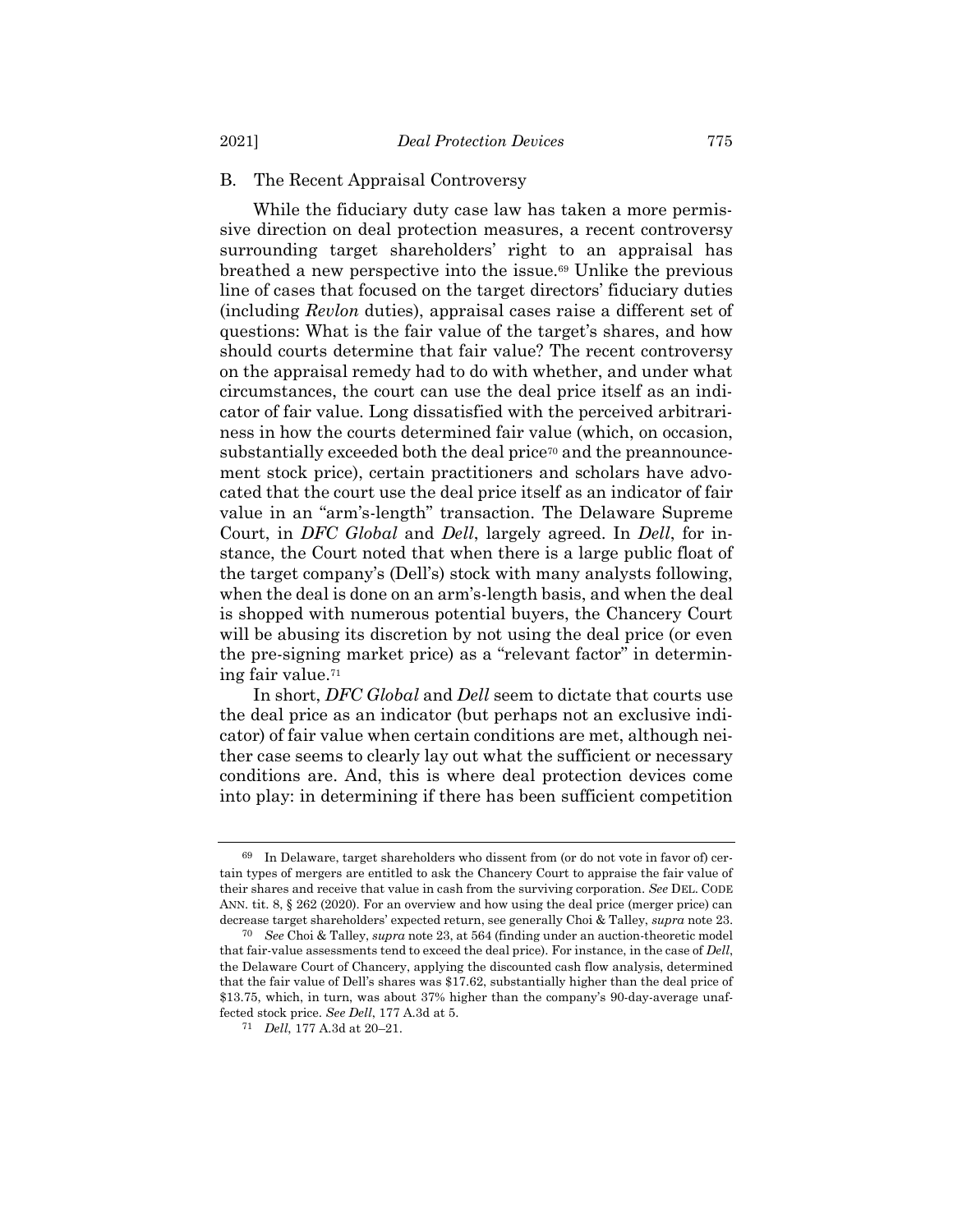## B. The Recent Appraisal Controversy

While the fiduciary duty case law has taken a more permissive direction on deal protection measures, a recent controversy surrounding target shareholders' right to an appraisal has breathed a new perspective into the issue.<sup>69</sup> Unlike the previous line of cases that focused on the target directors' fiduciary duties (including *Revlon* duties), appraisal cases raise a different set of questions: What is the fair value of the target's shares, and how should courts determine that fair value? The recent controversy on the appraisal remedy had to do with whether, and under what circumstances, the court can use the deal price itself as an indicator of fair value. Long dissatisfied with the perceived arbitrariness in how the courts determined fair value (which, on occasion, substantially exceeded both the deal price<sup>70</sup> and the preannouncement stock price), certain practitioners and scholars have advocated that the court use the deal price itself as an indicator of fair value in an "arm's-length" transaction. The Delaware Supreme Court, in *DFC Global* and *Dell*, largely agreed. In *Dell*, for instance, the Court noted that when there is a large public float of the target company's (Dell's) stock with many analysts following, when the deal is done on an arm's-length basis, and when the deal is shopped with numerous potential buyers, the Chancery Court will be abusing its discretion by not using the deal price (or even the pre-signing market price) as a "relevant factor" in determining fair value.<sup>71</sup>

In short, *DFC Global* and *Dell* seem to dictate that courts use the deal price as an indicator (but perhaps not an exclusive indicator) of fair value when certain conditions are met, although neither case seems to clearly lay out what the sufficient or necessary conditions are. And, this is where deal protection devices come into play: in determining if there has been sufficient competition

<sup>69</sup> In Delaware, target shareholders who dissent from (or do not vote in favor of) certain types of mergers are entitled to ask the Chancery Court to appraise the fair value of their shares and receive that value in cash from the surviving corporation. *See* DEL. CODE ANN. tit. 8, § 262 (2020). For an overview and how using the deal price (merger price) can decrease target shareholders' expected return, see generally Choi & Talley, *supra* note [23.](#page-5-0)

<sup>70</sup> *See* Choi & Talley, *supra* not[e 23,](#page-5-0) at 564 (finding under an auction-theoretic model that fair-value assessments tend to exceed the deal price). For instance, in the case of *Dell*, the Delaware Court of Chancery, applying the discounted cash flow analysis, determined that the fair value of Dell's shares was \$17.62, substantially higher than the deal price of \$13.75, which, in turn, was about 37% higher than the company's 90-day-average unaffected stock price. *See Dell*, 177 A.3d at 5.

<sup>71</sup> *Dell*, 177 A.3d at 20–21.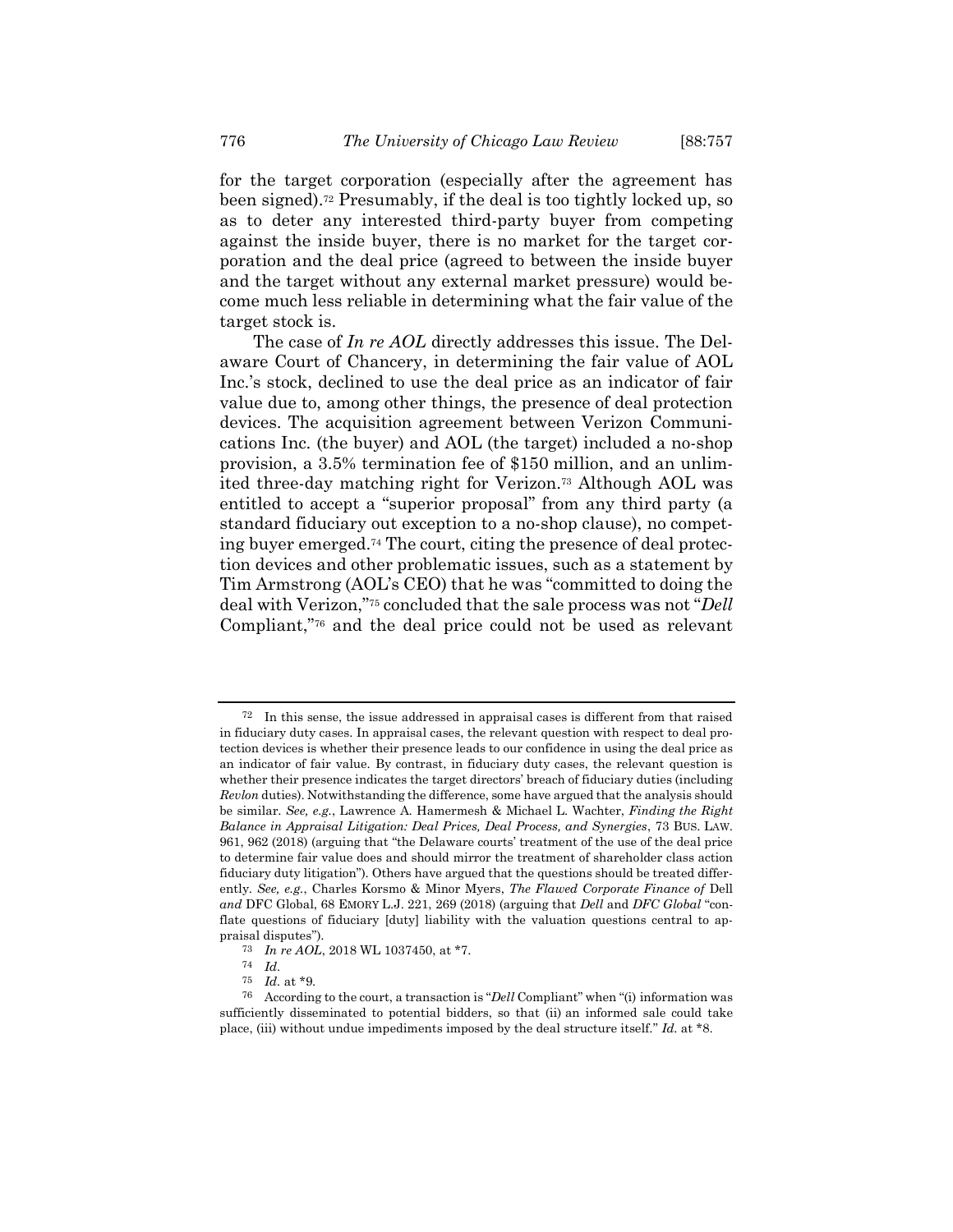for the target corporation (especially after the agreement has been signed). <sup>72</sup> Presumably, if the deal is too tightly locked up, so as to deter any interested third-party buyer from competing against the inside buyer, there is no market for the target corporation and the deal price (agreed to between the inside buyer and the target without any external market pressure) would become much less reliable in determining what the fair value of the target stock is.

The case of *In re AOL* directly addresses this issue. The Delaware Court of Chancery, in determining the fair value of AOL Inc.'s stock, declined to use the deal price as an indicator of fair value due to, among other things, the presence of deal protection devices. The acquisition agreement between Verizon Communications Inc. (the buyer) and AOL (the target) included a no-shop provision, a 3.5% termination fee of \$150 million, and an unlimited three-day matching right for Verizon.<sup>73</sup> Although AOL was entitled to accept a "superior proposal" from any third party (a standard fiduciary out exception to a no-shop clause), no competing buyer emerged.<sup>74</sup> The court, citing the presence of deal protection devices and other problematic issues, such as a statement by Tim Armstrong (AOL's CEO) that he was "committed to doing the deal with Verizon,"<sup>75</sup> concluded that the sale process was not "*Dell* Compliant,"<sup>76</sup> and the deal price could not be used as relevant

<sup>72</sup> In this sense, the issue addressed in appraisal cases is different from that raised in fiduciary duty cases. In appraisal cases, the relevant question with respect to deal protection devices is whether their presence leads to our confidence in using the deal price as an indicator of fair value. By contrast, in fiduciary duty cases, the relevant question is whether their presence indicates the target directors' breach of fiduciary duties (including *Revlon* duties). Notwithstanding the difference, some have argued that the analysis should be similar. *See, e.g.*, Lawrence A. Hamermesh & Michael L. Wachter, *Finding the Right Balance in Appraisal Litigation: Deal Prices, Deal Process, and Synergies*, 73 BUS. LAW. 961, 962 (2018) (arguing that "the Delaware courts' treatment of the use of the deal price to determine fair value does and should mirror the treatment of shareholder class action fiduciary duty litigation"). Others have argued that the questions should be treated differently. *See, e.g.*, Charles Korsmo & Minor Myers, *The Flawed Corporate Finance of* Dell *and* DFC Global, 68 EMORY L.J. 221, 269 (2018) (arguing that *Dell* and *DFC Global* "conflate questions of fiduciary [duty] liability with the valuation questions central to appraisal disputes").

<sup>73</sup> *In re AOL*, 2018 WL 1037450, at \*7.

<sup>74</sup> *Id.*

<sup>75</sup> *Id.* at \*9.

<sup>76</sup> According to the court, a transaction is "*Dell* Compliant" when "(i) information was sufficiently disseminated to potential bidders, so that (ii) an informed sale could take place, (iii) without undue impediments imposed by the deal structure itself." *Id.* at \*8.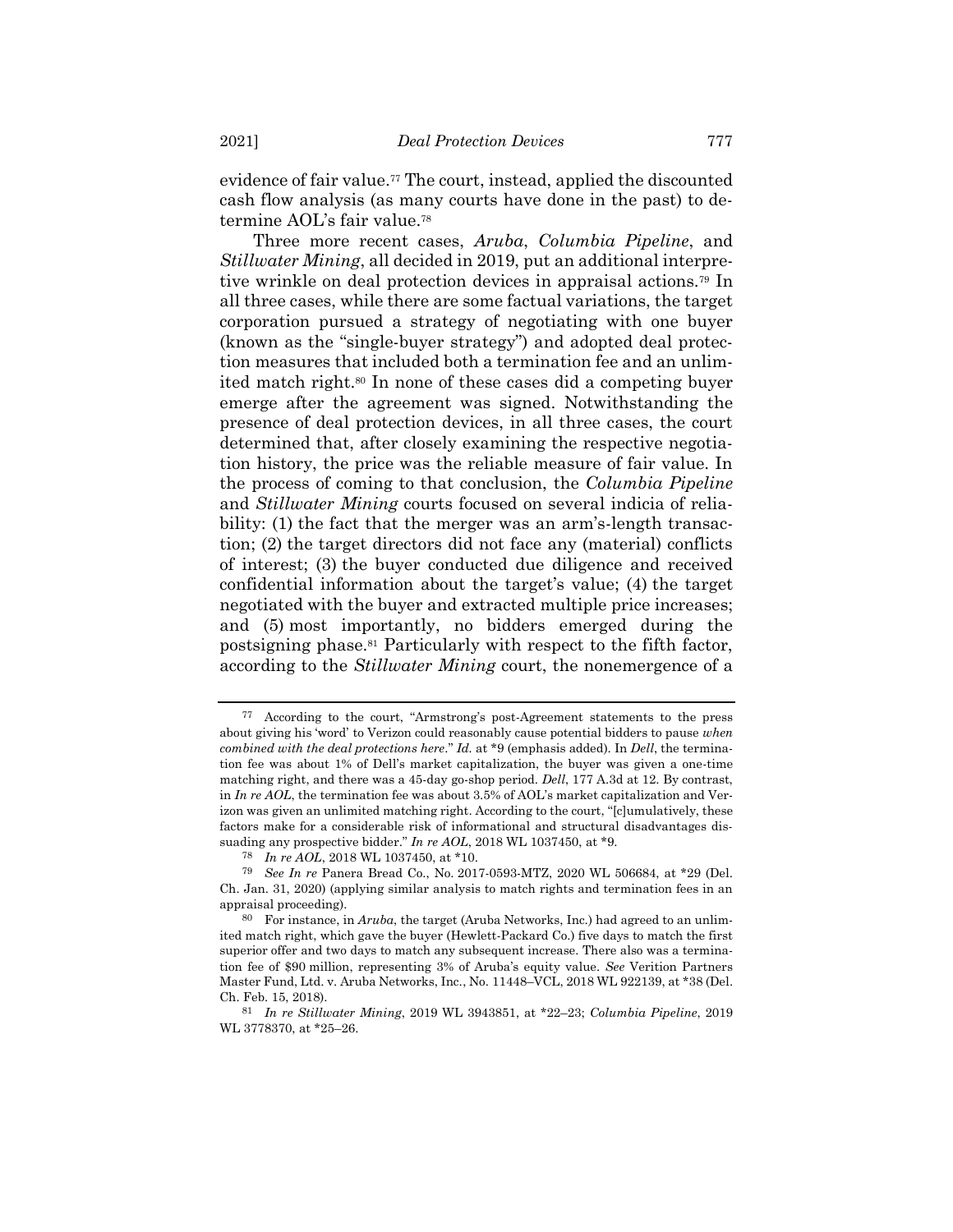evidence of fair value.<sup>77</sup> The court, instead, applied the discounted cash flow analysis (as many courts have done in the past) to determine AOL's fair value.<sup>78</sup>

Three more recent cases, *Aruba*, *Columbia Pipeline*, and *Stillwater Mining*, all decided in 2019, put an additional interpretive wrinkle on deal protection devices in appraisal actions.<sup>79</sup> In all three cases, while there are some factual variations, the target corporation pursued a strategy of negotiating with one buyer (known as the "single-buyer strategy") and adopted deal protection measures that included both a termination fee and an unlimited match right.<sup>80</sup> In none of these cases did a competing buyer emerge after the agreement was signed. Notwithstanding the presence of deal protection devices, in all three cases, the court determined that, after closely examining the respective negotiation history, the price was the reliable measure of fair value. In the process of coming to that conclusion, the *Columbia Pipeline* and *Stillwater Mining* courts focused on several indicia of reliability: (1) the fact that the merger was an arm's-length transaction; (2) the target directors did not face any (material) conflicts of interest; (3) the buyer conducted due diligence and received confidential information about the target's value; (4) the target negotiated with the buyer and extracted multiple price increases; and (5) most importantly, no bidders emerged during the postsigning phase.<sup>81</sup> Particularly with respect to the fifth factor, according to the *Stillwater Mining* court, the nonemergence of a

<sup>77</sup> According to the court, "Armstrong's post-Agreement statements to the press about giving his 'word' to Verizon could reasonably cause potential bidders to pause *when combined with the deal protections here*." *Id.* at \*9 (emphasis added). In *Dell*, the termination fee was about 1% of Dell's market capitalization, the buyer was given a one-time matching right, and there was a 45-day go-shop period. *Dell*, 177 A.3d at 12. By contrast, in *In re AOL*, the termination fee was about 3.5% of AOL's market capitalization and Verizon was given an unlimited matching right. According to the court, "[c]umulatively, these factors make for a considerable risk of informational and structural disadvantages dissuading any prospective bidder." *In re AOL*, 2018 WL 1037450, at \*9.

<sup>78</sup> *In re AOL*, 2018 WL 1037450, at \*10.

<sup>79</sup> *See In re* Panera Bread Co., No. 2017-0593-MTZ, 2020 WL 506684, at \*29 (Del. Ch. Jan. 31, 2020) (applying similar analysis to match rights and termination fees in an appraisal proceeding).

<sup>80</sup> For instance, in *Aruba*, the target (Aruba Networks, Inc.) had agreed to an unlimited match right, which gave the buyer (Hewlett-Packard Co.) five days to match the first superior offer and two days to match any subsequent increase. There also was a termination fee of \$90 million, representing 3% of Aruba's equity value. *See* Verition Partners Master Fund, Ltd. v. Aruba Networks, Inc., No. 11448–VCL, 2018 WL 922139, at \*38 (Del. Ch. Feb. 15, 2018).

<sup>81</sup> *In re Stillwater Mining*, 2019 WL 3943851, at \*22–23; *Columbia Pipeline*, 2019 WL 3778370, at \*25–26.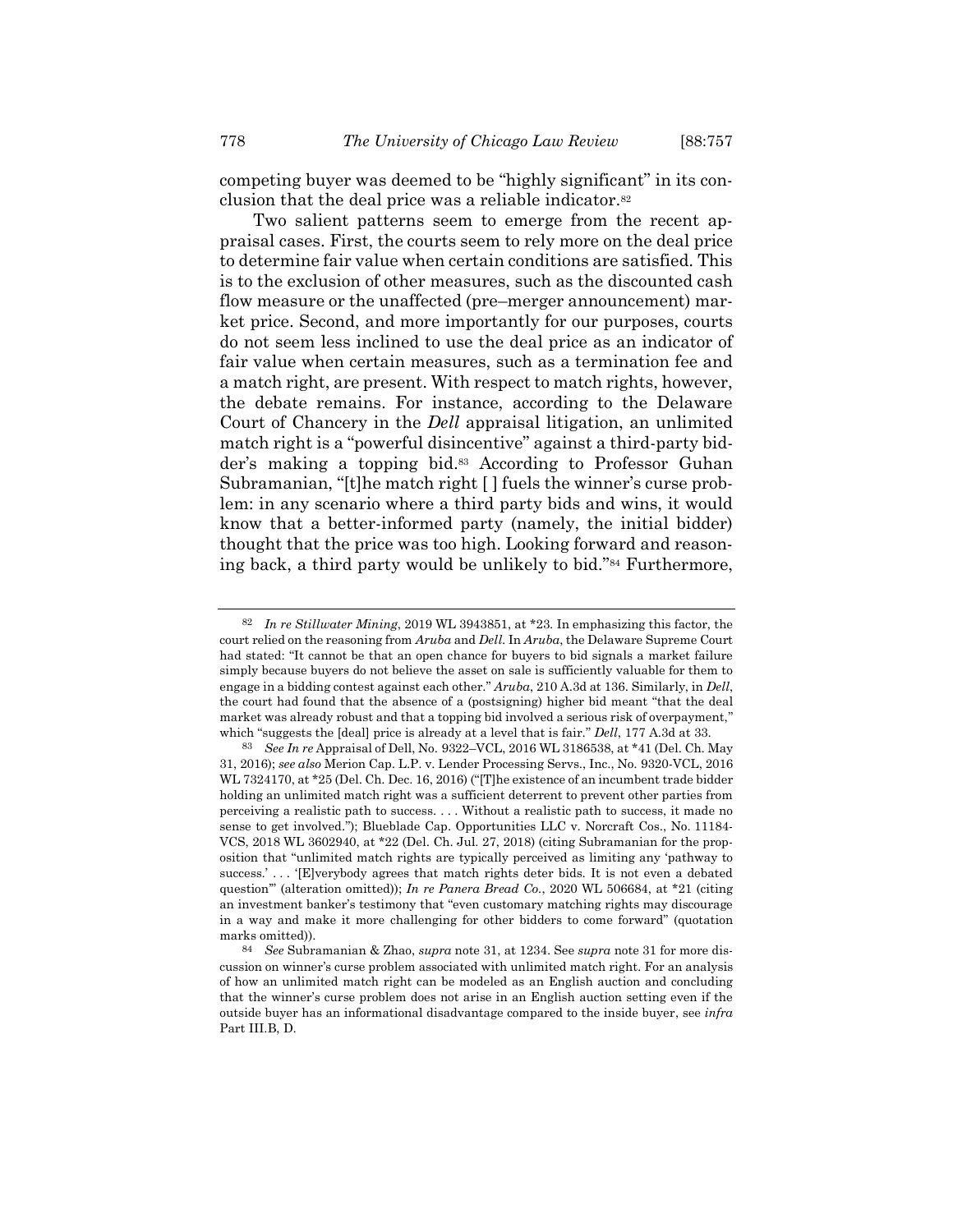Two salient patterns seem to emerge from the recent appraisal cases. First, the courts seem to rely more on the deal price to determine fair value when certain conditions are satisfied. This is to the exclusion of other measures, such as the discounted cash flow measure or the unaffected (pre–merger announcement) market price. Second, and more importantly for our purposes, courts do not seem less inclined to use the deal price as an indicator of fair value when certain measures, such as a termination fee and a match right, are present. With respect to match rights, however, the debate remains. For instance, according to the Delaware Court of Chancery in the *Dell* appraisal litigation, an unlimited match right is a "powerful disincentive" against a third-party bidder's making a topping bid.<sup>83</sup> According to Professor Guhan Subramanian, "[t]he match right [ ] fuels the winner's curse problem: in any scenario where a third party bids and wins, it would know that a better-informed party (namely, the initial bidder) thought that the price was too high. Looking forward and reasoning back, a third party would be unlikely to bid."<sup>84</sup> Furthermore,

<span id="page-21-0"></span><sup>82</sup> *In re Stillwater Mining*, 2019 WL 3943851, at \*23. In emphasizing this factor, the court relied on the reasoning from *Aruba* and *Dell*. In *Aruba*, the Delaware Supreme Court had stated: "It cannot be that an open chance for buyers to bid signals a market failure simply because buyers do not believe the asset on sale is sufficiently valuable for them to engage in a bidding contest against each other." *Aruba*, 210 A.3d at 136. Similarly, in *Dell*, the court had found that the absence of a (postsigning) higher bid meant "that the deal market was already robust and that a topping bid involved a serious risk of overpayment," which "suggests the [deal] price is already at a level that is fair." *Dell*, 177 A.3d at 33.

<sup>83</sup> *See In re* Appraisal of Dell, No. 9322–VCL, 2016 WL 3186538, at \*41 (Del. Ch. May 31, 2016); *see also* Merion Cap. L.P. v. Lender Processing Servs., Inc., No. 9320-VCL, 2016 WL 7324170, at \*25 (Del. Ch. Dec. 16, 2016) ("[T]he existence of an incumbent trade bidder holding an unlimited match right was a sufficient deterrent to prevent other parties from perceiving a realistic path to success. . . . Without a realistic path to success, it made no sense to get involved."); Blueblade Cap. Opportunities LLC v. Norcraft Cos., No. 11184- VCS, 2018 WL 3602940, at \*22 (Del. Ch. Jul. 27, 2018) (citing Subramanian for the proposition that "unlimited match rights are typically perceived as limiting any 'pathway to success.'... '[E]verybody agrees that match rights deter bids. It is not even a debated question'" (alteration omitted)); *In re Panera Bread Co.*, 2020 WL 506684, at \*21 (citing an investment banker's testimony that "even customary matching rights may discourage in a way and make it more challenging for other bidders to come forward" (quotation marks omitted)).

<sup>84</sup> *See* Subramanian & Zhao, *supra* not[e 31,](#page-6-0) at 1234. See *supra* note [31](#page-6-0) for more discussion on winner's curse problem associated with unlimited match right. For an analysis of how an unlimited match right can be modeled as an English auction and concluding that the winner's curse problem does not arise in an English auction setting even if the outside buyer has an informational disadvantage compared to the inside buyer, see *infra* Part III.B, D.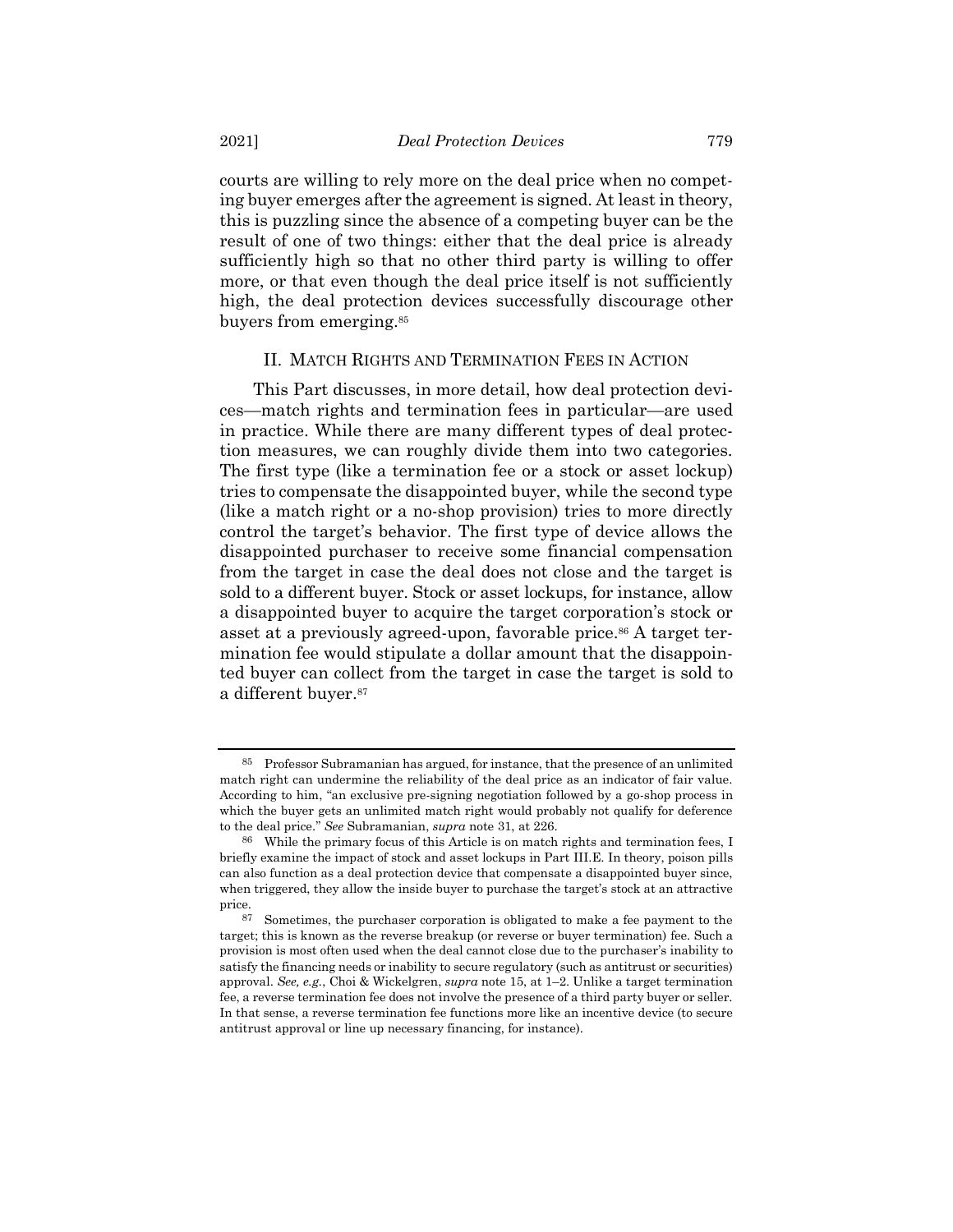courts are willing to rely more on the deal price when no competing buyer emerges after the agreement is signed. At least in theory, this is puzzling since the absence of a competing buyer can be the result of one of two things: either that the deal price is already sufficiently high so that no other third party is willing to offer more, or that even though the deal price itself is not sufficiently high, the deal protection devices successfully discourage other buyers from emerging.<sup>85</sup>

## II. MATCH RIGHTS AND TERMINATION FEES IN ACTION

This Part discusses, in more detail, how deal protection devices—match rights and termination fees in particular—are used in practice. While there are many different types of deal protection measures, we can roughly divide them into two categories. The first type (like a termination fee or a stock or asset lockup) tries to compensate the disappointed buyer, while the second type (like a match right or a no-shop provision) tries to more directly control the target's behavior. The first type of device allows the disappointed purchaser to receive some financial compensation from the target in case the deal does not close and the target is sold to a different buyer. Stock or asset lockups, for instance, allow a disappointed buyer to acquire the target corporation's stock or asset at a previously agreed-upon, favorable price.<sup>86</sup> A target termination fee would stipulate a dollar amount that the disappointed buyer can collect from the target in case the target is sold to a different buyer.<sup>87</sup>

<sup>85</sup> Professor Subramanian has argued, for instance, that the presence of an unlimited match right can undermine the reliability of the deal price as an indicator of fair value. According to him, "an exclusive pre-signing negotiation followed by a go-shop process in which the buyer gets an unlimited match right would probably not qualify for deference to the deal price." *See* Subramanian, *supra* not[e 31,](#page-6-0) at 226.

<sup>86</sup> While the primary focus of this Article is on match rights and termination fees, I briefly examine the impact of stock and asset lockups in Part III.E. In theory, poison pills can also function as a deal protection device that compensate a disappointed buyer since, when triggered, they allow the inside buyer to purchase the target's stock at an attractive price.

<sup>87</sup> Sometimes, the purchaser corporation is obligated to make a fee payment to the target; this is known as the reverse breakup (or reverse or buyer termination) fee. Such a provision is most often used when the deal cannot close due to the purchaser's inability to satisfy the financing needs or inability to secure regulatory (such as antitrust or securities) approval. *See, e.g.*, Choi & Wickelgren, *supra* not[e 15,](#page-4-0) at 1–2. Unlike a target termination fee, a reverse termination fee does not involve the presence of a third party buyer or seller. In that sense, a reverse termination fee functions more like an incentive device (to secure antitrust approval or line up necessary financing, for instance).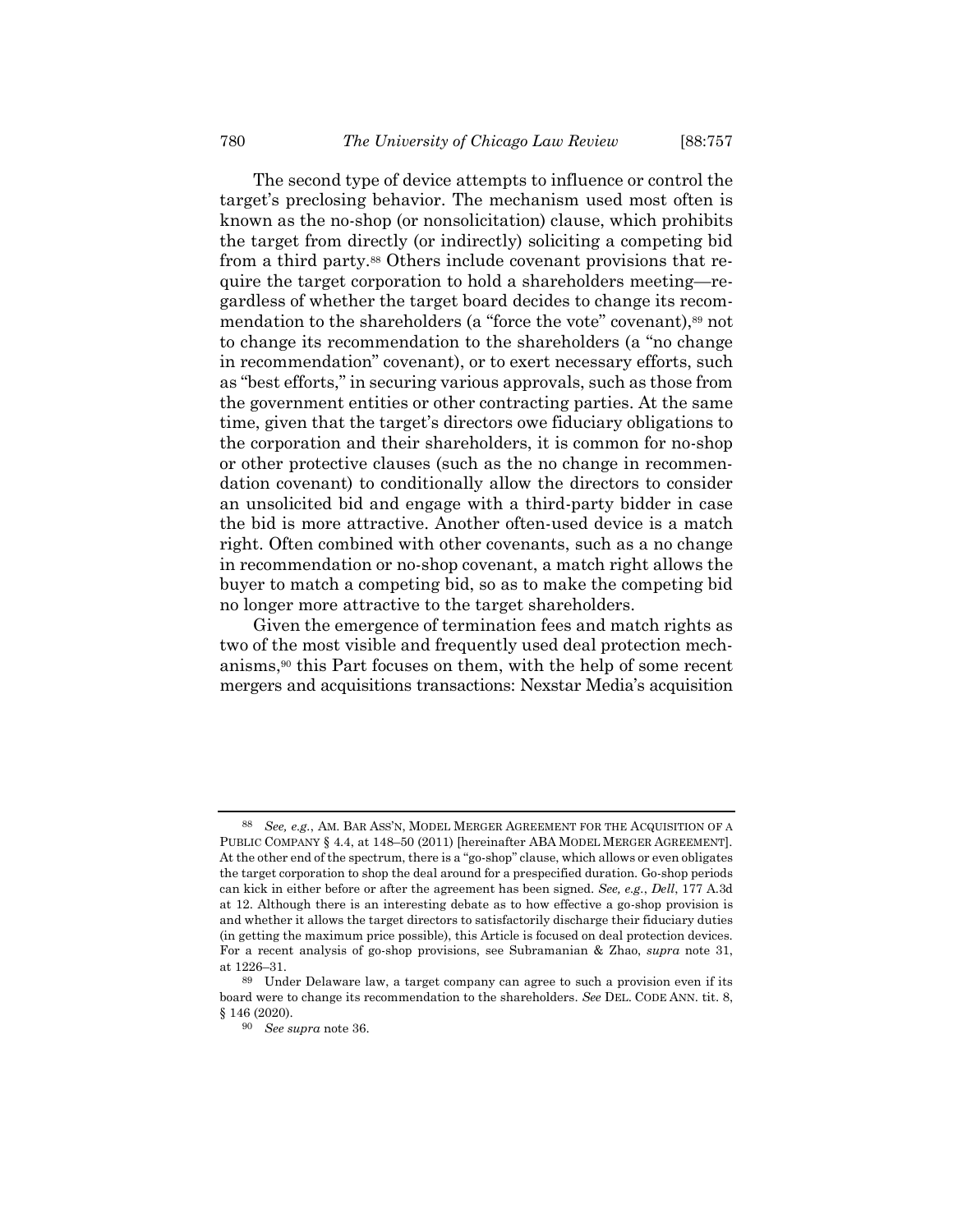<span id="page-23-0"></span>The second type of device attempts to influence or control the target's preclosing behavior. The mechanism used most often is known as the no-shop (or nonsolicitation) clause, which prohibits the target from directly (or indirectly) soliciting a competing bid from a third party.<sup>88</sup> Others include covenant provisions that require the target corporation to hold a shareholders meeting—regardless of whether the target board decides to change its recommendation to the shareholders (a "force the vote" covenant),<sup>89</sup> not to change its recommendation to the shareholders (a "no change in recommendation" covenant), or to exert necessary efforts, such as "best efforts," in securing various approvals, such as those from the government entities or other contracting parties. At the same time, given that the target's directors owe fiduciary obligations to the corporation and their shareholders, it is common for no-shop or other protective clauses (such as the no change in recommendation covenant) to conditionally allow the directors to consider an unsolicited bid and engage with a third-party bidder in case the bid is more attractive. Another often-used device is a match right. Often combined with other covenants, such as a no change in recommendation or no-shop covenant, a match right allows the buyer to match a competing bid, so as to make the competing bid no longer more attractive to the target shareholders.

Given the emergence of termination fees and match rights as two of the most visible and frequently used deal protection mechanisms,<sup>90</sup> this Part focuses on them, with the help of some recent mergers and acquisitions transactions: Nexstar Media's acquisition

<sup>88</sup> *See, e.g.*, AM. BAR ASS'N, MODEL MERGER AGREEMENT FOR THE ACQUISITION OF A PUBLIC COMPANY § 4.4, at 148–50 (2011) [hereinafter ABA MODEL MERGER AGREEMENT]. At the other end of the spectrum, there is a "go-shop" clause, which allows or even obligates the target corporation to shop the deal around for a prespecified duration. Go-shop periods can kick in either before or after the agreement has been signed. *See, e.g.*, *Dell*, 177 A.3d at 12. Although there is an interesting debate as to how effective a go-shop provision is and whether it allows the target directors to satisfactorily discharge their fiduciary duties (in getting the maximum price possible), this Article is focused on deal protection devices. For a recent analysis of go-shop provisions, see Subramanian & Zhao, *supra* note [31,](#page-6-0)  at 1226–31.

<sup>89</sup> Under Delaware law, a target company can agree to such a provision even if its board were to change its recommendation to the shareholders. *See* DEL. CODE ANN. tit. 8, § 146 (2020).

<sup>90</sup> *See supra* not[e 36.](#page-8-0)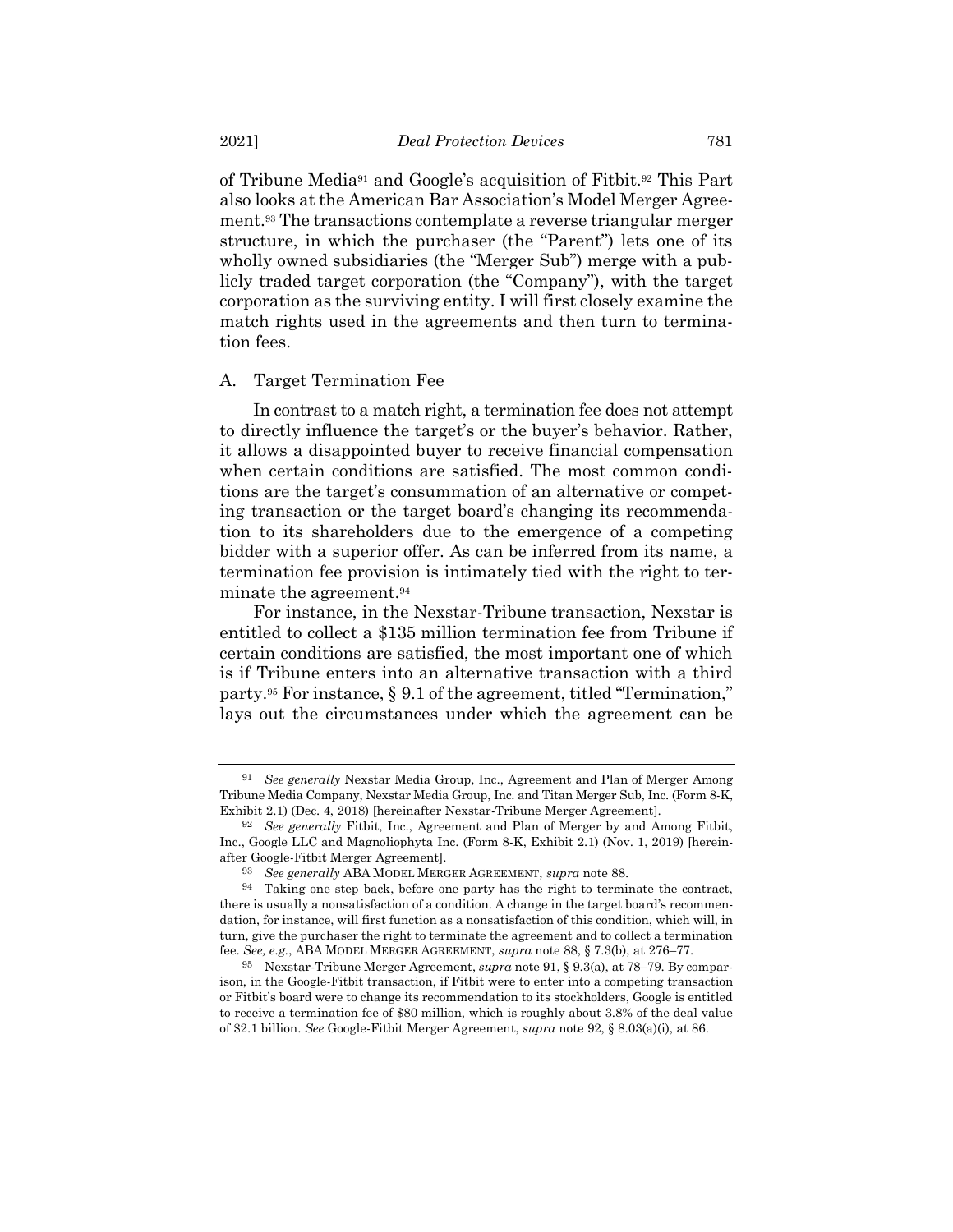<span id="page-24-3"></span><span id="page-24-1"></span><span id="page-24-0"></span>of Tribune Media<sup>91</sup> and Google's acquisition of Fitbit.<sup>92</sup> This Part also looks at the American Bar Association's Model Merger Agreement.<sup>93</sup> The transactions contemplate a reverse triangular merger structure, in which the purchaser (the "Parent") lets one of its wholly owned subsidiaries (the "Merger Sub") merge with a publicly traded target corporation (the "Company"), with the target corporation as the surviving entity. I will first closely examine the match rights used in the agreements and then turn to termination fees.

#### A. Target Termination Fee

In contrast to a match right, a termination fee does not attempt to directly influence the target's or the buyer's behavior. Rather, it allows a disappointed buyer to receive financial compensation when certain conditions are satisfied. The most common conditions are the target's consummation of an alternative or competing transaction or the target board's changing its recommendation to its shareholders due to the emergence of a competing bidder with a superior offer. As can be inferred from its name, a termination fee provision is intimately tied with the right to terminate the agreement.<sup>94</sup>

<span id="page-24-2"></span>For instance, in the Nexstar-Tribune transaction, Nexstar is entitled to collect a \$135 million termination fee from Tribune if certain conditions are satisfied, the most important one of which is if Tribune enters into an alternative transaction with a third party. <sup>95</sup> For instance, § 9.1 of the agreement, titled "Termination," lays out the circumstances under which the agreement can be

<sup>91</sup> *See generally* Nexstar Media Group, Inc., Agreement and Plan of Merger Among Tribune Media Company, Nexstar Media Group, Inc. and Titan Merger Sub, Inc. (Form 8-K, Exhibit 2.1) (Dec. 4, 2018) [hereinafter Nexstar-Tribune Merger Agreement].

<sup>92</sup> *See generally* Fitbit, Inc., Agreement and Plan of Merger by and Among Fitbit, Inc., Google LLC and Magnoliophyta Inc. (Form 8-K, Exhibit 2.1) (Nov. 1, 2019) [hereinafter Google-Fitbit Merger Agreement].

<sup>93</sup> *See generally* ABA MODEL MERGER AGREEMENT, *supra* note [88.](#page-23-0)

<sup>94</sup> Taking one step back, before one party has the right to terminate the contract, there is usually a nonsatisfaction of a condition. A change in the target board's recommendation, for instance, will first function as a nonsatisfaction of this condition, which will, in turn, give the purchaser the right to terminate the agreement and to collect a termination fee. *See, e.g.*, ABA MODEL MERGER AGREEMENT, *supra* note [88,](#page-23-0) § 7.3(b), at 276–77.

<sup>95</sup> Nexstar-Tribune Merger Agreement, *supra* not[e 91,](#page-24-0) § 9.3(a), at 78–79. By comparison, in the Google-Fitbit transaction, if Fitbit were to enter into a competing transaction or Fitbit's board were to change its recommendation to its stockholders, Google is entitled to receive a termination fee of \$80 million, which is roughly about 3.8% of the deal value of \$2.1 billion. *See* Google-Fitbit Merger Agreement, *supra* not[e 92,](#page-24-1) § 8.03(a)(i), at 86.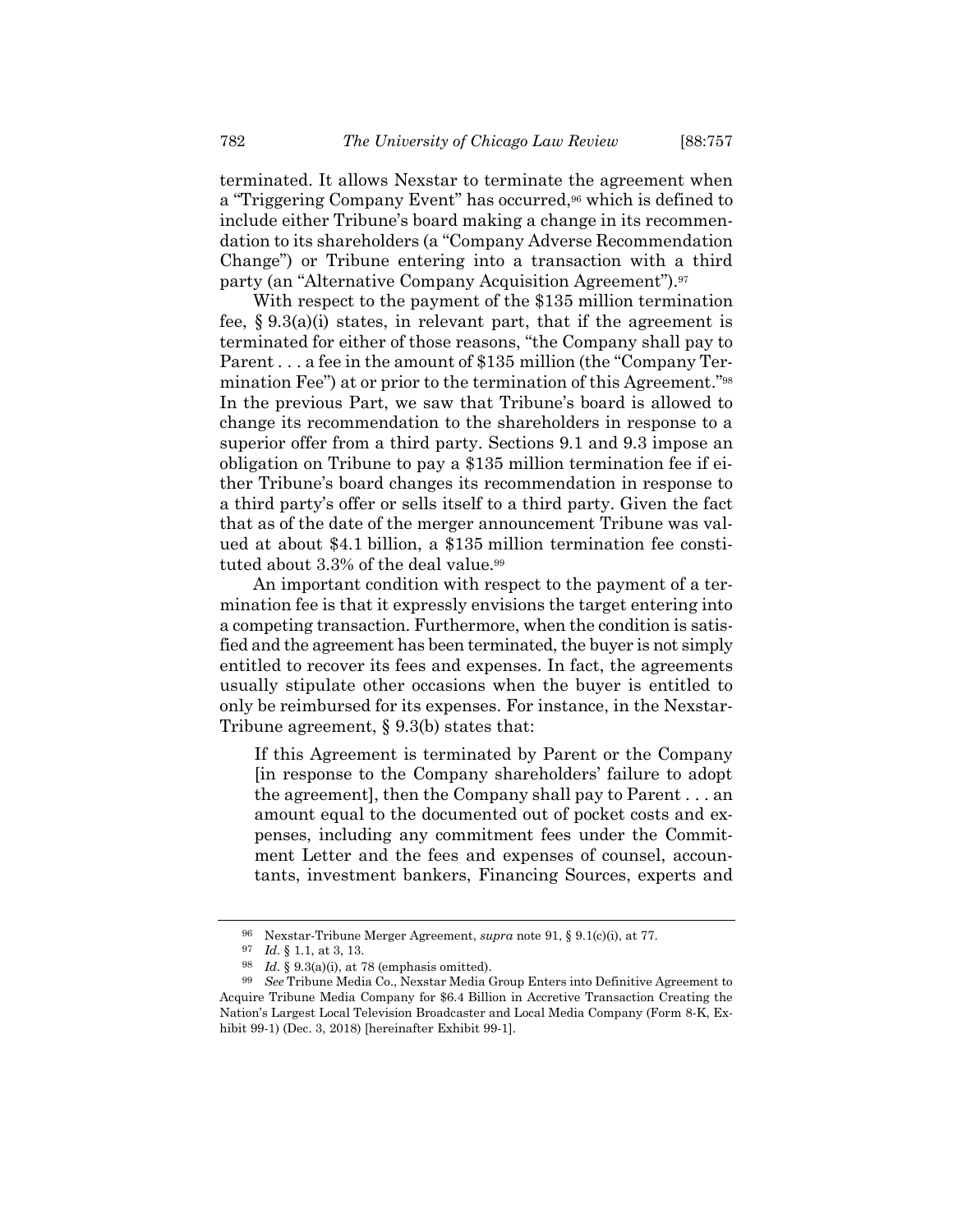terminated. It allows Nexstar to terminate the agreement when a "Triggering Company Event" has occurred, <sup>96</sup> which is defined to include either Tribune's board making a change in its recommendation to its shareholders (a "Company Adverse Recommendation Change") or Tribune entering into a transaction with a third party (an "Alternative Company Acquisition Agreement").<sup>97</sup>

With respect to the payment of the \$135 million termination fee,  $\S 9.3(a)(i)$  states, in relevant part, that if the agreement is terminated for either of those reasons, "the Company shall pay to Parent . . . a fee in the amount of \$135 million (the "Company Termination Fee") at or prior to the termination of this Agreement."<sup>98</sup> In the previous Part, we saw that Tribune's board is allowed to change its recommendation to the shareholders in response to a superior offer from a third party. Sections 9.1 and 9.3 impose an obligation on Tribune to pay a \$135 million termination fee if either Tribune's board changes its recommendation in response to a third party's offer or sells itself to a third party. Given the fact that as of the date of the merger announcement Tribune was valued at about \$4.1 billion, a \$135 million termination fee constituted about 3.3% of the deal value.<sup>99</sup>

<span id="page-25-0"></span>An important condition with respect to the payment of a termination fee is that it expressly envisions the target entering into a competing transaction. Furthermore, when the condition is satisfied and the agreement has been terminated, the buyer is not simply entitled to recover its fees and expenses. In fact, the agreements usually stipulate other occasions when the buyer is entitled to only be reimbursed for its expenses. For instance, in the Nexstar-Tribune agreement, § 9.3(b) states that:

If this Agreement is terminated by Parent or the Company [in response to the Company shareholders' failure to adopt the agreement], then the Company shall pay to Parent . . . an amount equal to the documented out of pocket costs and expenses, including any commitment fees under the Commitment Letter and the fees and expenses of counsel, accountants, investment bankers, Financing Sources, experts and

<sup>96</sup> Nexstar-Tribune Merger Agreement, *supra* note [91,](#page-24-0) § 9.1(c)(i), at 77.

<sup>97</sup> *Id.* § 1.1, at 3, 13.

<sup>98</sup> *Id.* § 9.3(a)(i), at 78 (emphasis omitted).

<sup>99</sup> *See* Tribune Media Co., Nexstar Media Group Enters into Definitive Agreement to Acquire Tribune Media Company for \$6.4 Billion in Accretive Transaction Creating the Nation's Largest Local Television Broadcaster and Local Media Company (Form 8-K, Exhibit 99-1) (Dec. 3, 2018) [hereinafter Exhibit 99-1].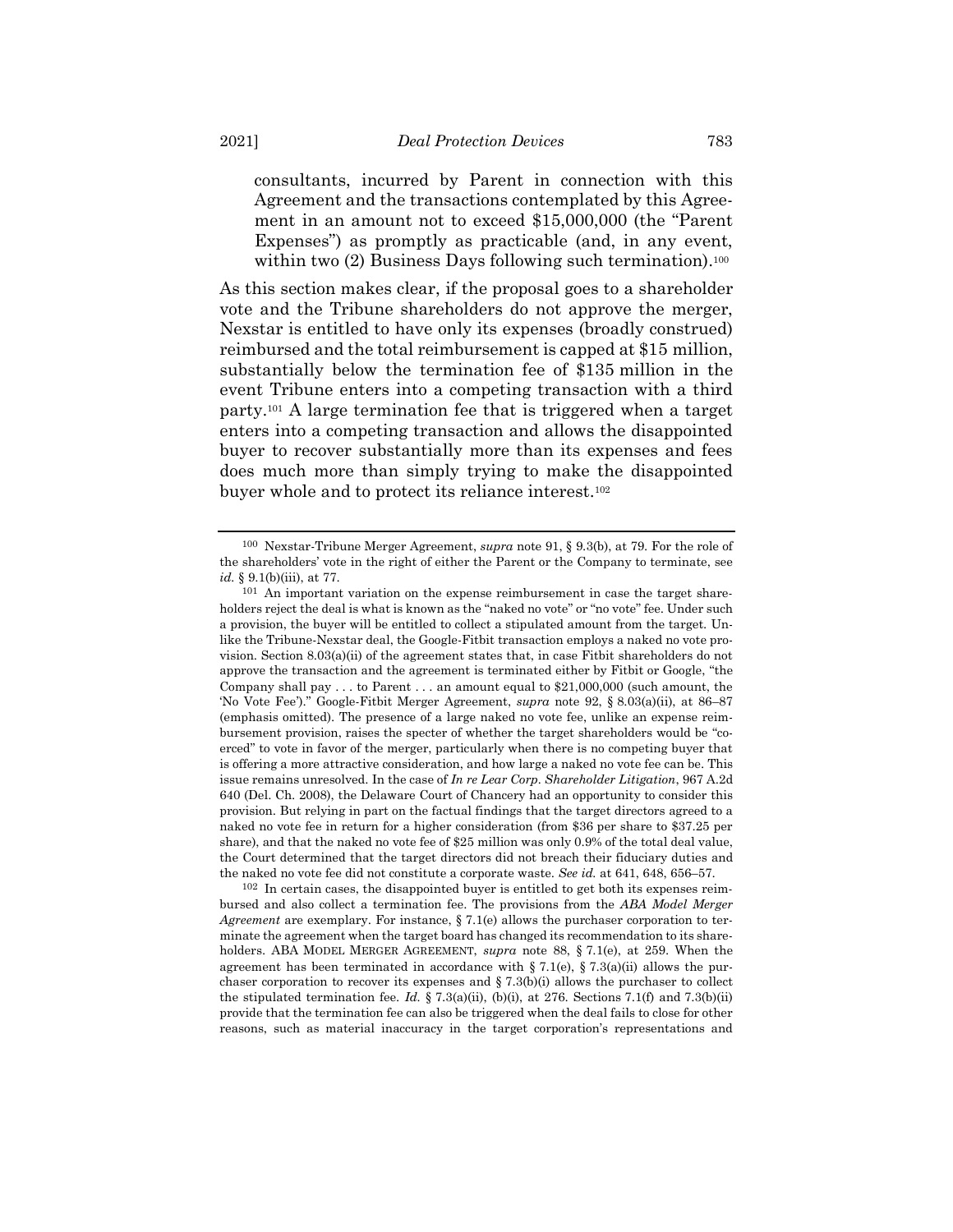consultants, incurred by Parent in connection with this Agreement and the transactions contemplated by this Agreement in an amount not to exceed \$15,000,000 (the "Parent Expenses") as promptly as practicable (and, in any event, within two (2) Business Days following such termination).<sup>100</sup>

<span id="page-26-0"></span>As this section makes clear, if the proposal goes to a shareholder vote and the Tribune shareholders do not approve the merger, Nexstar is entitled to have only its expenses (broadly construed) reimbursed and the total reimbursement is capped at \$15 million, substantially below the termination fee of \$135 million in the event Tribune enters into a competing transaction with a third party.<sup>101</sup> A large termination fee that is triggered when a target enters into a competing transaction and allows the disappointed buyer to recover substantially more than its expenses and fees does much more than simply trying to make the disappointed buyer whole and to protect its reliance interest.<sup>102</sup>

102 In certain cases, the disappointed buyer is entitled to get both its expenses reimbursed and also collect a termination fee. The provisions from the *ABA Model Merger Agreement* are exemplary. For instance, § 7.1(e) allows the purchaser corporation to terminate the agreement when the target board has changed its recommendation to its shareholders. ABA MODEL MERGER AGREEMENT, *supra* note [88,](#page-23-0) § 7.1(e), at 259. When the agreement has been terminated in accordance with § 7.1(e), § 7.3(a)(ii) allows the purchaser corporation to recover its expenses and  $\S 7.3(b)(i)$  allows the purchaser to collect the stipulated termination fee. *Id.* § 7.3(a)(ii), (b)(i), at 276. Sections 7.1(f) and 7.3(b)(ii) provide that the termination fee can also be triggered when the deal fails to close for other reasons, such as material inaccuracy in the target corporation's representations and

<sup>100</sup> Nexstar-Tribune Merger Agreement, *supra* not[e 91,](#page-24-0) § 9.3(b), at 79. For the role of the shareholders' vote in the right of either the Parent or the Company to terminate, see *id.* § 9.1(b)(iii), at 77.

<sup>101</sup> An important variation on the expense reimbursement in case the target shareholders reject the deal is what is known as the "naked no vote" or "no vote" fee. Under such a provision, the buyer will be entitled to collect a stipulated amount from the target. Unlike the Tribune-Nexstar deal, the Google-Fitbit transaction employs a naked no vote provision. Section 8.03(a)(ii) of the agreement states that, in case Fitbit shareholders do not approve the transaction and the agreement is terminated either by Fitbit or Google, "the Company shall pay  $\dots$  to Parent  $\dots$  an amount equal to \$21,000,000 (such amount, the 'No Vote Fee')." Google-Fitbit Merger Agreement, *supra* note [92,](#page-24-1) § 8.03(a)(ii), at 86–87 (emphasis omitted). The presence of a large naked no vote fee, unlike an expense reimbursement provision, raises the specter of whether the target shareholders would be "coerced" to vote in favor of the merger, particularly when there is no competing buyer that is offering a more attractive consideration, and how large a naked no vote fee can be. This issue remains unresolved. In the case of *In re Lear Corp. Shareholder Litigation*, 967 A.2d 640 (Del. Ch. 2008), the Delaware Court of Chancery had an opportunity to consider this provision. But relying in part on the factual findings that the target directors agreed to a naked no vote fee in return for a higher consideration (from \$36 per share to \$37.25 per share), and that the naked no vote fee of \$25 million was only 0.9% of the total deal value, the Court determined that the target directors did not breach their fiduciary duties and the naked no vote fee did not constitute a corporate waste. *See id.* at 641, 648, 656–57.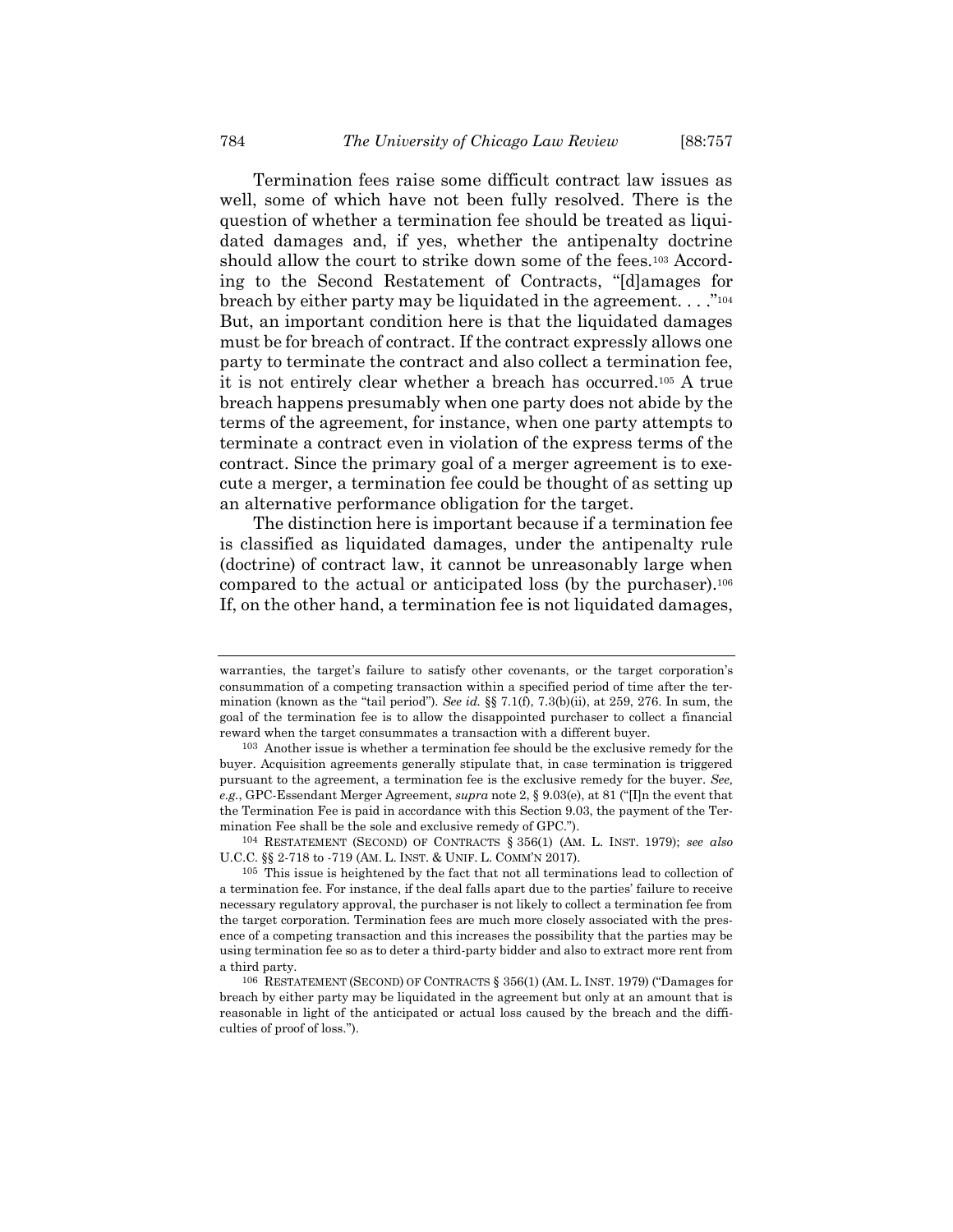Termination fees raise some difficult contract law issues as well, some of which have not been fully resolved. There is the question of whether a termination fee should be treated as liquidated damages and, if yes, whether the antipenalty doctrine should allow the court to strike down some of the fees.<sup>103</sup> According to the Second Restatement of Contracts, "[d]amages for breach by either party may be liquidated in the agreement.  $\ldots$ <sup>"104</sup> But, an important condition here is that the liquidated damages must be for breach of contract. If the contract expressly allows one party to terminate the contract and also collect a termination fee, it is not entirely clear whether a breach has occurred.<sup>105</sup> A true breach happens presumably when one party does not abide by the terms of the agreement, for instance, when one party attempts to terminate a contract even in violation of the express terms of the contract. Since the primary goal of a merger agreement is to execute a merger, a termination fee could be thought of as setting up an alternative performance obligation for the target.

The distinction here is important because if a termination fee is classified as liquidated damages, under the antipenalty rule (doctrine) of contract law, it cannot be unreasonably large when compared to the actual or anticipated loss (by the purchaser).<sup>106</sup> If, on the other hand, a termination fee is not liquidated damages,

warranties, the target's failure to satisfy other covenants, or the target corporation's consummation of a competing transaction within a specified period of time after the termination (known as the "tail period"). *See id.* §§ 7.1(f), 7.3(b)(ii), at 259, 276. In sum, the goal of the termination fee is to allow the disappointed purchaser to collect a financial reward when the target consummates a transaction with a different buyer.

<sup>103</sup> Another issue is whether a termination fee should be the exclusive remedy for the buyer. Acquisition agreements generally stipulate that, in case termination is triggered pursuant to the agreement, a termination fee is the exclusive remedy for the buyer. *See, e.g.*, GPC-Essendant Merger Agreement, *supra* not[e 2,](#page-1-0) § 9.03(e), at 81 ("[I]n the event that the Termination Fee is paid in accordance with this Section 9.03, the payment of the Termination Fee shall be the sole and exclusive remedy of GPC.").

<sup>104</sup> RESTATEMENT (SECOND) OF CONTRACTS § 356(1) (AM. L. INST. 1979); *see also* U.C.C. §§ 2-718 to -719 (AM. L. INST. & UNIF. L. COMM'N 2017).

<sup>105</sup> This issue is heightened by the fact that not all terminations lead to collection of a termination fee. For instance, if the deal falls apart due to the parties' failure to receive necessary regulatory approval, the purchaser is not likely to collect a termination fee from the target corporation. Termination fees are much more closely associated with the presence of a competing transaction and this increases the possibility that the parties may be using termination fee so as to deter a third-party bidder and also to extract more rent from a third party.

<sup>106</sup> RESTATEMENT (SECOND) OF CONTRACTS § 356(1) (AM. L. INST. 1979) ("Damages for breach by either party may be liquidated in the agreement but only at an amount that is reasonable in light of the anticipated or actual loss caused by the breach and the difficulties of proof of loss.").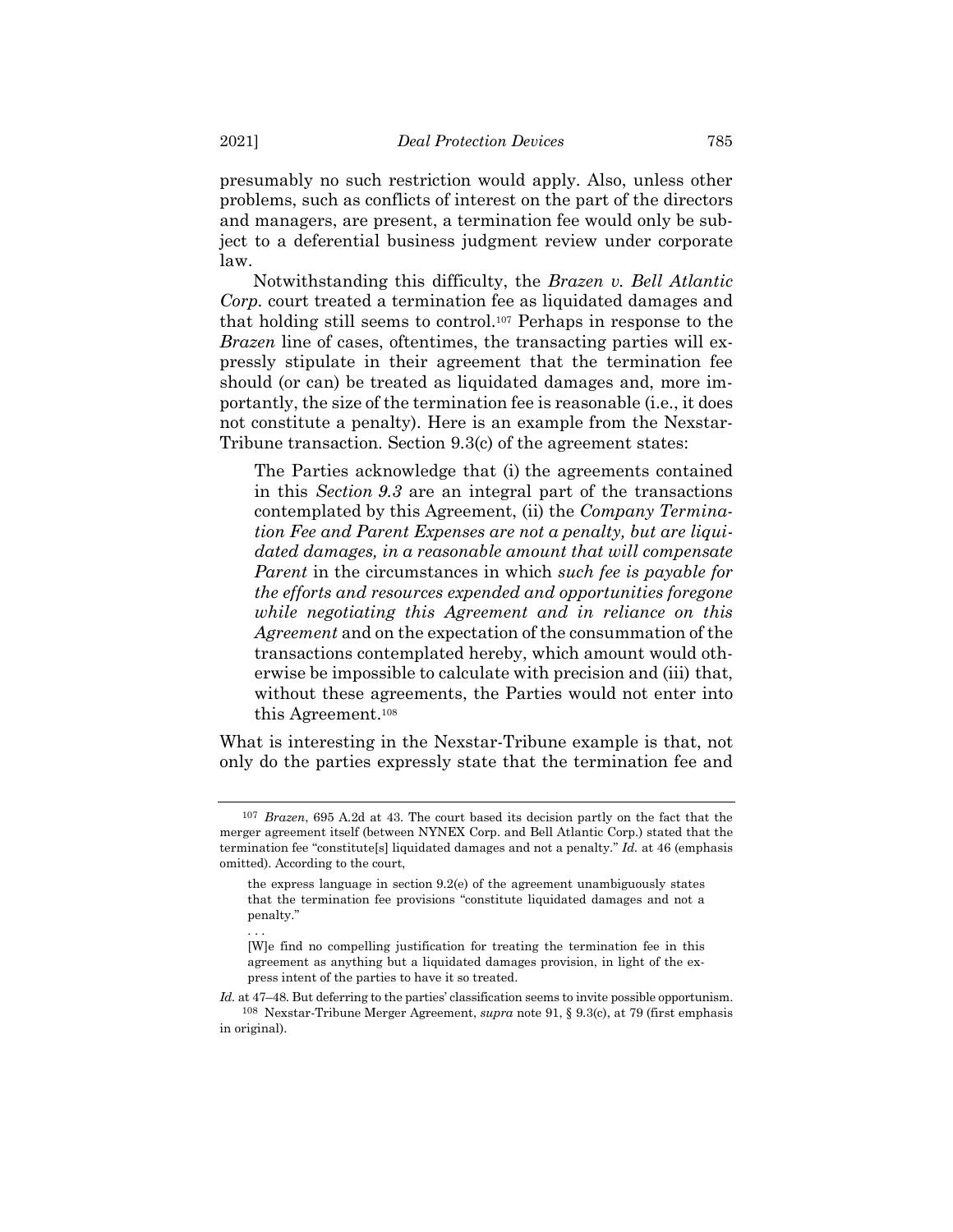presumably no such restriction would apply. Also, unless other problems, such as conflicts of interest on the part of the directors and managers, are present, a termination fee would only be subject to a deferential business judgment review under corporate law.

Notwithstanding this difficulty, the *Brazen v. Bell Atlantic Corp.* court treated a termination fee as liquidated damages and that holding still seems to control.<sup>107</sup> Perhaps in response to the *Brazen* line of cases, oftentimes, the transacting parties will expressly stipulate in their agreement that the termination fee should (or can) be treated as liquidated damages and, more importantly, the size of the termination fee is reasonable (i.e., it does not constitute a penalty). Here is an example from the Nexstar-Tribune transaction. Section 9.3(c) of the agreement states:

The Parties acknowledge that (i) the agreements contained in this *Section 9.3* are an integral part of the transactions contemplated by this Agreement, (ii) the *Company Termination Fee and Parent Expenses are not a penalty, but are liquidated damages, in a reasonable amount that will compensate Parent* in the circumstances in which *such fee is payable for the efforts and resources expended and opportunities foregone while negotiating this Agreement and in reliance on this Agreement* and on the expectation of the consummation of the transactions contemplated hereby, which amount would otherwise be impossible to calculate with precision and (iii) that, without these agreements, the Parties would not enter into this Agreement.<sup>108</sup>

What is interesting in the Nexstar-Tribune example is that, not only do the parties expressly state that the termination fee and

. . .

<sup>107</sup> *Brazen*, 695 A.2d at 43. The court based its decision partly on the fact that the merger agreement itself (between NYNEX Corp. and Bell Atlantic Corp.) stated that the termination fee "constitute[s] liquidated damages and not a penalty." *Id.* at 46 (emphasis omitted). According to the court,

the express language in section 9.2(e) of the agreement unambiguously states that the termination fee provisions "constitute liquidated damages and not a penalty."

<sup>[</sup>W]e find no compelling justification for treating the termination fee in this agreement as anything but a liquidated damages provision, in light of the express intent of the parties to have it so treated.

*Id.* at 47–48. But deferring to the parties' classification seems to invite possible opportunism. 108 Nexstar-Tribune Merger Agreement, *supra* not[e 91,](#page-24-0) § 9.3(c), at 79 (first emphasis in original).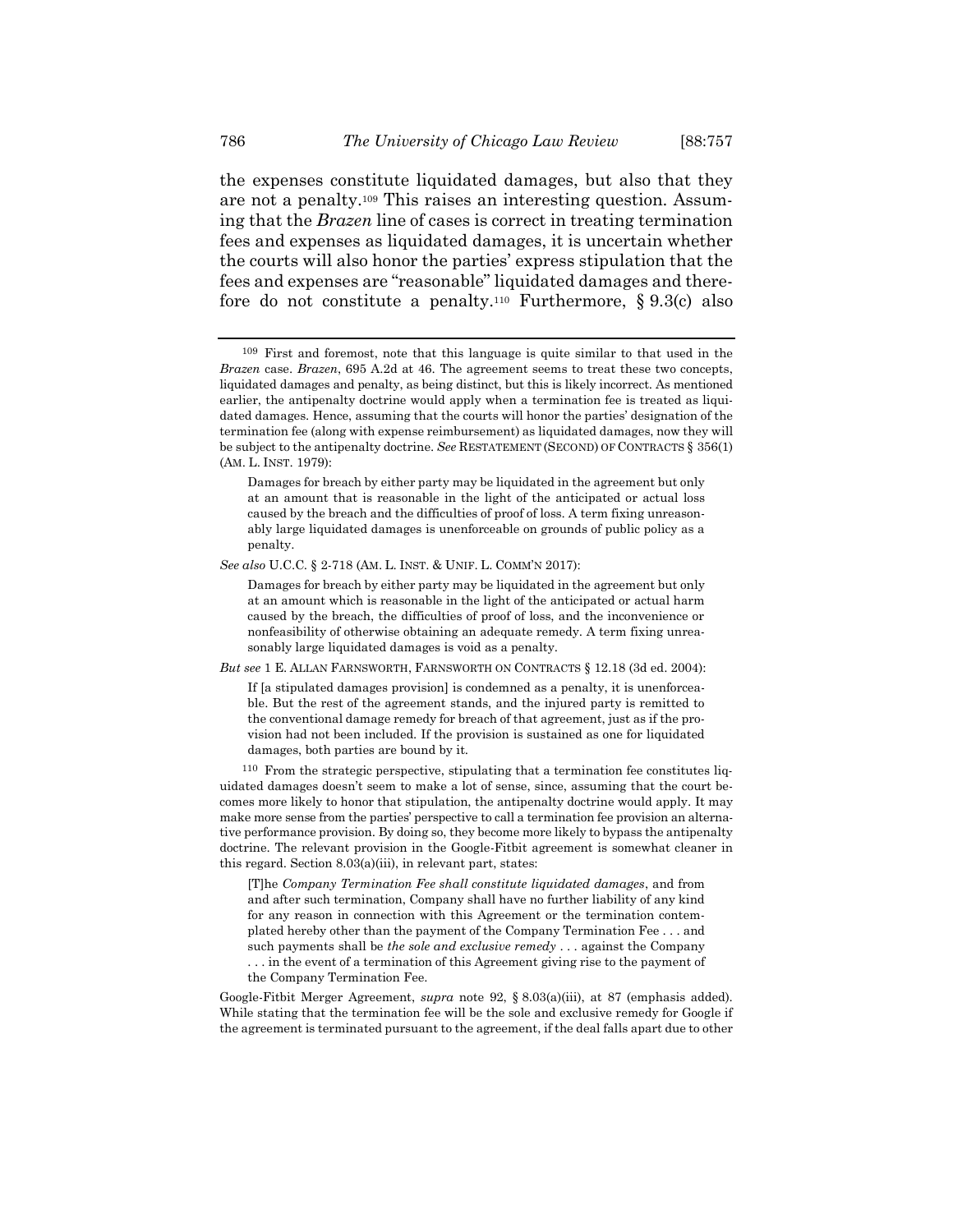<span id="page-29-1"></span>the expenses constitute liquidated damages, but also that they are not a penalty.<sup>109</sup> This raises an interesting question. Assuming that the *Brazen* line of cases is correct in treating termination fees and expenses as liquidated damages, it is uncertain whether the courts will also honor the parties' express stipulation that the fees and expenses are "reasonable" liquidated damages and therefore do not constitute a penalty.<sup>110</sup> Furthermore,  $\S 9.3(c)$  also

*But see* 1 E. ALLAN FARNSWORTH, FARNSWORTH ON CONTRACTS § 12.18 (3d ed. 2004):

If [a stipulated damages provision] is condemned as a penalty, it is unenforceable. But the rest of the agreement stands, and the injured party is remitted to the conventional damage remedy for breach of that agreement, just as if the provision had not been included. If the provision is sustained as one for liquidated damages, both parties are bound by it.

110 From the strategic perspective, stipulating that a termination fee constitutes liquidated damages doesn't seem to make a lot of sense, since, assuming that the court becomes more likely to honor that stipulation, the antipenalty doctrine would apply. It may make more sense from the parties' perspective to call a termination fee provision an alternative performance provision. By doing so, they become more likely to bypass the antipenalty doctrine. The relevant provision in the Google-Fitbit agreement is somewhat cleaner in this regard. Section 8.03(a)(iii), in relevant part, states:

[T]he *Company Termination Fee shall constitute liquidated damages*, and from and after such termination, Company shall have no further liability of any kind for any reason in connection with this Agreement or the termination contemplated hereby other than the payment of the Company Termination Fee . . . and such payments shall be *the sole and exclusive remedy* . . . against the Company . . . in the event of a termination of this Agreement giving rise to the payment of the Company Termination Fee.

Google-Fitbit Merger Agreement, *supra* note [92,](#page-24-1) § 8.03(a)(iii), at 87 (emphasis added). While stating that the termination fee will be the sole and exclusive remedy for Google if the agreement is terminated pursuant to the agreement, if the deal falls apart due to other

<span id="page-29-0"></span><sup>109</sup> First and foremost, note that this language is quite similar to that used in the *Brazen* case. *Brazen*, 695 A.2d at 46. The agreement seems to treat these two concepts, liquidated damages and penalty, as being distinct, but this is likely incorrect. As mentioned earlier, the antipenalty doctrine would apply when a termination fee is treated as liquidated damages. Hence, assuming that the courts will honor the parties' designation of the termination fee (along with expense reimbursement) as liquidated damages, now they will be subject to the antipenalty doctrine. *See* RESTATEMENT (SECOND) OF CONTRACTS § 356(1) (AM. L. INST. 1979):

Damages for breach by either party may be liquidated in the agreement but only at an amount that is reasonable in the light of the anticipated or actual loss caused by the breach and the difficulties of proof of loss. A term fixing unreasonably large liquidated damages is unenforceable on grounds of public policy as a penalty.

*See also* U.C.C. § 2-718 (AM. L. INST. & UNIF. L. COMM'N 2017):

Damages for breach by either party may be liquidated in the agreement but only at an amount which is reasonable in the light of the anticipated or actual harm caused by the breach, the difficulties of proof of loss, and the inconvenience or nonfeasibility of otherwise obtaining an adequate remedy. A term fixing unreasonably large liquidated damages is void as a penalty.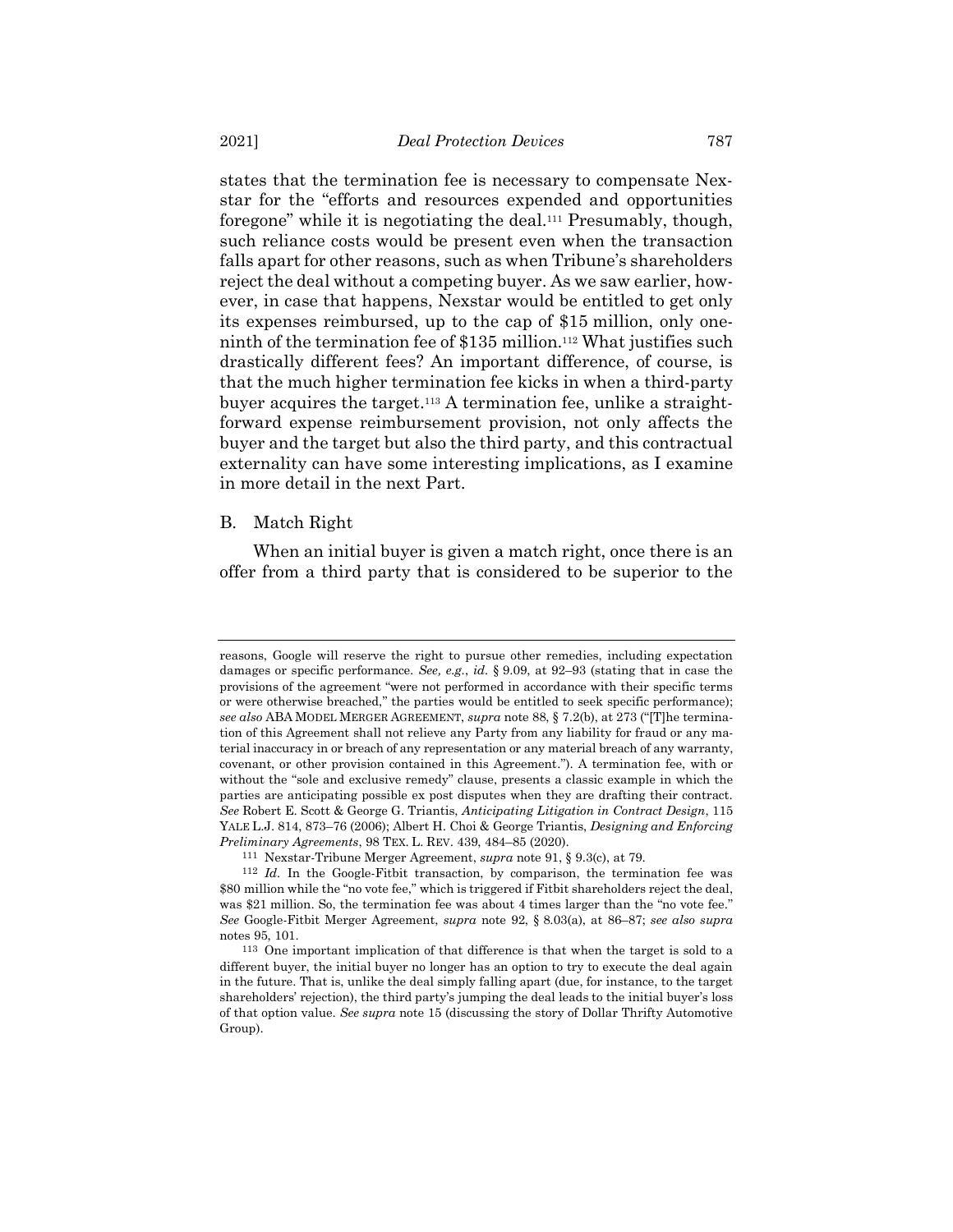states that the termination fee is necessary to compensate Nexstar for the "efforts and resources expended and opportunities foregone" while it is negotiating the deal.<sup>111</sup> Presumably, though, such reliance costs would be present even when the transaction falls apart for other reasons, such as when Tribune's shareholders reject the deal without a competing buyer. As we saw earlier, however, in case that happens, Nexstar would be entitled to get only its expenses reimbursed, up to the cap of \$15 million, only oneninth of the termination fee of \$135 million. <sup>112</sup> What justifies such drastically different fees? An important difference, of course, is that the much higher termination fee kicks in when a third-party buyer acquires the target.<sup>113</sup> A termination fee, unlike a straightforward expense reimbursement provision, not only affects the buyer and the target but also the third party, and this contractual externality can have some interesting implications, as I examine in more detail in the next Part.

# <span id="page-30-0"></span>B. Match Right

When an initial buyer is given a match right, once there is an offer from a third party that is considered to be superior to the

reasons, Google will reserve the right to pursue other remedies, including expectation damages or specific performance. *See, e.g.*, *id.* § 9.09, at 92–93 (stating that in case the provisions of the agreement "were not performed in accordance with their specific terms or were otherwise breached," the parties would be entitled to seek specific performance); *see also* ABA MODEL MERGER AGREEMENT, *supra* note [88,](#page-23-0) § 7.2(b), at 273 ("[T]he termination of this Agreement shall not relieve any Party from any liability for fraud or any material inaccuracy in or breach of any representation or any material breach of any warranty, covenant, or other provision contained in this Agreement."). A termination fee, with or without the "sole and exclusive remedy" clause, presents a classic example in which the parties are anticipating possible ex post disputes when they are drafting their contract. *See* Robert E. Scott & George G. Triantis, *Anticipating Litigation in Contract Design*, 115 YALE L.J. 814, 873–76 (2006); Albert H. Choi & George Triantis, *Designing and Enforcing Preliminary Agreements*, 98 TEX. L. REV. 439, 484–85 (2020).

<sup>111</sup> Nexstar-Tribune Merger Agreement, *supra* note [91,](#page-24-0) § 9.3(c), at 79.

<sup>&</sup>lt;sup>112</sup> *Id.* In the Google-Fitbit transaction, by comparison, the termination fee was \$80 million while the "no vote fee," which is triggered if Fitbit shareholders reject the deal, was \$21 million. So, the termination fee was about 4 times larger than the "no vote fee." *See* Google-Fitbit Merger Agreement, *supra* note [92,](#page-24-1) § 8.03(a), at 86–87; *see also supra* notes [95,](#page-24-2) [101.](#page-26-0)

<sup>113</sup> One important implication of that difference is that when the target is sold to a different buyer, the initial buyer no longer has an option to try to execute the deal again in the future. That is, unlike the deal simply falling apart (due, for instance, to the target shareholders' rejection), the third party's jumping the deal leads to the initial buyer's loss of that option value. *See supra* note [15](#page-4-0) (discussing the story of Dollar Thrifty Automotive Group).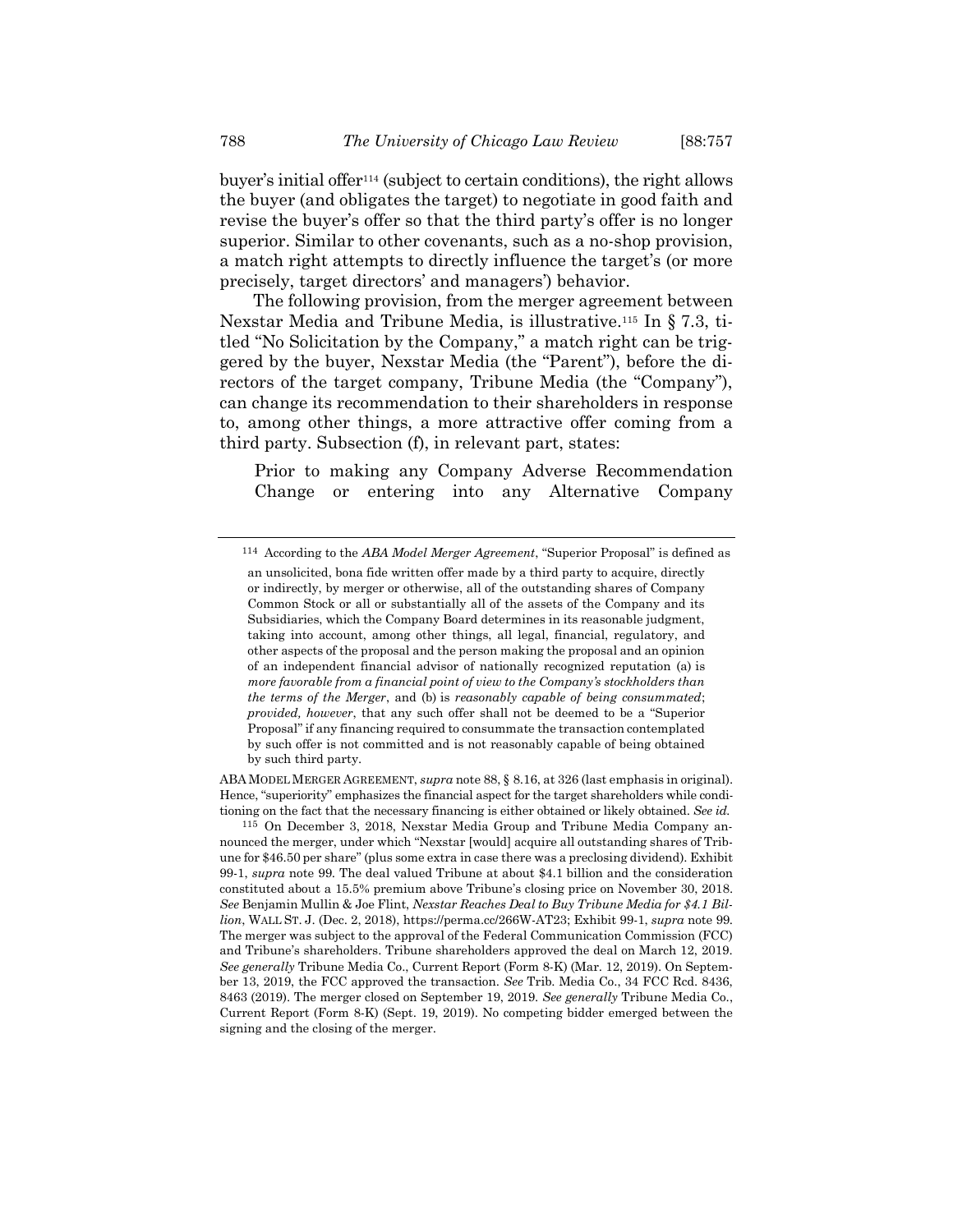buyer's initial offer<sup>114</sup> (subject to certain conditions), the right allows the buyer (and obligates the target) to negotiate in good faith and revise the buyer's offer so that the third party's offer is no longer superior. Similar to other covenants, such as a no-shop provision, a match right attempts to directly influence the target's (or more precisely, target directors' and managers') behavior.

The following provision, from the merger agreement between Nexstar Media and Tribune Media, is illustrative.<sup>115</sup> In § 7.3, titled "No Solicitation by the Company," a match right can be triggered by the buyer, Nexstar Media (the "Parent"), before the directors of the target company, Tribune Media (the "Company"), can change its recommendation to their shareholders in response to, among other things, a more attractive offer coming from a third party. Subsection (f), in relevant part, states:

Prior to making any Company Adverse Recommendation Change or entering into any Alternative Company

ABA MODEL MERGER AGREEMENT, *supra* not[e 88,](#page-23-0) § 8.16, at 326 (last emphasis in original). Hence, "superiority" emphasizes the financial aspect for the target shareholders while conditioning on the fact that the necessary financing is either obtained or likely obtained. *See id.*

<sup>114</sup> According to the *ABA Model Merger Agreement*, "Superior Proposal" is defined as an unsolicited, bona fide written offer made by a third party to acquire, directly or indirectly, by merger or otherwise, all of the outstanding shares of Company Common Stock or all or substantially all of the assets of the Company and its Subsidiaries, which the Company Board determines in its reasonable judgment, taking into account, among other things, all legal, financial, regulatory, and other aspects of the proposal and the person making the proposal and an opinion of an independent financial advisor of nationally recognized reputation (a) is *more favorable from a financial point of view to the Company's stockholders than the terms of the Merger*, and (b) is *reasonably capable of being consummated*; *provided, however*, that any such offer shall not be deemed to be a "Superior Proposal" if any financing required to consummate the transaction contemplated by such offer is not committed and is not reasonably capable of being obtained by such third party.

<sup>115</sup> On December 3, 2018, Nexstar Media Group and Tribune Media Company announced the merger, under which "Nexstar [would] acquire all outstanding shares of Tribune for \$46.50 per share" (plus some extra in case there was a preclosing dividend). Exhibit 99-1, *supra* note [99.](#page-25-0) The deal valued Tribune at about \$4.1 billion and the consideration constituted about a 15.5% premium above Tribune's closing price on November 30, 2018. *See* Benjamin Mullin & Joe Flint, *Nexstar Reaches Deal to Buy Tribune Media for \$4.1 Billion*, WALL ST. J. (Dec. 2, 2018), https://perma.cc/266W-AT23; Exhibit 99-1, *supra* note [99.](#page-25-0) The merger was subject to the approval of the Federal Communication Commission (FCC) and Tribune's shareholders. Tribune shareholders approved the deal on March 12, 2019. *See generally* Tribune Media Co., Current Report (Form 8-K) (Mar. 12, 2019). On September 13, 2019, the FCC approved the transaction. *See* Trib. Media Co., 34 FCC Rcd. 8436, 8463 (2019). The merger closed on September 19, 2019. *See generally* Tribune Media Co., Current Report (Form 8-K) (Sept. 19, 2019). No competing bidder emerged between the signing and the closing of the merger.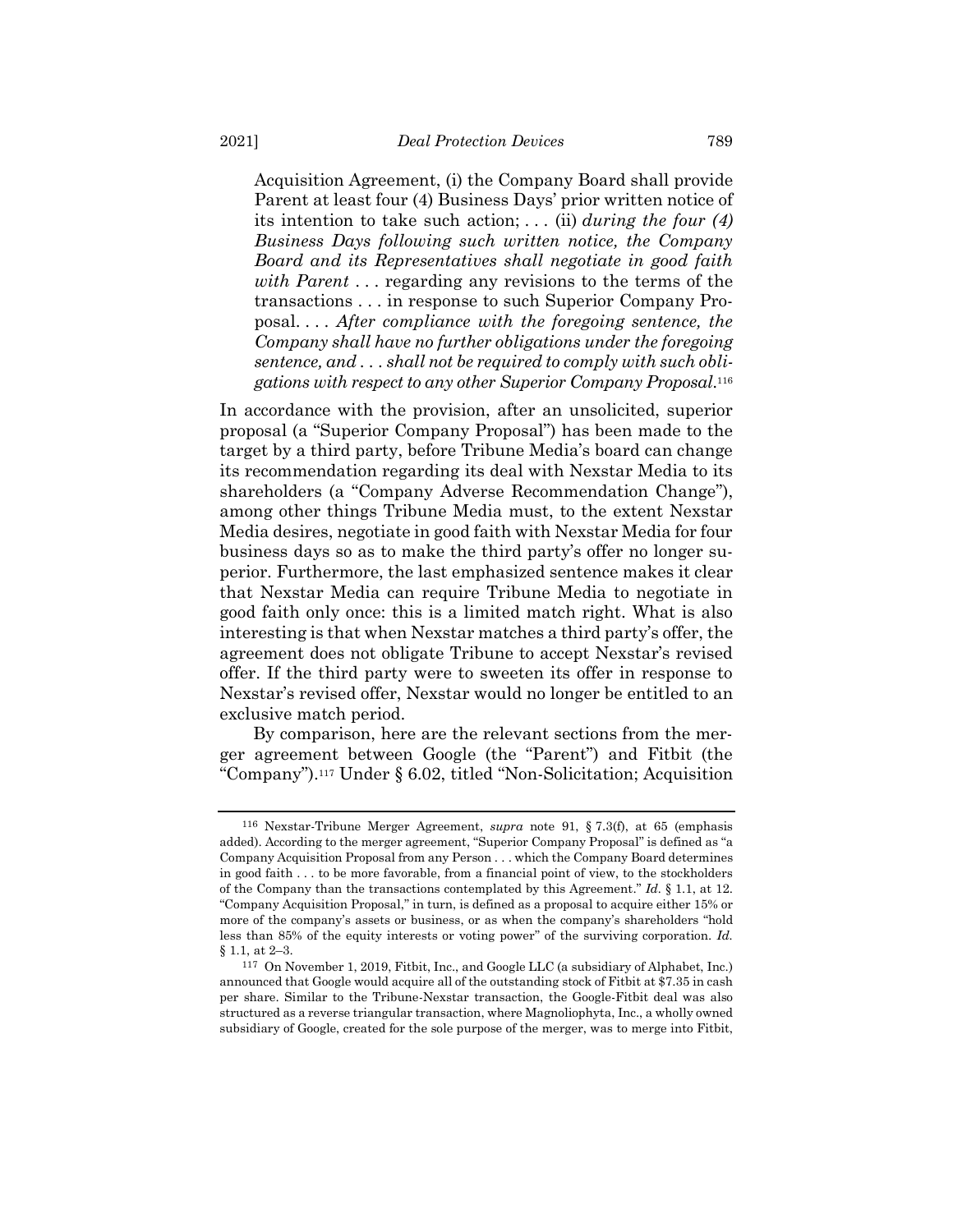Acquisition Agreement, (i) the Company Board shall provide Parent at least four (4) Business Days' prior written notice of its intention to take such action; . . . (ii) *during the four (4) Business Days following such written notice, the Company Board and its Representatives shall negotiate in good faith with Parent* . . . regarding any revisions to the terms of the transactions . . . in response to such Superior Company Proposal. . . . *After compliance with the foregoing sentence, the Company shall have no further obligations under the foregoing sentence, and . . . shall not be required to comply with such obligations with respect to any other Superior Company Proposal*. 116

In accordance with the provision, after an unsolicited, superior proposal (a "Superior Company Proposal") has been made to the target by a third party, before Tribune Media's board can change its recommendation regarding its deal with Nexstar Media to its shareholders (a "Company Adverse Recommendation Change"), among other things Tribune Media must, to the extent Nexstar Media desires, negotiate in good faith with Nexstar Media for four business days so as to make the third party's offer no longer superior. Furthermore, the last emphasized sentence makes it clear that Nexstar Media can require Tribune Media to negotiate in good faith only once: this is a limited match right. What is also interesting is that when Nexstar matches a third party's offer, the agreement does not obligate Tribune to accept Nexstar's revised offer. If the third party were to sweeten its offer in response to Nexstar's revised offer, Nexstar would no longer be entitled to an exclusive match period.

By comparison, here are the relevant sections from the merger agreement between Google (the "Parent") and Fitbit (the "Company").<sup>117</sup> Under § 6.02, titled "Non-Solicitation; Acquisition

<sup>116</sup> Nexstar-Tribune Merger Agreement, *supra* note [91,](#page-24-0) § 7.3(f), at 65 (emphasis added). According to the merger agreement, "Superior Company Proposal" is defined as "a Company Acquisition Proposal from any Person . . . which the Company Board determines in good faith . . . to be more favorable, from a financial point of view, to the stockholders of the Company than the transactions contemplated by this Agreement." *Id.* § 1.1, at 12. "Company Acquisition Proposal," in turn, is defined as a proposal to acquire either 15% or more of the company's assets or business, or as when the company's shareholders "hold less than 85% of the equity interests or voting power" of the surviving corporation. *Id.* § 1.1, at 2–3.

<sup>117</sup> On November 1, 2019, Fitbit, Inc., and Google LLC (a subsidiary of Alphabet, Inc.) announced that Google would acquire all of the outstanding stock of Fitbit at \$7.35 in cash per share. Similar to the Tribune-Nexstar transaction, the Google-Fitbit deal was also structured as a reverse triangular transaction, where Magnoliophyta, Inc., a wholly owned subsidiary of Google, created for the sole purpose of the merger, was to merge into Fitbit,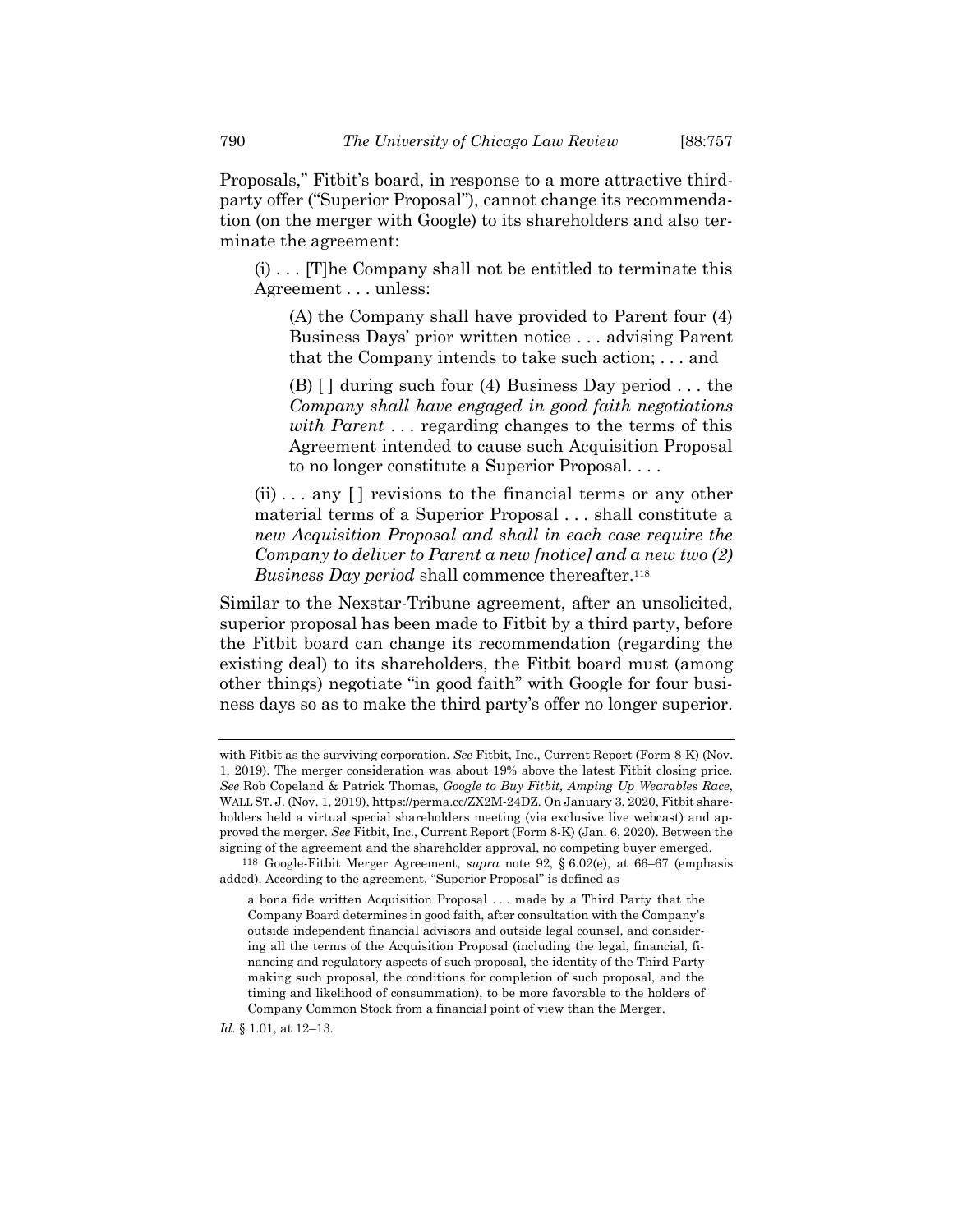Proposals," Fitbit's board, in response to a more attractive thirdparty offer ("Superior Proposal"), cannot change its recommendation (on the merger with Google) to its shareholders and also terminate the agreement:

 $(i)$ ... [T]he Company shall not be entitled to terminate this Agreement . . . unless:

(A) the Company shall have provided to Parent four (4) Business Days' prior written notice . . . advising Parent that the Company intends to take such action; . . . and

(B)  $\lceil$  during such four (4) Business Day period ... the *Company shall have engaged in good faith negotiations with Parent* . . . regarding changes to the terms of this Agreement intended to cause such Acquisition Proposal to no longer constitute a Superior Proposal. . . .

 $(ii) \ldots$  any  $[]$  revisions to the financial terms or any other material terms of a Superior Proposal . . . shall constitute a *new Acquisition Proposal and shall in each case require the Company to deliver to Parent a new [notice] and a new two (2) Business Day period* shall commence thereafter.<sup>118</sup>

Similar to the Nexstar-Tribune agreement, after an unsolicited, superior proposal has been made to Fitbit by a third party, before the Fitbit board can change its recommendation (regarding the existing deal) to its shareholders, the Fitbit board must (among other things) negotiate "in good faith" with Google for four business days so as to make the third party's offer no longer superior.

*Id.* § 1.01, at 12–13.

with Fitbit as the surviving corporation. *See* Fitbit, Inc., Current Report (Form 8-K) (Nov. 1, 2019). The merger consideration was about 19% above the latest Fitbit closing price. *See* Rob Copeland & Patrick Thomas, *Google to Buy Fitbit, Amping Up Wearables Race*, WALL ST. J. (Nov. 1, 2019), https://perma.cc/ZX2M-24DZ. On January 3, 2020, Fitbit shareholders held a virtual special shareholders meeting (via exclusive live webcast) and approved the merger. *See* Fitbit, Inc., Current Report (Form 8-K) (Jan. 6, 2020). Between the signing of the agreement and the shareholder approval, no competing buyer emerged.

<sup>118</sup> Google-Fitbit Merger Agreement, *supra* note [92,](#page-24-1) § 6.02(e), at 66–67 (emphasis added). According to the agreement, "Superior Proposal" is defined as

a bona fide written Acquisition Proposal . . . made by a Third Party that the Company Board determines in good faith, after consultation with the Company's outside independent financial advisors and outside legal counsel, and considering all the terms of the Acquisition Proposal (including the legal, financial, financing and regulatory aspects of such proposal, the identity of the Third Party making such proposal, the conditions for completion of such proposal, and the timing and likelihood of consummation), to be more favorable to the holders of Company Common Stock from a financial point of view than the Merger.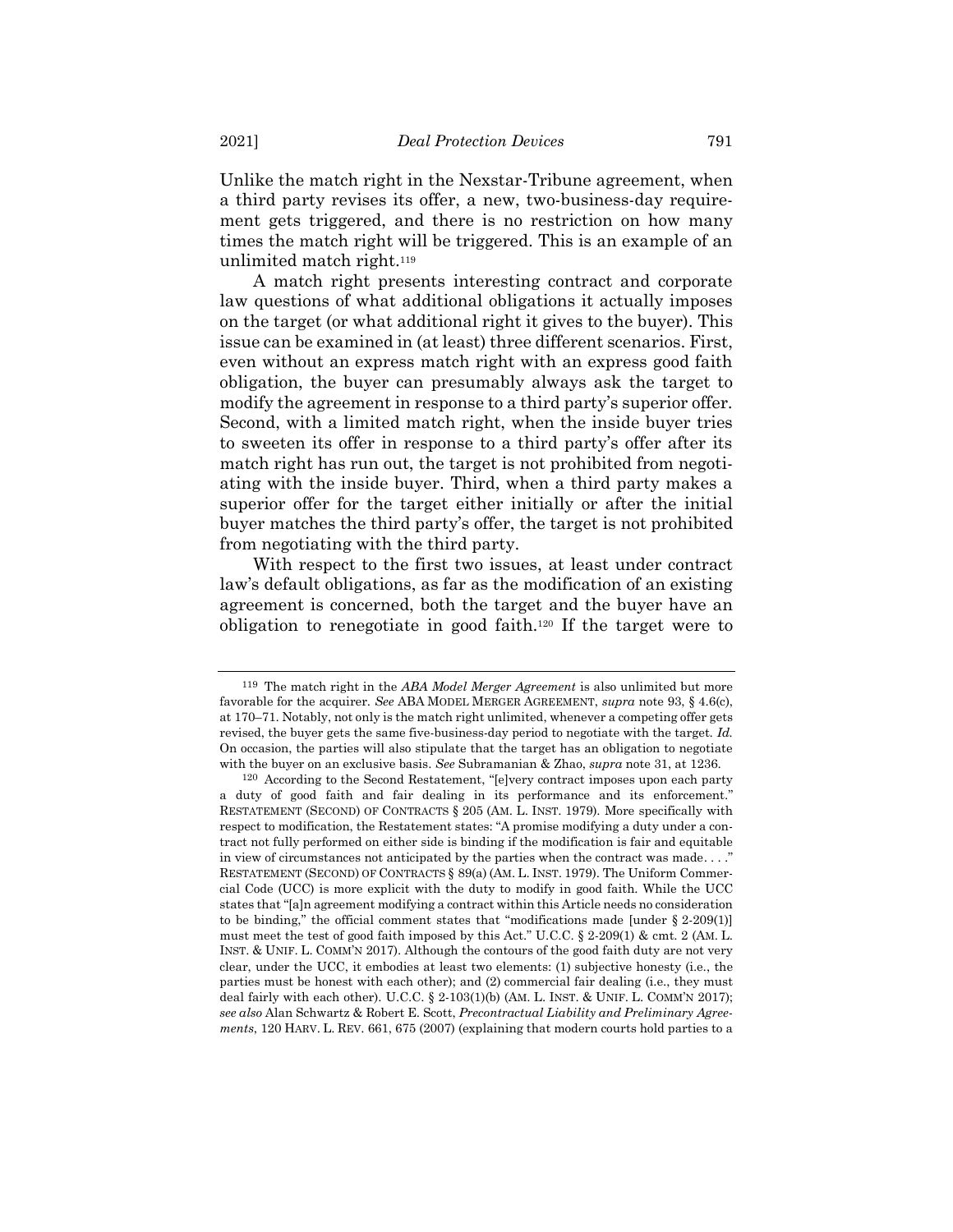Unlike the match right in the Nexstar-Tribune agreement, when a third party revises its offer, a new, two-business-day requirement gets triggered, and there is no restriction on how many times the match right will be triggered. This is an example of an unlimited match right.<sup>119</sup>

A match right presents interesting contract and corporate law questions of what additional obligations it actually imposes on the target (or what additional right it gives to the buyer). This issue can be examined in (at least) three different scenarios. First, even without an express match right with an express good faith obligation, the buyer can presumably always ask the target to modify the agreement in response to a third party's superior offer. Second, with a limited match right, when the inside buyer tries to sweeten its offer in response to a third party's offer after its match right has run out, the target is not prohibited from negotiating with the inside buyer. Third, when a third party makes a superior offer for the target either initially or after the initial buyer matches the third party's offer, the target is not prohibited from negotiating with the third party.

<span id="page-34-0"></span>With respect to the first two issues, at least under contract law's default obligations, as far as the modification of an existing agreement is concerned, both the target and the buyer have an obligation to renegotiate in good faith.<sup>120</sup> If the target were to

<sup>119</sup> The match right in the *ABA Model Merger Agreement* is also unlimited but more favorable for the acquirer. *See* ABA MODEL MERGER AGREEMENT, *supra* note [93,](#page-24-3) § 4.6(c), at 170–71. Notably, not only is the match right unlimited, whenever a competing offer gets revised, the buyer gets the same five-business-day period to negotiate with the target. *Id.* On occasion, the parties will also stipulate that the target has an obligation to negotiate with the buyer on an exclusive basis. *See* Subramanian & Zhao, *supra* not[e 31,](#page-6-0) at 1236.

<sup>120</sup> According to the Second Restatement, "[e]very contract imposes upon each party a duty of good faith and fair dealing in its performance and its enforcement." RESTATEMENT (SECOND) OF CONTRACTS § 205 (AM. L. INST. 1979). More specifically with respect to modification, the Restatement states: "A promise modifying a duty under a contract not fully performed on either side is binding if the modification is fair and equitable in view of circumstances not anticipated by the parties when the contract was made. . . ." RESTATEMENT (SECOND) OF CONTRACTS § 89(a) (AM. L. INST. 1979). The Uniform Commercial Code (UCC) is more explicit with the duty to modify in good faith. While the UCC states that "[a]n agreement modifying a contract within this Article needs no consideration to be binding," the official comment states that "modifications made [under  $\S 2\n-209(1)$ ] must meet the test of good faith imposed by this Act." U.C.C. § 2-209(1) & cmt. 2 (AM. L. INST. & UNIF. L. COMM'N 2017). Although the contours of the good faith duty are not very clear, under the UCC, it embodies at least two elements: (1) subjective honesty (i.e., the parties must be honest with each other); and (2) commercial fair dealing (i.e., they must deal fairly with each other). U.C.C.  $\S 2{\text -}103(1)(b)$  (AM. L. INST. & UNIF. L. COMM'N 2017); *see also* Alan Schwartz & Robert E. Scott, *Precontractual Liability and Preliminary Agreements*, 120 HARV. L. REV. 661, 675 (2007) (explaining that modern courts hold parties to a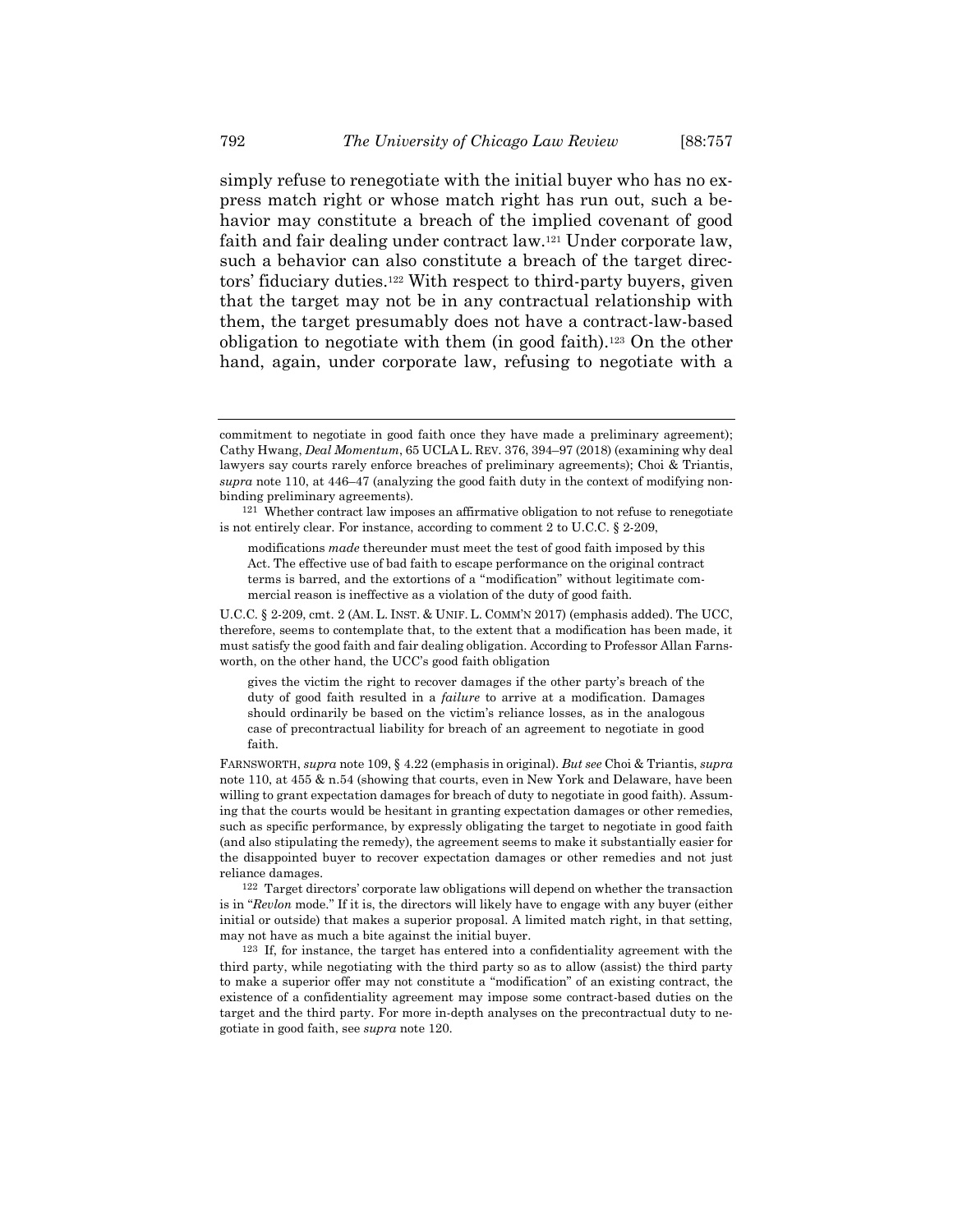simply refuse to renegotiate with the initial buyer who has no express match right or whose match right has run out, such a behavior may constitute a breach of the implied covenant of good faith and fair dealing under contract law.<sup>121</sup> Under corporate law, such a behavior can also constitute a breach of the target directors' fiduciary duties. <sup>122</sup> With respect to third-party buyers, given that the target may not be in any contractual relationship with them, the target presumably does not have a contract-law-based obligation to negotiate with them (in good faith).<sup>123</sup> On the other hand, again, under corporate law, refusing to negotiate with a

gives the victim the right to recover damages if the other party's breach of the duty of good faith resulted in a *failure* to arrive at a modification. Damages should ordinarily be based on the victim's reliance losses, as in the analogous case of precontractual liability for breach of an agreement to negotiate in good faith.

FARNSWORTH, *supra* not[e 109,](#page-29-1) § 4.22 (emphasis in original). *But see* Choi & Triantis, *supra* note [110,](#page-29-0) at 455 & n.54 (showing that courts, even in New York and Delaware, have been willing to grant expectation damages for breach of duty to negotiate in good faith). Assuming that the courts would be hesitant in granting expectation damages or other remedies, such as specific performance, by expressly obligating the target to negotiate in good faith (and also stipulating the remedy), the agreement seems to make it substantially easier for the disappointed buyer to recover expectation damages or other remedies and not just reliance damages.

commitment to negotiate in good faith once they have made a preliminary agreement); Cathy Hwang, *Deal Momentum*, 65 UCLA L. REV. 376, 394–97 (2018) (examining why deal lawyers say courts rarely enforce breaches of preliminary agreements); Choi & Triantis, *supra* note [110,](#page-29-0) at 446–47 (analyzing the good faith duty in the context of modifying nonbinding preliminary agreements).

<sup>121</sup> Whether contract law imposes an affirmative obligation to not refuse to renegotiate is not entirely clear. For instance, according to comment 2 to U.C.C. § 2-209,

modifications *made* thereunder must meet the test of good faith imposed by this Act. The effective use of bad faith to escape performance on the original contract terms is barred, and the extortions of a "modification" without legitimate commercial reason is ineffective as a violation of the duty of good faith.

U.C.C. § 2-209, cmt. 2 (AM. L. INST. & UNIF. L. COMM'N 2017) (emphasis added). The UCC, therefore, seems to contemplate that, to the extent that a modification has been made, it must satisfy the good faith and fair dealing obligation. According to Professor Allan Farnsworth, on the other hand, the UCC's good faith obligation

<sup>122</sup> Target directors' corporate law obligations will depend on whether the transaction is in "*Revlon* mode." If it is, the directors will likely have to engage with any buyer (either initial or outside) that makes a superior proposal. A limited match right, in that setting, may not have as much a bite against the initial buyer.

<sup>123</sup> If, for instance, the target has entered into a confidentiality agreement with the third party, while negotiating with the third party so as to allow (assist) the third party to make a superior offer may not constitute a "modification" of an existing contract, the existence of a confidentiality agreement may impose some contract-based duties on the target and the third party. For more in-depth analyses on the precontractual duty to negotiate in good faith, see *supra* not[e 120.](#page-34-0)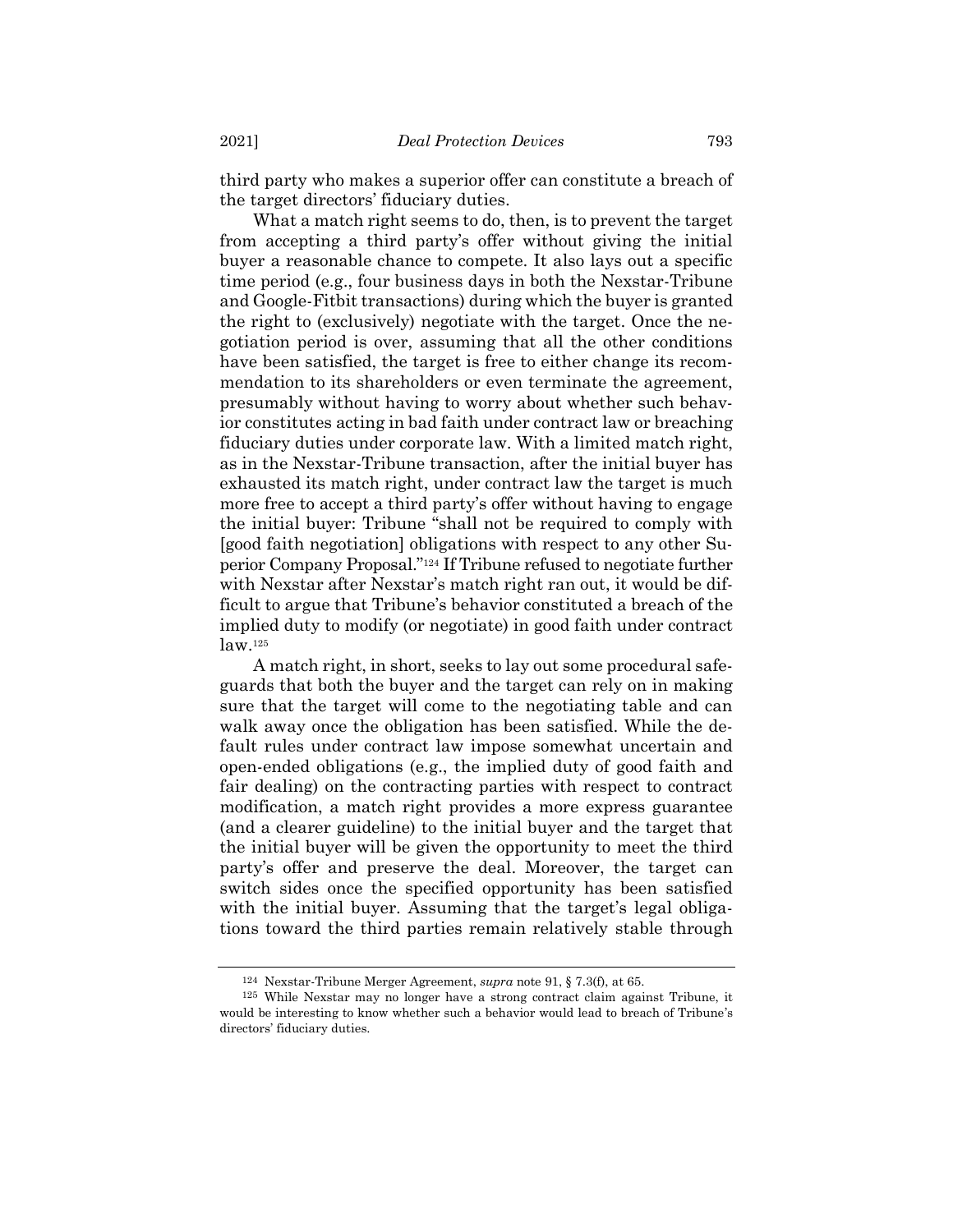third party who makes a superior offer can constitute a breach of the target directors' fiduciary duties.

What a match right seems to do, then, is to prevent the target from accepting a third party's offer without giving the initial buyer a reasonable chance to compete. It also lays out a specific time period (e.g., four business days in both the Nexstar-Tribune and Google-Fitbit transactions) during which the buyer is granted the right to (exclusively) negotiate with the target. Once the negotiation period is over, assuming that all the other conditions have been satisfied, the target is free to either change its recommendation to its shareholders or even terminate the agreement, presumably without having to worry about whether such behavior constitutes acting in bad faith under contract law or breaching fiduciary duties under corporate law. With a limited match right, as in the Nexstar-Tribune transaction, after the initial buyer has exhausted its match right, under contract law the target is much more free to accept a third party's offer without having to engage the initial buyer: Tribune "shall not be required to comply with [good faith negotiation] obligations with respect to any other Superior Company Proposal."<sup>124</sup> If Tribune refused to negotiate further with Nexstar after Nexstar's match right ran out, it would be difficult to argue that Tribune's behavior constituted a breach of the implied duty to modify (or negotiate) in good faith under contract  $law$ .  $125$ 

A match right, in short, seeks to lay out some procedural safeguards that both the buyer and the target can rely on in making sure that the target will come to the negotiating table and can walk away once the obligation has been satisfied. While the default rules under contract law impose somewhat uncertain and open-ended obligations (e.g., the implied duty of good faith and fair dealing) on the contracting parties with respect to contract modification, a match right provides a more express guarantee (and a clearer guideline) to the initial buyer and the target that the initial buyer will be given the opportunity to meet the third party's offer and preserve the deal. Moreover, the target can switch sides once the specified opportunity has been satisfied with the initial buyer. Assuming that the target's legal obligations toward the third parties remain relatively stable through

<sup>124</sup> Nexstar-Tribune Merger Agreement, *supra* note [91,](#page-24-0) § 7.3(f), at 65.

<sup>125</sup> While Nexstar may no longer have a strong contract claim against Tribune, it would be interesting to know whether such a behavior would lead to breach of Tribune's directors' fiduciary duties.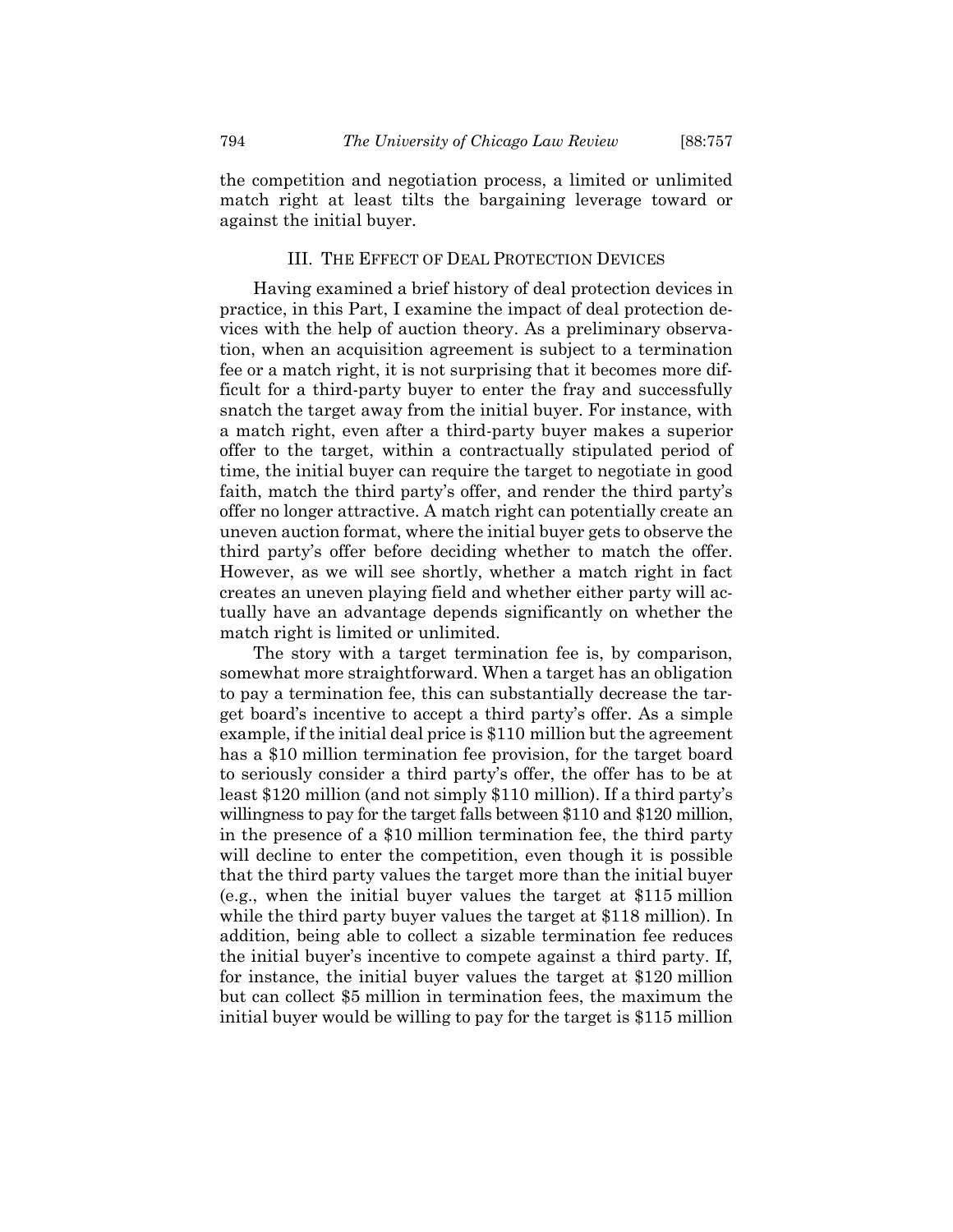the competition and negotiation process, a limited or unlimited match right at least tilts the bargaining leverage toward or against the initial buyer.

#### III. THE EFFECT OF DEAL PROTECTION DEVICES

Having examined a brief history of deal protection devices in practice, in this Part, I examine the impact of deal protection devices with the help of auction theory. As a preliminary observation, when an acquisition agreement is subject to a termination fee or a match right, it is not surprising that it becomes more difficult for a third-party buyer to enter the fray and successfully snatch the target away from the initial buyer. For instance, with a match right, even after a third-party buyer makes a superior offer to the target, within a contractually stipulated period of time, the initial buyer can require the target to negotiate in good faith, match the third party's offer, and render the third party's offer no longer attractive. A match right can potentially create an uneven auction format, where the initial buyer gets to observe the third party's offer before deciding whether to match the offer. However, as we will see shortly, whether a match right in fact creates an uneven playing field and whether either party will actually have an advantage depends significantly on whether the match right is limited or unlimited.

The story with a target termination fee is, by comparison, somewhat more straightforward. When a target has an obligation to pay a termination fee, this can substantially decrease the target board's incentive to accept a third party's offer. As a simple example, if the initial deal price is \$110 million but the agreement has a \$10 million termination fee provision, for the target board to seriously consider a third party's offer, the offer has to be at least \$120 million (and not simply \$110 million). If a third party's willingness to pay for the target falls between \$110 and \$120 million, in the presence of a \$10 million termination fee, the third party will decline to enter the competition, even though it is possible that the third party values the target more than the initial buyer (e.g., when the initial buyer values the target at \$115 million while the third party buyer values the target at \$118 million). In addition, being able to collect a sizable termination fee reduces the initial buyer's incentive to compete against a third party. If, for instance, the initial buyer values the target at \$120 million but can collect \$5 million in termination fees, the maximum the initial buyer would be willing to pay for the target is \$115 million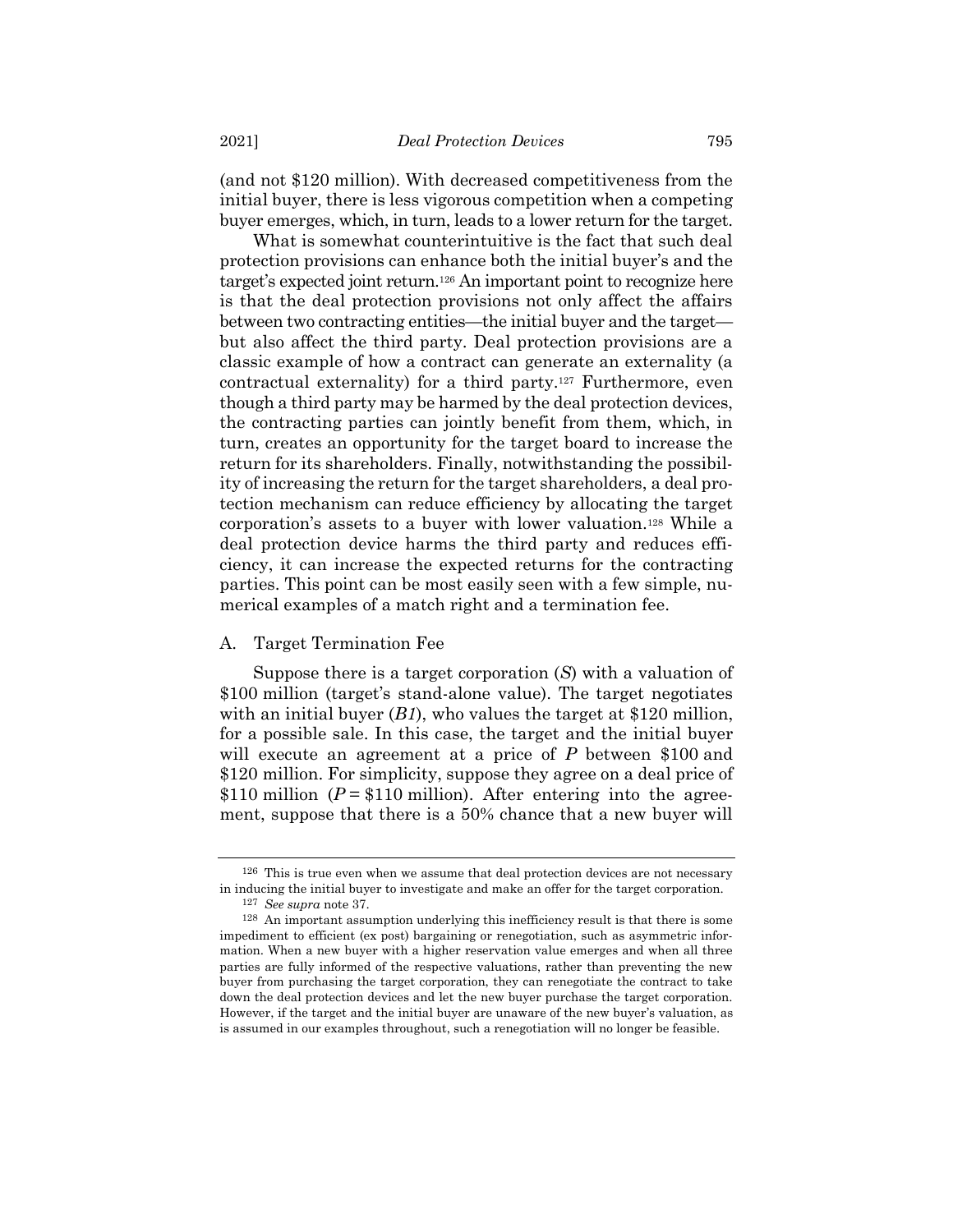(and not \$120 million). With decreased competitiveness from the initial buyer, there is less vigorous competition when a competing buyer emerges, which, in turn, leads to a lower return for the target.

What is somewhat counterintuitive is the fact that such deal protection provisions can enhance both the initial buyer's and the target's expected joint return. <sup>126</sup> An important point to recognize here is that the deal protection provisions not only affect the affairs between two contracting entities—the initial buyer and the target but also affect the third party. Deal protection provisions are a classic example of how a contract can generate an externality (a contractual externality) for a third party.<sup>127</sup> Furthermore, even though a third party may be harmed by the deal protection devices, the contracting parties can jointly benefit from them, which, in turn, creates an opportunity for the target board to increase the return for its shareholders. Finally, notwithstanding the possibility of increasing the return for the target shareholders, a deal protection mechanism can reduce efficiency by allocating the target corporation's assets to a buyer with lower valuation.<sup>128</sup> While a deal protection device harms the third party and reduces efficiency, it can increase the expected returns for the contracting parties. This point can be most easily seen with a few simple, numerical examples of a match right and a termination fee.

#### A. Target Termination Fee

Suppose there is a target corporation (*S*) with a valuation of \$100 million (target's stand-alone value). The target negotiates with an initial buyer  $(B1)$ , who values the target at \$120 million, for a possible sale. In this case, the target and the initial buyer will execute an agreement at a price of *P* between \$100 and \$120 million. For simplicity, suppose they agree on a deal price of \$110 million  $(P = $110$  million). After entering into the agreement, suppose that there is a 50% chance that a new buyer will

<sup>126</sup> This is true even when we assume that deal protection devices are not necessary in inducing the initial buyer to investigate and make an offer for the target corporation.

<sup>127</sup> *See supra* note [37.](#page-8-1)

<sup>128</sup> An important assumption underlying this inefficiency result is that there is some impediment to efficient (ex post) bargaining or renegotiation, such as asymmetric information. When a new buyer with a higher reservation value emerges and when all three parties are fully informed of the respective valuations, rather than preventing the new buyer from purchasing the target corporation, they can renegotiate the contract to take down the deal protection devices and let the new buyer purchase the target corporation. However, if the target and the initial buyer are unaware of the new buyer's valuation, as is assumed in our examples throughout, such a renegotiation will no longer be feasible.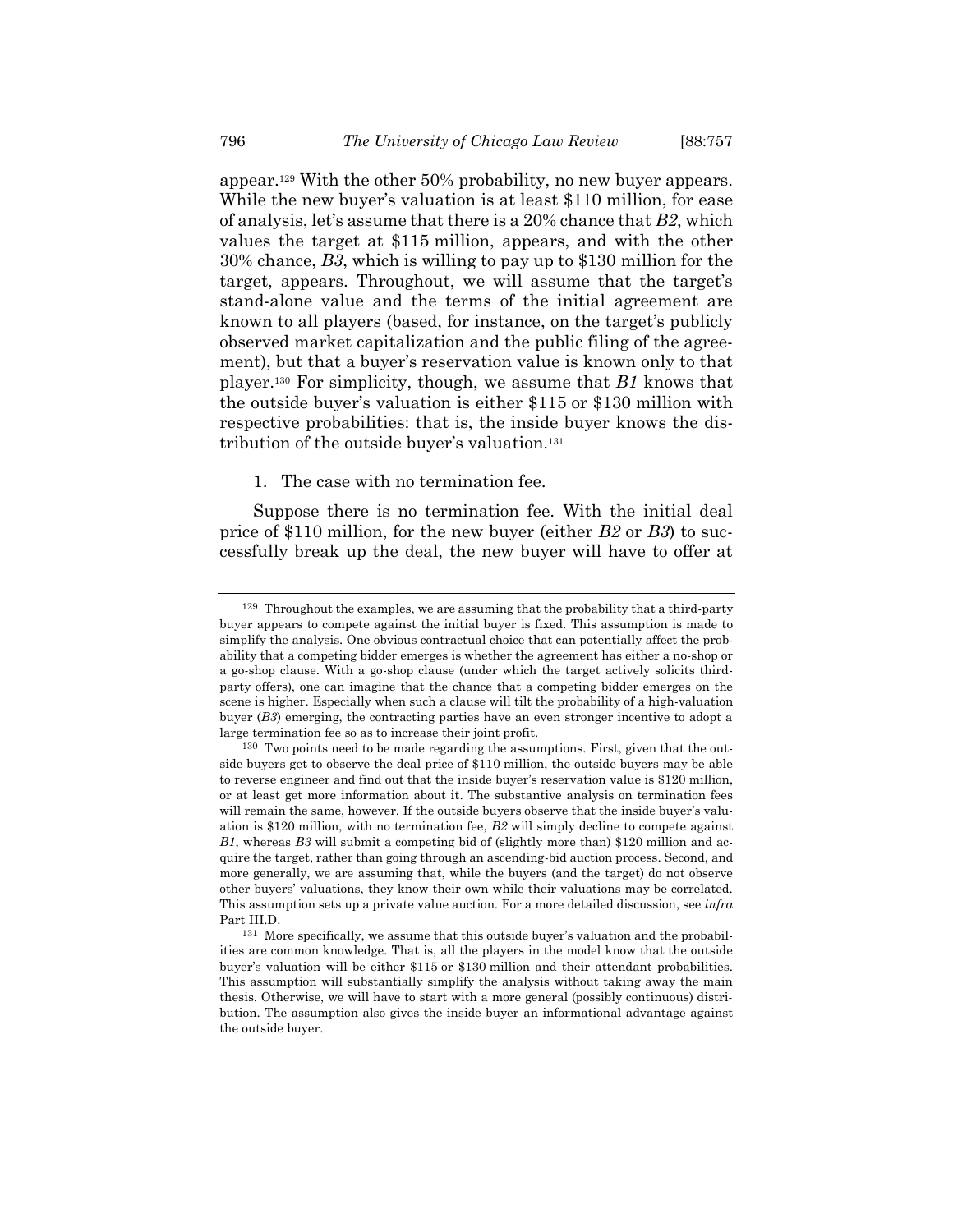appear.<sup>129</sup> With the other 50% probability, no new buyer appears. While the new buyer's valuation is at least \$110 million, for ease of analysis, let's assume that there is a 20% chance that *B2*, which values the target at \$115 million, appears, and with the other 30% chance, *B3*, which is willing to pay up to \$130 million for the target, appears. Throughout, we will assume that the target's stand-alone value and the terms of the initial agreement are known to all players (based, for instance, on the target's publicly observed market capitalization and the public filing of the agreement), but that a buyer's reservation value is known only to that player.<sup>130</sup> For simplicity, though, we assume that *B1* knows that the outside buyer's valuation is either \$115 or \$130 million with respective probabilities: that is, the inside buyer knows the distribution of the outside buyer's valuation.<sup>131</sup>

#### 1. The case with no termination fee.

Suppose there is no termination fee. With the initial deal price of \$110 million, for the new buyer (either *B2* or *B3*) to successfully break up the deal, the new buyer will have to offer at

 $129$  Throughout the examples, we are assuming that the probability that a third-party buyer appears to compete against the initial buyer is fixed. This assumption is made to simplify the analysis. One obvious contractual choice that can potentially affect the probability that a competing bidder emerges is whether the agreement has either a no-shop or a go-shop clause. With a go-shop clause (under which the target actively solicits thirdparty offers), one can imagine that the chance that a competing bidder emerges on the scene is higher. Especially when such a clause will tilt the probability of a high-valuation buyer (*B3*) emerging, the contracting parties have an even stronger incentive to adopt a large termination fee so as to increase their joint profit.

 $130$  Two points need to be made regarding the assumptions. First, given that the outside buyers get to observe the deal price of \$110 million, the outside buyers may be able to reverse engineer and find out that the inside buyer's reservation value is \$120 million, or at least get more information about it. The substantive analysis on termination fees will remain the same, however. If the outside buyers observe that the inside buyer's valuation is \$120 million, with no termination fee, *B2* will simply decline to compete against *B1*, whereas *B3* will submit a competing bid of (slightly more than) \$120 million and acquire the target, rather than going through an ascending-bid auction process. Second, and more generally, we are assuming that, while the buyers (and the target) do not observe other buyers' valuations, they know their own while their valuations may be correlated. This assumption sets up a private value auction. For a more detailed discussion, see *infra* Part III.D.

<sup>131</sup> More specifically, we assume that this outside buyer's valuation and the probabilities are common knowledge. That is, all the players in the model know that the outside buyer's valuation will be either \$115 or \$130 million and their attendant probabilities. This assumption will substantially simplify the analysis without taking away the main thesis. Otherwise, we will have to start with a more general (possibly continuous) distribution. The assumption also gives the inside buyer an informational advantage against the outside buyer.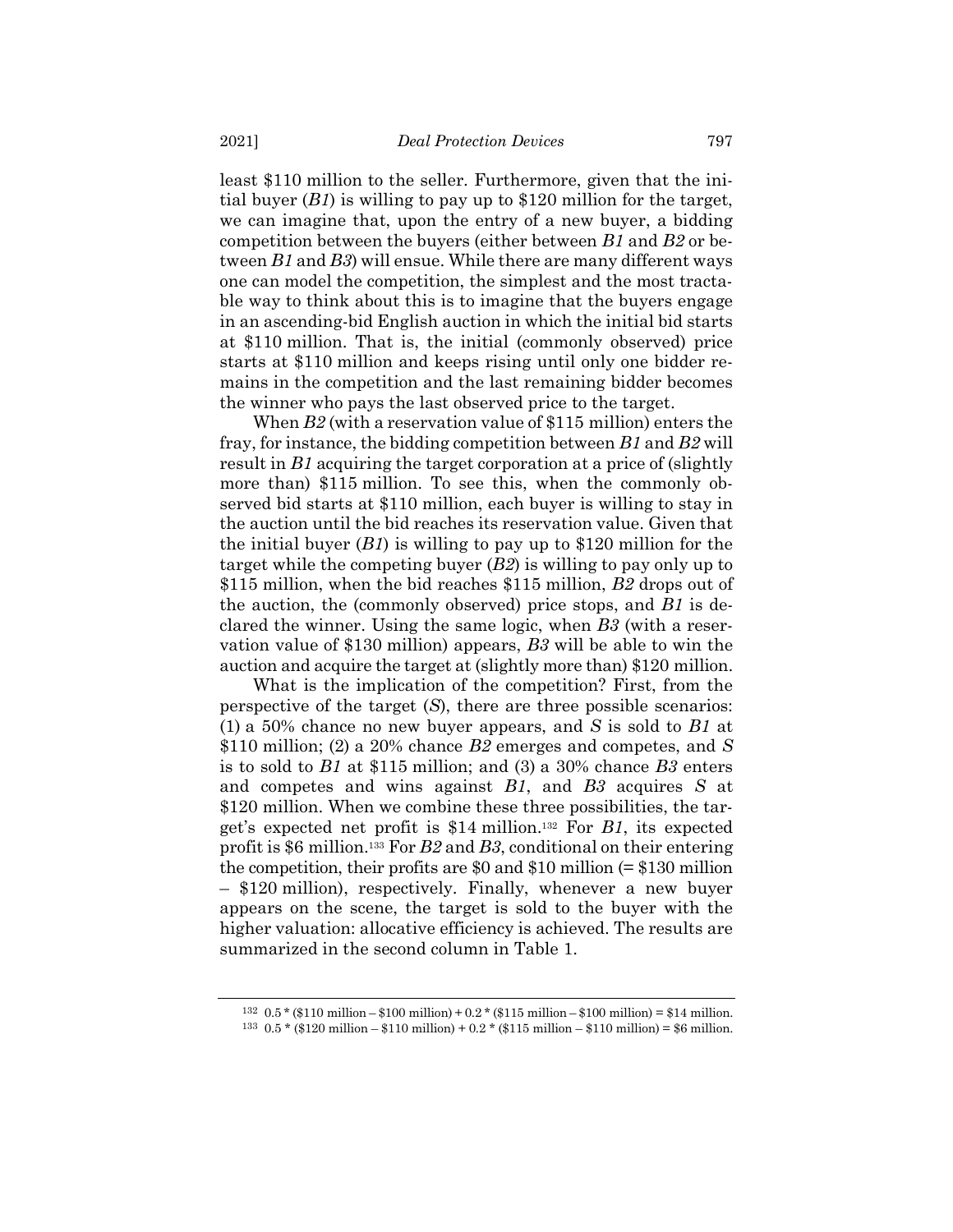least \$110 million to the seller. Furthermore, given that the initial buyer (*B1*) is willing to pay up to \$120 million for the target, we can imagine that, upon the entry of a new buyer, a bidding competition between the buyers (either between *B1* and *B2* or between *B1* and *B3*) will ensue. While there are many different ways one can model the competition, the simplest and the most tractable way to think about this is to imagine that the buyers engage in an ascending-bid English auction in which the initial bid starts at \$110 million. That is, the initial (commonly observed) price starts at \$110 million and keeps rising until only one bidder remains in the competition and the last remaining bidder becomes the winner who pays the last observed price to the target.

When *B2* (with a reservation value of \$115 million) enters the fray, for instance, the bidding competition between *B1* and *B2* will result in *B1* acquiring the target corporation at a price of (slightly more than) \$115 million. To see this, when the commonly observed bid starts at \$110 million, each buyer is willing to stay in the auction until the bid reaches its reservation value. Given that the initial buyer (*B1*) is willing to pay up to \$120 million for the target while the competing buyer (*B2*) is willing to pay only up to \$115 million, when the bid reaches \$115 million, *B2* drops out of the auction, the (commonly observed) price stops, and *B1* is declared the winner. Using the same logic, when *B3* (with a reservation value of \$130 million) appears, *B3* will be able to win the auction and acquire the target at (slightly more than) \$120 million.

What is the implication of the competition? First, from the perspective of the target (*S*), there are three possible scenarios: (1) a 50% chance no new buyer appears, and *S* is sold to *B1* at \$110 million; (2) a 20% chance *B2* emerges and competes, and *S* is to sold to *B1* at \$115 million; and (3) a 30% chance *B3* enters and competes and wins against *B1*, and *B3* acquires *S* at \$120 million. When we combine these three possibilities, the target's expected net profit is \$14 million. <sup>132</sup> For *B1*, its expected profit is \$6 million. <sup>133</sup> For *B2* and *B3*, conditional on their entering the competition, their profits are \$0 and \$10 million  $(= $130$  million – \$120 million), respectively. Finally, whenever a new buyer appears on the scene, the target is sold to the buyer with the higher valuation: allocative efficiency is achieved. The results are summarized in the second column in Table 1.

<sup>132 0.5 \* (\$110</sup> million – \$100 million) + 0.2 \* (\$115 million – \$100 million) = \$14 million. 133 0.5 \* (\$120 million – \$110 million) + 0.2 \* (\$115 million – \$110 million) = \$6 million.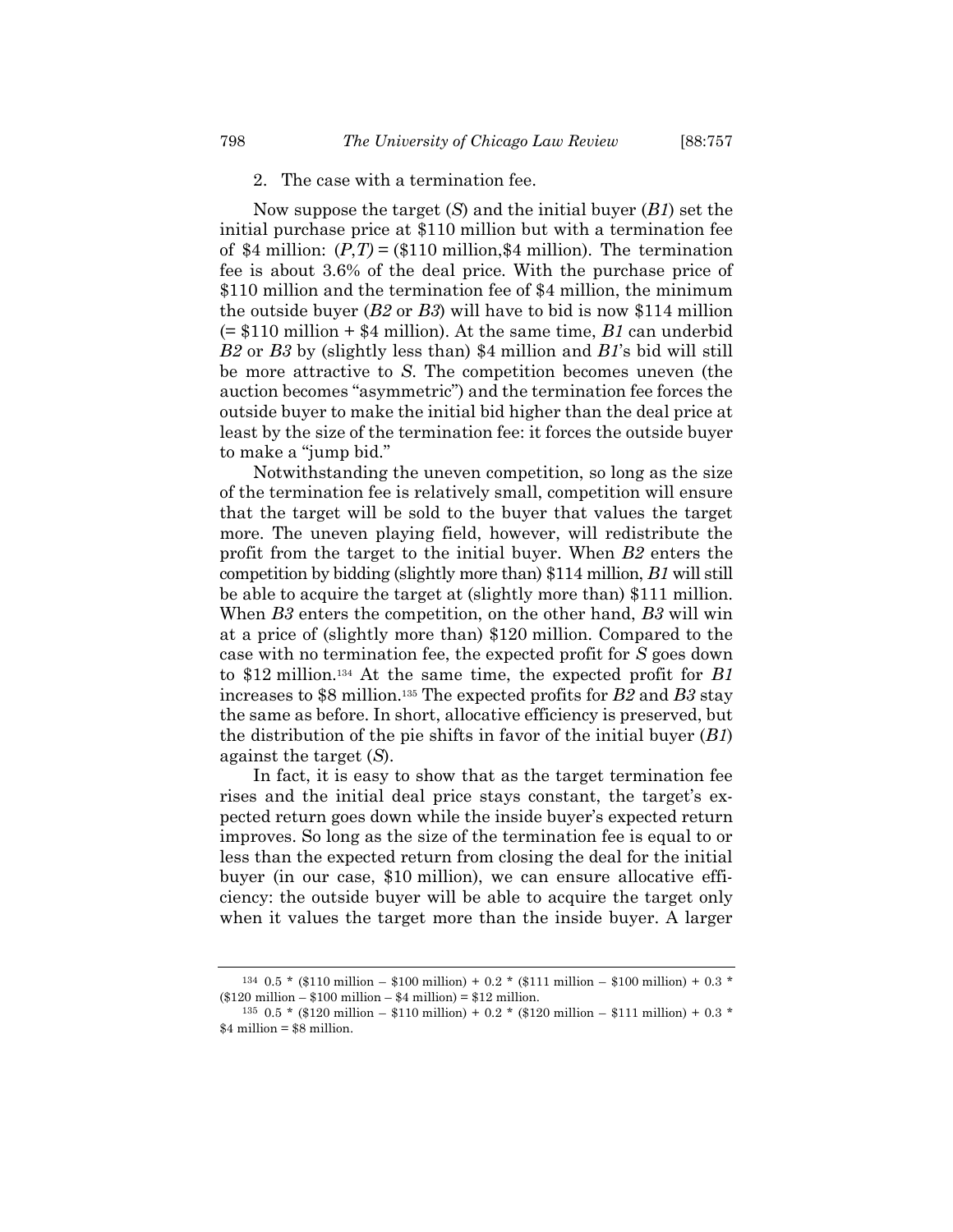#### 2. The case with a termination fee.

Now suppose the target (*S*) and the initial buyer (*B1*) set the initial purchase price at \$110 million but with a termination fee of \$4 million:  $(P, T) =$  (\$110 million, \$4 million). The termination fee is about 3.6% of the deal price. With the purchase price of \$110 million and the termination fee of \$4 million, the minimum the outside buyer (*B2* or *B3*) will have to bid is now \$114 million (= \$110 million + \$4 million). At the same time, *B1* can underbid *B2* or *B3* by (slightly less than) \$4 million and *B1*'s bid will still be more attractive to *S*. The competition becomes uneven (the auction becomes "asymmetric") and the termination fee forces the outside buyer to make the initial bid higher than the deal price at least by the size of the termination fee: it forces the outside buyer to make a "jump bid."

Notwithstanding the uneven competition, so long as the size of the termination fee is relatively small, competition will ensure that the target will be sold to the buyer that values the target more. The uneven playing field, however, will redistribute the profit from the target to the initial buyer. When *B2* enters the competition by bidding (slightly more than) \$114 million, *B1* will still be able to acquire the target at (slightly more than) \$111 million. When *B3* enters the competition, on the other hand, *B3* will win at a price of (slightly more than) \$120 million. Compared to the case with no termination fee, the expected profit for *S* goes down to \$12 million. <sup>134</sup> At the same time, the expected profit for *B1* increases to \$8 million. <sup>135</sup> The expected profits for *B2* and *B3* stay the same as before. In short, allocative efficiency is preserved, but the distribution of the pie shifts in favor of the initial buyer (*B1*) against the target (*S*).

In fact, it is easy to show that as the target termination fee rises and the initial deal price stays constant, the target's expected return goes down while the inside buyer's expected return improves. So long as the size of the termination fee is equal to or less than the expected return from closing the deal for the initial buyer (in our case, \$10 million), we can ensure allocative efficiency: the outside buyer will be able to acquire the target only when it values the target more than the inside buyer. A larger

 $134 \cdot 0.5$  \* (\$110 million – \$100 million) + 0.2 \* (\$111 million – \$100 million) + 0.3 \* (\$120 million – \$100 million – \$4 million) = \$12 million.

 $135 \t0.5 *$  (\$120 million – \$110 million) + 0.2 \* (\$120 million – \$111 million) + 0.3 \*  $$4$  million =  $$8$  million.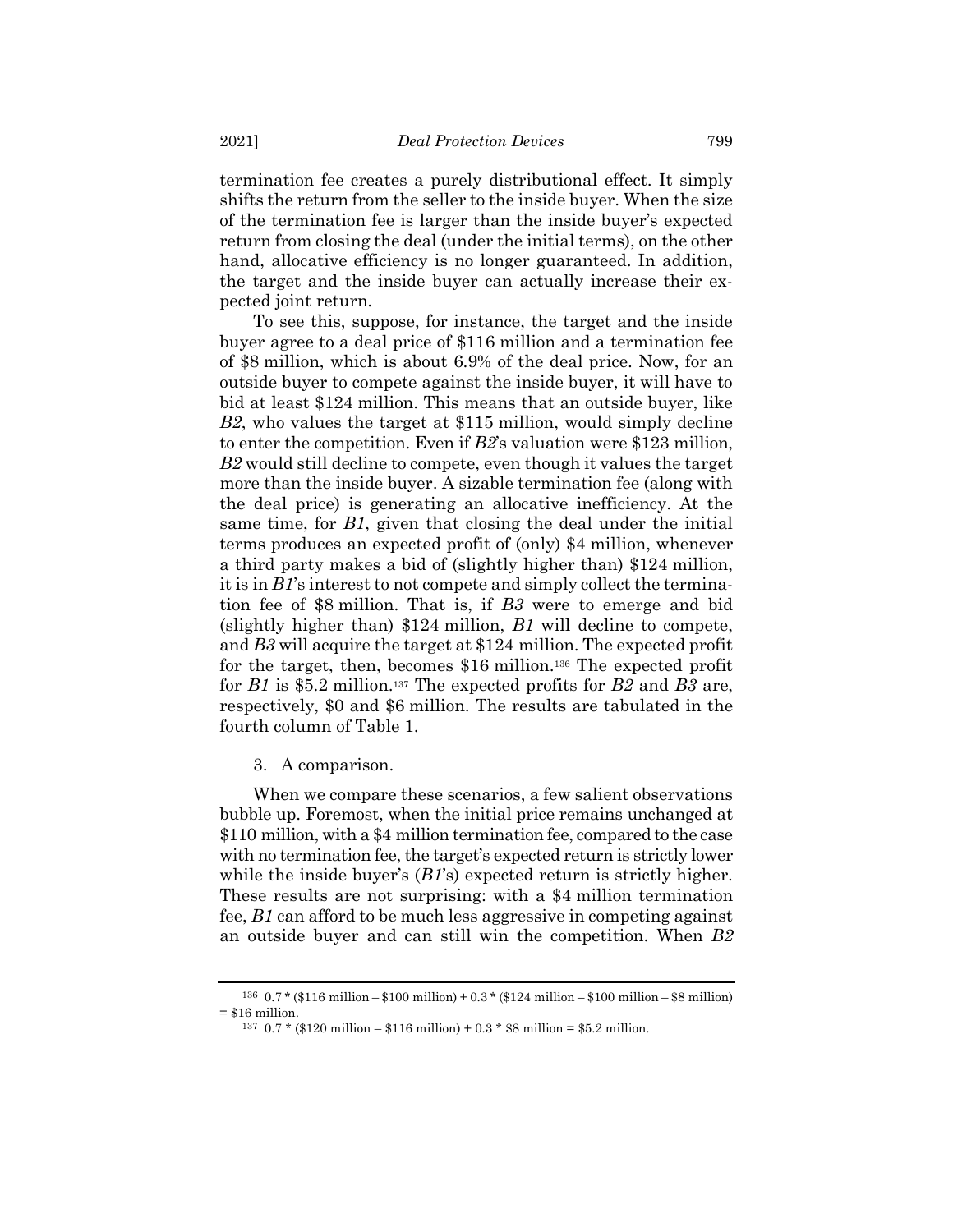termination fee creates a purely distributional effect. It simply shifts the return from the seller to the inside buyer. When the size of the termination fee is larger than the inside buyer's expected return from closing the deal (under the initial terms), on the other hand, allocative efficiency is no longer guaranteed. In addition, the target and the inside buyer can actually increase their expected joint return.

To see this, suppose, for instance, the target and the inside buyer agree to a deal price of \$116 million and a termination fee of \$8 million, which is about 6.9% of the deal price. Now, for an outside buyer to compete against the inside buyer, it will have to bid at least \$124 million. This means that an outside buyer, like *B2*, who values the target at \$115 million, would simply decline to enter the competition. Even if *B2*'s valuation were \$123 million, *B2* would still decline to compete, even though it values the target more than the inside buyer. A sizable termination fee (along with the deal price) is generating an allocative inefficiency. At the same time, for *B1*, given that closing the deal under the initial terms produces an expected profit of (only) \$4 million, whenever a third party makes a bid of (slightly higher than) \$124 million, it is in *B1*'s interest to not compete and simply collect the termination fee of \$8 million. That is, if *B3* were to emerge and bid (slightly higher than) \$124 million, *B1* will decline to compete, and *B3* will acquire the target at \$124 million. The expected profit for the target, then, becomes \$16 million. <sup>136</sup> The expected profit for *B1* is \$5.2 million. <sup>137</sup> The expected profits for *B2* and *B3* are, respectively, \$0 and \$6 million. The results are tabulated in the fourth column of Table 1.

3. A comparison.

When we compare these scenarios, a few salient observations bubble up. Foremost, when the initial price remains unchanged at \$110 million, with a \$4 million termination fee, compared to the case with no termination fee, the target's expected return is strictly lower while the inside buyer's (*B1*'s) expected return is strictly higher. These results are not surprising: with a \$4 million termination fee, *B1* can afford to be much less aggressive in competing against an outside buyer and can still win the competition. When *B2*

<sup>136</sup> 0.7 \* (\$116 million – \$100 million) + 0.3 \* (\$124 million – \$100 million – \$8 million)  $= $16$  million.

 $137 \text{ } 0.7 *$  (\$120 million – \$116 million) + 0.3 \* \$8 million = \$5.2 million.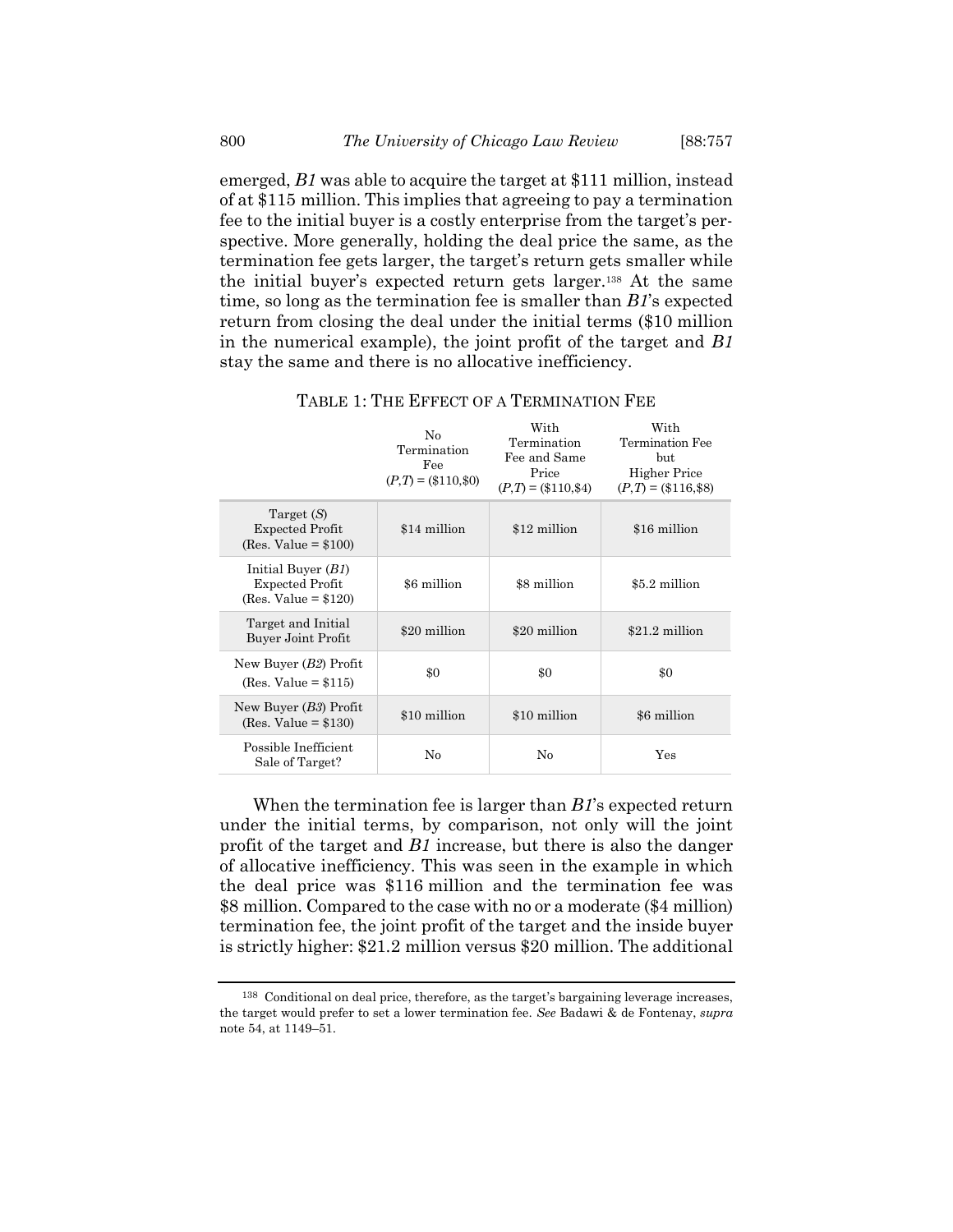emerged, *B1* was able to acquire the target at \$111 million, instead of at \$115 million. This implies that agreeing to pay a termination fee to the initial buyer is a costly enterprise from the target's perspective. More generally, holding the deal price the same, as the termination fee gets larger, the target's return gets smaller while the initial buyer's expected return gets larger.<sup>138</sup> At the same time, so long as the termination fee is smaller than *B1*'s expected return from closing the deal under the initial terms (\$10 million in the numerical example), the joint profit of the target and *B1* stay the same and there is no allocative inefficiency.

|                                                                          | No<br>Termination<br>Fee<br>$(P,T) = (\$110,\$0)$ | With<br>Termination<br>Fee and Same<br>Price<br>$(P,T) = (\$110,\$4)$ | With<br>Termination Fee<br>but<br><b>Higher Price</b><br>$(P,T) = (\$116, \$8)$ |
|--------------------------------------------------------------------------|---------------------------------------------------|-----------------------------------------------------------------------|---------------------------------------------------------------------------------|
| Target $(S)$<br><b>Expected Profit</b><br>$(Res. Value = $100)$          | \$14 million                                      | \$12 million                                                          | \$16 million                                                                    |
| Initial Buyer $(B1)$<br><b>Expected Profit</b><br>(Res. Value = $$120$ ) | \$6 million                                       | \$8 million                                                           | \$5.2 million                                                                   |
| Target and Initial<br>Buyer Joint Profit                                 | \$20 million                                      | \$20 million                                                          | \$21.2 million                                                                  |
| New Buyer $(B2)$ Profit<br>$(Res. Value = $115)$                         | $\$0$                                             | $\$0$                                                                 | \$0                                                                             |
| New Buyer $(B3)$ Profit<br>$(Res. Value = $130)$                         | \$10 million                                      | \$10 million                                                          | \$6 million                                                                     |
| Possible Inefficient<br>Sale of Target?                                  | No                                                | No                                                                    | Yes                                                                             |

TABLE 1: THE EFFECT OF A TERMINATION FEE

When the termination fee is larger than *B1*'s expected return under the initial terms, by comparison, not only will the joint profit of the target and *B1* increase, but there is also the danger of allocative inefficiency. This was seen in the example in which the deal price was \$116 million and the termination fee was \$8 million. Compared to the case with no or a moderate (\$4 million) termination fee, the joint profit of the target and the inside buyer is strictly higher: \$21.2 million versus \$20 million. The additional

<sup>138</sup> Conditional on deal price, therefore, as the target's bargaining leverage increases, the target would prefer to set a lower termination fee. *See* Badawi & de Fontenay, *supra* note [54,](#page-14-0) at 1149–51.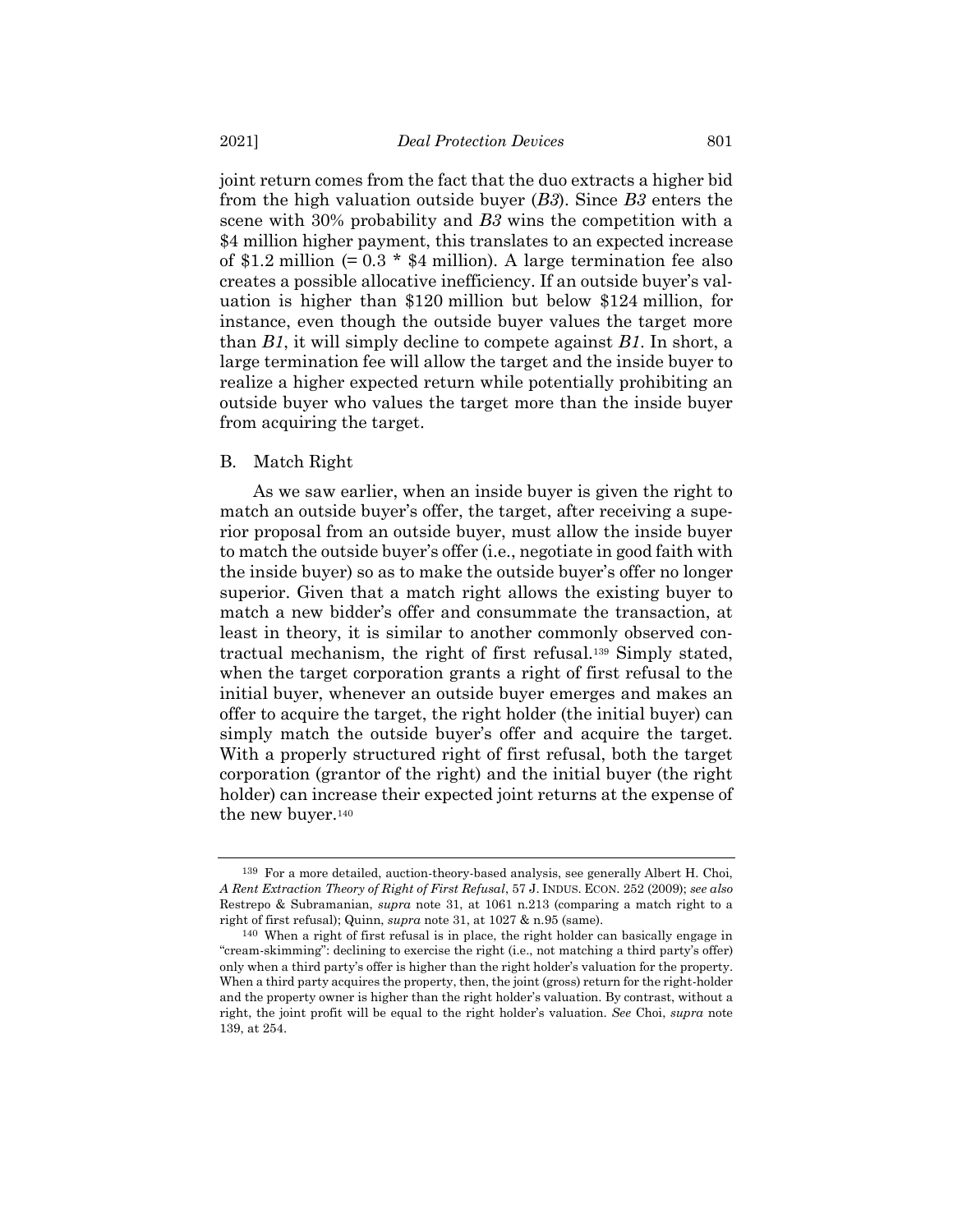joint return comes from the fact that the duo extracts a higher bid from the high valuation outside buyer (*B3*). Since *B3* enters the scene with 30% probability and *B3* wins the competition with a \$4 million higher payment, this translates to an expected increase of \$1.2 million  $(= 0.3 * $4$  million). A large termination fee also creates a possible allocative inefficiency. If an outside buyer's valuation is higher than \$120 million but below \$124 million, for instance, even though the outside buyer values the target more than *B1*, it will simply decline to compete against *B1*. In short, a large termination fee will allow the target and the inside buyer to realize a higher expected return while potentially prohibiting an outside buyer who values the target more than the inside buyer from acquiring the target.

#### B. Match Right

<span id="page-44-0"></span>As we saw earlier, when an inside buyer is given the right to match an outside buyer's offer, the target, after receiving a superior proposal from an outside buyer, must allow the inside buyer to match the outside buyer's offer (i.e., negotiate in good faith with the inside buyer) so as to make the outside buyer's offer no longer superior. Given that a match right allows the existing buyer to match a new bidder's offer and consummate the transaction, at least in theory, it is similar to another commonly observed contractual mechanism, the right of first refusal.<sup>139</sup> Simply stated, when the target corporation grants a right of first refusal to the initial buyer, whenever an outside buyer emerges and makes an offer to acquire the target, the right holder (the initial buyer) can simply match the outside buyer's offer and acquire the target. With a properly structured right of first refusal, both the target corporation (grantor of the right) and the initial buyer (the right holder) can increase their expected joint returns at the expense of the new buyer.<sup>140</sup>

<sup>139</sup> For a more detailed, auction-theory-based analysis, see generally Albert H. Choi, *A Rent Extraction Theory of Right of First Refusal*, 57 J. INDUS. ECON. 252 (2009); *see also* Restrepo & Subramanian, *supra* note [31,](#page-6-0) at 1061 n.213 (comparing a match right to a right of first refusal); Quinn, *supra* not[e 31,](#page-6-0) at 1027 & n.95 (same).

<sup>140</sup> When a right of first refusal is in place, the right holder can basically engage in "cream-skimming": declining to exercise the right (i.e., not matching a third party's offer) only when a third party's offer is higher than the right holder's valuation for the property. When a third party acquires the property, then, the joint (gross) return for the right-holder and the property owner is higher than the right holder's valuation. By contrast, without a right, the joint profit will be equal to the right holder's valuation. *See* Choi, *supra* note [139,](#page-44-0) at 254.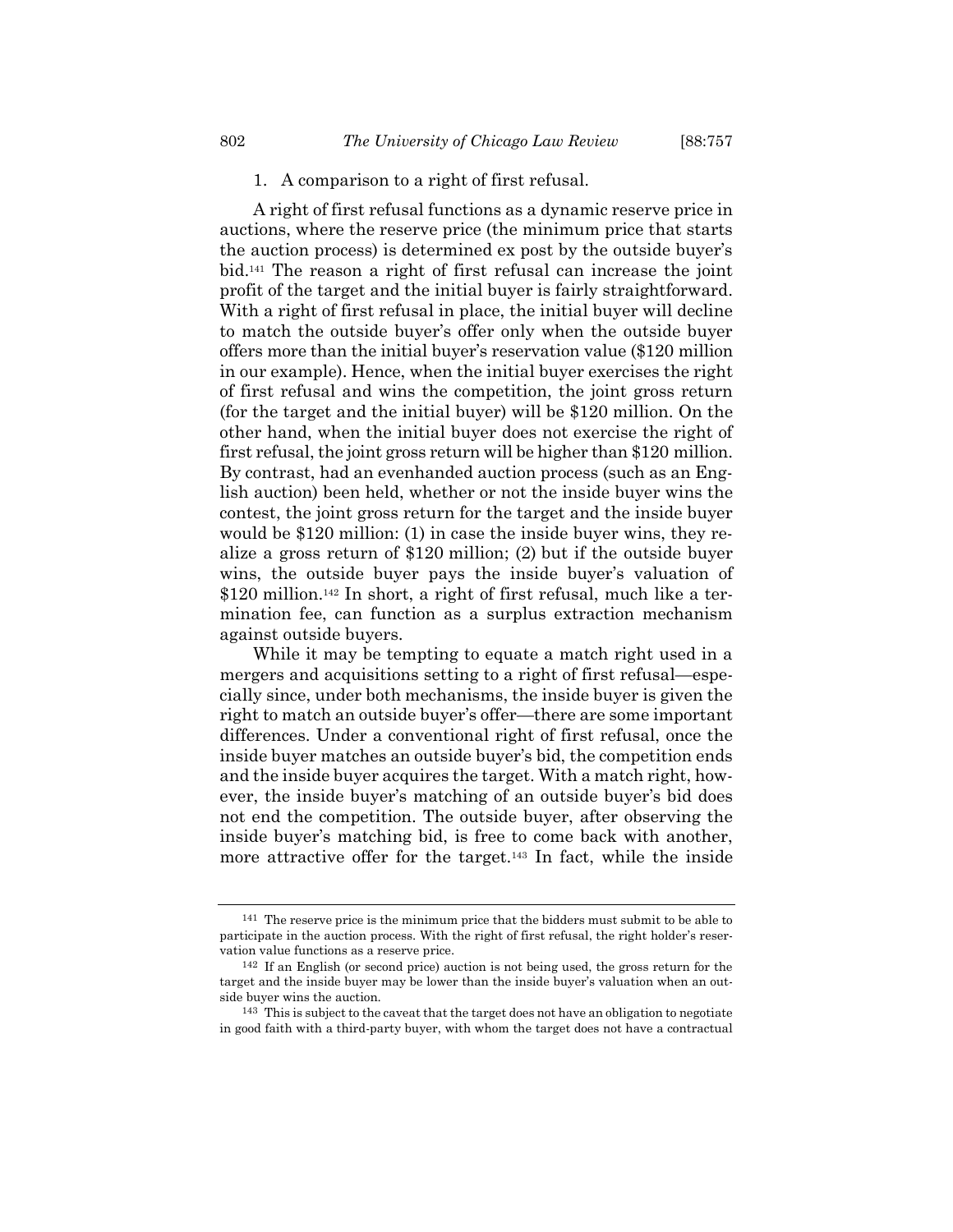#### 1. A comparison to a right of first refusal.

A right of first refusal functions as a dynamic reserve price in auctions, where the reserve price (the minimum price that starts the auction process) is determined ex post by the outside buyer's bid.<sup>141</sup> The reason a right of first refusal can increase the joint profit of the target and the initial buyer is fairly straightforward. With a right of first refusal in place, the initial buyer will decline to match the outside buyer's offer only when the outside buyer offers more than the initial buyer's reservation value (\$120 million in our example). Hence, when the initial buyer exercises the right of first refusal and wins the competition, the joint gross return (for the target and the initial buyer) will be \$120 million. On the other hand, when the initial buyer does not exercise the right of first refusal, the joint gross return will be higher than \$120 million. By contrast, had an evenhanded auction process (such as an English auction) been held, whether or not the inside buyer wins the contest, the joint gross return for the target and the inside buyer would be \$120 million: (1) in case the inside buyer wins, they realize a gross return of \$120 million; (2) but if the outside buyer wins, the outside buyer pays the inside buyer's valuation of \$120 million.<sup>142</sup> In short, a right of first refusal, much like a termination fee, can function as a surplus extraction mechanism against outside buyers.

While it may be tempting to equate a match right used in a mergers and acquisitions setting to a right of first refusal—especially since, under both mechanisms, the inside buyer is given the right to match an outside buyer's offer—there are some important differences. Under a conventional right of first refusal, once the inside buyer matches an outside buyer's bid, the competition ends and the inside buyer acquires the target. With a match right, however, the inside buyer's matching of an outside buyer's bid does not end the competition. The outside buyer, after observing the inside buyer's matching bid, is free to come back with another, more attractive offer for the target.<sup>143</sup> In fact, while the inside

<sup>141</sup> The reserve price is the minimum price that the bidders must submit to be able to participate in the auction process. With the right of first refusal, the right holder's reservation value functions as a reserve price.

<sup>142</sup> If an English (or second price) auction is not being used, the gross return for the target and the inside buyer may be lower than the inside buyer's valuation when an outside buyer wins the auction.

<sup>143</sup> This is subject to the caveat that the target does not have an obligation to negotiate in good faith with a third-party buyer, with whom the target does not have a contractual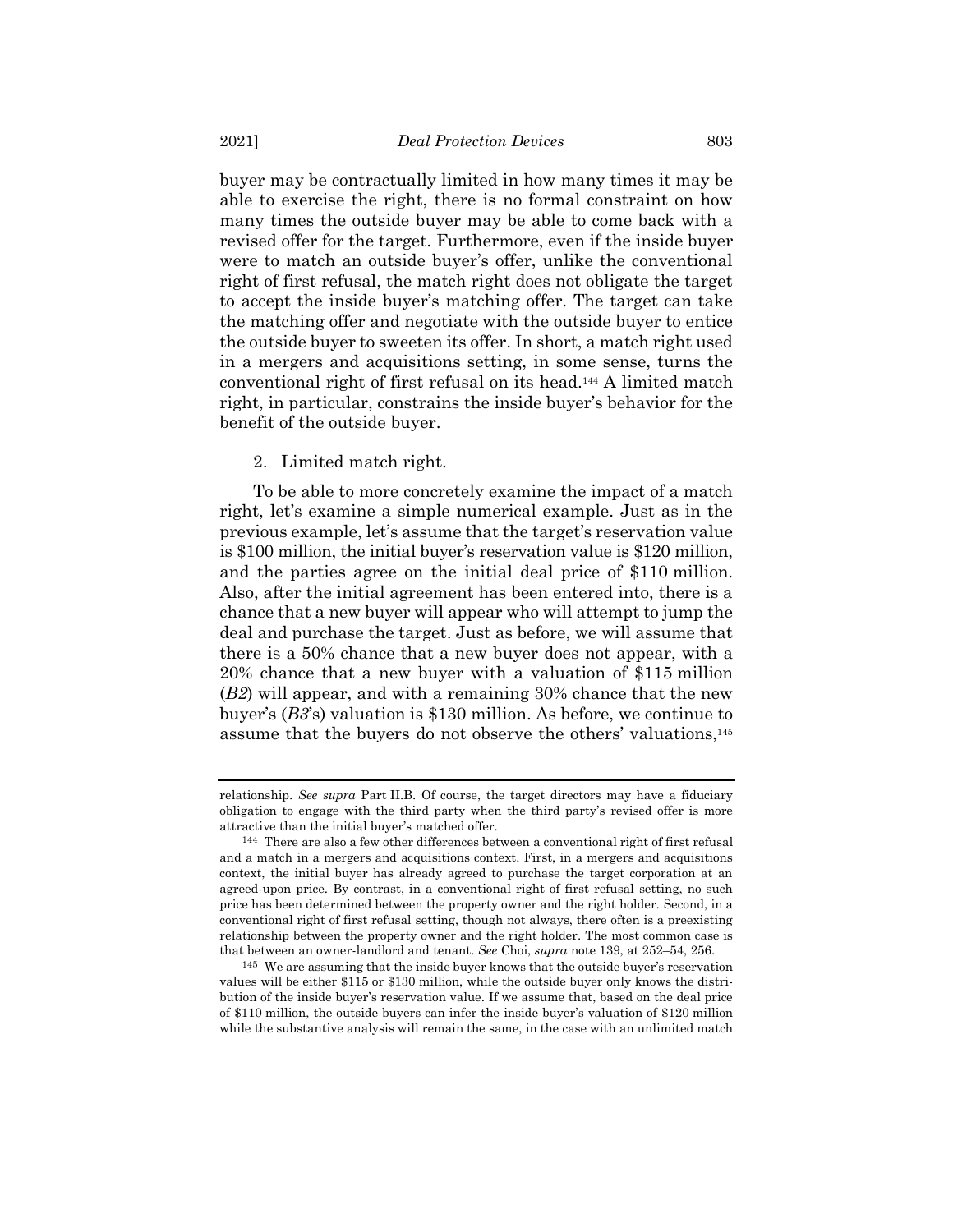buyer may be contractually limited in how many times it may be able to exercise the right, there is no formal constraint on how many times the outside buyer may be able to come back with a revised offer for the target. Furthermore, even if the inside buyer were to match an outside buyer's offer, unlike the conventional right of first refusal, the match right does not obligate the target to accept the inside buyer's matching offer. The target can take the matching offer and negotiate with the outside buyer to entice the outside buyer to sweeten its offer. In short, a match right used in a mergers and acquisitions setting, in some sense, turns the conventional right of first refusal on its head.<sup>144</sup> A limited match right, in particular, constrains the inside buyer's behavior for the benefit of the outside buyer.

# 2. Limited match right.

To be able to more concretely examine the impact of a match right, let's examine a simple numerical example. Just as in the previous example, let's assume that the target's reservation value is \$100 million, the initial buyer's reservation value is \$120 million, and the parties agree on the initial deal price of \$110 million. Also, after the initial agreement has been entered into, there is a chance that a new buyer will appear who will attempt to jump the deal and purchase the target. Just as before, we will assume that there is a 50% chance that a new buyer does not appear, with a 20% chance that a new buyer with a valuation of \$115 million (*B2*) will appear, and with a remaining 30% chance that the new buyer's (*B3*'s) valuation is \$130 million. As before, we continue to assume that the buyers do not observe the others' valuations,<sup>145</sup>

relationship. *See supra* Part II.B. Of course, the target directors may have a fiduciary obligation to engage with the third party when the third party's revised offer is more attractive than the initial buyer's matched offer.

<sup>144</sup> There are also a few other differences between a conventional right of first refusal and a match in a mergers and acquisitions context. First, in a mergers and acquisitions context, the initial buyer has already agreed to purchase the target corporation at an agreed-upon price. By contrast, in a conventional right of first refusal setting, no such price has been determined between the property owner and the right holder. Second, in a conventional right of first refusal setting, though not always, there often is a preexisting relationship between the property owner and the right holder. The most common case is that between an owner-landlord and tenant. *See* Choi, *supra* note [139,](#page-44-0) at 252–54, 256.

<sup>145</sup> We are assuming that the inside buyer knows that the outside buyer's reservation values will be either \$115 or \$130 million, while the outside buyer only knows the distribution of the inside buyer's reservation value. If we assume that, based on the deal price of \$110 million, the outside buyers can infer the inside buyer's valuation of \$120 million while the substantive analysis will remain the same, in the case with an unlimited match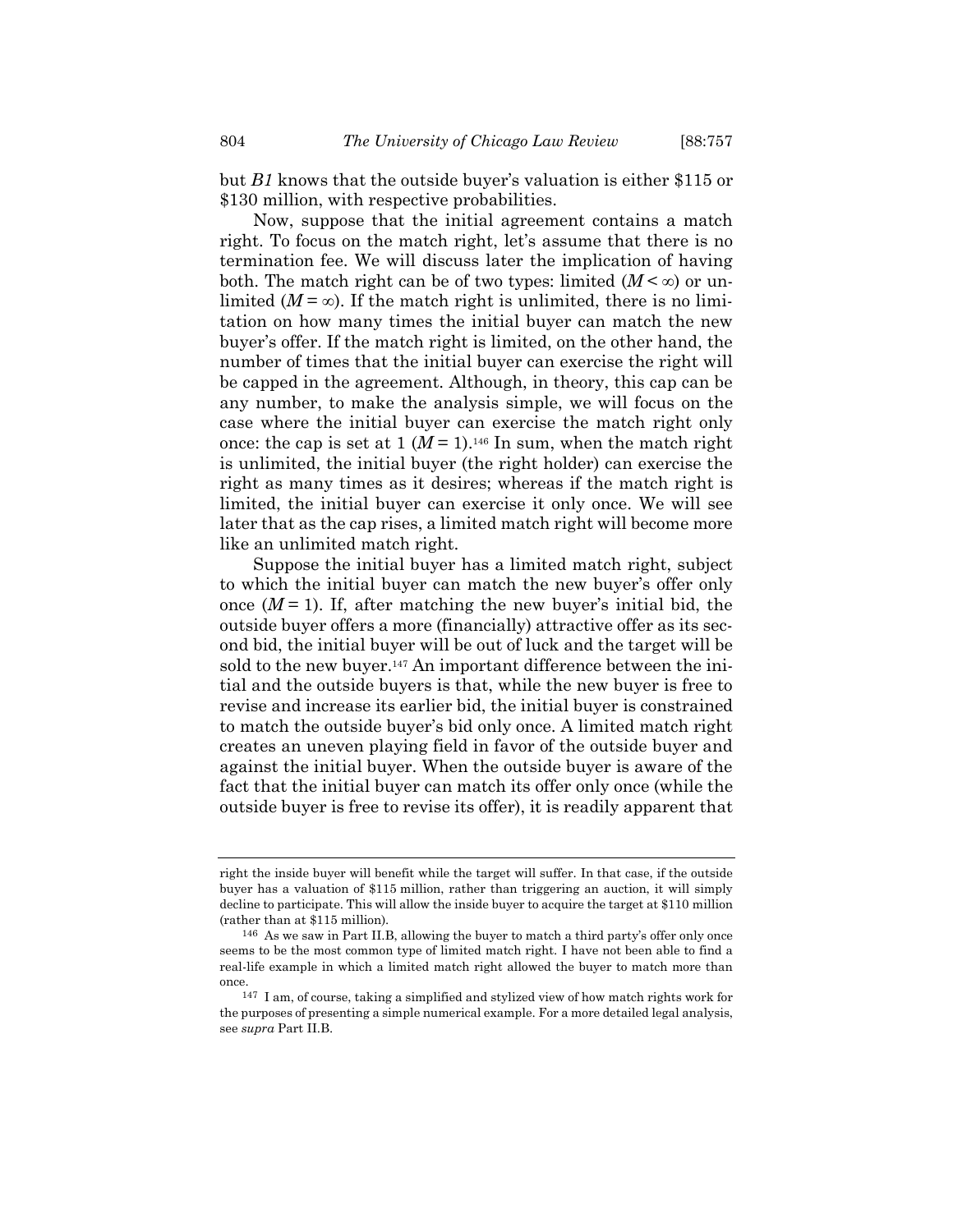but *B1* knows that the outside buyer's valuation is either \$115 or \$130 million, with respective probabilities.

Now, suppose that the initial agreement contains a match right. To focus on the match right, let's assume that there is no termination fee. We will discuss later the implication of having both. The match right can be of two types: limited  $(M < \infty)$  or unlimited ( $M = \infty$ ). If the match right is unlimited, there is no limitation on how many times the initial buyer can match the new buyer's offer. If the match right is limited, on the other hand, the number of times that the initial buyer can exercise the right will be capped in the agreement. Although, in theory, this cap can be any number, to make the analysis simple, we will focus on the case where the initial buyer can exercise the match right only once: the cap is set at  $1 (M = 1)$ .<sup>146</sup> In sum, when the match right is unlimited, the initial buyer (the right holder) can exercise the right as many times as it desires; whereas if the match right is limited, the initial buyer can exercise it only once. We will see later that as the cap rises, a limited match right will become more like an unlimited match right.

Suppose the initial buyer has a limited match right, subject to which the initial buyer can match the new buyer's offer only once  $(M=1)$ . If, after matching the new buyer's initial bid, the outside buyer offers a more (financially) attractive offer as its second bid, the initial buyer will be out of luck and the target will be sold to the new buyer.<sup>147</sup> An important difference between the initial and the outside buyers is that, while the new buyer is free to revise and increase its earlier bid, the initial buyer is constrained to match the outside buyer's bid only once. A limited match right creates an uneven playing field in favor of the outside buyer and against the initial buyer. When the outside buyer is aware of the fact that the initial buyer can match its offer only once (while the outside buyer is free to revise its offer), it is readily apparent that

right the inside buyer will benefit while the target will suffer. In that case, if the outside buyer has a valuation of \$115 million, rather than triggering an auction, it will simply decline to participate. This will allow the inside buyer to acquire the target at \$110 million (rather than at \$115 million).

<sup>146</sup> As we saw in Part II.B, allowing the buyer to match a third party's offer only once seems to be the most common type of limited match right. I have not been able to find a real-life example in which a limited match right allowed the buyer to match more than once.

<sup>147</sup> I am, of course, taking a simplified and stylized view of how match rights work for the purposes of presenting a simple numerical example. For a more detailed legal analysis, see *supra* Part II.B.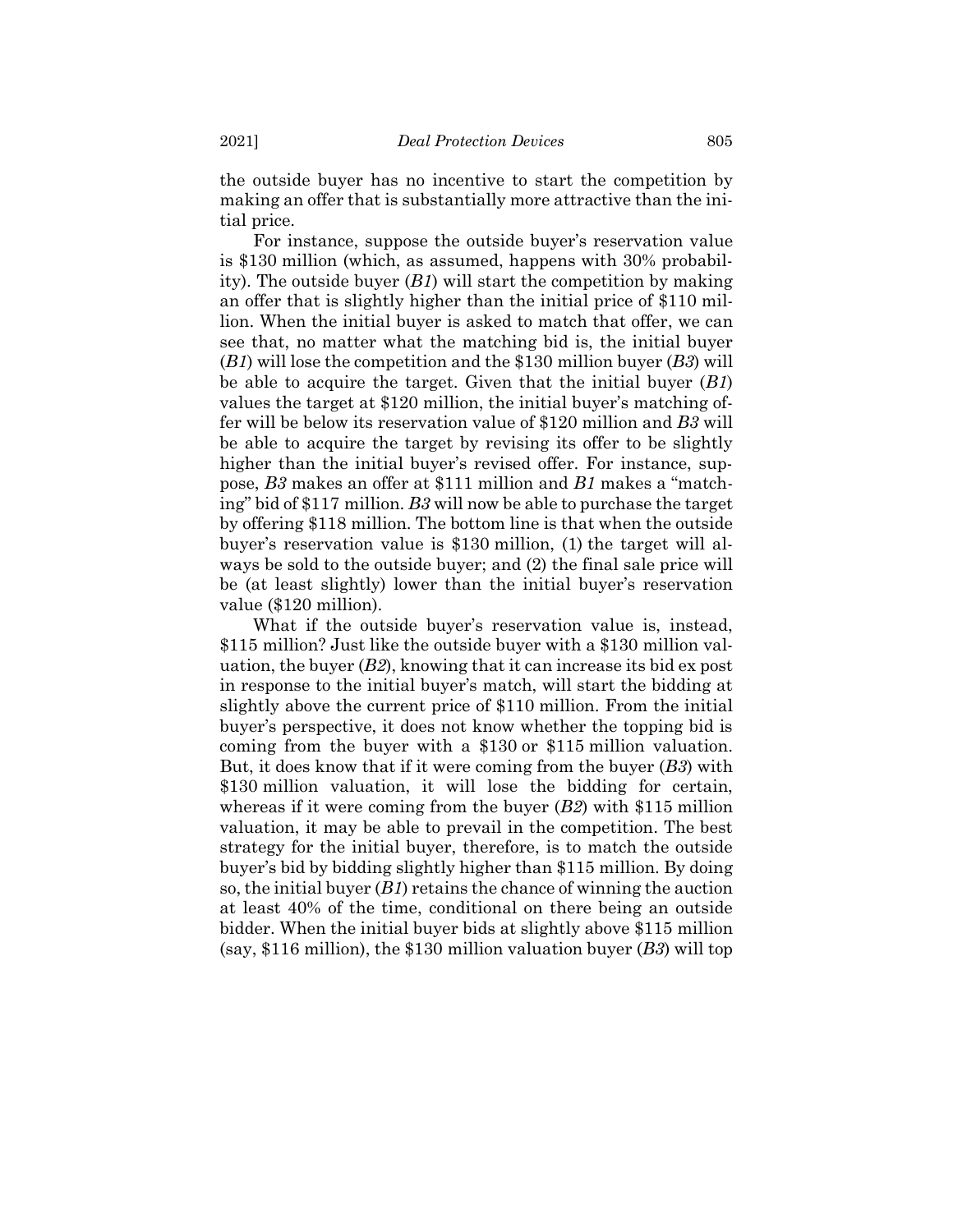the outside buyer has no incentive to start the competition by making an offer that is substantially more attractive than the initial price.

For instance, suppose the outside buyer's reservation value is \$130 million (which, as assumed, happens with 30% probability). The outside buyer (*B1*) will start the competition by making an offer that is slightly higher than the initial price of \$110 million. When the initial buyer is asked to match that offer, we can see that, no matter what the matching bid is, the initial buyer (*B1*) will lose the competition and the \$130 million buyer (*B3*) will be able to acquire the target. Given that the initial buyer (*B1*) values the target at \$120 million, the initial buyer's matching offer will be below its reservation value of \$120 million and *B3* will be able to acquire the target by revising its offer to be slightly higher than the initial buyer's revised offer. For instance, suppose, *B3* makes an offer at \$111 million and *B1* makes a "matching" bid of \$117 million. *B3* will now be able to purchase the target by offering \$118 million. The bottom line is that when the outside buyer's reservation value is \$130 million, (1) the target will always be sold to the outside buyer; and (2) the final sale price will be (at least slightly) lower than the initial buyer's reservation value (\$120 million).

What if the outside buyer's reservation value is, instead, \$115 million? Just like the outside buyer with a \$130 million valuation, the buyer  $(B2)$ , knowing that it can increase its bid ex post in response to the initial buyer's match, will start the bidding at slightly above the current price of \$110 million. From the initial buyer's perspective, it does not know whether the topping bid is coming from the buyer with a \$130 or \$115 million valuation. But, it does know that if it were coming from the buyer (*B3*) with \$130 million valuation, it will lose the bidding for certain, whereas if it were coming from the buyer (*B2*) with \$115 million valuation, it may be able to prevail in the competition. The best strategy for the initial buyer, therefore, is to match the outside buyer's bid by bidding slightly higher than \$115 million. By doing so, the initial buyer (*B1*) retains the chance of winning the auction at least 40% of the time, conditional on there being an outside bidder. When the initial buyer bids at slightly above \$115 million (say, \$116 million), the \$130 million valuation buyer (*B3*) will top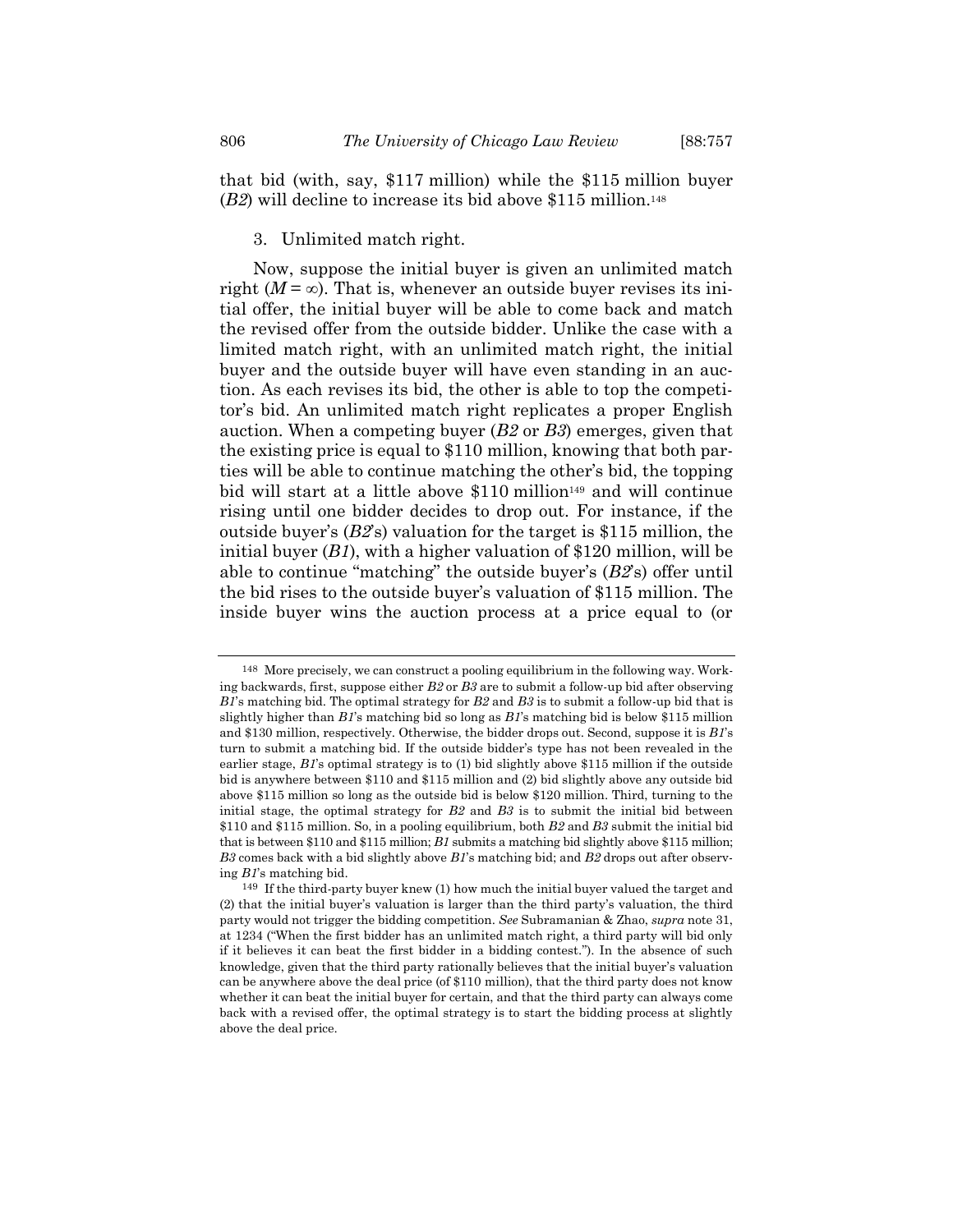that bid (with, say, \$117 million) while the \$115 million buyer (*B2*) will decline to increase its bid above \$115 million. 148

3. Unlimited match right.

Now, suppose the initial buyer is given an unlimited match right  $(M = \infty)$ . That is, whenever an outside buyer revises its initial offer, the initial buyer will be able to come back and match the revised offer from the outside bidder. Unlike the case with a limited match right, with an unlimited match right, the initial buyer and the outside buyer will have even standing in an auction. As each revises its bid, the other is able to top the competitor's bid. An unlimited match right replicates a proper English auction. When a competing buyer (*B2* or *B3*) emerges, given that the existing price is equal to \$110 million, knowing that both parties will be able to continue matching the other's bid, the topping bid will start at a little above  $$110$  million<sup>149</sup> and will continue rising until one bidder decides to drop out. For instance, if the outside buyer's (*B2*'s) valuation for the target is \$115 million, the initial buyer (*B1*), with a higher valuation of \$120 million, will be able to continue "matching" the outside buyer's (*B2*'s) offer until the bid rises to the outside buyer's valuation of \$115 million. The inside buyer wins the auction process at a price equal to (or

<sup>148</sup> More precisely, we can construct a pooling equilibrium in the following way. Working backwards, first, suppose either *B2* or *B3* are to submit a follow-up bid after observing *B1*'s matching bid. The optimal strategy for *B2* and *B3* is to submit a follow-up bid that is slightly higher than *B1*'s matching bid so long as *B1*'s matching bid is below \$115 million and \$130 million, respectively. Otherwise, the bidder drops out. Second, suppose it is *B1*'s turn to submit a matching bid. If the outside bidder's type has not been revealed in the earlier stage, *B1*'s optimal strategy is to (1) bid slightly above \$115 million if the outside bid is anywhere between \$110 and \$115 million and (2) bid slightly above any outside bid above \$115 million so long as the outside bid is below \$120 million. Third, turning to the initial stage, the optimal strategy for *B2* and *B3* is to submit the initial bid between \$110 and \$115 million. So, in a pooling equilibrium, both *B2* and *B3* submit the initial bid that is between \$110 and \$115 million; *B1* submits a matching bid slightly above \$115 million; *B3* comes back with a bid slightly above *B1*'s matching bid; and *B2* drops out after observing *B1*'s matching bid.

<sup>149</sup> If the third-party buyer knew (1) how much the initial buyer valued the target and (2) that the initial buyer's valuation is larger than the third party's valuation, the third party would not trigger the bidding competition. *See* Subramanian & Zhao, *supra* note [31,](#page-6-0)  at 1234 ("When the first bidder has an unlimited match right, a third party will bid only if it believes it can beat the first bidder in a bidding contest."). In the absence of such knowledge, given that the third party rationally believes that the initial buyer's valuation can be anywhere above the deal price (of \$110 million), that the third party does not know whether it can beat the initial buyer for certain, and that the third party can always come back with a revised offer, the optimal strategy is to start the bidding process at slightly above the deal price.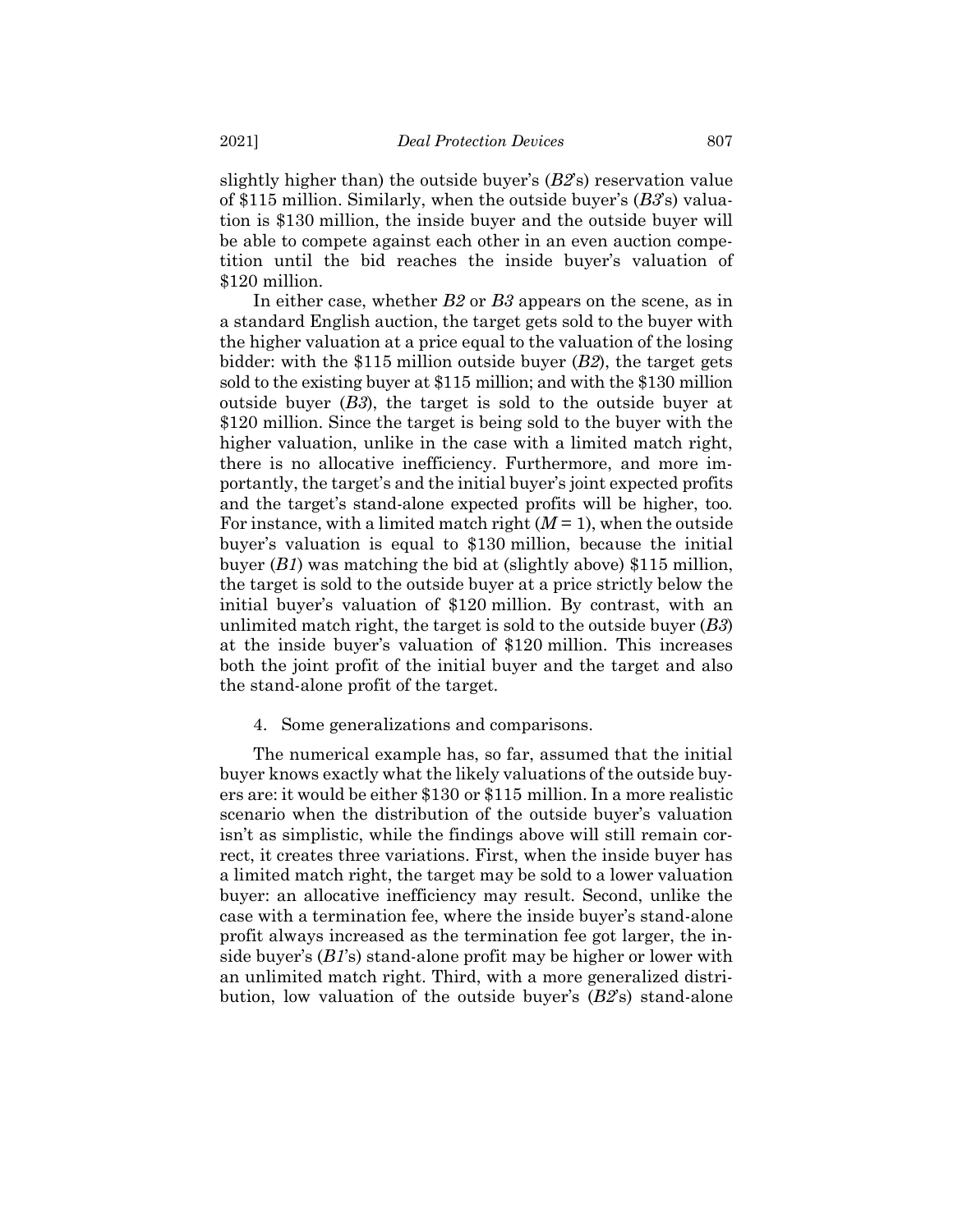slightly higher than) the outside buyer's (*B2*'s) reservation value of \$115 million. Similarly, when the outside buyer's (*B3*'s) valuation is \$130 million, the inside buyer and the outside buyer will be able to compete against each other in an even auction competition until the bid reaches the inside buyer's valuation of \$120 million.

In either case, whether *B2* or *B3* appears on the scene, as in a standard English auction, the target gets sold to the buyer with the higher valuation at a price equal to the valuation of the losing bidder: with the \$115 million outside buyer (*B2*), the target gets sold to the existing buyer at \$115 million; and with the \$130 million outside buyer (*B3*), the target is sold to the outside buyer at \$120 million. Since the target is being sold to the buyer with the higher valuation, unlike in the case with a limited match right, there is no allocative inefficiency. Furthermore, and more importantly, the target's and the initial buyer's joint expected profits and the target's stand-alone expected profits will be higher, too. For instance, with a limited match right  $(M = 1)$ , when the outside buyer's valuation is equal to \$130 million, because the initial buyer (*B1*) was matching the bid at (slightly above) \$115 million, the target is sold to the outside buyer at a price strictly below the initial buyer's valuation of \$120 million. By contrast, with an unlimited match right, the target is sold to the outside buyer (*B3*) at the inside buyer's valuation of \$120 million. This increases both the joint profit of the initial buyer and the target and also the stand-alone profit of the target.

# 4. Some generalizations and comparisons.

The numerical example has, so far, assumed that the initial buyer knows exactly what the likely valuations of the outside buyers are: it would be either \$130 or \$115 million. In a more realistic scenario when the distribution of the outside buyer's valuation isn't as simplistic, while the findings above will still remain correct, it creates three variations. First, when the inside buyer has a limited match right, the target may be sold to a lower valuation buyer: an allocative inefficiency may result. Second, unlike the case with a termination fee, where the inside buyer's stand-alone profit always increased as the termination fee got larger, the inside buyer's (*B1*'s) stand-alone profit may be higher or lower with an unlimited match right. Third, with a more generalized distribution, low valuation of the outside buyer's (*B2*'s) stand-alone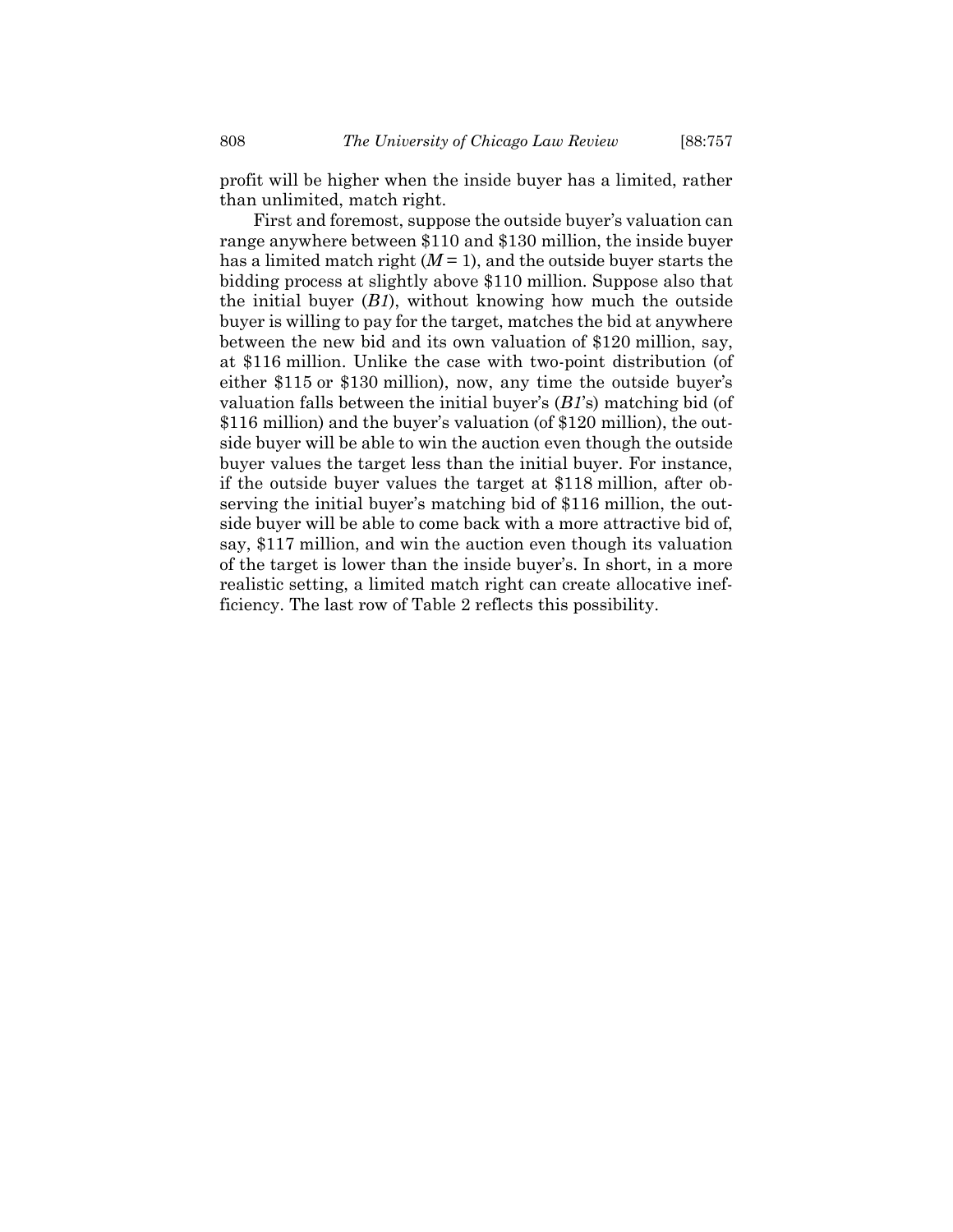profit will be higher when the inside buyer has a limited, rather than unlimited, match right.

First and foremost, suppose the outside buyer's valuation can range anywhere between \$110 and \$130 million, the inside buyer has a limited match right  $(M=1)$ , and the outside buyer starts the bidding process at slightly above \$110 million. Suppose also that the initial buyer (*B1*), without knowing how much the outside buyer is willing to pay for the target, matches the bid at anywhere between the new bid and its own valuation of \$120 million, say, at \$116 million. Unlike the case with two-point distribution (of either \$115 or \$130 million), now, any time the outside buyer's valuation falls between the initial buyer's (*B1*'s) matching bid (of \$116 million) and the buyer's valuation (of \$120 million), the outside buyer will be able to win the auction even though the outside buyer values the target less than the initial buyer. For instance, if the outside buyer values the target at \$118 million, after observing the initial buyer's matching bid of \$116 million, the outside buyer will be able to come back with a more attractive bid of, say, \$117 million, and win the auction even though its valuation of the target is lower than the inside buyer's. In short, in a more realistic setting, a limited match right can create allocative inefficiency. The last row of Table 2 reflects this possibility.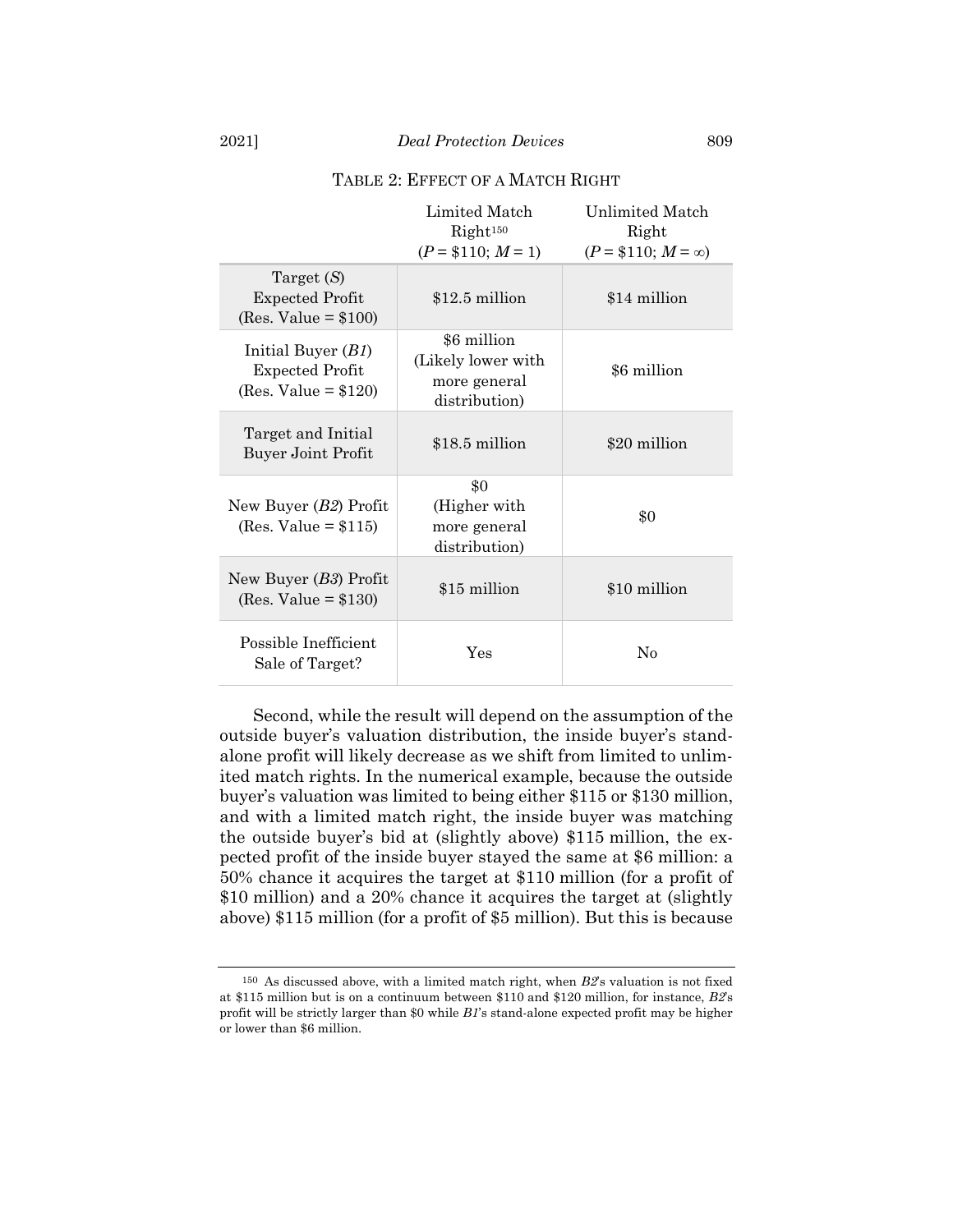|                                                                          | Limited Match<br>Right <sup>150</sup><br>$(P = $110; M = 1)$       | <b>Unlimited Match</b><br>Right<br>$(P = $110; M = \infty)$ |
|--------------------------------------------------------------------------|--------------------------------------------------------------------|-------------------------------------------------------------|
| Target $(S)$<br><b>Expected Profit</b><br>(Res. Value = $$100$ )         | $$12.5$ million                                                    | \$14 million                                                |
| Initial Buyer $(B1)$<br><b>Expected Profit</b><br>(Res. Value = $$120$ ) | \$6 million<br>(Likely lower with<br>more general<br>distribution) | \$6 million                                                 |
| Target and Initial<br><b>Buyer Joint Profit</b>                          | \$18.5 million                                                     | \$20 million                                                |
| New Buyer $(B2)$ Profit<br>$(Res. Value = $115)$                         | \$0<br>(Higher with)<br>more general<br>distribution)              | \$0                                                         |
| New Buyer $(B3)$ Profit<br>$(Res. Value = $130)$                         | \$15 million                                                       | \$10 million                                                |
| Possible Inefficient<br>Sale of Target?                                  | $\operatorname{Yes}$                                               | $\rm No$                                                    |

### TABLE 2: EFFECT OF A MATCH RIGHT

Second, while the result will depend on the assumption of the outside buyer's valuation distribution, the inside buyer's standalone profit will likely decrease as we shift from limited to unlimited match rights. In the numerical example, because the outside buyer's valuation was limited to being either \$115 or \$130 million, and with a limited match right, the inside buyer was matching the outside buyer's bid at (slightly above) \$115 million, the expected profit of the inside buyer stayed the same at \$6 million: a 50% chance it acquires the target at \$110 million (for a profit of \$10 million) and a 20% chance it acquires the target at (slightly above) \$115 million (for a profit of \$5 million). But this is because

<sup>150</sup> As discussed above, with a limited match right, when *B2*'s valuation is not fixed at \$115 million but is on a continuum between \$110 and \$120 million, for instance, *B2*'s profit will be strictly larger than \$0 while *B1*'s stand-alone expected profit may be higher or lower than \$6 million.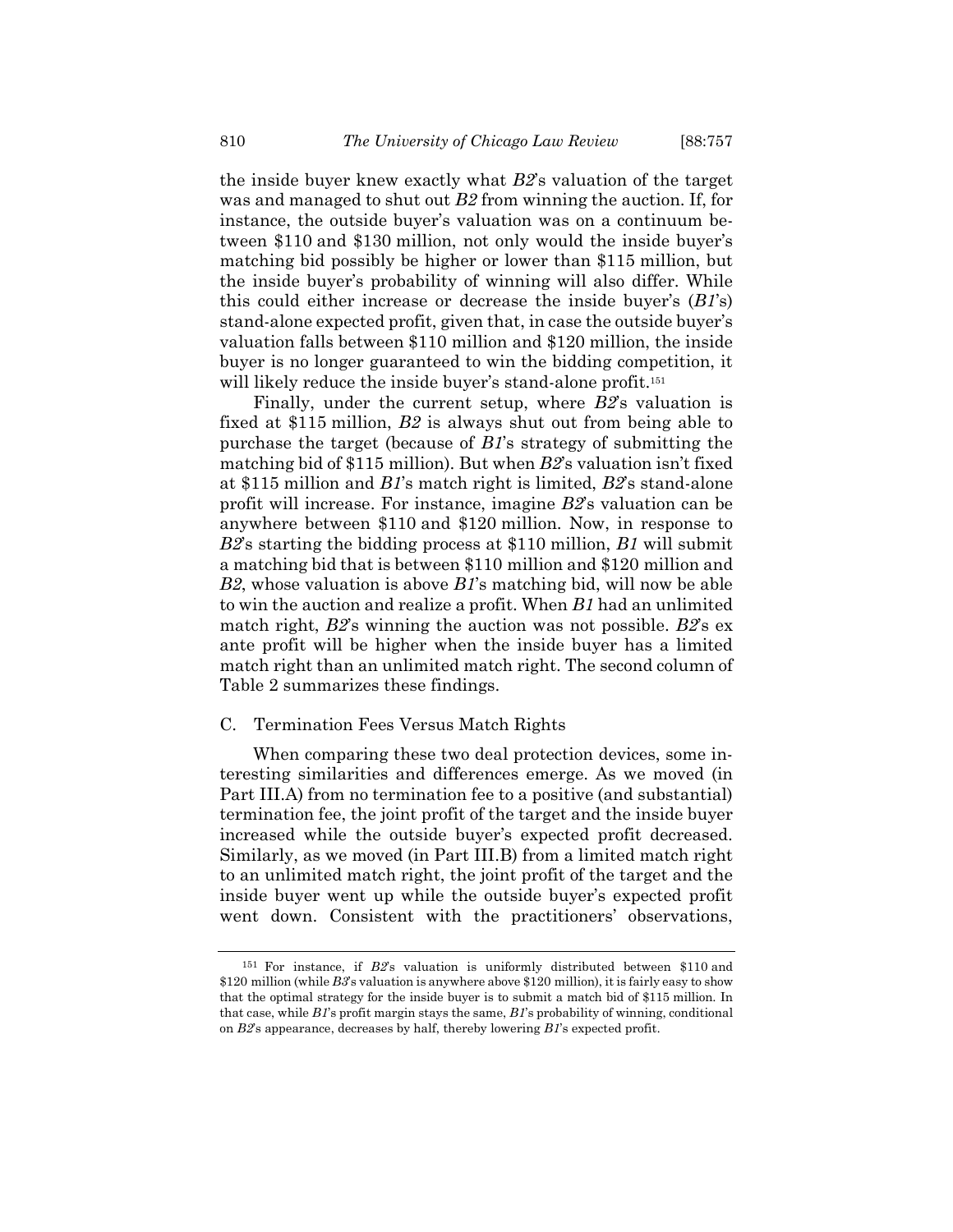the inside buyer knew exactly what *B2*'s valuation of the target was and managed to shut out *B2* from winning the auction. If, for instance, the outside buyer's valuation was on a continuum between \$110 and \$130 million, not only would the inside buyer's matching bid possibly be higher or lower than \$115 million, but the inside buyer's probability of winning will also differ. While this could either increase or decrease the inside buyer's (*B1*'s) stand-alone expected profit, given that, in case the outside buyer's valuation falls between \$110 million and \$120 million, the inside buyer is no longer guaranteed to win the bidding competition, it will likely reduce the inside buyer's stand-alone profit.<sup>151</sup>

Finally, under the current setup, where *B2*'s valuation is fixed at \$115 million, *B2* is always shut out from being able to purchase the target (because of *B1*'s strategy of submitting the matching bid of \$115 million). But when *B2*'s valuation isn't fixed at \$115 million and *B1*'s match right is limited, *B2*'s stand-alone profit will increase. For instance, imagine *B2*'s valuation can be anywhere between \$110 and \$120 million. Now, in response to *B2*'s starting the bidding process at \$110 million, *B1* will submit a matching bid that is between \$110 million and \$120 million and *B2*, whose valuation is above *B1*'s matching bid, will now be able to win the auction and realize a profit. When *B1* had an unlimited match right, *B2*'s winning the auction was not possible. *B2*'s ex ante profit will be higher when the inside buyer has a limited match right than an unlimited match right. The second column of Table 2 summarizes these findings.

# C. Termination Fees Versus Match Rights

When comparing these two deal protection devices, some interesting similarities and differences emerge. As we moved (in Part III.A) from no termination fee to a positive (and substantial) termination fee, the joint profit of the target and the inside buyer increased while the outside buyer's expected profit decreased. Similarly, as we moved (in Part III.B) from a limited match right to an unlimited match right, the joint profit of the target and the inside buyer went up while the outside buyer's expected profit went down. Consistent with the practitioners' observations,

<sup>151</sup> For instance, if *B2*'s valuation is uniformly distributed between \$110 and \$120 million (while *B3*'s valuation is anywhere above \$120 million), it is fairly easy to show that the optimal strategy for the inside buyer is to submit a match bid of \$115 million. In that case, while *B1*'s profit margin stays the same, *B1*'s probability of winning, conditional on *B2*'s appearance, decreases by half, thereby lowering *B1*'s expected profit.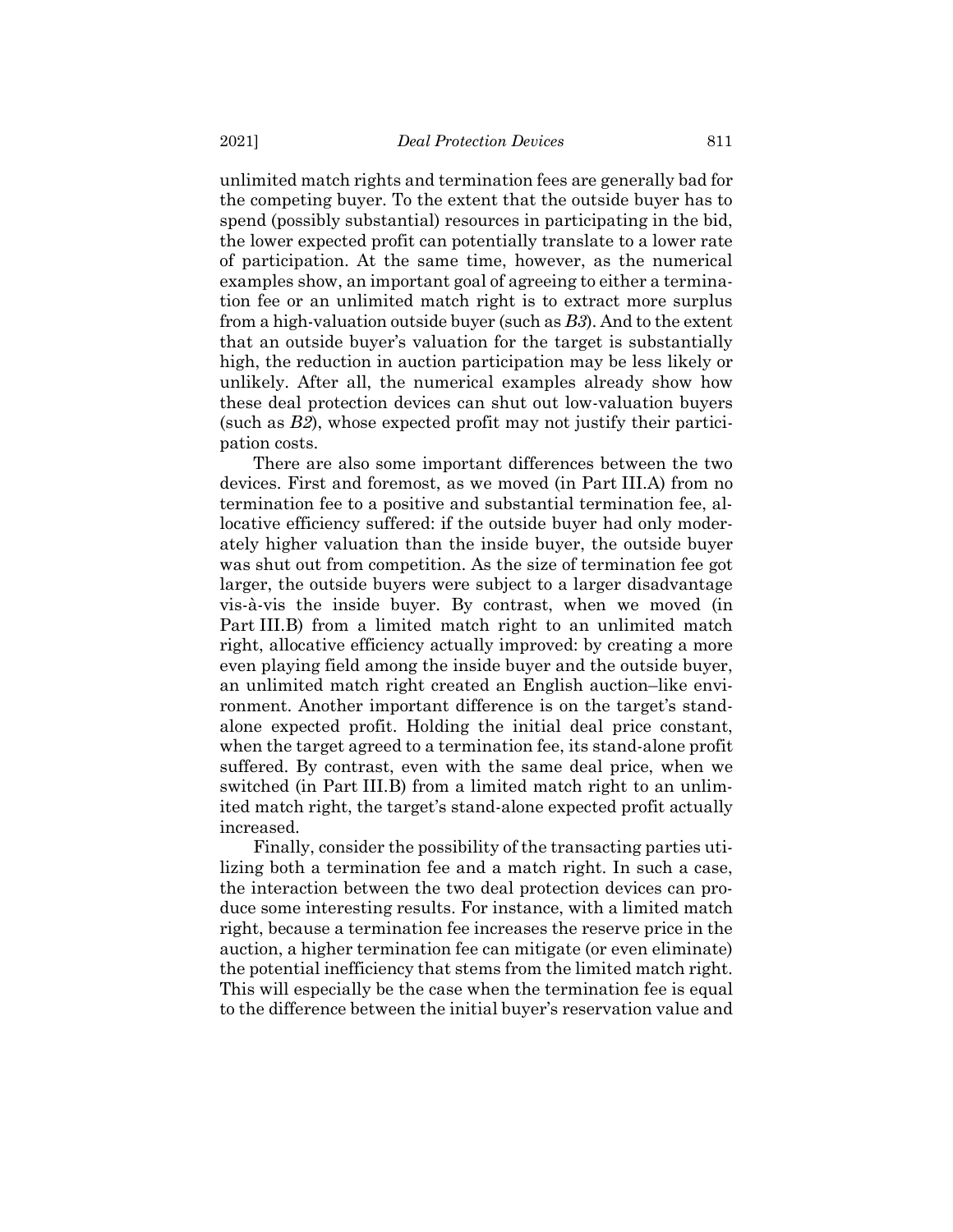unlimited match rights and termination fees are generally bad for the competing buyer. To the extent that the outside buyer has to spend (possibly substantial) resources in participating in the bid, the lower expected profit can potentially translate to a lower rate of participation. At the same time, however, as the numerical examples show, an important goal of agreeing to either a termination fee or an unlimited match right is to extract more surplus from a high-valuation outside buyer (such as *B3*). And to the extent that an outside buyer's valuation for the target is substantially high, the reduction in auction participation may be less likely or unlikely. After all, the numerical examples already show how these deal protection devices can shut out low-valuation buyers (such as *B2*), whose expected profit may not justify their participation costs.

There are also some important differences between the two devices. First and foremost, as we moved (in Part III.A) from no termination fee to a positive and substantial termination fee, allocative efficiency suffered: if the outside buyer had only moderately higher valuation than the inside buyer, the outside buyer was shut out from competition. As the size of termination fee got larger, the outside buyers were subject to a larger disadvantage vis-à-vis the inside buyer. By contrast, when we moved (in Part III.B) from a limited match right to an unlimited match right, allocative efficiency actually improved: by creating a more even playing field among the inside buyer and the outside buyer, an unlimited match right created an English auction–like environment. Another important difference is on the target's standalone expected profit. Holding the initial deal price constant, when the target agreed to a termination fee, its stand-alone profit suffered. By contrast, even with the same deal price, when we switched (in Part III.B) from a limited match right to an unlimited match right, the target's stand-alone expected profit actually increased.

Finally, consider the possibility of the transacting parties utilizing both a termination fee and a match right. In such a case, the interaction between the two deal protection devices can produce some interesting results. For instance, with a limited match right, because a termination fee increases the reserve price in the auction, a higher termination fee can mitigate (or even eliminate) the potential inefficiency that stems from the limited match right. This will especially be the case when the termination fee is equal to the difference between the initial buyer's reservation value and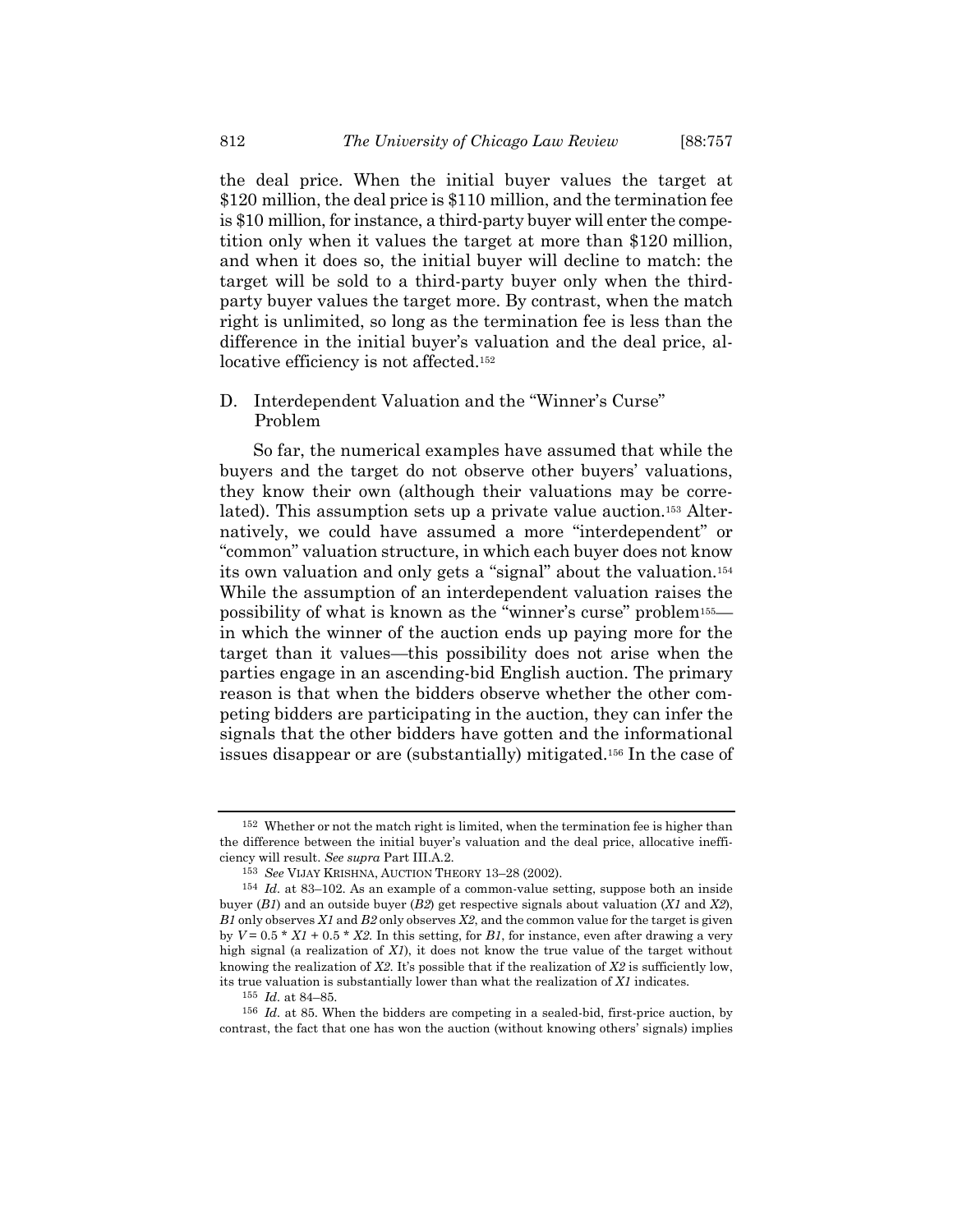the deal price. When the initial buyer values the target at \$120 million, the deal price is \$110 million, and the termination fee is \$10 million, for instance, a third-party buyer will enter the competition only when it values the target at more than \$120 million, and when it does so, the initial buyer will decline to match: the target will be sold to a third-party buyer only when the thirdparty buyer values the target more. By contrast, when the match right is unlimited, so long as the termination fee is less than the difference in the initial buyer's valuation and the deal price, allocative efficiency is not affected.<sup>152</sup>

# D. Interdependent Valuation and the "Winner's Curse" Problem

So far, the numerical examples have assumed that while the buyers and the target do not observe other buyers' valuations, they know their own (although their valuations may be correlated). This assumption sets up a private value auction.<sup>153</sup> Alternatively, we could have assumed a more "interdependent" or "common" valuation structure, in which each buyer does not know its own valuation and only gets a "signal" about the valuation.<sup>154</sup> While the assumption of an interdependent valuation raises the possibility of what is known as the "winner's curse" problem155 in which the winner of the auction ends up paying more for the target than it values—this possibility does not arise when the parties engage in an ascending-bid English auction. The primary reason is that when the bidders observe whether the other competing bidders are participating in the auction, they can infer the signals that the other bidders have gotten and the informational issues disappear or are (substantially) mitigated.<sup>156</sup> In the case of

<sup>152</sup> Whether or not the match right is limited, when the termination fee is higher than the difference between the initial buyer's valuation and the deal price, allocative inefficiency will result. *See supra* Part III.A.2.

<sup>153</sup> *See* VIJAY KRISHNA, AUCTION THEORY 13–28 (2002).

<sup>154</sup> *Id.* at 83–102. As an example of a common-value setting, suppose both an inside buyer (*B1*) and an outside buyer (*B2*) get respective signals about valuation (*X1* and *X2*), *B1* only observes *X1* and *B2* only observes *X2*, and the common value for the target is given by  $V = 0.5 * X1 + 0.5 * X2$ . In this setting, for *B1*, for instance, even after drawing a very high signal (a realization of *X1*), it does not know the true value of the target without knowing the realization of *X2*. It's possible that if the realization of *X2* is sufficiently low, its true valuation is substantially lower than what the realization of *X1* indicates.

<sup>155</sup> *Id.* at 84–85.

<sup>156</sup> *Id.* at 85. When the bidders are competing in a sealed-bid, first-price auction, by contrast, the fact that one has won the auction (without knowing others' signals) implies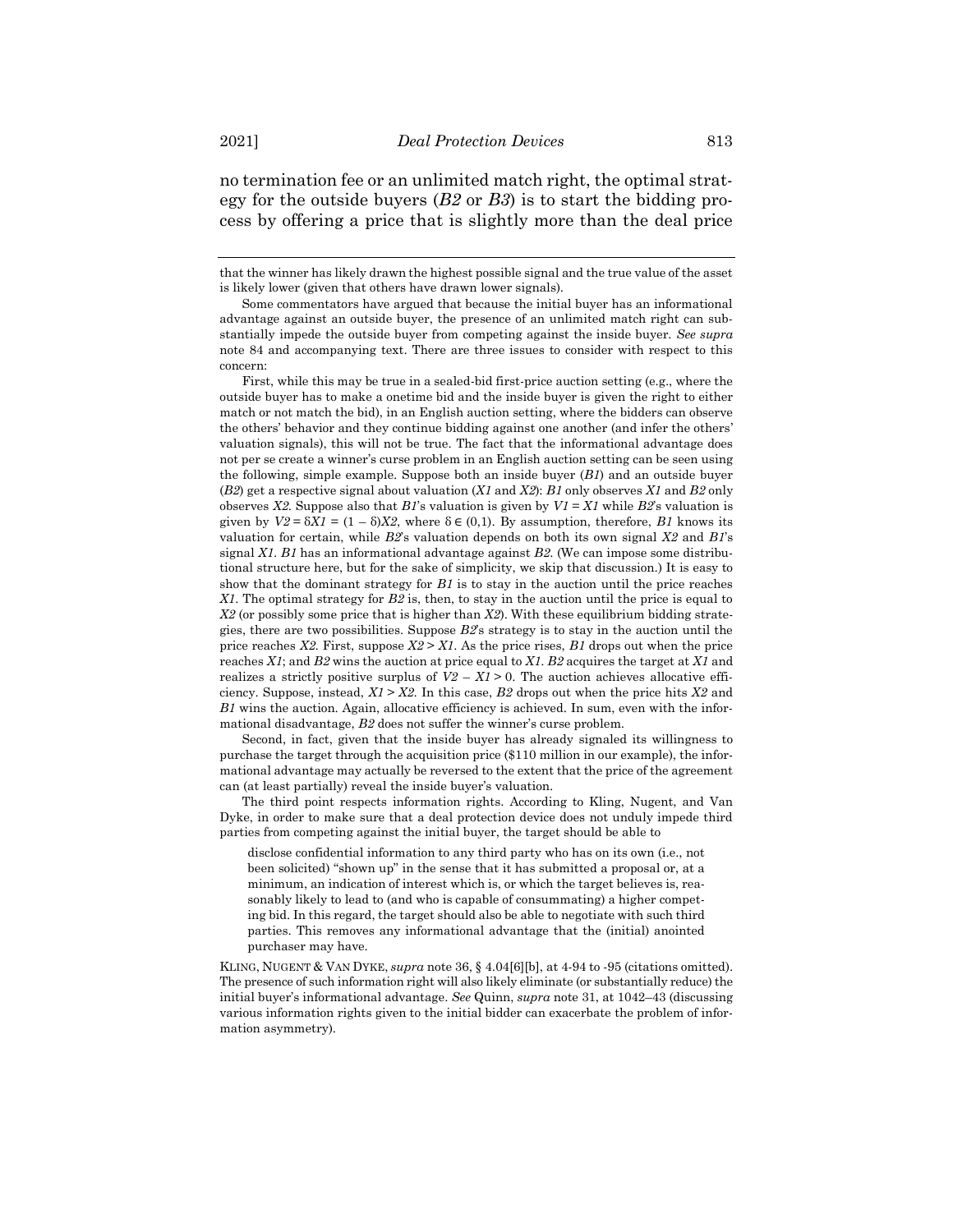no termination fee or an unlimited match right, the optimal strategy for the outside buyers (*B2* or *B3*) is to start the bidding process by offering a price that is slightly more than the deal price

that the winner has likely drawn the highest possible signal and the true value of the asset is likely lower (given that others have drawn lower signals).

First, while this may be true in a sealed-bid first-price auction setting (e.g., where the outside buyer has to make a onetime bid and the inside buyer is given the right to either match or not match the bid), in an English auction setting, where the bidders can observe the others' behavior and they continue bidding against one another (and infer the others' valuation signals), this will not be true. The fact that the informational advantage does not per se create a winner's curse problem in an English auction setting can be seen using the following, simple example. Suppose both an inside buyer (*B1*) and an outside buyer (*B2*) get a respective signal about valuation (*X1* and *X2*): *B1* only observes *X1* and *B2* only observes *X2*. Suppose also that *B1*'s valuation is given by  $VI = X1$  while *B2*'s valuation is given by  $V2 = \delta X I = (1 - \delta) X2$ , where  $\delta \in (0,1)$ . By assumption, therefore, *B1* knows its valuation for certain, while *B2*'s valuation depends on both its own signal *X2* and *B1*'s signal *X1*. *B1* has an informational advantage against *B2*. (We can impose some distributional structure here, but for the sake of simplicity, we skip that discussion.) It is easy to show that the dominant strategy for *B1* is to stay in the auction until the price reaches *X1*. The optimal strategy for *B2* is, then, to stay in the auction until the price is equal to *X2* (or possibly some price that is higher than *X2*). With these equilibrium bidding strategies, there are two possibilities. Suppose *B2*'s strategy is to stay in the auction until the price reaches  $X2$ . First, suppose  $X2 > X1$ . As the price rises,  $B1$  drops out when the price reaches *X1*; and *B2* wins the auction at price equal to *X1*. *B2* acquires the target at *X1* and realizes a strictly positive surplus of  $V2 - X1 > 0$ . The auction achieves allocative efficiency. Suppose, instead,  $X1 > X2$ . In this case,  $B2$  drops out when the price hits  $X2$  and *B1* wins the auction. Again, allocative efficiency is achieved. In sum, even with the informational disadvantage, *B2* does not suffer the winner's curse problem.

Second, in fact, given that the inside buyer has already signaled its willingness to purchase the target through the acquisition price (\$110 million in our example), the informational advantage may actually be reversed to the extent that the price of the agreement can (at least partially) reveal the inside buyer's valuation.

The third point respects information rights. According to Kling, Nugent, and Van Dyke, in order to make sure that a deal protection device does not unduly impede third parties from competing against the initial buyer, the target should be able to

disclose confidential information to any third party who has on its own (i.e., not been solicited) "shown up" in the sense that it has submitted a proposal or, at a minimum, an indication of interest which is, or which the target believes is, reasonably likely to lead to (and who is capable of consummating) a higher competing bid. In this regard, the target should also be able to negotiate with such third parties. This removes any informational advantage that the (initial) anointed purchaser may have.

KLING, NUGENT & VAN DYKE, *supra* not[e 36,](#page-8-0) § 4.04[6][b], at 4-94 to -95 (citations omitted). The presence of such information right will also likely eliminate (or substantially reduce) the initial buyer's informational advantage. *See* Quinn, *supra* not[e 31,](#page-6-0) at 1042–43 (discussing various information rights given to the initial bidder can exacerbate the problem of information asymmetry).

Some commentators have argued that because the initial buyer has an informational advantage against an outside buyer, the presence of an unlimited match right can substantially impede the outside buyer from competing against the inside buyer. *See supra* note [84](#page-21-0) and accompanying text. There are three issues to consider with respect to this concern: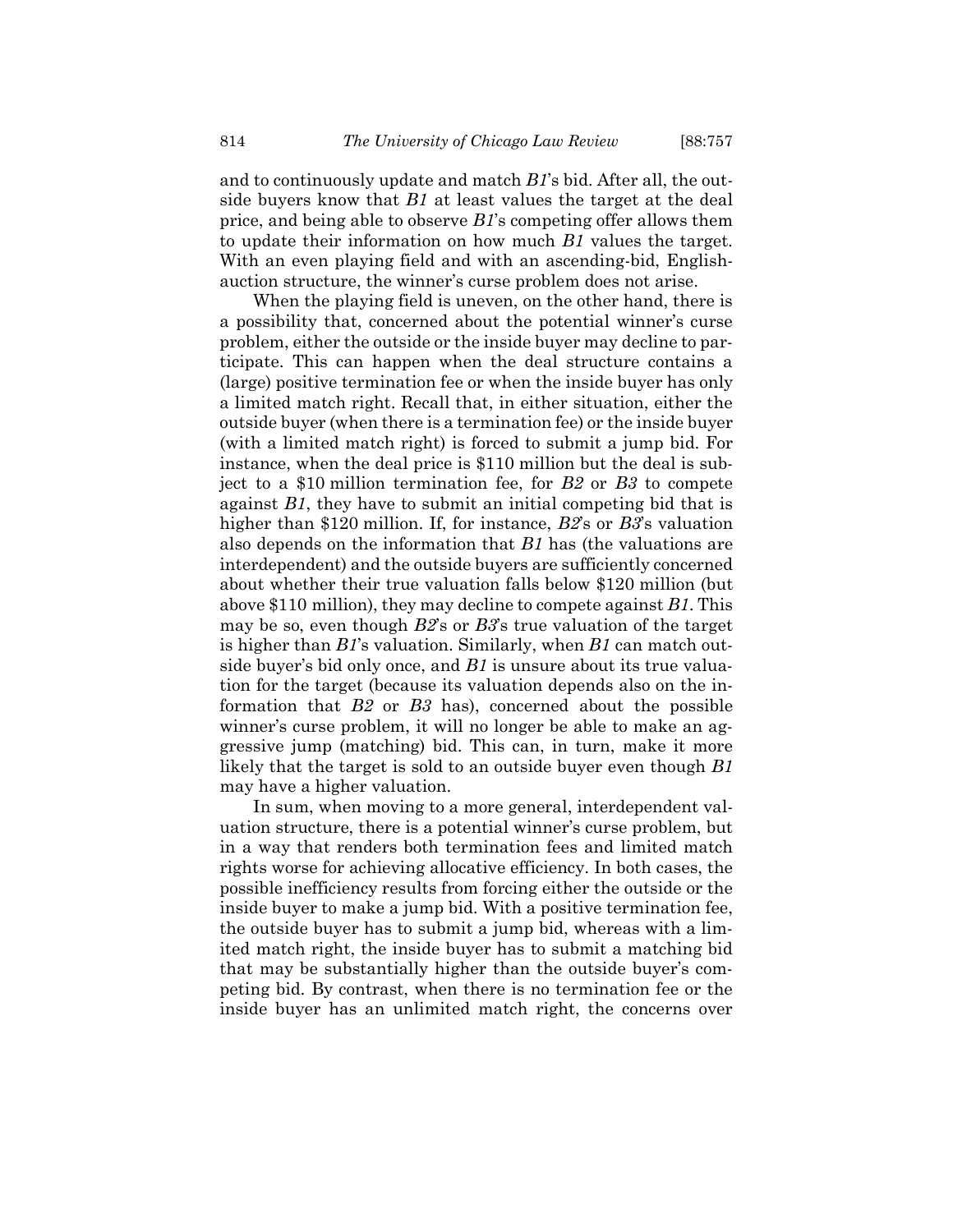and to continuously update and match *B1*'s bid. After all, the outside buyers know that *B1* at least values the target at the deal price, and being able to observe *B1*'s competing offer allows them to update their information on how much *B1* values the target. With an even playing field and with an ascending-bid, Englishauction structure, the winner's curse problem does not arise.

When the playing field is uneven, on the other hand, there is a possibility that, concerned about the potential winner's curse problem, either the outside or the inside buyer may decline to participate. This can happen when the deal structure contains a (large) positive termination fee or when the inside buyer has only a limited match right. Recall that, in either situation, either the outside buyer (when there is a termination fee) or the inside buyer (with a limited match right) is forced to submit a jump bid. For instance, when the deal price is \$110 million but the deal is subject to a \$10 million termination fee, for *B2* or *B3* to compete against *B1*, they have to submit an initial competing bid that is higher than \$120 million. If, for instance, *B2*'s or *B3*'s valuation also depends on the information that *B1* has (the valuations are interdependent) and the outside buyers are sufficiently concerned about whether their true valuation falls below \$120 million (but above \$110 million), they may decline to compete against *B1*. This may be so, even though *B2*'s or *B3*'s true valuation of the target is higher than *B1*'s valuation. Similarly, when *B1* can match outside buyer's bid only once, and *B1* is unsure about its true valuation for the target (because its valuation depends also on the information that *B2* or *B3* has), concerned about the possible winner's curse problem, it will no longer be able to make an aggressive jump (matching) bid. This can, in turn, make it more likely that the target is sold to an outside buyer even though *B1* may have a higher valuation.

In sum, when moving to a more general, interdependent valuation structure, there is a potential winner's curse problem, but in a way that renders both termination fees and limited match rights worse for achieving allocative efficiency. In both cases, the possible inefficiency results from forcing either the outside or the inside buyer to make a jump bid. With a positive termination fee, the outside buyer has to submit a jump bid, whereas with a limited match right, the inside buyer has to submit a matching bid that may be substantially higher than the outside buyer's competing bid. By contrast, when there is no termination fee or the inside buyer has an unlimited match right, the concerns over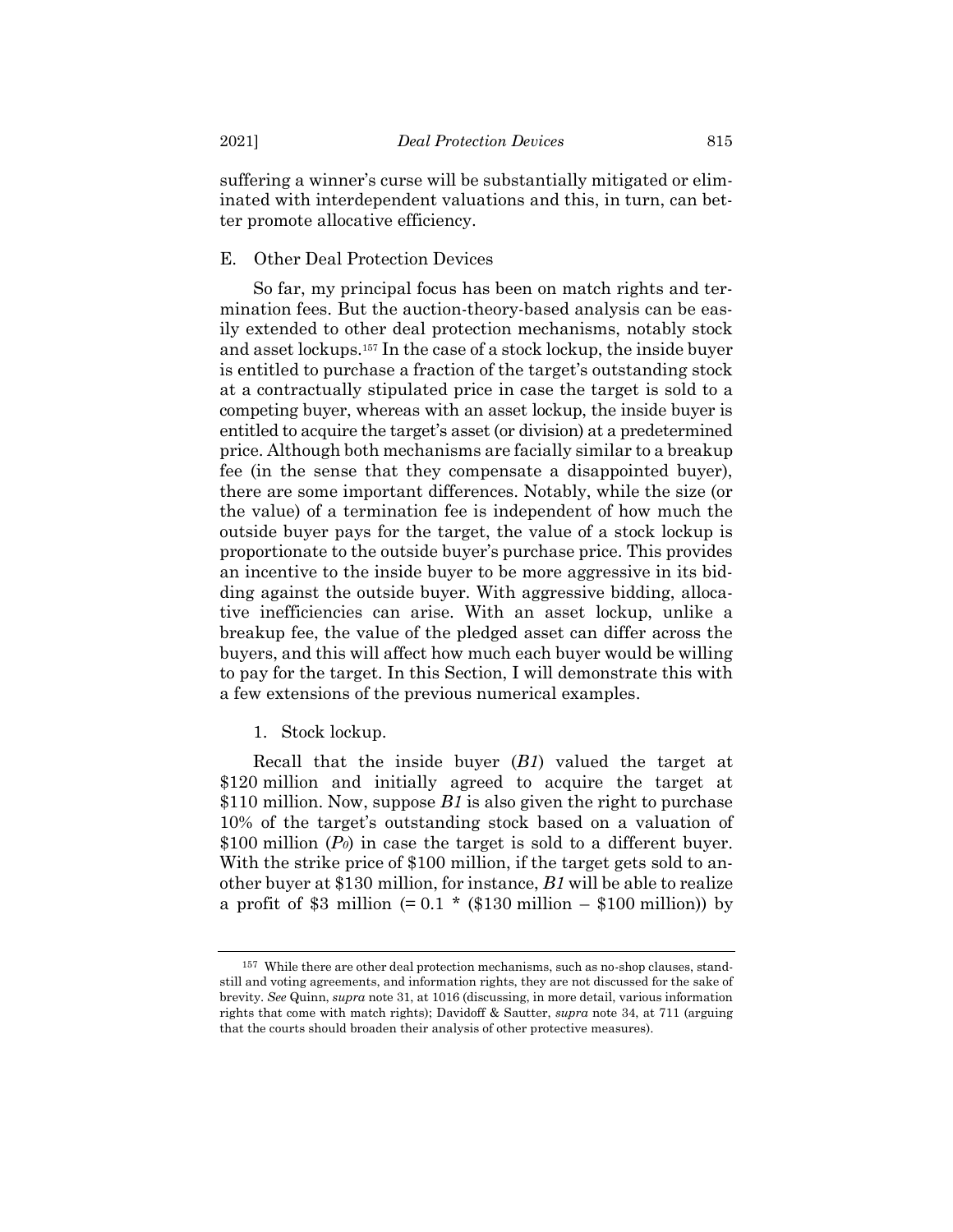suffering a winner's curse will be substantially mitigated or eliminated with interdependent valuations and this, in turn, can better promote allocative efficiency.

## E. Other Deal Protection Devices

So far, my principal focus has been on match rights and termination fees. But the auction-theory-based analysis can be easily extended to other deal protection mechanisms, notably stock and asset lockups.<sup>157</sup> In the case of a stock lockup, the inside buyer is entitled to purchase a fraction of the target's outstanding stock at a contractually stipulated price in case the target is sold to a competing buyer, whereas with an asset lockup, the inside buyer is entitled to acquire the target's asset (or division) at a predetermined price. Although both mechanisms are facially similar to a breakup fee (in the sense that they compensate a disappointed buyer), there are some important differences. Notably, while the size (or the value) of a termination fee is independent of how much the outside buyer pays for the target, the value of a stock lockup is proportionate to the outside buyer's purchase price. This provides an incentive to the inside buyer to be more aggressive in its bidding against the outside buyer. With aggressive bidding, allocative inefficiencies can arise. With an asset lockup, unlike a breakup fee, the value of the pledged asset can differ across the buyers, and this will affect how much each buyer would be willing to pay for the target. In this Section, I will demonstrate this with a few extensions of the previous numerical examples.

1. Stock lockup.

Recall that the inside buyer (*B1*) valued the target at \$120 million and initially agreed to acquire the target at \$110 million. Now, suppose *B1* is also given the right to purchase 10% of the target's outstanding stock based on a valuation of \$100 million (*P0*) in case the target is sold to a different buyer. With the strike price of \$100 million, if the target gets sold to another buyer at \$130 million, for instance, *B1* will be able to realize a profit of \$3 million  $(= 0.1 \times (\$130 \text{ million} - \$100 \text{ million}))$  by

<sup>157</sup> While there are other deal protection mechanisms, such as no-shop clauses, standstill and voting agreements, and information rights, they are not discussed for the sake of brevity. *See* Quinn, *supra* not[e 31,](#page-6-0) at 1016 (discussing, in more detail, various information rights that come with match rights); Davidoff & Sautter, *supra* note [34,](#page-7-1) at 711 (arguing that the courts should broaden their analysis of other protective measures).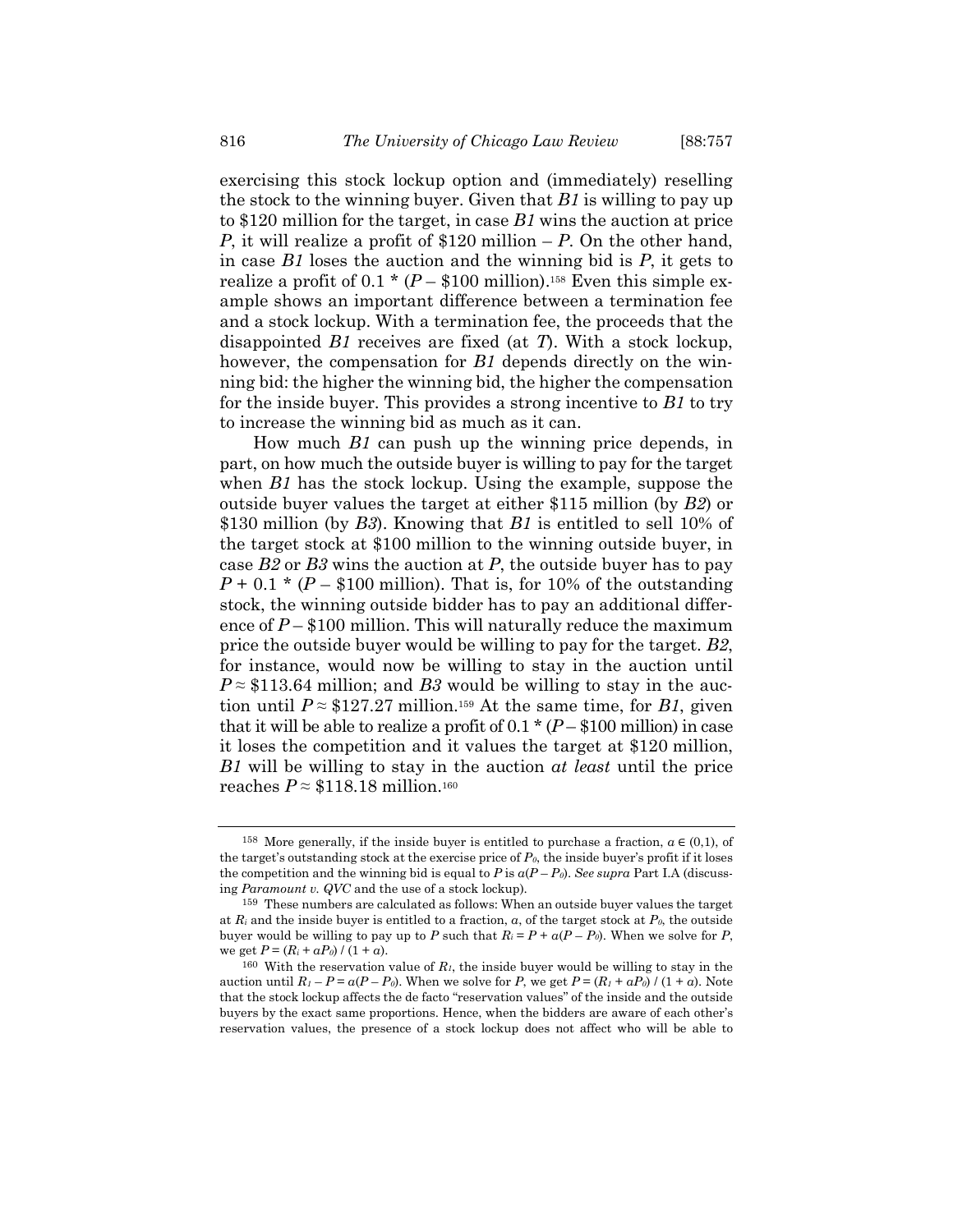exercising this stock lockup option and (immediately) reselling the stock to the winning buyer. Given that *B1* is willing to pay up to \$120 million for the target, in case *B1* wins the auction at price *P*, it will realize a profit of \$120 million – *P*. On the other hand, in case *B1* loses the auction and the winning bid is *P*, it gets to realize a profit of  $0.1 * (P - $100 \text{ million})$ .<sup>158</sup> Even this simple example shows an important difference between a termination fee and a stock lockup. With a termination fee, the proceeds that the disappointed *B1* receives are fixed (at *T*). With a stock lockup, however, the compensation for *B1* depends directly on the winning bid: the higher the winning bid, the higher the compensation for the inside buyer. This provides a strong incentive to *B1* to try to increase the winning bid as much as it can.

How much *B1* can push up the winning price depends, in part, on how much the outside buyer is willing to pay for the target when *B1* has the stock lockup. Using the example, suppose the outside buyer values the target at either \$115 million (by *B2*) or \$130 million (by *B3*). Knowing that *B1* is entitled to sell 10% of the target stock at \$100 million to the winning outside buyer, in case *B2* or *B3* wins the auction at *P*, the outside buyer has to pay  $P + 0.1 * (P - $100$  million). That is, for 10% of the outstanding stock, the winning outside bidder has to pay an additional difference of  $P - $100$  million. This will naturally reduce the maximum price the outside buyer would be willing to pay for the target. *B2*, for instance, would now be willing to stay in the auction until  $P \approx $113.64$  million; and *B3* would be willing to stay in the auction until  $P \approx $127.27$  million.<sup>159</sup> At the same time, for *B1*, given that it will be able to realize a profit of  $0.1 * (P - $100 \text{ million})$  in case it loses the competition and it values the target at \$120 million, *B1* will be willing to stay in the auction *at least* until the price reaches  $P \approx $118.18$  million.<sup>160</sup>

<sup>&</sup>lt;sup>158</sup> More generally, if the inside buyer is entitled to purchase a fraction,  $a \in (0,1)$ , of the target's outstanding stock at the exercise price of  $P_{\theta}$ , the inside buyer's profit if it loses the competition and the winning bid is equal to  $P$  is  $a(P - P_0)$ . See *supra* Part I.A (discussing *Paramount v. QVC* and the use of a stock lockup).

<sup>159</sup> These numbers are calculated as follows: When an outside buyer values the target at  $R_i$  and the inside buyer is entitled to a fraction,  $\alpha$ , of the target stock at  $P_\theta$ , the outside buyer would be willing to pay up to *P* such that  $R_i = P + a(P - P_0)$ . When we solve for *P*, we get  $P = (R_i + aP_0) / (1 + a)$ .

<sup>&</sup>lt;sup>160</sup> With the reservation value of  $R_I$ , the inside buyer would be willing to stay in the auction until  $R_I - P = a(P - P_0)$ . When we solve for *P*, we get  $P = (R_I + aP_0) / (1 + a)$ . Note that the stock lockup affects the de facto "reservation values" of the inside and the outside buyers by the exact same proportions. Hence, when the bidders are aware of each other's reservation values, the presence of a stock lockup does not affect who will be able to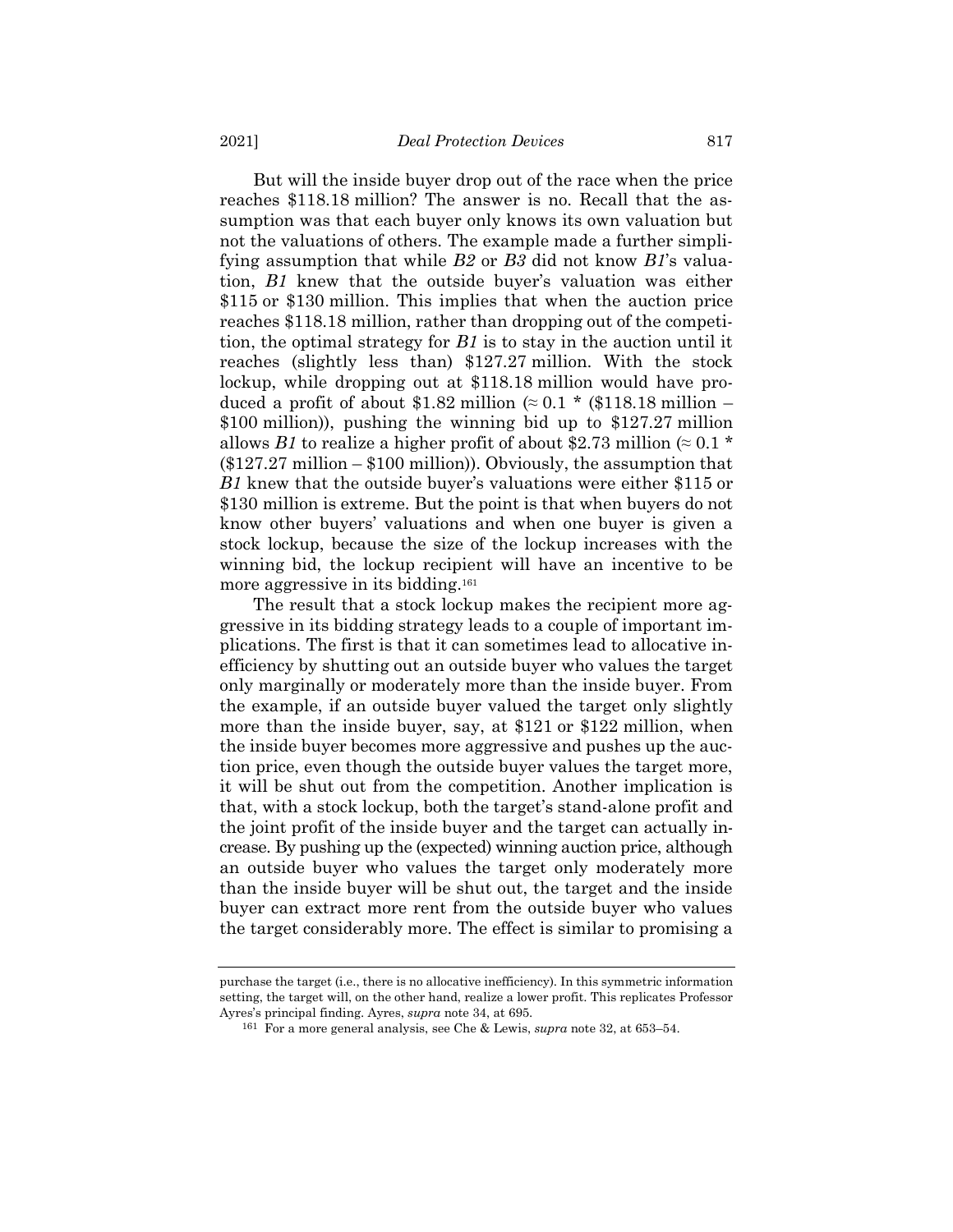But will the inside buyer drop out of the race when the price reaches \$118.18 million? The answer is no. Recall that the assumption was that each buyer only knows its own valuation but not the valuations of others. The example made a further simplifying assumption that while *B2* or *B3* did not know *B1*'s valuation, *B1* knew that the outside buyer's valuation was either \$115 or \$130 million. This implies that when the auction price reaches \$118.18 million, rather than dropping out of the competition, the optimal strategy for *B1* is to stay in the auction until it reaches (slightly less than) \$127.27 million. With the stock lockup, while dropping out at \$118.18 million would have produced a profit of about \$1.82 million  $(0.1 \times 0.1 \times 10^{18})$  million – \$100 million)), pushing the winning bid up to \$127.27 million allows *B1* to realize a higher profit of about \$2.73 million  $(\approx 0.1 \times$  $(\$127.27$  million –  $\$100$  million)). Obviously, the assumption that *B1* knew that the outside buyer's valuations were either \$115 or \$130 million is extreme. But the point is that when buyers do not know other buyers' valuations and when one buyer is given a stock lockup, because the size of the lockup increases with the winning bid, the lockup recipient will have an incentive to be more aggressive in its bidding.<sup>161</sup>

<span id="page-60-0"></span>The result that a stock lockup makes the recipient more aggressive in its bidding strategy leads to a couple of important implications. The first is that it can sometimes lead to allocative inefficiency by shutting out an outside buyer who values the target only marginally or moderately more than the inside buyer. From the example, if an outside buyer valued the target only slightly more than the inside buyer, say, at \$121 or \$122 million, when the inside buyer becomes more aggressive and pushes up the auction price, even though the outside buyer values the target more, it will be shut out from the competition. Another implication is that, with a stock lockup, both the target's stand-alone profit and the joint profit of the inside buyer and the target can actually increase. By pushing up the (expected) winning auction price, although an outside buyer who values the target only moderately more than the inside buyer will be shut out, the target and the inside buyer can extract more rent from the outside buyer who values the target considerably more. The effect is similar to promising a

purchase the target (i.e., there is no allocative inefficiency). In this symmetric information setting, the target will, on the other hand, realize a lower profit. This replicates Professor Ayres's principal finding. Ayres, *supra* not[e 34,](#page-7-1) at 695.

<sup>161</sup> For a more general analysis, see Che & Lewis, *supra* note [32,](#page-7-0) at 653–54.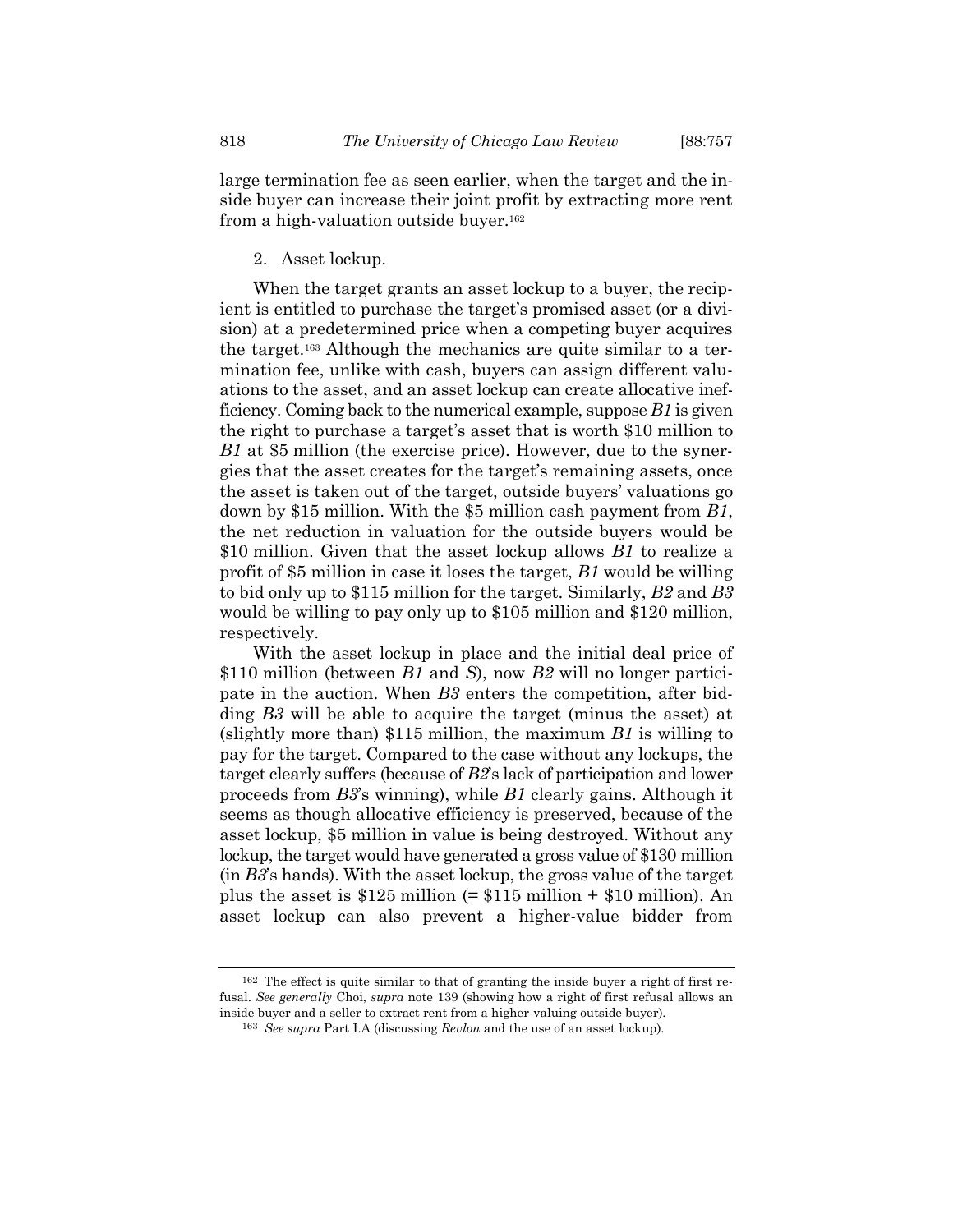large termination fee as seen earlier, when the target and the inside buyer can increase their joint profit by extracting more rent from a high-valuation outside buyer.<sup>162</sup>

#### 2. Asset lockup.

When the target grants an asset lockup to a buyer, the recipient is entitled to purchase the target's promised asset (or a division) at a predetermined price when a competing buyer acquires the target.<sup>163</sup> Although the mechanics are quite similar to a termination fee, unlike with cash, buyers can assign different valuations to the asset, and an asset lockup can create allocative inefficiency. Coming back to the numerical example, suppose *B1* is given the right to purchase a target's asset that is worth \$10 million to *B1* at \$5 million (the exercise price). However, due to the synergies that the asset creates for the target's remaining assets, once the asset is taken out of the target, outside buyers' valuations go down by \$15 million. With the \$5 million cash payment from *B1*, the net reduction in valuation for the outside buyers would be \$10 million. Given that the asset lockup allows *B1* to realize a profit of \$5 million in case it loses the target, *B1* would be willing to bid only up to \$115 million for the target. Similarly, *B2* and *B3* would be willing to pay only up to \$105 million and \$120 million, respectively.

With the asset lockup in place and the initial deal price of \$110 million (between *B1* and *S*), now *B2* will no longer participate in the auction. When *B3* enters the competition, after bidding *B3* will be able to acquire the target (minus the asset) at (slightly more than) \$115 million, the maximum *B1* is willing to pay for the target. Compared to the case without any lockups, the target clearly suffers (because of *B2*'s lack of participation and lower proceeds from *B3*'s winning), while *B1* clearly gains. Although it seems as though allocative efficiency is preserved, because of the asset lockup, \$5 million in value is being destroyed. Without any lockup, the target would have generated a gross value of \$130 million (in *B3*'s hands). With the asset lockup, the gross value of the target plus the asset is  $$125$  million (=  $$115$  million +  $$10$  million). An asset lockup can also prevent a higher-value bidder from

<sup>162</sup> The effect is quite similar to that of granting the inside buyer a right of first refusal. *See generally* Choi, *supra* note [139](#page-44-0) (showing how a right of first refusal allows an inside buyer and a seller to extract rent from a higher-valuing outside buyer).

<sup>163</sup> *See supra* Part I.A (discussing *Revlon* and the use of an asset lockup).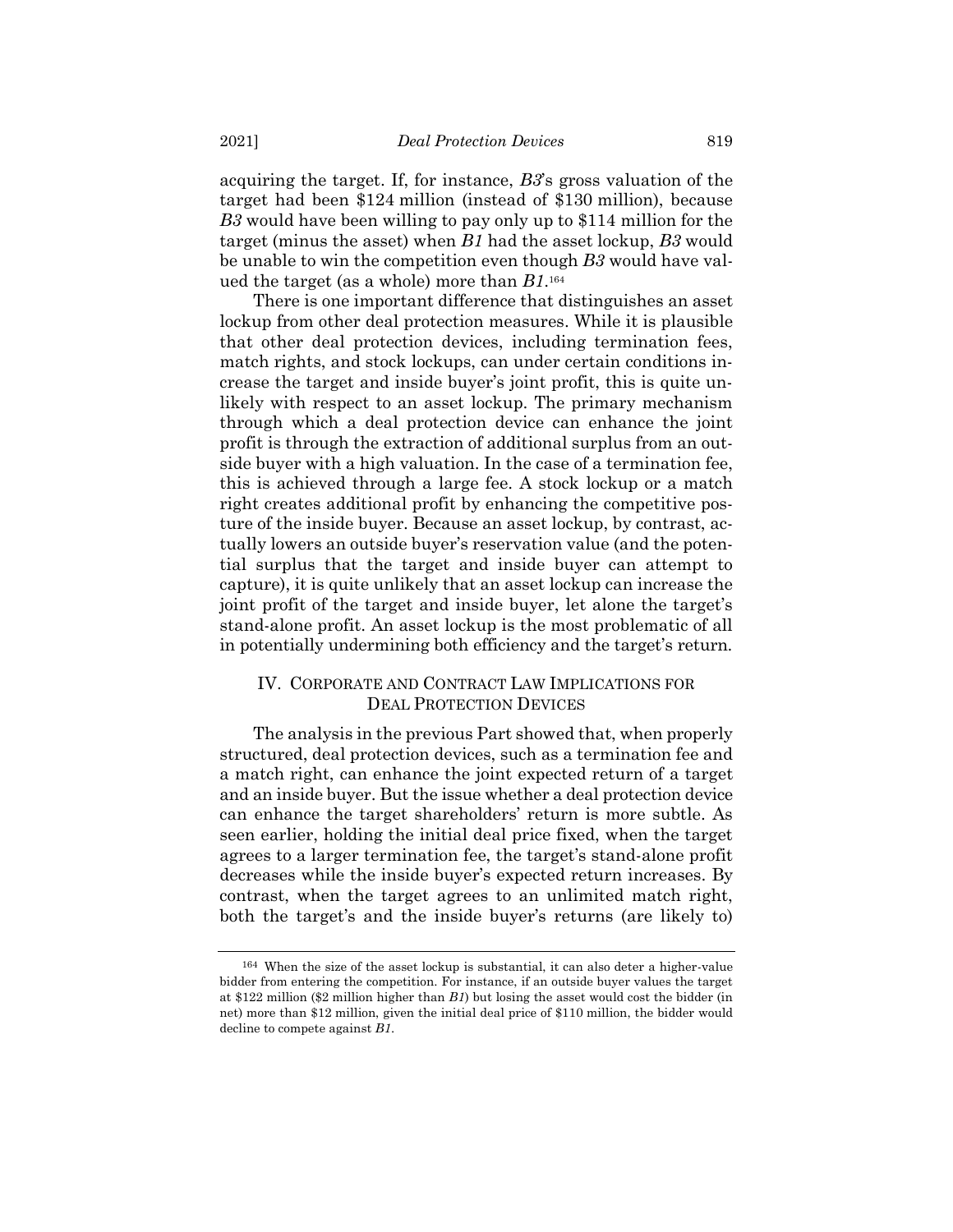acquiring the target. If, for instance, *B3*'s gross valuation of the target had been \$124 million (instead of \$130 million), because *B3* would have been willing to pay only up to \$114 million for the target (minus the asset) when *B1* had the asset lockup, *B3* would be unable to win the competition even though *B3* would have valued the target (as a whole) more than *B1*. 164

There is one important difference that distinguishes an asset lockup from other deal protection measures. While it is plausible that other deal protection devices, including termination fees, match rights, and stock lockups, can under certain conditions increase the target and inside buyer's joint profit, this is quite unlikely with respect to an asset lockup. The primary mechanism through which a deal protection device can enhance the joint profit is through the extraction of additional surplus from an outside buyer with a high valuation. In the case of a termination fee, this is achieved through a large fee. A stock lockup or a match right creates additional profit by enhancing the competitive posture of the inside buyer. Because an asset lockup, by contrast, actually lowers an outside buyer's reservation value (and the potential surplus that the target and inside buyer can attempt to capture), it is quite unlikely that an asset lockup can increase the joint profit of the target and inside buyer, let alone the target's stand-alone profit. An asset lockup is the most problematic of all in potentially undermining both efficiency and the target's return.

# IV. CORPORATE AND CONTRACT LAW IMPLICATIONS FOR DEAL PROTECTION DEVICES

The analysis in the previous Part showed that, when properly structured, deal protection devices, such as a termination fee and a match right, can enhance the joint expected return of a target and an inside buyer. But the issue whether a deal protection device can enhance the target shareholders' return is more subtle. As seen earlier, holding the initial deal price fixed, when the target agrees to a larger termination fee, the target's stand-alone profit decreases while the inside buyer's expected return increases. By contrast, when the target agrees to an unlimited match right, both the target's and the inside buyer's returns (are likely to)

<sup>164</sup> When the size of the asset lockup is substantial, it can also deter a higher-value bidder from entering the competition. For instance, if an outside buyer values the target at \$122 million (\$2 million higher than *B1*) but losing the asset would cost the bidder (in net) more than \$12 million, given the initial deal price of \$110 million, the bidder would decline to compete against *B1*.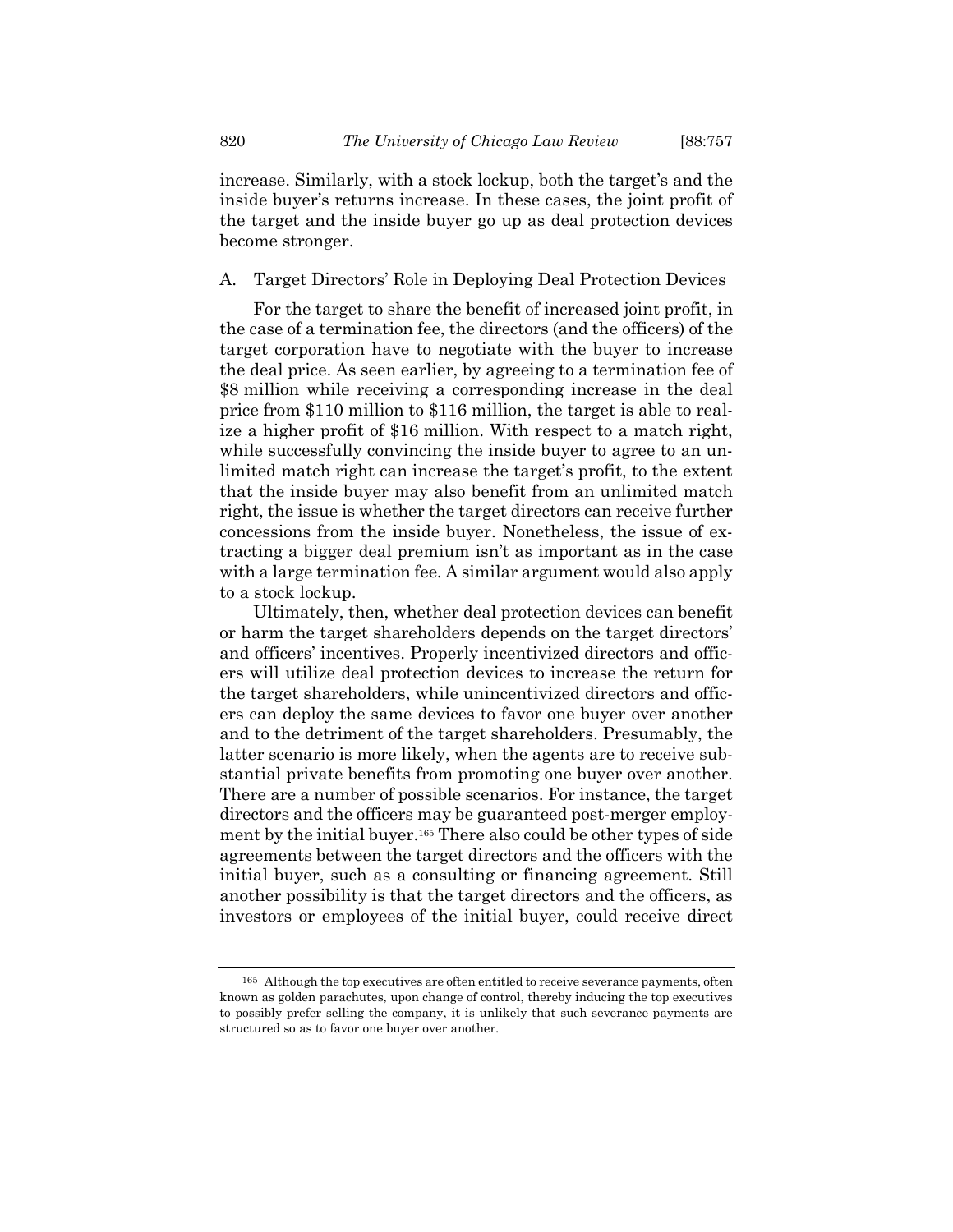increase. Similarly, with a stock lockup, both the target's and the inside buyer's returns increase. In these cases, the joint profit of the target and the inside buyer go up as deal protection devices become stronger.

# A. Target Directors' Role in Deploying Deal Protection Devices

For the target to share the benefit of increased joint profit, in the case of a termination fee, the directors (and the officers) of the target corporation have to negotiate with the buyer to increase the deal price. As seen earlier, by agreeing to a termination fee of \$8 million while receiving a corresponding increase in the deal price from \$110 million to \$116 million, the target is able to realize a higher profit of \$16 million. With respect to a match right, while successfully convincing the inside buyer to agree to an unlimited match right can increase the target's profit, to the extent that the inside buyer may also benefit from an unlimited match right, the issue is whether the target directors can receive further concessions from the inside buyer. Nonetheless, the issue of extracting a bigger deal premium isn't as important as in the case with a large termination fee. A similar argument would also apply to a stock lockup.

Ultimately, then, whether deal protection devices can benefit or harm the target shareholders depends on the target directors' and officers' incentives. Properly incentivized directors and officers will utilize deal protection devices to increase the return for the target shareholders, while unincentivized directors and officers can deploy the same devices to favor one buyer over another and to the detriment of the target shareholders. Presumably, the latter scenario is more likely, when the agents are to receive substantial private benefits from promoting one buyer over another. There are a number of possible scenarios. For instance, the target directors and the officers may be guaranteed post-merger employment by the initial buyer.<sup>165</sup> There also could be other types of side agreements between the target directors and the officers with the initial buyer, such as a consulting or financing agreement. Still another possibility is that the target directors and the officers, as investors or employees of the initial buyer, could receive direct

<sup>165</sup> Although the top executives are often entitled to receive severance payments, often known as golden parachutes, upon change of control, thereby inducing the top executives to possibly prefer selling the company, it is unlikely that such severance payments are structured so as to favor one buyer over another.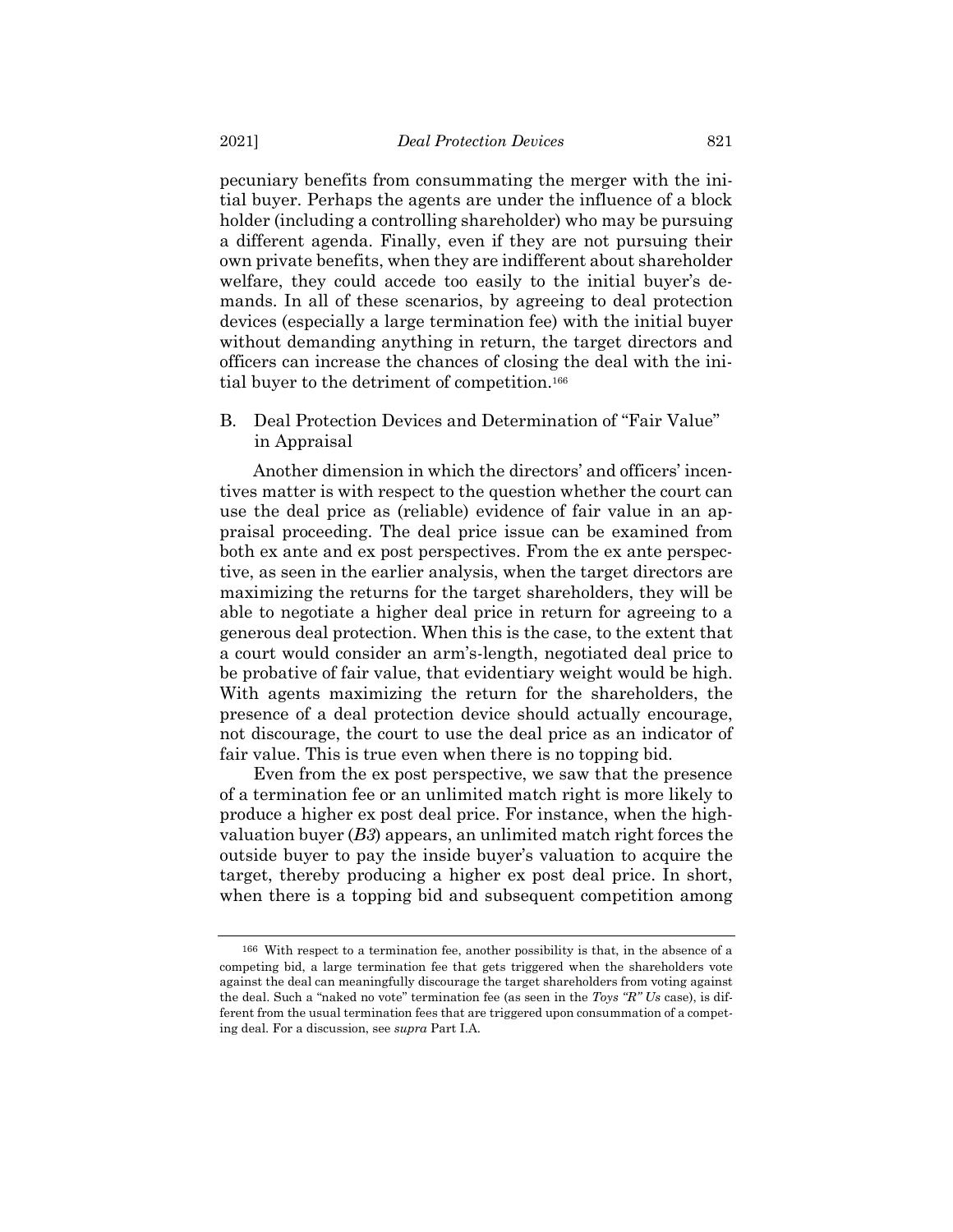pecuniary benefits from consummating the merger with the initial buyer. Perhaps the agents are under the influence of a block holder (including a controlling shareholder) who may be pursuing a different agenda. Finally, even if they are not pursuing their own private benefits, when they are indifferent about shareholder welfare, they could accede too easily to the initial buyer's demands. In all of these scenarios, by agreeing to deal protection devices (especially a large termination fee) with the initial buyer without demanding anything in return, the target directors and officers can increase the chances of closing the deal with the initial buyer to the detriment of competition.<sup>166</sup>

B. Deal Protection Devices and Determination of "Fair Value" in Appraisal

Another dimension in which the directors' and officers' incentives matter is with respect to the question whether the court can use the deal price as (reliable) evidence of fair value in an appraisal proceeding. The deal price issue can be examined from both ex ante and ex post perspectives. From the ex ante perspective, as seen in the earlier analysis, when the target directors are maximizing the returns for the target shareholders, they will be able to negotiate a higher deal price in return for agreeing to a generous deal protection. When this is the case, to the extent that a court would consider an arm's-length, negotiated deal price to be probative of fair value, that evidentiary weight would be high. With agents maximizing the return for the shareholders, the presence of a deal protection device should actually encourage, not discourage, the court to use the deal price as an indicator of fair value. This is true even when there is no topping bid.

Even from the ex post perspective, we saw that the presence of a termination fee or an unlimited match right is more likely to produce a higher ex post deal price. For instance, when the highvaluation buyer (*B3*) appears, an unlimited match right forces the outside buyer to pay the inside buyer's valuation to acquire the target, thereby producing a higher ex post deal price. In short, when there is a topping bid and subsequent competition among

<sup>166</sup> With respect to a termination fee, another possibility is that, in the absence of a competing bid, a large termination fee that gets triggered when the shareholders vote against the deal can meaningfully discourage the target shareholders from voting against the deal. Such a "naked no vote" termination fee (as seen in the *Toys "R" Us* case), is different from the usual termination fees that are triggered upon consummation of a competing deal. For a discussion, see *supra* Part I.A.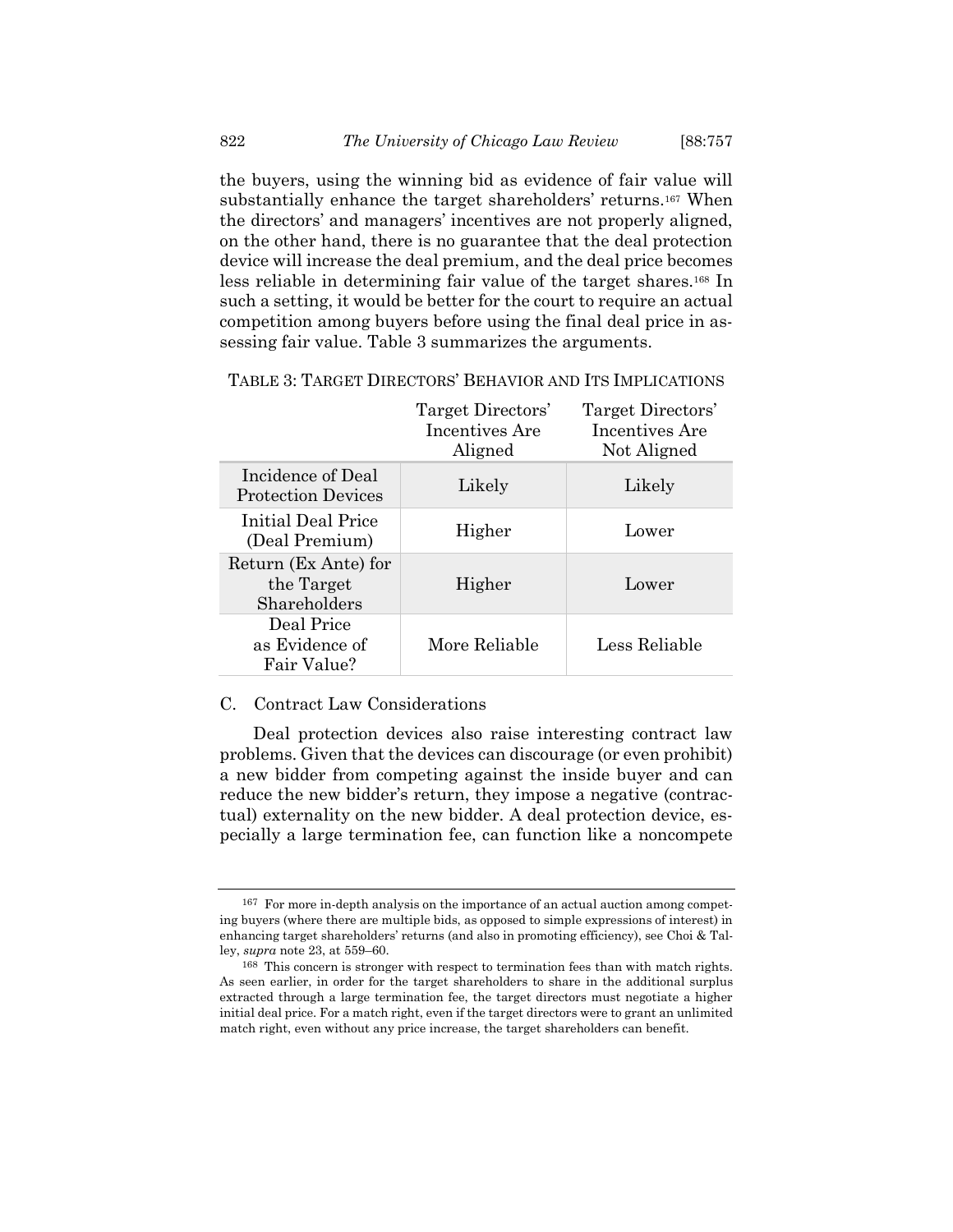the buyers, using the winning bid as evidence of fair value will substantially enhance the target shareholders' returns.<sup>167</sup> When the directors' and managers' incentives are not properly aligned, on the other hand, there is no guarantee that the deal protection device will increase the deal premium, and the deal price becomes less reliable in determining fair value of the target shares.<sup>168</sup> In such a setting, it would be better for the court to require an actual competition among buyers before using the final deal price in assessing fair value. Table 3 summarizes the arguments.

|                                                    | Target Directors'<br>Incentives Are<br>Aligned | Target Directors'<br>Incentives Are<br>Not Aligned |
|----------------------------------------------------|------------------------------------------------|----------------------------------------------------|
| Incidence of Deal<br><b>Protection Devices</b>     | Likely                                         | Likely                                             |
| Initial Deal Price<br>(Deal Premium)               | Higher                                         | Lower                                              |
| Return (Ex Ante) for<br>the Target<br>Shareholders | Higher                                         | Lower                                              |
| Deal Price<br>as Evidence of<br>Fair Value?        | More Reliable                                  | Less Reliable                                      |

TABLE 3: TARGET DIRECTORS' BEHAVIOR AND ITS IMPLICATIONS

# C. Contract Law Considerations

Deal protection devices also raise interesting contract law problems. Given that the devices can discourage (or even prohibit) a new bidder from competing against the inside buyer and can reduce the new bidder's return, they impose a negative (contractual) externality on the new bidder. A deal protection device, especially a large termination fee, can function like a noncompete

<sup>167</sup> For more in-depth analysis on the importance of an actual auction among competing buyers (where there are multiple bids, as opposed to simple expressions of interest) in enhancing target shareholders' returns (and also in promoting efficiency), see Choi & Talley, *supra* note [23,](#page-5-0) at 559–60.

<sup>168</sup> This concern is stronger with respect to termination fees than with match rights. As seen earlier, in order for the target shareholders to share in the additional surplus extracted through a large termination fee, the target directors must negotiate a higher initial deal price. For a match right, even if the target directors were to grant an unlimited match right, even without any price increase, the target shareholders can benefit.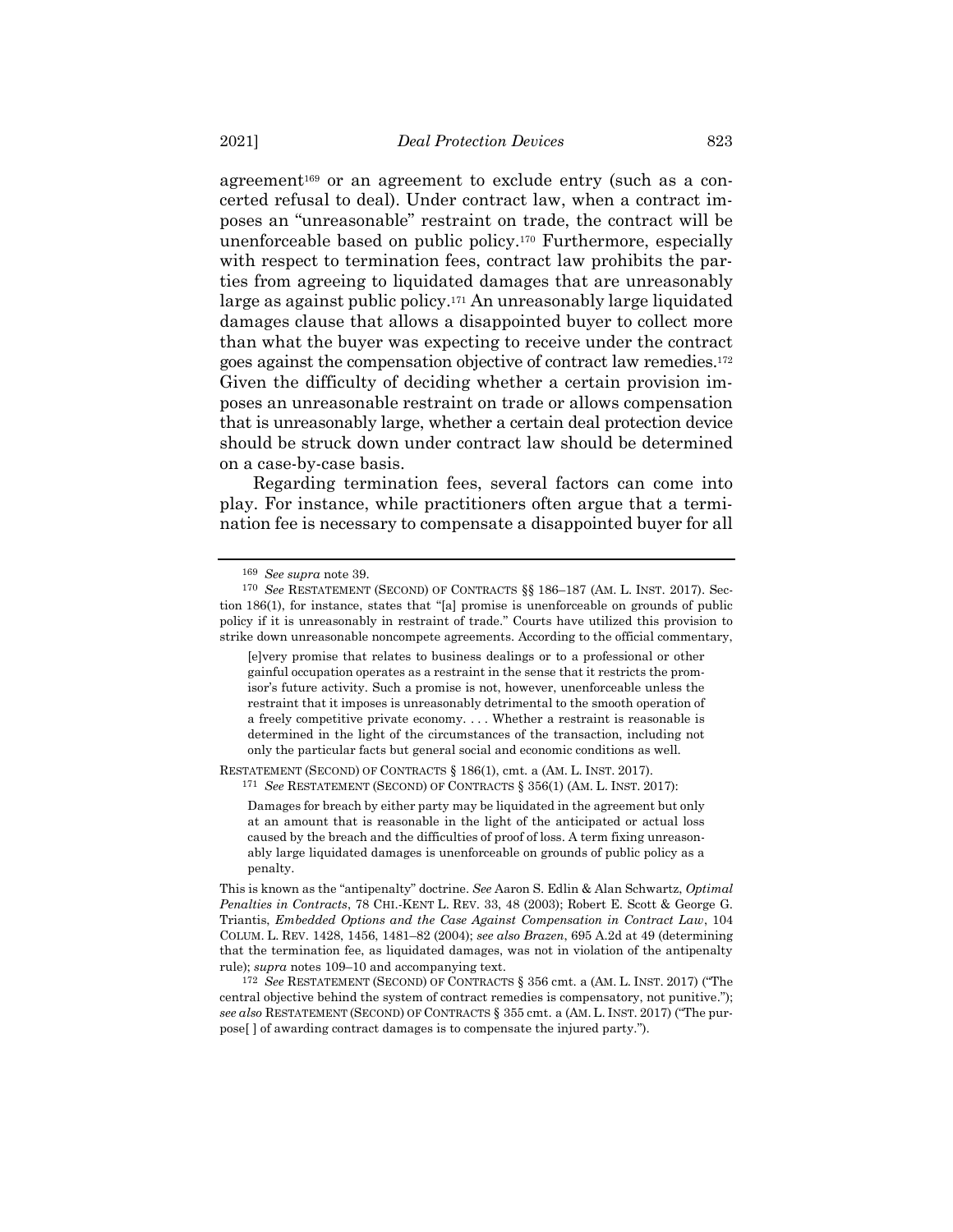agreement<sup>169</sup> or an agreement to exclude entry (such as a concerted refusal to deal). Under contract law, when a contract imposes an "unreasonable" restraint on trade, the contract will be unenforceable based on public policy.<sup>170</sup> Furthermore, especially with respect to termination fees, contract law prohibits the parties from agreeing to liquidated damages that are unreasonably large as against public policy.<sup>171</sup> An unreasonably large liquidated damages clause that allows a disappointed buyer to collect more than what the buyer was expecting to receive under the contract goes against the compensation objective of contract law remedies.<sup>172</sup> Given the difficulty of deciding whether a certain provision imposes an unreasonable restraint on trade or allows compensation that is unreasonably large, whether a certain deal protection device should be struck down under contract law should be determined on a case-by-case basis.

Regarding termination fees, several factors can come into play. For instance, while practitioners often argue that a termination fee is necessary to compensate a disappointed buyer for all

RESTATEMENT (SECOND) OF CONTRACTS § 186(1), cmt. a (AM. L. INST. 2017). 171 *See* RESTATEMENT (SECOND) OF CONTRACTS § 356(1) (AM. L. INST. 2017):

<sup>169</sup> *See supra* not[e 39.](#page-11-0)

<sup>170</sup> *See* RESTATEMENT (SECOND) OF CONTRACTS §§ 186–187 (AM. L. INST. 2017). Section 186(1), for instance, states that "[a] promise is unenforceable on grounds of public policy if it is unreasonably in restraint of trade." Courts have utilized this provision to strike down unreasonable noncompete agreements. According to the official commentary,

<sup>[</sup>e]very promise that relates to business dealings or to a professional or other gainful occupation operates as a restraint in the sense that it restricts the promisor's future activity. Such a promise is not, however, unenforceable unless the restraint that it imposes is unreasonably detrimental to the smooth operation of a freely competitive private economy. . . . Whether a restraint is reasonable is determined in the light of the circumstances of the transaction, including not only the particular facts but general social and economic conditions as well.

Damages for breach by either party may be liquidated in the agreement but only at an amount that is reasonable in the light of the anticipated or actual loss caused by the breach and the difficulties of proof of loss. A term fixing unreasonably large liquidated damages is unenforceable on grounds of public policy as a penalty.

This is known as the "antipenalty" doctrine. *See* Aaron S. Edlin & Alan Schwartz, *Optimal Penalties in Contracts*, 78 CHI.-KENT L. REV. 33, 48 (2003); Robert E. Scott & George G. Triantis, *Embedded Options and the Case Against Compensation in Contract Law*, 104 COLUM. L. REV. 1428, 1456, 1481–82 (2004); *see also Brazen*, 695 A.2d at 49 (determining that the termination fee, as liquidated damages, was not in violation of the antipenalty rule); *supra* note[s 109](#page-29-1)–10 and accompanying text.

<sup>172</sup> *See* RESTATEMENT (SECOND) OF CONTRACTS § 356 cmt. a (AM. L. INST. 2017) ("The central objective behind the system of contract remedies is compensatory, not punitive."); *see also* RESTATEMENT (SECOND) OF CONTRACTS § 355 cmt. a (AM. L. INST. 2017) ("The purpose[ ] of awarding contract damages is to compensate the injured party.").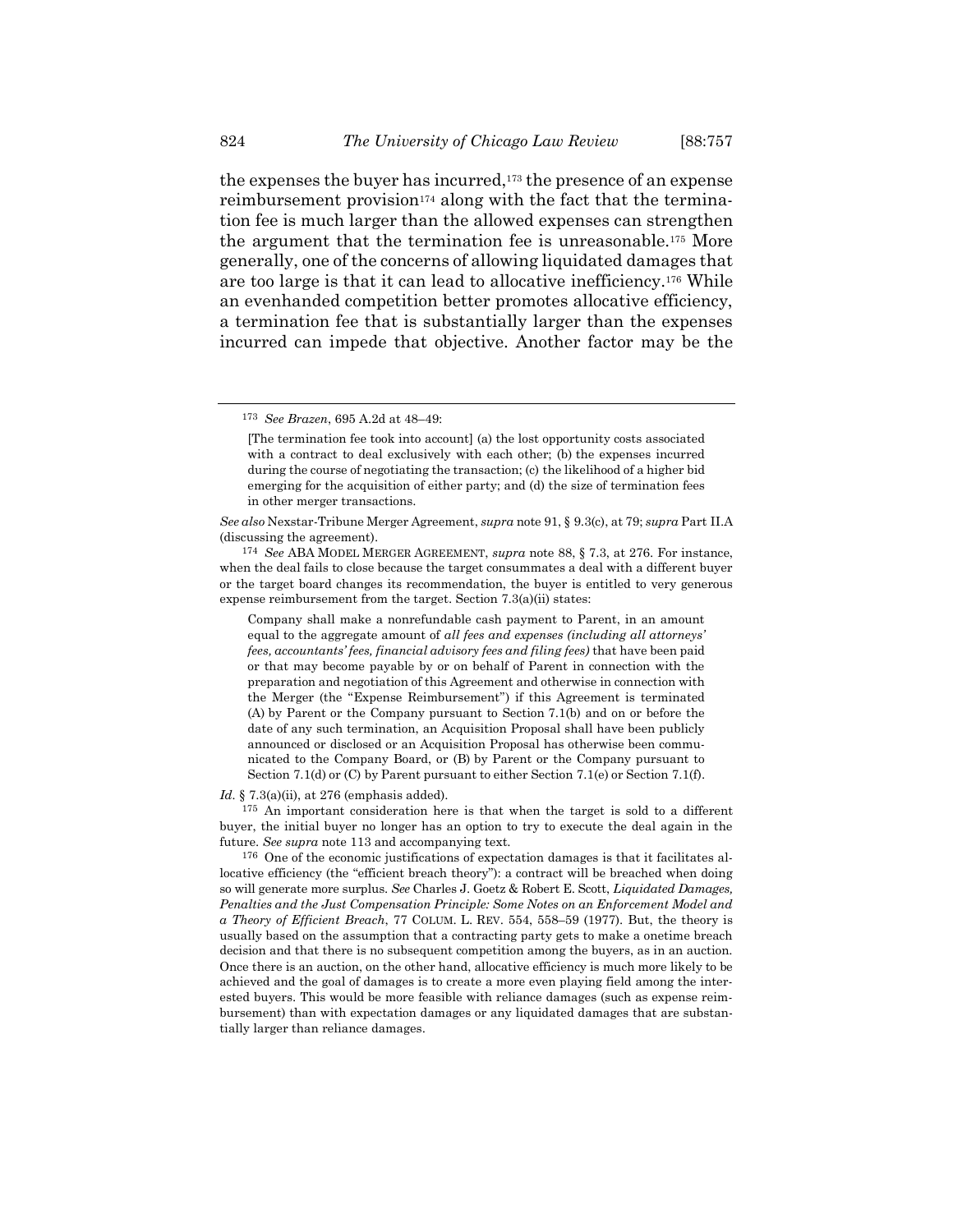the expenses the buyer has incurred,<sup>173</sup> the presence of an expense reimbursement provision<sup>174</sup> along with the fact that the termination fee is much larger than the allowed expenses can strengthen the argument that the termination fee is unreasonable.<sup>175</sup> More generally, one of the concerns of allowing liquidated damages that are too large is that it can lead to allocative inefficiency.<sup>176</sup> While an evenhanded competition better promotes allocative efficiency, a termination fee that is substantially larger than the expenses incurred can impede that objective. Another factor may be the

174 *See* ABA MODEL MERGER AGREEMENT, *supra* not[e 88,](#page-23-0) § 7.3, at 276. For instance, when the deal fails to close because the target consummates a deal with a different buyer or the target board changes its recommendation, the buyer is entitled to very generous expense reimbursement from the target. Section 7.3(a)(ii) states:

Company shall make a nonrefundable cash payment to Parent, in an amount equal to the aggregate amount of *all fees and expenses (including all attorneys' fees, accountants' fees, financial advisory fees and filing fees)* that have been paid or that may become payable by or on behalf of Parent in connection with the preparation and negotiation of this Agreement and otherwise in connection with the Merger (the "Expense Reimbursement") if this Agreement is terminated (A) by Parent or the Company pursuant to Section 7.1(b) and on or before the date of any such termination, an Acquisition Proposal shall have been publicly announced or disclosed or an Acquisition Proposal has otherwise been communicated to the Company Board, or (B) by Parent or the Company pursuant to Section 7.1(d) or (C) by Parent pursuant to either Section 7.1(e) or Section 7.1(f).

*Id.* § 7.3(a)(ii), at 276 (emphasis added).

175 An important consideration here is that when the target is sold to a different buyer, the initial buyer no longer has an option to try to execute the deal again in the future. *See supra* note [113](#page-30-0) and accompanying text.

176 One of the economic justifications of expectation damages is that it facilitates allocative efficiency (the "efficient breach theory"): a contract will be breached when doing so will generate more surplus. *See* Charles J. Goetz & Robert E. Scott, *Liquidated Damages, Penalties and the Just Compensation Principle: Some Notes on an Enforcement Model and a Theory of Efficient Breach*, 77 COLUM. L. REV. 554, 558–59 (1977). But, the theory is usually based on the assumption that a contracting party gets to make a onetime breach decision and that there is no subsequent competition among the buyers, as in an auction. Once there is an auction, on the other hand, allocative efficiency is much more likely to be achieved and the goal of damages is to create a more even playing field among the interested buyers. This would be more feasible with reliance damages (such as expense reimbursement) than with expectation damages or any liquidated damages that are substantially larger than reliance damages.

<sup>173</sup> *See Brazen*, 695 A.2d at 48–49:

<sup>[</sup>The termination fee took into account] (a) the lost opportunity costs associated with a contract to deal exclusively with each other; (b) the expenses incurred during the course of negotiating the transaction; (c) the likelihood of a higher bid emerging for the acquisition of either party; and (d) the size of termination fees in other merger transactions.

*See also* Nexstar-Tribune Merger Agreement, *supra* not[e 91,](#page-24-0) § 9.3(c), at 79; *supra* Part II.A (discussing the agreement).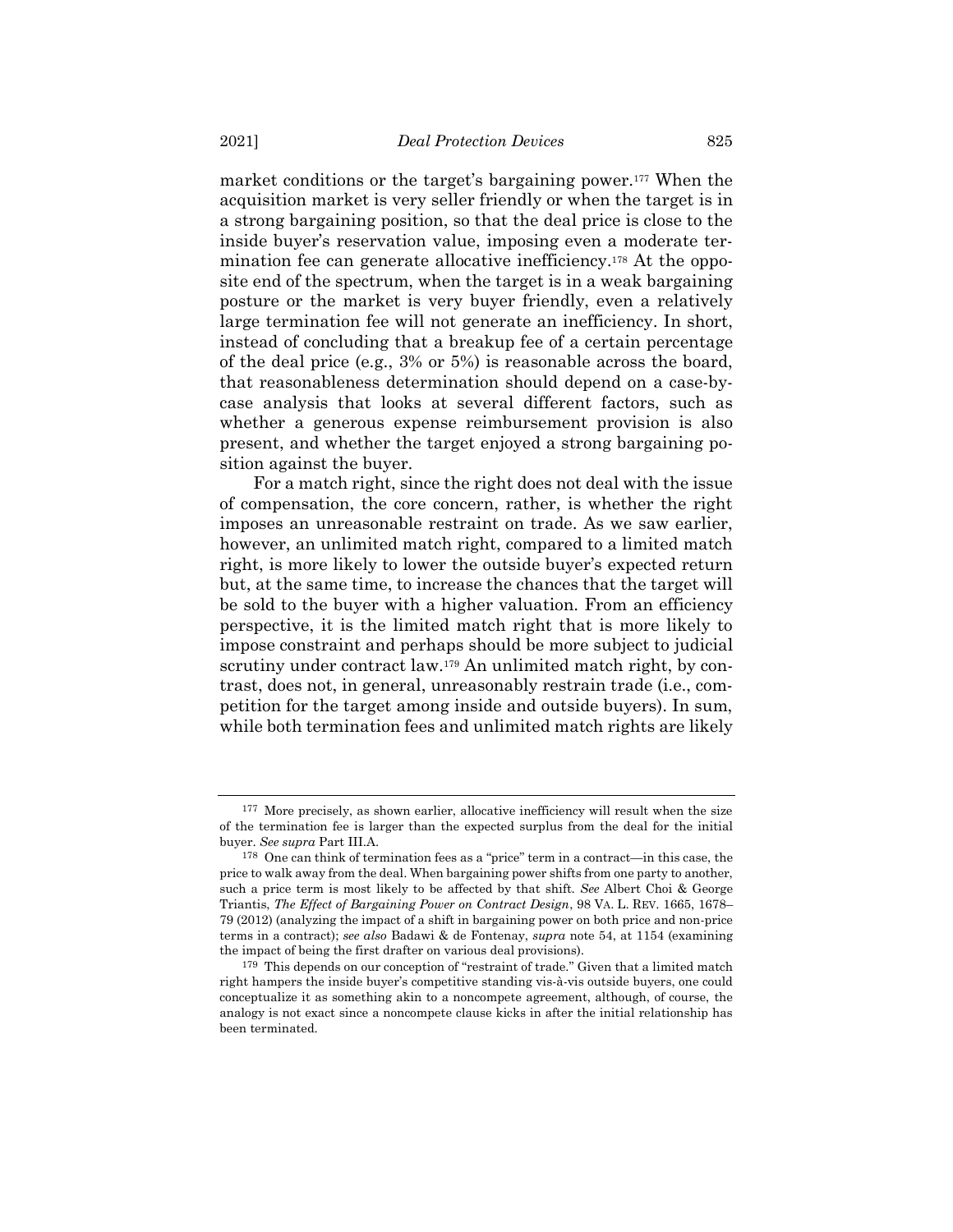market conditions or the target's bargaining power.<sup>177</sup> When the acquisition market is very seller friendly or when the target is in a strong bargaining position, so that the deal price is close to the inside buyer's reservation value, imposing even a moderate termination fee can generate allocative inefficiency.<sup>178</sup> At the opposite end of the spectrum, when the target is in a weak bargaining posture or the market is very buyer friendly, even a relatively large termination fee will not generate an inefficiency. In short, instead of concluding that a breakup fee of a certain percentage of the deal price (e.g., 3% or 5%) is reasonable across the board, that reasonableness determination should depend on a case-bycase analysis that looks at several different factors, such as whether a generous expense reimbursement provision is also present, and whether the target enjoyed a strong bargaining position against the buyer.

For a match right, since the right does not deal with the issue of compensation, the core concern, rather, is whether the right imposes an unreasonable restraint on trade. As we saw earlier, however, an unlimited match right, compared to a limited match right, is more likely to lower the outside buyer's expected return but, at the same time, to increase the chances that the target will be sold to the buyer with a higher valuation. From an efficiency perspective, it is the limited match right that is more likely to impose constraint and perhaps should be more subject to judicial scrutiny under contract law.<sup>179</sup> An unlimited match right, by contrast, does not, in general, unreasonably restrain trade (i.e., competition for the target among inside and outside buyers). In sum, while both termination fees and unlimited match rights are likely

<sup>177</sup> More precisely, as shown earlier, allocative inefficiency will result when the size of the termination fee is larger than the expected surplus from the deal for the initial buyer. *See supra* Part III.A.

<sup>178</sup> One can think of termination fees as a "price" term in a contract—in this case, the price to walk away from the deal. When bargaining power shifts from one party to another, such a price term is most likely to be affected by that shift. *See* Albert Choi & George Triantis, *The Effect of Bargaining Power on Contract Design*, 98 VA. L. REV. 1665, 1678– 79 (2012) (analyzing the impact of a shift in bargaining power on both price and non-price terms in a contract); *see also* Badawi & de Fontenay, *supra* not[e 54,](#page-14-0) at 1154 (examining the impact of being the first drafter on various deal provisions).

<sup>179</sup> This depends on our conception of "restraint of trade." Given that a limited match right hampers the inside buyer's competitive standing vis-à-vis outside buyers, one could conceptualize it as something akin to a noncompete agreement, although, of course, the analogy is not exact since a noncompete clause kicks in after the initial relationship has been terminated.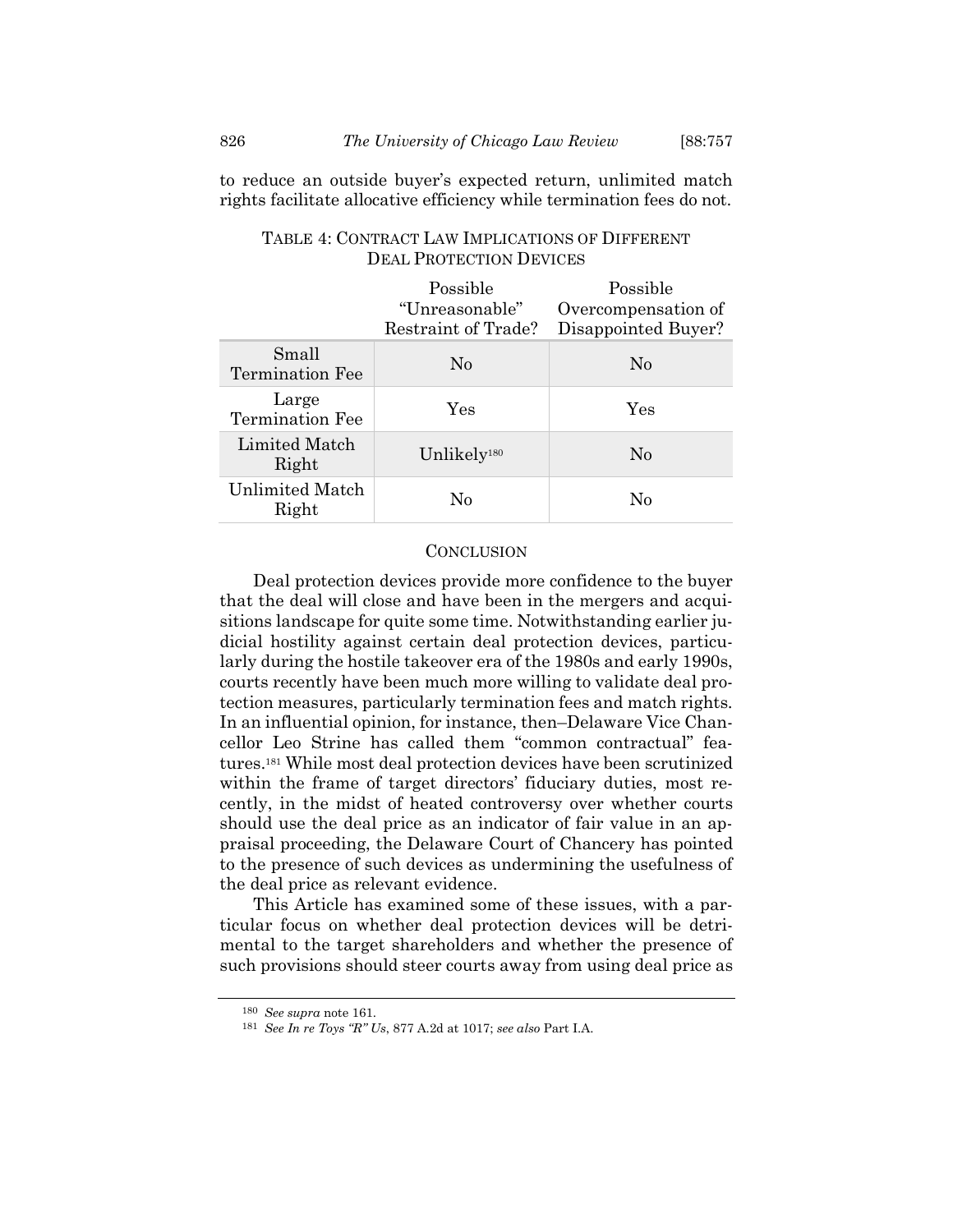to reduce an outside buyer's expected return, unlimited match rights facilitate allocative efficiency while termination fees do not.

|                          | Possible<br>"Unreasonable"<br>Restraint of Trade? | Possible<br>Overcompensation of<br>Disappointed Buyer? |
|--------------------------|---------------------------------------------------|--------------------------------------------------------|
| Small<br>Termination Fee | N <sub>0</sub>                                    | N <sub>0</sub>                                         |
| Large<br>Termination Fee | Yes                                               | Yes                                                    |
| Limited Match<br>Right   | Unlikely <sup>180</sup>                           | N <sub>0</sub>                                         |
| Unlimited Match<br>Right | $\rm No$                                          | No                                                     |

# TABLE 4: CONTRACT LAW IMPLICATIONS OF DIFFERENT DEAL PROTECTION DEVICES

#### **CONCLUSION**

Deal protection devices provide more confidence to the buyer that the deal will close and have been in the mergers and acquisitions landscape for quite some time. Notwithstanding earlier judicial hostility against certain deal protection devices, particularly during the hostile takeover era of the 1980s and early 1990s, courts recently have been much more willing to validate deal protection measures, particularly termination fees and match rights. In an influential opinion, for instance, then–Delaware Vice Chancellor Leo Strine has called them "common contractual" features.<sup>181</sup> While most deal protection devices have been scrutinized within the frame of target directors' fiduciary duties, most recently, in the midst of heated controversy over whether courts should use the deal price as an indicator of fair value in an appraisal proceeding, the Delaware Court of Chancery has pointed to the presence of such devices as undermining the usefulness of the deal price as relevant evidence.

This Article has examined some of these issues, with a particular focus on whether deal protection devices will be detrimental to the target shareholders and whether the presence of such provisions should steer courts away from using deal price as

<sup>180</sup> *See supra* not[e 161.](#page-60-0)

<sup>181</sup> *See In re Toys "R" Us*, 877 A.2d at 1017; *see also* Part I.A.